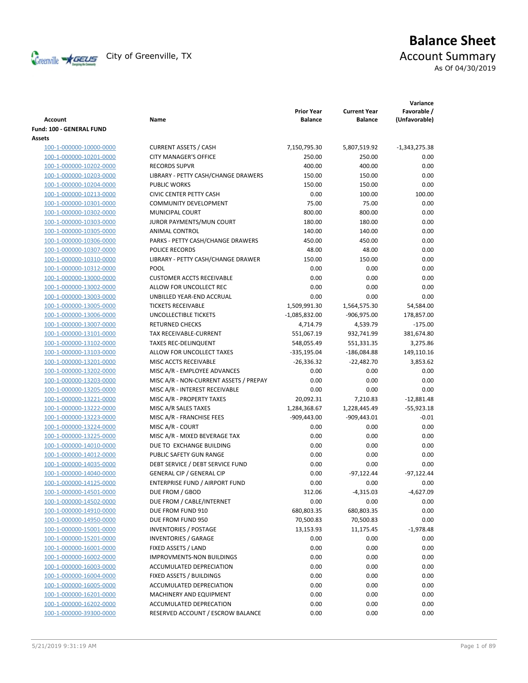

# **Balance Sheet** Creenville  $\star$  GEUS</del> City of Greenville, TX **Account Summary**

As Of 04/30/2019

| Account                                            | Name                                                | <b>Prior Year</b><br><b>Balance</b> | <b>Current Year</b><br><b>Balance</b> | Variance<br>Favorable /<br>(Unfavorable) |
|----------------------------------------------------|-----------------------------------------------------|-------------------------------------|---------------------------------------|------------------------------------------|
| Fund: 100 - GENERAL FUND                           |                                                     |                                     |                                       |                                          |
| Assets                                             |                                                     |                                     |                                       |                                          |
| 100-1-000000-10000-0000                            | <b>CURRENT ASSETS / CASH</b>                        | 7,150,795.30                        | 5,807,519.92                          | $-1,343,275.38$                          |
| 100-1-000000-10201-0000                            | <b>CITY MANAGER'S OFFICE</b>                        | 250.00                              | 250.00                                | 0.00                                     |
| 100-1-000000-10202-0000                            | <b>RECORDS SUPVR</b>                                | 400.00                              | 400.00                                | 0.00                                     |
| 100-1-000000-10203-0000                            | LIBRARY - PETTY CASH/CHANGE DRAWERS                 | 150.00                              | 150.00                                | 0.00                                     |
| 100-1-000000-10204-0000                            | <b>PUBLIC WORKS</b>                                 | 150.00                              | 150.00                                | 0.00                                     |
| 100-1-000000-10213-0000                            | <b>CIVIC CENTER PETTY CASH</b>                      | 0.00                                | 100.00                                | 100.00                                   |
| 100-1-000000-10301-0000                            | <b>COMMUNITY DEVELOPMENT</b>                        | 75.00                               | 75.00                                 | 0.00                                     |
| 100-1-000000-10302-0000                            | MUNICIPAL COURT                                     | 800.00                              | 800.00                                | 0.00                                     |
| 100-1-000000-10303-0000                            | JUROR PAYMENTS/MUN COURT                            | 180.00                              | 180.00                                | 0.00                                     |
| 100-1-000000-10305-0000                            | ANIMAL CONTROL                                      | 140.00                              | 140.00                                | 0.00                                     |
| 100-1-000000-10306-0000                            | PARKS - PETTY CASH/CHANGE DRAWERS                   | 450.00                              | 450.00                                | 0.00                                     |
| 100-1-000000-10307-0000                            | POLICE RECORDS                                      | 48.00                               | 48.00                                 | 0.00                                     |
| 100-1-000000-10310-0000                            | LIBRARY - PETTY CASH/CHANGE DRAWER                  | 150.00                              | 150.00                                | 0.00                                     |
| 100-1-000000-10312-0000                            | POOL                                                | 0.00                                | 0.00                                  | 0.00                                     |
| 100-1-000000-13000-0000                            | <b>CUSTOMER ACCTS RECEIVABLE</b>                    | 0.00                                | 0.00                                  | 0.00                                     |
| 100-1-000000-13002-0000                            | ALLOW FOR UNCOLLECT REC                             | 0.00                                | 0.00                                  | 0.00                                     |
| 100-1-000000-13003-0000                            | UNBILLED YEAR-END ACCRUAL                           | 0.00                                | 0.00                                  | 0.00                                     |
| 100-1-000000-13005-0000                            | <b>TICKETS RECEIVABLE</b>                           | 1,509,991.30                        | 1,564,575.30                          | 54,584.00                                |
| 100-1-000000-13006-0000                            | UNCOLLECTIBLE TICKETS                               | $-1,085,832.00$                     | -906,975.00                           | 178,857.00                               |
| 100-1-000000-13007-0000                            | <b>RETURNED CHECKS</b>                              | 4,714.79                            | 4,539.79                              | $-175.00$                                |
| 100-1-000000-13101-0000                            | TAX RECEIVABLE-CURRENT                              | 551,067.19                          | 932,741.99                            | 381,674.80                               |
| 100-1-000000-13102-0000                            | <b>TAXES REC-DELINQUENT</b>                         | 548,055.49                          | 551,331.35                            | 3,275.86                                 |
| 100-1-000000-13103-0000                            | ALLOW FOR UNCOLLECT TAXES                           | -335,195.04                         | -186,084.88                           | 149,110.16                               |
| 100-1-000000-13201-0000                            | MISC ACCTS RECEIVABLE                               | $-26,336.32$                        | $-22,482.70$                          | 3,853.62                                 |
| 100-1-000000-13202-0000                            | MISC A/R - EMPLOYEE ADVANCES                        | 0.00                                | 0.00                                  | 0.00                                     |
| 100-1-000000-13203-0000                            | MISC A/R - NON-CURRENT ASSETS / PREPAY              | 0.00                                | 0.00                                  | 0.00                                     |
| 100-1-000000-13205-0000                            | MISC A/R - INTEREST RECEIVABLE                      | 0.00                                | 0.00                                  | 0.00                                     |
| 100-1-000000-13221-0000                            | MISC A/R - PROPERTY TAXES                           | 20,092.31                           | 7,210.83                              | $-12,881.48$                             |
| 100-1-000000-13222-0000                            | MISC A/R SALES TAXES                                | 1,284,368.67                        | 1,228,445.49                          | $-55,923.18$                             |
| 100-1-000000-13223-0000                            | MISC A/R - FRANCHISE FEES                           | $-909,443.00$                       | $-909,443.01$                         | $-0.01$                                  |
| 100-1-000000-13224-0000                            | MISC A/R - COURT                                    | 0.00                                | 0.00                                  | 0.00                                     |
| 100-1-000000-13225-0000                            | MISC A/R - MIXED BEVERAGE TAX                       | 0.00                                | 0.00                                  | 0.00                                     |
| 100-1-000000-14010-0000                            | DUE TO EXCHANGE BUILDING                            | 0.00                                | 0.00                                  | 0.00                                     |
| 100-1-000000-14012-0000                            | PUBLIC SAFETY GUN RANGE                             | 0.00                                | 0.00                                  | 0.00                                     |
| 100-1-000000-14035-0000                            | DEBT SERVICE / DEBT SERVICE FUND                    | 0.00                                | 0.00                                  | 0.00                                     |
| 100-1-000000-14040-0000                            | <b>GENERAL CIP / GENERAL CIP</b>                    | 0.00                                | $-97,122.44$                          | $-97,122.44$                             |
| 100-1-000000-14125-0000                            | ENTERPRISE FUND / AIRPORT FUND                      | 0.00                                | 0.00                                  | 0.00                                     |
| 100-1-000000-14501-0000                            | DUE FROM / GBOD                                     | 312.06                              | $-4,315.03$                           | $-4,627.09$                              |
| 100-1-000000-14502-0000                            | DUE FROM / CABLE/INTERNET                           | 0.00                                | 0.00                                  | 0.00                                     |
| 100-1-000000-14910-0000                            | DUE FROM FUND 910                                   | 680,803.35                          | 680,803.35                            | 0.00                                     |
| 100-1-000000-14950-0000                            | DUE FROM FUND 950                                   | 70,500.83                           | 70,500.83                             | 0.00                                     |
| 100-1-000000-15001-0000                            | <b>INVENTORIES / POSTAGE</b>                        | 13,153.93                           | 11,175.45                             | $-1,978.48$                              |
| 100-1-000000-15201-0000                            | <b>INVENTORIES / GARAGE</b>                         | 0.00                                | 0.00                                  | 0.00                                     |
| 100-1-000000-16001-0000                            | FIXED ASSETS / LAND                                 | 0.00                                | 0.00                                  | 0.00                                     |
|                                                    | <b>IMPROVMENTS-NON BUILDINGS</b>                    | 0.00                                | 0.00                                  | 0.00                                     |
| 100-1-000000-16002-0000<br>100-1-000000-16003-0000 | ACCUMULATED DEPRECIATION                            | 0.00                                | 0.00                                  | 0.00                                     |
|                                                    | FIXED ASSETS / BUILDINGS                            | 0.00                                | 0.00                                  | 0.00                                     |
| 100-1-000000-16004-0000                            |                                                     |                                     |                                       |                                          |
| 100-1-000000-16005-0000                            | ACCUMULATED DEPRECIATION<br>MACHINERY AND EQUIPMENT | 0.00                                | 0.00                                  | 0.00                                     |
| 100-1-000000-16201-0000                            |                                                     | 0.00                                | 0.00                                  | 0.00                                     |
| 100-1-000000-16202-0000                            | ACCUMULATED DEPRECATION                             | 0.00                                | 0.00                                  | 0.00                                     |
| 100-1-000000-39300-0000                            | RESERVED ACCOUNT / ESCROW BALANCE                   | 0.00                                | 0.00                                  | 0.00                                     |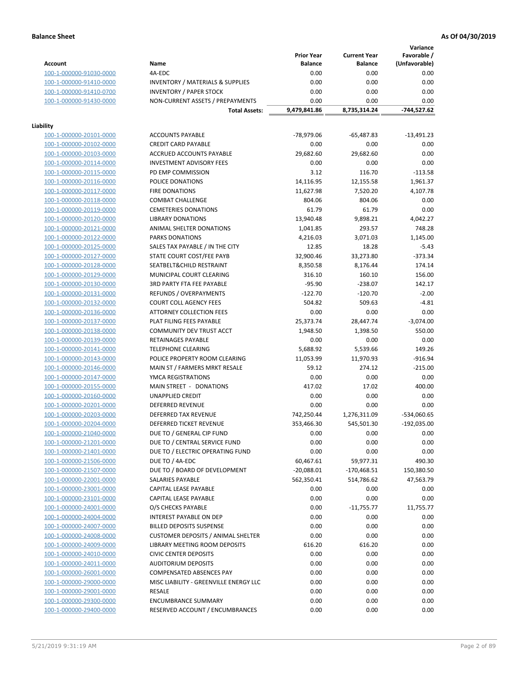**Variance**

|                         |                                                     | <b>Prior Year</b> | <b>Current Year</b> | Favorable /   |
|-------------------------|-----------------------------------------------------|-------------------|---------------------|---------------|
| <b>Account</b>          | Name                                                | <b>Balance</b>    | <b>Balance</b>      | (Unfavorable) |
| 100-1-000000-91030-0000 | 4A-EDC                                              | 0.00              | 0.00                | 0.00          |
| 100-1-000000-91410-0000 | <b>INVENTORY / MATERIALS &amp; SUPPLIES</b>         | 0.00              | 0.00                | 0.00          |
| 100-1-000000-91410-0700 | <b>INVENTORY / PAPER STOCK</b>                      | 0.00              | 0.00                | 0.00          |
| 100-1-000000-91430-0000 | NON-CURRENT ASSETS / PREPAYMENTS                    | 0.00              | 0.00                | 0.00          |
|                         | <b>Total Assets:</b>                                | 9,479,841.86      | 8,735,314.24        | -744,527.62   |
|                         |                                                     |                   |                     |               |
| Liability               |                                                     |                   |                     |               |
| 100-1-000000-20101-0000 | <b>ACCOUNTS PAYABLE</b>                             | -78,979.06        | $-65,487.83$        | $-13,491.23$  |
| 100-1-000000-20102-0000 | <b>CREDIT CARD PAYABLE</b>                          | 0.00              | 0.00                | 0.00          |
| 100-1-000000-20103-0000 | ACCRUED ACCOUNTS PAYABLE                            | 29,682.60         | 29,682.60           | 0.00          |
| 100-1-000000-20114-0000 | <b>INVESTMENT ADVISORY FEES</b>                     | 0.00              | 0.00                | 0.00          |
| 100-1-000000-20115-0000 | PD EMP COMMISSION                                   | 3.12              | 116.70              | $-113.58$     |
| 100-1-000000-20116-0000 | POLICE DONATIONS                                    | 14,116.95         | 12,155.58           | 1,961.37      |
| 100-1-000000-20117-0000 | <b>FIRE DONATIONS</b>                               | 11,627.98         | 7,520.20            | 4,107.78      |
| 100-1-000000-20118-0000 | <b>COMBAT CHALLENGE</b>                             | 804.06            | 804.06              | 0.00          |
| 100-1-000000-20119-0000 | <b>CEMETERIES DONATIONS</b>                         | 61.79             | 61.79               | 0.00          |
| 100-1-000000-20120-0000 | <b>LIBRARY DONATIONS</b>                            | 13,940.48         | 9,898.21            | 4,042.27      |
| 100-1-000000-20121-0000 | ANIMAL SHELTER DONATIONS                            | 1,041.85          | 293.57              | 748.28        |
| 100-1-000000-20122-0000 | <b>PARKS DONATIONS</b>                              | 4,216.03          | 3,071.03            | 1,145.00      |
| 100-1-000000-20125-0000 | SALES TAX PAYABLE / IN THE CITY                     | 12.85             | 18.28               | $-5.43$       |
| 100-1-000000-20127-0000 | STATE COURT COST/FEE PAYB                           | 32,900.46         | 33,273.80           | $-373.34$     |
| 100-1-000000-20128-0000 | SEATBELT&CHILD RESTRAINT                            | 8,350.58          | 8,176.44            | 174.14        |
| 100-1-000000-20129-0000 | MUNICIPAL COURT CLEARING                            | 316.10            | 160.10              | 156.00        |
| 100-1-000000-20130-0000 | 3RD PARTY FTA FEE PAYABLE                           | $-95.90$          | $-238.07$           | 142.17        |
| 100-1-000000-20131-0000 | REFUNDS / OVERPAYMENTS                              | $-122.70$         | $-120.70$           | $-2.00$       |
| 100-1-000000-20132-0000 | <b>COURT COLL AGENCY FEES</b>                       | 504.82            | 509.63              | $-4.81$       |
| 100-1-000000-20136-0000 | <b>ATTORNEY COLLECTION FEES</b>                     | 0.00              | 0.00                | 0.00          |
| 100-1-000000-20137-0000 | PLAT FILING FEES PAYABLE                            | 25,373.74         | 28,447.74           | $-3,074.00$   |
| 100-1-000000-20138-0000 | COMMUNITY DEV TRUST ACCT                            | 1,948.50          | 1,398.50            | 550.00        |
| 100-1-000000-20139-0000 | RETAINAGES PAYABLE                                  | 0.00              | 0.00                | 0.00          |
| 100-1-000000-20141-0000 | <b>TELEPHONE CLEARING</b>                           | 5,688.92          | 5,539.66            | 149.26        |
| 100-1-000000-20143-0000 | POLICE PROPERTY ROOM CLEARING                       | 11,053.99         |                     | $-916.94$     |
|                         |                                                     | 59.12             | 11,970.93<br>274.12 | $-215.00$     |
| 100-1-000000-20146-0000 | MAIN ST / FARMERS MRKT RESALE<br>YMCA REGISTRATIONS | 0.00              | 0.00                | 0.00          |
| 100-1-000000-20147-0000 | MAIN STREET - DONATIONS                             | 417.02            | 17.02               | 400.00        |
| 100-1-000000-20155-0000 |                                                     |                   | 0.00                |               |
| 100-1-000000-20160-0000 | <b>UNAPPLIED CREDIT</b>                             | 0.00              |                     | 0.00          |
| 100-1-000000-20201-0000 | <b>DEFERRED REVENUE</b>                             | 0.00              | 0.00                | 0.00          |
| 100-1-000000-20203-0000 | DEFERRED TAX REVENUE                                | 742,250.44        | 1,276,311.09        | -534,060.65   |
| 100-1-000000-20204-0000 | DEFERRED TICKET REVENUE                             | 353,466.30        | 545,501.30          | $-192,035.00$ |
| 100-1-000000-21040-0000 | DUE TO / GENERAL CIP FUND                           | 0.00              | 0.00                | 0.00          |
| 100-1-000000-21201-0000 | DUE TO / CENTRAL SERVICE FUND                       | 0.00              | 0.00                | 0.00          |
| 100-1-000000-21401-0000 | DUE TO / ELECTRIC OPERATING FUND                    | 0.00              | 0.00                | 0.00          |
| 100-1-000000-21506-0000 | DUE TO / 4A-EDC                                     | 60,467.61         | 59,977.31           | 490.30        |
| 100-1-000000-21507-0000 | DUE TO / BOARD OF DEVELOPMENT                       | $-20,088.01$      | -170,468.51         | 150,380.50    |
| 100-1-000000-22001-0000 | SALARIES PAYABLE                                    | 562,350.41        | 514,786.62          | 47,563.79     |
| 100-1-000000-23001-0000 | <b>CAPITAL LEASE PAYABLE</b>                        | 0.00              | 0.00                | 0.00          |
| 100-1-000000-23101-0000 | CAPITAL LEASE PAYABLE                               | 0.00              | 0.00                | 0.00          |
| 100-1-000000-24001-0000 | O/S CHECKS PAYABLE                                  | 0.00              | $-11,755.77$        | 11,755.77     |
| 100-1-000000-24004-0000 | INTEREST PAYABLE ON DEP                             | 0.00              | 0.00                | 0.00          |
| 100-1-000000-24007-0000 | <b>BILLED DEPOSITS SUSPENSE</b>                     | 0.00              | 0.00                | 0.00          |
| 100-1-000000-24008-0000 | <b>CUSTOMER DEPOSITS / ANIMAL SHELTER</b>           | 0.00              | 0.00                | 0.00          |
| 100-1-000000-24009-0000 | LIBRARY MEETING ROOM DEPOSITS                       | 616.20            | 616.20              | 0.00          |
| 100-1-000000-24010-0000 | <b>CIVIC CENTER DEPOSITS</b>                        | 0.00              | 0.00                | 0.00          |
| 100-1-000000-24011-0000 | <b>AUDITORIUM DEPOSITS</b>                          | 0.00              | 0.00                | 0.00          |
| 100-1-000000-26001-0000 | COMPENSATED ABSENCES PAY                            | 0.00              | 0.00                | 0.00          |
| 100-1-000000-29000-0000 | MISC LIABILITY - GREENVILLE ENERGY LLC              | 0.00              | 0.00                | 0.00          |
| 100-1-000000-29001-0000 | <b>RESALE</b>                                       | 0.00              | 0.00                | 0.00          |
| 100-1-000000-29300-0000 | <b>ENCUMBRANCE SUMMARY</b>                          | 0.00              | 0.00                | 0.00          |
| 100-1-000000-29400-0000 | RESERVED ACCOUNT / ENCUMBRANCES                     | 0.00              | 0.00                | 0.00          |
|                         |                                                     |                   |                     |               |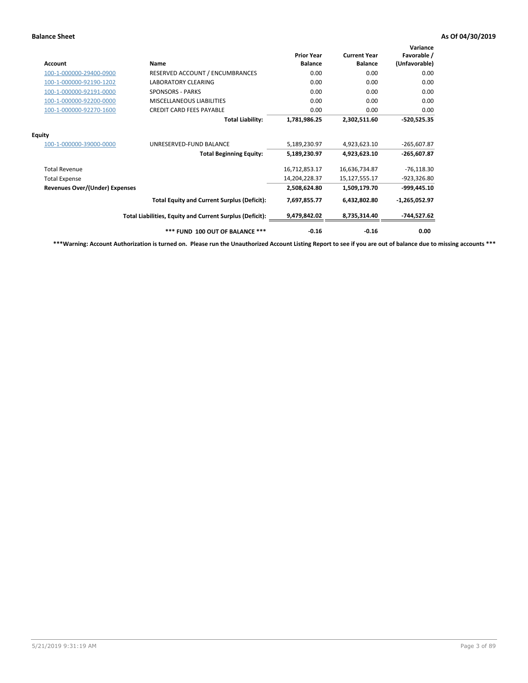| Account                               | Name                                                     | <b>Prior Year</b><br><b>Balance</b> | <b>Current Year</b><br><b>Balance</b> | Variance<br>Favorable /<br>(Unfavorable) |
|---------------------------------------|----------------------------------------------------------|-------------------------------------|---------------------------------------|------------------------------------------|
| 100-1-000000-29400-0900               | RESERVED ACCOUNT / ENCUMBRANCES                          | 0.00                                | 0.00                                  | 0.00                                     |
| 100-1-000000-92190-1202               | <b>LABORATORY CLEARING</b>                               | 0.00                                | 0.00                                  | 0.00                                     |
| 100-1-000000-92191-0000               | <b>SPONSORS - PARKS</b>                                  | 0.00                                | 0.00                                  | 0.00                                     |
| 100-1-000000-92200-0000               | <b>MISCELLANEOUS LIABILITIES</b>                         | 0.00                                | 0.00                                  | 0.00                                     |
| 100-1-000000-92270-1600               | <b>CREDIT CARD FEES PAYABLE</b>                          | 0.00                                | 0.00                                  | 0.00                                     |
|                                       | <b>Total Liability:</b>                                  | 1,781,986.25                        | 2,302,511.60                          | $-520,525.35$                            |
| <b>Equity</b>                         |                                                          |                                     |                                       |                                          |
| 100-1-000000-39000-0000               | UNRESERVED-FUND BALANCE                                  | 5,189,230.97                        | 4,923,623.10                          | $-265,607.87$                            |
|                                       | <b>Total Beginning Equity:</b>                           | 5,189,230.97                        | 4,923,623.10                          | $-265,607.87$                            |
| <b>Total Revenue</b>                  |                                                          | 16,712,853.17                       | 16,636,734.87                         | $-76,118.30$                             |
| <b>Total Expense</b>                  |                                                          | 14,204,228.37                       | 15,127,555.17                         | -923,326.80                              |
| <b>Revenues Over/(Under) Expenses</b> |                                                          | 2,508,624.80                        | 1,509,179.70                          | -999,445.10                              |
|                                       | <b>Total Equity and Current Surplus (Deficit):</b>       | 7,697,855.77                        | 6,432,802.80                          | $-1,265,052.97$                          |
|                                       | Total Liabilities, Equity and Current Surplus (Deficit): | 9,479,842.02                        | 8,735,314.40                          | $-744,527.62$                            |
|                                       | *** FUND 100 OUT OF BALANCE ***                          | $-0.16$                             | $-0.16$                               | 0.00                                     |

**\*\*\*Warning: Account Authorization is turned on. Please run the Unauthorized Account Listing Report to see if you are out of balance due to missing accounts \*\*\***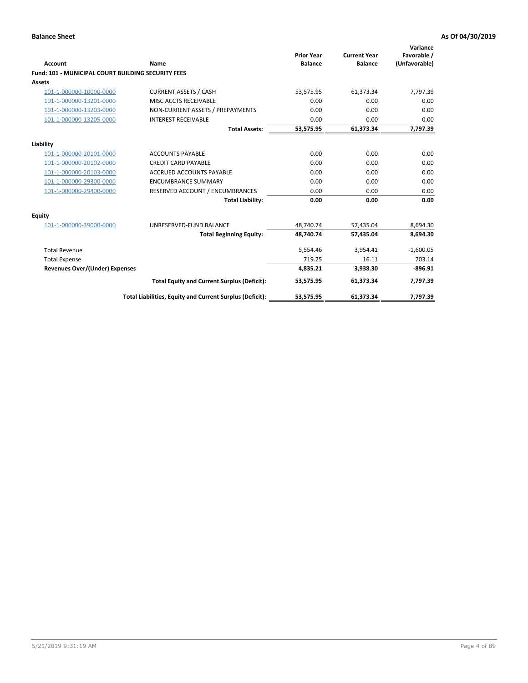| <b>Account</b>                                            | Name                                                     | <b>Prior Year</b><br><b>Balance</b> | <b>Current Year</b><br><b>Balance</b> | Variance<br>Favorable /<br>(Unfavorable) |
|-----------------------------------------------------------|----------------------------------------------------------|-------------------------------------|---------------------------------------|------------------------------------------|
| <b>Fund: 101 - MUNICIPAL COURT BUILDING SECURITY FEES</b> |                                                          |                                     |                                       |                                          |
| <b>Assets</b>                                             |                                                          |                                     |                                       |                                          |
| 101-1-000000-10000-0000                                   | <b>CURRENT ASSETS / CASH</b>                             | 53,575.95                           | 61,373.34                             | 7,797.39                                 |
| 101-1-000000-13201-0000                                   | MISC ACCTS RECEIVABLE                                    | 0.00                                | 0.00                                  | 0.00                                     |
| 101-1-000000-13203-0000                                   | NON-CURRENT ASSETS / PREPAYMENTS                         | 0.00                                | 0.00                                  | 0.00                                     |
| 101-1-000000-13205-0000                                   | <b>INTEREST RECEIVABLE</b>                               | 0.00                                | 0.00                                  | 0.00                                     |
|                                                           | <b>Total Assets:</b>                                     | 53,575.95                           | 61,373.34                             | 7,797.39                                 |
| Liability                                                 |                                                          |                                     |                                       |                                          |
| 101-1-000000-20101-0000                                   | <b>ACCOUNTS PAYABLE</b>                                  | 0.00                                | 0.00                                  | 0.00                                     |
| 101-1-000000-20102-0000                                   | <b>CREDIT CARD PAYABLE</b>                               | 0.00                                | 0.00                                  | 0.00                                     |
| 101-1-000000-20103-0000                                   | <b>ACCRUED ACCOUNTS PAYABLE</b>                          | 0.00                                | 0.00                                  | 0.00                                     |
| 101-1-000000-29300-0000                                   | <b>ENCUMBRANCE SUMMARY</b>                               | 0.00                                | 0.00                                  | 0.00                                     |
| 101-1-000000-29400-0000                                   | RESERVED ACCOUNT / ENCUMBRANCES                          | 0.00                                | 0.00                                  | 0.00                                     |
|                                                           | <b>Total Liability:</b>                                  | 0.00                                | 0.00                                  | 0.00                                     |
| <b>Equity</b>                                             |                                                          |                                     |                                       |                                          |
| 101-1-000000-39000-0000                                   | UNRESERVED-FUND BALANCE                                  | 48,740.74                           | 57,435.04                             | 8,694.30                                 |
|                                                           | <b>Total Beginning Equity:</b>                           | 48,740.74                           | 57,435.04                             | 8,694.30                                 |
| <b>Total Revenue</b>                                      |                                                          | 5,554.46                            | 3,954.41                              | $-1,600.05$                              |
| <b>Total Expense</b>                                      |                                                          | 719.25                              | 16.11                                 | 703.14                                   |
| <b>Revenues Over/(Under) Expenses</b>                     |                                                          | 4,835.21                            | 3,938.30                              | $-896.91$                                |
|                                                           | <b>Total Equity and Current Surplus (Deficit):</b>       | 53,575.95                           | 61,373.34                             | 7,797.39                                 |
|                                                           | Total Liabilities, Equity and Current Surplus (Deficit): | 53,575.95                           | 61,373.34                             | 7,797.39                                 |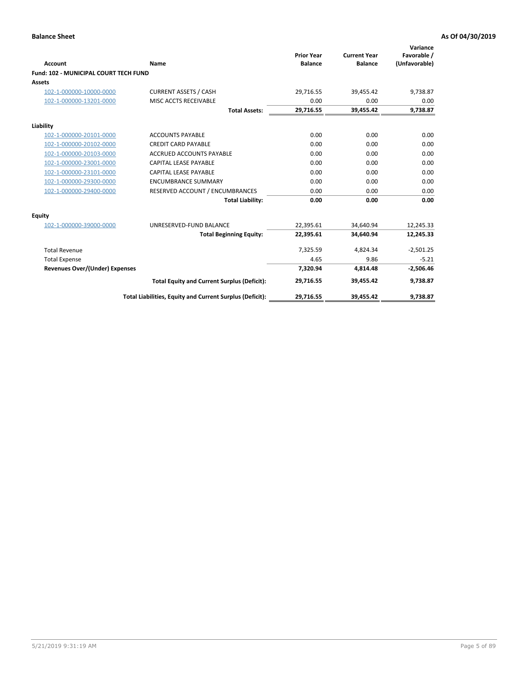| <b>Account</b>                        | Name                                                     | <b>Prior Year</b><br><b>Balance</b> | <b>Current Year</b><br><b>Balance</b> | Variance<br>Favorable /<br>(Unfavorable) |
|---------------------------------------|----------------------------------------------------------|-------------------------------------|---------------------------------------|------------------------------------------|
| Fund: 102 - MUNICIPAL COURT TECH FUND |                                                          |                                     |                                       |                                          |
| Assets                                |                                                          |                                     |                                       |                                          |
| 102-1-000000-10000-0000               | <b>CURRENT ASSETS / CASH</b>                             | 29,716.55                           | 39,455.42                             | 9,738.87                                 |
| 102-1-000000-13201-0000               | MISC ACCTS RECEIVABLE                                    | 0.00                                | 0.00                                  | 0.00                                     |
|                                       | <b>Total Assets:</b>                                     | 29,716.55                           | 39,455.42                             | 9,738.87                                 |
| Liability                             |                                                          |                                     |                                       |                                          |
| 102-1-000000-20101-0000               | <b>ACCOUNTS PAYABLE</b>                                  | 0.00                                | 0.00                                  | 0.00                                     |
| 102-1-000000-20102-0000               | <b>CREDIT CARD PAYABLE</b>                               | 0.00                                | 0.00                                  | 0.00                                     |
| 102-1-000000-20103-0000               | <b>ACCRUED ACCOUNTS PAYABLE</b>                          | 0.00                                | 0.00                                  | 0.00                                     |
| 102-1-000000-23001-0000               | <b>CAPITAL LEASE PAYABLE</b>                             | 0.00                                | 0.00                                  | 0.00                                     |
| 102-1-000000-23101-0000               | <b>CAPITAL LEASE PAYABLE</b>                             | 0.00                                | 0.00                                  | 0.00                                     |
| 102-1-000000-29300-0000               | <b>ENCUMBRANCE SUMMARY</b>                               | 0.00                                | 0.00                                  | 0.00                                     |
| 102-1-000000-29400-0000               | RESERVED ACCOUNT / ENCUMBRANCES                          | 0.00                                | 0.00                                  | 0.00                                     |
|                                       | <b>Total Liability:</b>                                  | 0.00                                | 0.00                                  | 0.00                                     |
| <b>Equity</b>                         |                                                          |                                     |                                       |                                          |
| 102-1-000000-39000-0000               | UNRESERVED-FUND BALANCE                                  | 22,395.61                           | 34,640.94                             | 12,245.33                                |
|                                       | <b>Total Beginning Equity:</b>                           | 22,395.61                           | 34.640.94                             | 12,245.33                                |
| <b>Total Revenue</b>                  |                                                          | 7,325.59                            | 4,824.34                              | $-2,501.25$                              |
| <b>Total Expense</b>                  |                                                          | 4.65                                | 9.86                                  | $-5.21$                                  |
| <b>Revenues Over/(Under) Expenses</b> |                                                          | 7,320.94                            | 4,814.48                              | $-2,506.46$                              |
|                                       | <b>Total Equity and Current Surplus (Deficit):</b>       | 29,716.55                           | 39,455.42                             | 9,738.87                                 |
|                                       | Total Liabilities, Equity and Current Surplus (Deficit): | 29,716.55                           | 39,455.42                             | 9,738.87                                 |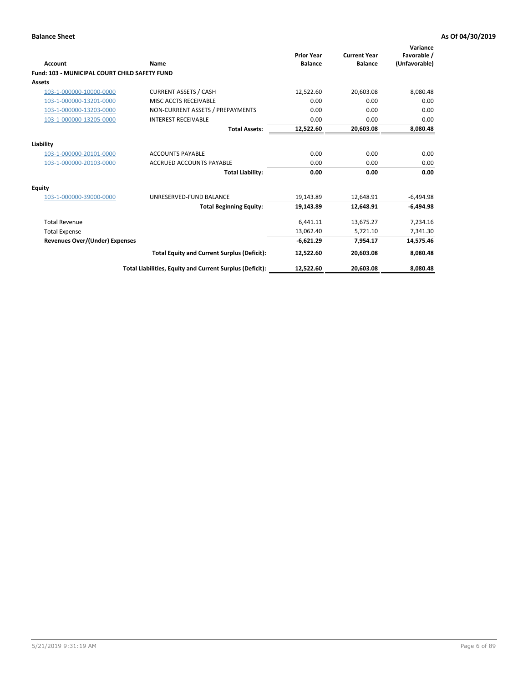| <b>Account</b>                                       | Name                                                     | <b>Prior Year</b><br><b>Balance</b> | <b>Current Year</b><br><b>Balance</b> | Variance<br>Favorable /<br>(Unfavorable) |
|------------------------------------------------------|----------------------------------------------------------|-------------------------------------|---------------------------------------|------------------------------------------|
| <b>Fund: 103 - MUNICIPAL COURT CHILD SAFETY FUND</b> |                                                          |                                     |                                       |                                          |
| <b>Assets</b>                                        |                                                          |                                     |                                       |                                          |
| 103-1-000000-10000-0000                              | <b>CURRENT ASSETS / CASH</b>                             | 12,522.60                           | 20,603.08                             | 8,080.48                                 |
| 103-1-000000-13201-0000                              | MISC ACCTS RECEIVABLE                                    | 0.00                                | 0.00                                  | 0.00                                     |
| 103-1-000000-13203-0000                              | NON-CURRENT ASSETS / PREPAYMENTS                         | 0.00                                | 0.00                                  | 0.00                                     |
| 103-1-000000-13205-0000                              | <b>INTEREST RECEIVABLE</b>                               | 0.00                                | 0.00                                  | 0.00                                     |
|                                                      | <b>Total Assets:</b>                                     | 12,522.60                           | 20,603.08                             | 8,080.48                                 |
| Liability                                            |                                                          |                                     |                                       |                                          |
| 103-1-000000-20101-0000                              | <b>ACCOUNTS PAYABLE</b>                                  | 0.00                                | 0.00                                  | 0.00                                     |
| 103-1-000000-20103-0000                              | <b>ACCRUED ACCOUNTS PAYABLE</b>                          | 0.00                                | 0.00                                  | 0.00                                     |
|                                                      | <b>Total Liability:</b>                                  | 0.00                                | 0.00                                  | 0.00                                     |
| Equity                                               |                                                          |                                     |                                       |                                          |
| 103-1-000000-39000-0000                              | UNRESERVED-FUND BALANCE                                  | 19,143.89                           | 12,648.91                             | $-6,494.98$                              |
|                                                      | <b>Total Beginning Equity:</b>                           | 19,143.89                           | 12.648.91                             | $-6.494.98$                              |
| <b>Total Revenue</b>                                 |                                                          | 6,441.11                            | 13,675.27                             | 7,234.16                                 |
| <b>Total Expense</b>                                 |                                                          | 13,062.40                           | 5,721.10                              | 7,341.30                                 |
| <b>Revenues Over/(Under) Expenses</b>                |                                                          | $-6,621.29$                         | 7.954.17                              | 14,575.46                                |
|                                                      | <b>Total Equity and Current Surplus (Deficit):</b>       | 12,522.60                           | 20,603.08                             | 8,080.48                                 |
|                                                      | Total Liabilities, Equity and Current Surplus (Deficit): | 12,522.60                           | 20,603.08                             | 8,080.48                                 |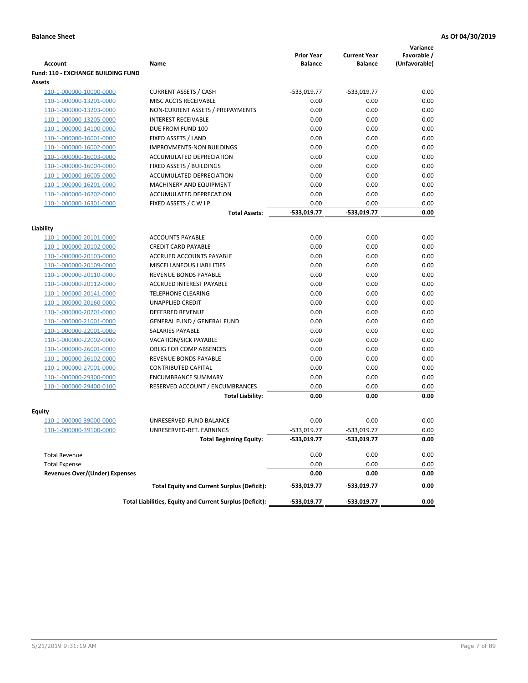|                                           |                                                          | <b>Prior Year</b> |                                       | Variance                     |
|-------------------------------------------|----------------------------------------------------------|-------------------|---------------------------------------|------------------------------|
| Account                                   | Name                                                     | <b>Balance</b>    | <b>Current Year</b><br><b>Balance</b> | Favorable /<br>(Unfavorable) |
| <b>Fund: 110 - EXCHANGE BUILDING FUND</b> |                                                          |                   |                                       |                              |
| <b>Assets</b>                             |                                                          |                   |                                       |                              |
| 110-1-000000-10000-0000                   | <b>CURRENT ASSETS / CASH</b>                             | -533,019.77       | $-533,019.77$                         | 0.00                         |
| 110-1-000000-13201-0000                   | MISC ACCTS RECEIVABLE                                    | 0.00              | 0.00                                  | 0.00                         |
| 110-1-000000-13203-0000                   | NON-CURRENT ASSETS / PREPAYMENTS                         | 0.00              | 0.00                                  | 0.00                         |
| 110-1-000000-13205-0000                   | <b>INTEREST RECEIVABLE</b>                               | 0.00              | 0.00                                  | 0.00                         |
| 110-1-000000-14100-0000                   | DUE FROM FUND 100                                        | 0.00              | 0.00                                  | 0.00                         |
| 110-1-000000-16001-0000                   | FIXED ASSETS / LAND                                      | 0.00              | 0.00                                  | 0.00                         |
| 110-1-000000-16002-0000                   | <b>IMPROVMENTS-NON BUILDINGS</b>                         | 0.00              | 0.00                                  | 0.00                         |
| 110-1-000000-16003-0000                   | ACCUMULATED DEPRECIATION                                 | 0.00              | 0.00                                  | 0.00                         |
| 110-1-000000-16004-0000                   | <b>FIXED ASSETS / BUILDINGS</b>                          | 0.00              | 0.00                                  | 0.00                         |
| 110-1-000000-16005-0000                   | ACCUMULATED DEPRECIATION                                 | 0.00              | 0.00                                  | 0.00                         |
| 110-1-000000-16201-0000                   | MACHINERY AND EQUIPMENT                                  | 0.00              | 0.00                                  | 0.00                         |
| 110-1-000000-16202-0000                   | ACCUMULATED DEPRECATION                                  | 0.00              | 0.00                                  | 0.00                         |
| 110-1-000000-16301-0000                   | FIXED ASSETS / C W I P                                   | 0.00              | 0.00                                  | 0.00                         |
|                                           | <b>Total Assets:</b>                                     | -533,019.77       | -533,019.77                           | 0.00                         |
| Liability                                 |                                                          |                   |                                       |                              |
| 110-1-000000-20101-0000                   | <b>ACCOUNTS PAYABLE</b>                                  | 0.00              | 0.00                                  | 0.00                         |
| 110-1-000000-20102-0000                   | <b>CREDIT CARD PAYABLE</b>                               | 0.00              | 0.00                                  | 0.00                         |
| 110-1-000000-20103-0000                   | <b>ACCRUED ACCOUNTS PAYABLE</b>                          | 0.00              | 0.00                                  | 0.00                         |
| 110-1-000000-20109-0000                   | MISCELLANEOUS LIABILITIES                                | 0.00              | 0.00                                  | 0.00                         |
| 110-1-000000-20110-0000                   | REVENUE BONDS PAYABLE                                    | 0.00              | 0.00                                  | 0.00                         |
| 110-1-000000-20112-0000                   | ACCRUED INTEREST PAYABLE                                 | 0.00              | 0.00                                  | 0.00                         |
| 110-1-000000-20141-0000                   | <b>TELEPHONE CLEARING</b>                                | 0.00              | 0.00                                  | 0.00                         |
| 110-1-000000-20160-0000                   | <b>UNAPPLIED CREDIT</b>                                  | 0.00              | 0.00                                  | 0.00                         |
| 110-1-000000-20201-0000                   | <b>DEFERRED REVENUE</b>                                  | 0.00              | 0.00                                  | 0.00                         |
| 110-1-000000-21001-0000                   | <b>GENERAL FUND / GENERAL FUND</b>                       | 0.00              | 0.00                                  | 0.00                         |
| 110-1-000000-22001-0000                   | SALARIES PAYABLE                                         | 0.00              | 0.00                                  | 0.00                         |
| 110-1-000000-22002-0000                   | VACATION/SICK PAYABLE                                    | 0.00              | 0.00                                  | 0.00                         |
| 110-1-000000-26001-0000                   | <b>OBLIG FOR COMP ABSENCES</b>                           | 0.00              | 0.00                                  | 0.00                         |
| 110-1-000000-26102-0000                   | REVENUE BONDS PAYABLE                                    | 0.00              | 0.00                                  | 0.00                         |
| 110-1-000000-27001-0000                   | <b>CONTRIBUTED CAPITAL</b>                               | 0.00              | 0.00                                  | 0.00                         |
| 110-1-000000-29300-0000                   | <b>ENCUMBRANCE SUMMARY</b>                               | 0.00              | 0.00                                  | 0.00                         |
| 110-1-000000-29400-0100                   | RESERVED ACCOUNT / ENCUMBRANCES                          | 0.00              | 0.00                                  | 0.00                         |
|                                           | <b>Total Liability:</b>                                  | 0.00              | 0.00                                  | 0.00                         |
| Equity                                    |                                                          |                   |                                       |                              |
| 110-1-000000-39000-0000                   | UNRESERVED-FUND BALANCE                                  | 0.00              | 0.00                                  | 0.00                         |
| <u>110-1-000000-39100-0000</u>            | UNRESERVED-RET. EARNINGS                                 | -533,019.77       | -533,019.77                           | 0.00                         |
|                                           | <b>Total Beginning Equity:</b>                           | -533,019.77       | -533,019.77                           | 0.00                         |
|                                           |                                                          |                   |                                       |                              |
| <b>Total Revenue</b>                      |                                                          | 0.00              | 0.00                                  | 0.00                         |
| <b>Total Expense</b>                      |                                                          | 0.00              | 0.00                                  | 0.00                         |
| <b>Revenues Over/(Under) Expenses</b>     |                                                          | 0.00              | 0.00                                  | 0.00                         |
|                                           | <b>Total Equity and Current Surplus (Deficit):</b>       | -533,019.77       | -533,019.77                           | 0.00                         |
|                                           | Total Liabilities, Equity and Current Surplus (Deficit): | -533,019.77       | -533,019.77                           | 0.00                         |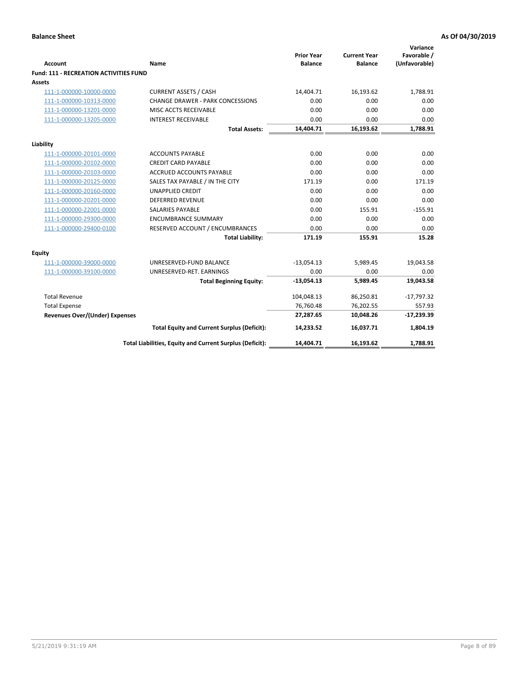| <b>Account</b>                         | Name                                                     | <b>Prior Year</b><br><b>Balance</b> | <b>Current Year</b><br><b>Balance</b> | Variance<br>Favorable /<br>(Unfavorable) |
|----------------------------------------|----------------------------------------------------------|-------------------------------------|---------------------------------------|------------------------------------------|
| Fund: 111 - RECREATION ACTIVITIES FUND |                                                          |                                     |                                       |                                          |
| <b>Assets</b>                          |                                                          |                                     |                                       |                                          |
| 111-1-000000-10000-0000                | <b>CURRENT ASSETS / CASH</b>                             | 14,404.71                           | 16,193.62                             | 1,788.91                                 |
| 111-1-000000-10313-0000                | <b>CHANGE DRAWER - PARK CONCESSIONS</b>                  | 0.00                                | 0.00                                  | 0.00                                     |
| 111-1-000000-13201-0000                | MISC ACCTS RECEIVABLE                                    | 0.00                                | 0.00                                  | 0.00                                     |
| 111-1-000000-13205-0000                | <b>INTEREST RECEIVABLE</b>                               | 0.00                                | 0.00                                  | 0.00                                     |
|                                        | <b>Total Assets:</b>                                     | 14,404.71                           | 16,193.62                             | 1,788.91                                 |
| Liability                              |                                                          |                                     |                                       |                                          |
| 111-1-000000-20101-0000                | <b>ACCOUNTS PAYABLE</b>                                  | 0.00                                | 0.00                                  | 0.00                                     |
| 111-1-000000-20102-0000                | <b>CREDIT CARD PAYABLE</b>                               | 0.00                                | 0.00                                  | 0.00                                     |
| 111-1-000000-20103-0000                | <b>ACCRUED ACCOUNTS PAYABLE</b>                          | 0.00                                | 0.00                                  | 0.00                                     |
| 111-1-000000-20125-0000                | SALES TAX PAYABLE / IN THE CITY                          | 171.19                              | 0.00                                  | 171.19                                   |
| 111-1-000000-20160-0000                | <b>UNAPPLIED CREDIT</b>                                  | 0.00                                | 0.00                                  | 0.00                                     |
| 111-1-000000-20201-0000                | <b>DEFERRED REVENUE</b>                                  | 0.00                                | 0.00                                  | 0.00                                     |
| 111-1-000000-22001-0000                | <b>SALARIES PAYABLE</b>                                  | 0.00                                | 155.91                                | $-155.91$                                |
| 111-1-000000-29300-0000                | <b>ENCUMBRANCE SUMMARY</b>                               | 0.00                                | 0.00                                  | 0.00                                     |
| 111-1-000000-29400-0100                | RESERVED ACCOUNT / ENCUMBRANCES                          | 0.00                                | 0.00                                  | 0.00                                     |
|                                        | <b>Total Liability:</b>                                  | 171.19                              | 155.91                                | 15.28                                    |
| <b>Equity</b>                          |                                                          |                                     |                                       |                                          |
| 111-1-000000-39000-0000                | UNRESERVED-FUND BALANCE                                  | $-13,054.13$                        | 5,989.45                              | 19,043.58                                |
| 111-1-000000-39100-0000                | UNRESERVED-RET. EARNINGS                                 | 0.00                                | 0.00                                  | 0.00                                     |
|                                        | <b>Total Beginning Equity:</b>                           | $-13,054.13$                        | 5,989.45                              | 19,043.58                                |
| <b>Total Revenue</b>                   |                                                          | 104,048.13                          | 86,250.81                             | $-17,797.32$                             |
| <b>Total Expense</b>                   |                                                          | 76,760.48                           | 76,202.55                             | 557.93                                   |
| <b>Revenues Over/(Under) Expenses</b>  |                                                          | 27,287.65                           | 10,048.26                             | $-17,239.39$                             |
|                                        | <b>Total Equity and Current Surplus (Deficit):</b>       | 14,233.52                           | 16,037.71                             | 1,804.19                                 |
|                                        | Total Liabilities, Equity and Current Surplus (Deficit): | 14,404.71                           | 16,193.62                             | 1,788.91                                 |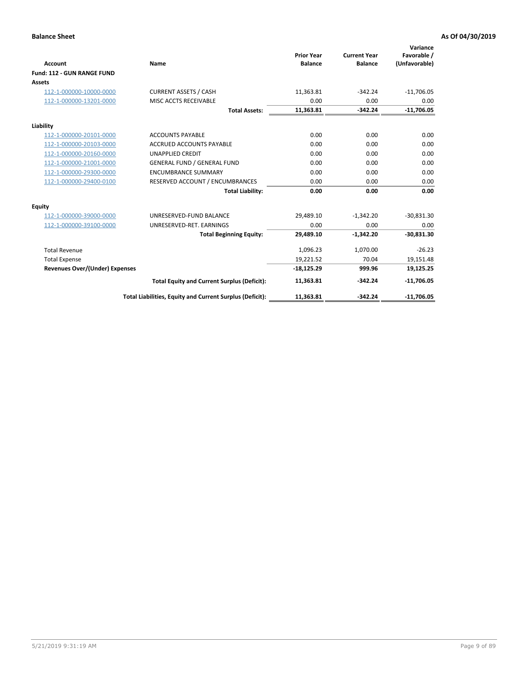|                                       |                                                          |                                     |                                       | Variance                     |
|---------------------------------------|----------------------------------------------------------|-------------------------------------|---------------------------------------|------------------------------|
| <b>Account</b>                        | Name                                                     | <b>Prior Year</b><br><b>Balance</b> | <b>Current Year</b><br><b>Balance</b> | Favorable /<br>(Unfavorable) |
| Fund: 112 - GUN RANGE FUND            |                                                          |                                     |                                       |                              |
| <b>Assets</b>                         |                                                          |                                     |                                       |                              |
| 112-1-000000-10000-0000               | <b>CURRENT ASSETS / CASH</b>                             | 11,363.81                           | $-342.24$                             | $-11,706.05$                 |
| 112-1-000000-13201-0000               | MISC ACCTS RECEIVABLE                                    | 0.00                                | 0.00                                  | 0.00                         |
|                                       | <b>Total Assets:</b>                                     | 11,363.81                           | $-342.24$                             | $-11,706.05$                 |
| Liability                             |                                                          |                                     |                                       |                              |
| 112-1-000000-20101-0000               | <b>ACCOUNTS PAYABLE</b>                                  | 0.00                                | 0.00                                  | 0.00                         |
| 112-1-000000-20103-0000               | <b>ACCRUED ACCOUNTS PAYABLE</b>                          | 0.00                                | 0.00                                  | 0.00                         |
| 112-1-000000-20160-0000               | <b>UNAPPLIED CREDIT</b>                                  | 0.00                                | 0.00                                  | 0.00                         |
| 112-1-000000-21001-0000               | <b>GENERAL FUND / GENERAL FUND</b>                       | 0.00                                | 0.00                                  | 0.00                         |
| 112-1-000000-29300-0000               | <b>ENCUMBRANCE SUMMARY</b>                               | 0.00                                | 0.00                                  | 0.00                         |
| 112-1-000000-29400-0100               | RESERVED ACCOUNT / ENCUMBRANCES                          | 0.00                                | 0.00                                  | 0.00                         |
|                                       | <b>Total Liability:</b>                                  | 0.00                                | 0.00                                  | 0.00                         |
| <b>Equity</b>                         |                                                          |                                     |                                       |                              |
| 112-1-000000-39000-0000               | UNRESERVED-FUND BALANCE                                  | 29,489.10                           | $-1,342.20$                           | $-30,831.30$                 |
| 112-1-000000-39100-0000               | UNRESERVED-RET. EARNINGS                                 | 0.00                                | 0.00                                  | 0.00                         |
|                                       | <b>Total Beginning Equity:</b>                           | 29,489.10                           | $-1,342.20$                           | $-30,831.30$                 |
| <b>Total Revenue</b>                  |                                                          | 1,096.23                            | 1,070.00                              | $-26.23$                     |
| <b>Total Expense</b>                  |                                                          | 19,221.52                           | 70.04                                 | 19,151.48                    |
| <b>Revenues Over/(Under) Expenses</b> |                                                          | $-18,125.29$                        | 999.96                                | 19,125.25                    |
|                                       | <b>Total Equity and Current Surplus (Deficit):</b>       | 11,363.81                           | $-342.24$                             | $-11,706.05$                 |
|                                       | Total Liabilities, Equity and Current Surplus (Deficit): | 11,363.81                           | $-342.24$                             | $-11,706.05$                 |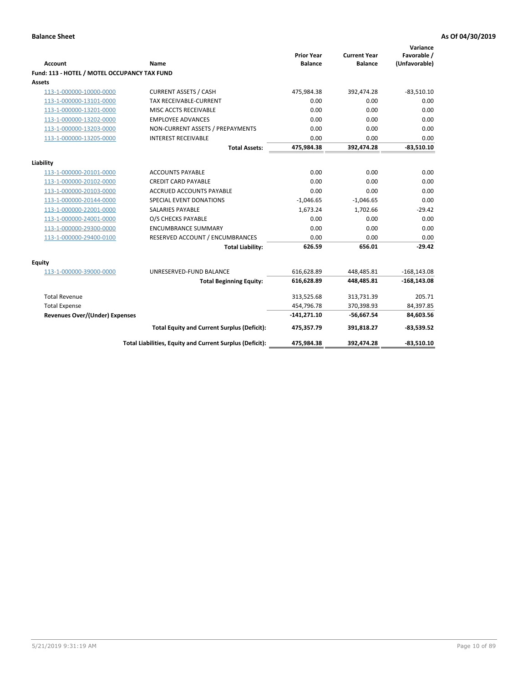| <b>Account</b>                               | Name                                                     | <b>Prior Year</b><br><b>Balance</b> | <b>Current Year</b><br><b>Balance</b> | Variance<br>Favorable /<br>(Unfavorable) |
|----------------------------------------------|----------------------------------------------------------|-------------------------------------|---------------------------------------|------------------------------------------|
| Fund: 113 - HOTEL / MOTEL OCCUPANCY TAX FUND |                                                          |                                     |                                       |                                          |
| Assets                                       |                                                          |                                     |                                       |                                          |
| 113-1-000000-10000-0000                      | <b>CURRENT ASSETS / CASH</b>                             | 475,984.38                          | 392,474.28                            | $-83,510.10$                             |
| 113-1-000000-13101-0000                      | TAX RECEIVABLE-CURRENT                                   | 0.00                                | 0.00                                  | 0.00                                     |
| 113-1-000000-13201-0000                      | MISC ACCTS RECEIVABLE                                    | 0.00                                | 0.00                                  | 0.00                                     |
| 113-1-000000-13202-0000                      | <b>EMPLOYEE ADVANCES</b>                                 | 0.00                                | 0.00                                  | 0.00                                     |
| 113-1-000000-13203-0000                      | NON-CURRENT ASSETS / PREPAYMENTS                         | 0.00                                | 0.00                                  | 0.00                                     |
| 113-1-000000-13205-0000                      | <b>INTEREST RECEIVABLE</b>                               | 0.00                                | 0.00                                  | 0.00                                     |
|                                              | <b>Total Assets:</b>                                     | 475,984.38                          | 392,474.28                            | $-83,510.10$                             |
|                                              |                                                          |                                     |                                       |                                          |
| Liability                                    |                                                          |                                     |                                       |                                          |
| 113-1-000000-20101-0000                      | <b>ACCOUNTS PAYABLE</b>                                  | 0.00<br>0.00                        | 0.00                                  | 0.00<br>0.00                             |
| 113-1-000000-20102-0000                      | <b>CREDIT CARD PAYABLE</b>                               | 0.00                                | 0.00<br>0.00                          |                                          |
| 113-1-000000-20103-0000                      | ACCRUED ACCOUNTS PAYABLE                                 |                                     |                                       | 0.00<br>0.00                             |
| 113-1-000000-20144-0000                      | SPECIAL EVENT DONATIONS                                  | $-1,046.65$                         | $-1,046.65$                           |                                          |
| 113-1-000000-22001-0000                      | <b>SALARIES PAYABLE</b>                                  | 1,673.24                            | 1,702.66                              | $-29.42$                                 |
| 113-1-000000-24001-0000                      | O/S CHECKS PAYABLE                                       | 0.00                                | 0.00                                  | 0.00                                     |
| 113-1-000000-29300-0000                      | <b>ENCUMBRANCE SUMMARY</b>                               | 0.00                                | 0.00                                  | 0.00                                     |
| 113-1-000000-29400-0100                      | RESERVED ACCOUNT / ENCUMBRANCES                          | 0.00                                | 0.00                                  | 0.00                                     |
|                                              | <b>Total Liability:</b>                                  | 626.59                              | 656.01                                | $-29.42$                                 |
| Equity                                       |                                                          |                                     |                                       |                                          |
| 113-1-000000-39000-0000                      | UNRESERVED-FUND BALANCE                                  | 616,628.89                          | 448,485.81                            | $-168, 143.08$                           |
|                                              | <b>Total Beginning Equity:</b>                           | 616,628.89                          | 448,485.81                            | $-168, 143.08$                           |
| <b>Total Revenue</b>                         |                                                          | 313,525.68                          | 313,731.39                            | 205.71                                   |
| <b>Total Expense</b>                         |                                                          | 454,796.78                          | 370,398.93                            | 84,397.85                                |
| Revenues Over/(Under) Expenses               |                                                          | $-141,271.10$                       | $-56,667.54$                          | 84,603.56                                |
|                                              | <b>Total Equity and Current Surplus (Deficit):</b>       | 475,357.79                          | 391,818.27                            | $-83,539.52$                             |
|                                              | Total Liabilities, Equity and Current Surplus (Deficit): | 475,984.38                          | 392,474.28                            | $-83,510.10$                             |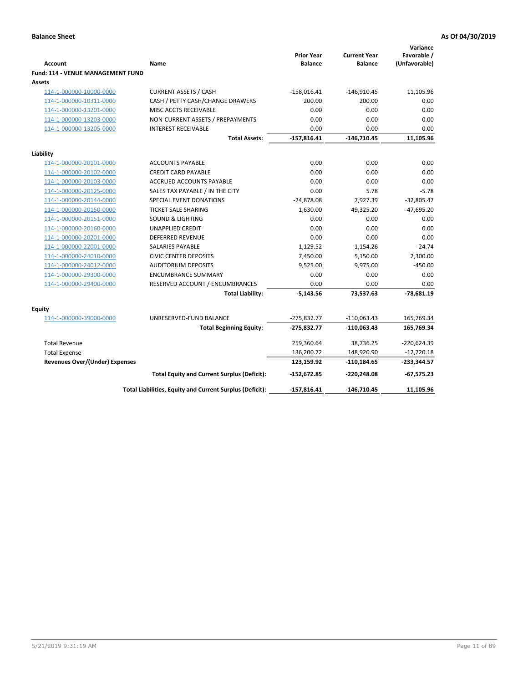| <b>Account</b>                              | Name                                                     | <b>Prior Year</b><br><b>Balance</b> | <b>Current Year</b><br><b>Balance</b> | Variance<br>Favorable /<br>(Unfavorable) |
|---------------------------------------------|----------------------------------------------------------|-------------------------------------|---------------------------------------|------------------------------------------|
| Fund: 114 - VENUE MANAGEMENT FUND<br>Assets |                                                          |                                     |                                       |                                          |
| 114-1-000000-10000-0000                     | <b>CURRENT ASSETS / CASH</b>                             | $-158,016.41$                       | $-146,910.45$                         | 11,105.96                                |
| 114-1-000000-10311-0000                     | CASH / PETTY CASH/CHANGE DRAWERS                         | 200.00                              | 200.00                                | 0.00                                     |
| 114-1-000000-13201-0000                     | MISC ACCTS RECEIVABLE                                    | 0.00                                | 0.00                                  | 0.00                                     |
| 114-1-000000-13203-0000                     | NON-CURRENT ASSETS / PREPAYMENTS                         | 0.00                                | 0.00                                  | 0.00                                     |
| 114-1-000000-13205-0000                     | <b>INTEREST RECEIVABLE</b>                               | 0.00                                | 0.00                                  | 0.00                                     |
|                                             | <b>Total Assets:</b>                                     | $-157,816.41$                       | $-146,710.45$                         | 11,105.96                                |
| Liability                                   |                                                          |                                     |                                       |                                          |
| 114-1-000000-20101-0000                     | <b>ACCOUNTS PAYABLE</b>                                  | 0.00                                | 0.00                                  | 0.00                                     |
| 114-1-000000-20102-0000                     | <b>CREDIT CARD PAYABLE</b>                               | 0.00                                | 0.00                                  | 0.00                                     |
| 114-1-000000-20103-0000                     | ACCRUED ACCOUNTS PAYABLE                                 | 0.00                                | 0.00                                  | 0.00                                     |
| 114-1-000000-20125-0000                     | SALES TAX PAYABLE / IN THE CITY                          | 0.00                                | 5.78                                  | $-5.78$                                  |
| 114-1-000000-20144-0000                     | SPECIAL EVENT DONATIONS                                  | $-24,878.08$                        | 7,927.39                              | $-32,805.47$                             |
| 114-1-000000-20150-0000                     | <b>TICKET SALE SHARING</b>                               | 1,630.00                            | 49,325.20                             | $-47,695.20$                             |
| 114-1-000000-20151-0000                     | <b>SOUND &amp; LIGHTING</b>                              | 0.00                                | 0.00                                  | 0.00                                     |
| 114-1-000000-20160-0000                     | <b>UNAPPLIED CREDIT</b>                                  | 0.00                                | 0.00                                  | 0.00                                     |
| 114-1-000000-20201-0000                     | <b>DEFERRED REVENUE</b>                                  | 0.00                                | 0.00                                  | 0.00                                     |
| 114-1-000000-22001-0000                     | <b>SALARIES PAYABLE</b>                                  | 1,129.52                            | 1,154.26                              | $-24.74$                                 |
| 114-1-000000-24010-0000                     | <b>CIVIC CENTER DEPOSITS</b>                             | 7,450.00                            | 5,150.00                              | 2,300.00                                 |
| 114-1-000000-24012-0000                     | <b>AUDITORIUM DEPOSITS</b>                               | 9,525.00                            | 9,975.00                              | $-450.00$                                |
| 114-1-000000-29300-0000                     | <b>ENCUMBRANCE SUMMARY</b>                               | 0.00                                | 0.00                                  | 0.00                                     |
| 114-1-000000-29400-0000                     | RESERVED ACCOUNT / ENCUMBRANCES                          | 0.00                                | 0.00                                  | 0.00                                     |
|                                             | <b>Total Liability:</b>                                  | $-5,143.56$                         | 73,537.63                             | $-78,681.19$                             |
| Equity                                      |                                                          |                                     |                                       |                                          |
| 114-1-000000-39000-0000                     | UNRESERVED-FUND BALANCE                                  | $-275,832.77$                       | $-110,063.43$                         | 165,769.34                               |
|                                             | <b>Total Beginning Equity:</b>                           | $-275,832.77$                       | $-110,063.43$                         | 165,769.34                               |
| <b>Total Revenue</b>                        |                                                          | 259,360.64                          | 38,736.25                             | $-220,624.39$                            |
| <b>Total Expense</b>                        |                                                          | 136,200.72                          | 148,920.90                            | $-12,720.18$                             |
| <b>Revenues Over/(Under) Expenses</b>       |                                                          | 123,159.92                          | $-110, 184.65$                        | $-233,344.57$                            |
|                                             | <b>Total Equity and Current Surplus (Deficit):</b>       | $-152,672.85$                       | $-220,248.08$                         | $-67,575.23$                             |
|                                             | Total Liabilities, Equity and Current Surplus (Deficit): | $-157,816.41$                       | $-146,710.45$                         | 11,105.96                                |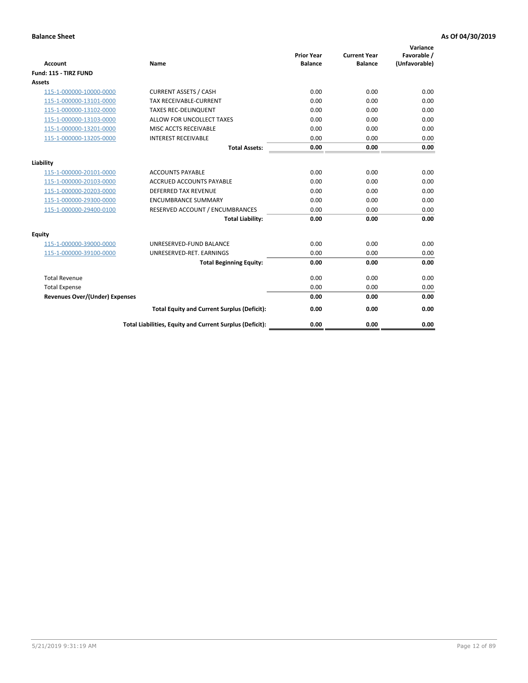| <b>Account</b>                        | <b>Name</b>                                              | <b>Prior Year</b><br><b>Balance</b> | <b>Current Year</b><br><b>Balance</b> | Variance<br>Favorable /<br>(Unfavorable) |
|---------------------------------------|----------------------------------------------------------|-------------------------------------|---------------------------------------|------------------------------------------|
| Fund: 115 - TIRZ FUND                 |                                                          |                                     |                                       |                                          |
| <b>Assets</b>                         |                                                          |                                     |                                       |                                          |
| 115-1-000000-10000-0000               | <b>CURRENT ASSETS / CASH</b>                             | 0.00                                | 0.00                                  | 0.00                                     |
| 115-1-000000-13101-0000               | <b>TAX RECEIVABLE-CURRENT</b>                            | 0.00                                | 0.00                                  | 0.00                                     |
| 115-1-000000-13102-0000               | <b>TAXES REC-DELINQUENT</b>                              | 0.00                                | 0.00                                  | 0.00                                     |
| 115-1-000000-13103-0000               | ALLOW FOR UNCOLLECT TAXES                                | 0.00                                | 0.00                                  | 0.00                                     |
| 115-1-000000-13201-0000               | MISC ACCTS RECEIVABLE                                    | 0.00                                | 0.00                                  | 0.00                                     |
| 115-1-000000-13205-0000               | <b>INTEREST RECEIVABLE</b>                               | 0.00                                | 0.00                                  | 0.00                                     |
|                                       | <b>Total Assets:</b>                                     | 0.00                                | 0.00                                  | 0.00                                     |
| Liability                             |                                                          |                                     |                                       |                                          |
| 115-1-000000-20101-0000               | <b>ACCOUNTS PAYABLE</b>                                  | 0.00                                | 0.00                                  | 0.00                                     |
| 115-1-000000-20103-0000               | <b>ACCRUED ACCOUNTS PAYABLE</b>                          | 0.00                                | 0.00                                  | 0.00                                     |
| 115-1-000000-20203-0000               | <b>DEFERRED TAX REVENUE</b>                              | 0.00                                | 0.00                                  | 0.00                                     |
| 115-1-000000-29300-0000               | <b>ENCUMBRANCE SUMMARY</b>                               | 0.00                                | 0.00                                  | 0.00                                     |
| 115-1-000000-29400-0100               | RESERVED ACCOUNT / ENCUMBRANCES                          | 0.00                                | 0.00                                  | 0.00                                     |
|                                       | <b>Total Liability:</b>                                  | 0.00                                | 0.00                                  | 0.00                                     |
| Equity                                |                                                          |                                     |                                       |                                          |
| 115-1-000000-39000-0000               | UNRESERVED-FUND BALANCE                                  | 0.00                                | 0.00                                  | 0.00                                     |
| 115-1-000000-39100-0000               | UNRESERVED-RET. EARNINGS                                 | 0.00                                | 0.00                                  | 0.00                                     |
|                                       | <b>Total Beginning Equity:</b>                           | 0.00                                | 0.00                                  | 0.00                                     |
| <b>Total Revenue</b>                  |                                                          | 0.00                                | 0.00                                  | 0.00                                     |
| <b>Total Expense</b>                  |                                                          | 0.00                                | 0.00                                  | 0.00                                     |
| <b>Revenues Over/(Under) Expenses</b> |                                                          | 0.00                                | 0.00                                  | 0.00                                     |
|                                       | <b>Total Equity and Current Surplus (Deficit):</b>       | 0.00                                | 0.00                                  | 0.00                                     |
|                                       | Total Liabilities, Equity and Current Surplus (Deficit): | 0.00                                | 0.00                                  | 0.00                                     |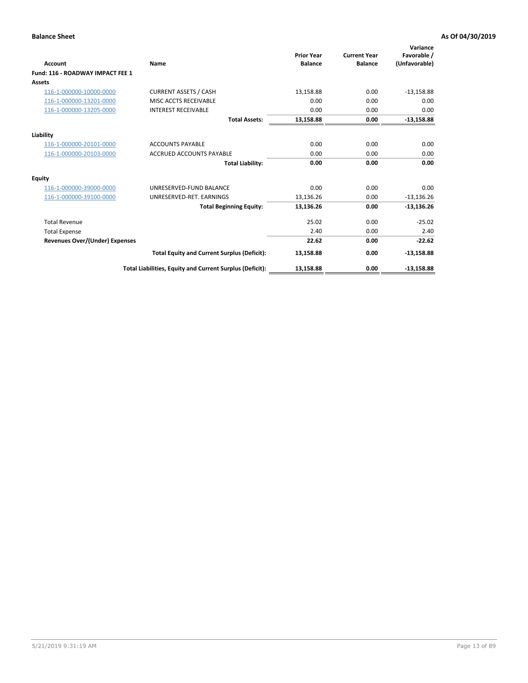| Account                                 | Name                                                     | <b>Prior Year</b><br><b>Balance</b> | <b>Current Year</b><br><b>Balance</b> | Variance<br>Favorable /<br>(Unfavorable) |
|-----------------------------------------|----------------------------------------------------------|-------------------------------------|---------------------------------------|------------------------------------------|
| <b>Fund: 116 - ROADWAY IMPACT FEE 1</b> |                                                          |                                     |                                       |                                          |
| Assets                                  |                                                          |                                     |                                       |                                          |
| 116-1-000000-10000-0000                 | <b>CURRENT ASSETS / CASH</b>                             | 13,158.88                           | 0.00                                  | $-13,158.88$                             |
| 116-1-000000-13201-0000                 | MISC ACCTS RECEIVABLE                                    | 0.00                                | 0.00                                  | 0.00                                     |
| 116-1-000000-13205-0000                 | <b>INTEREST RECEIVABLE</b>                               | 0.00                                | 0.00                                  | 0.00                                     |
|                                         | <b>Total Assets:</b>                                     | 13,158.88                           | 0.00                                  | $-13,158.88$                             |
| Liability                               |                                                          |                                     |                                       |                                          |
| 116-1-000000-20101-0000                 | <b>ACCOUNTS PAYABLE</b>                                  | 0.00                                | 0.00                                  | 0.00                                     |
| 116-1-000000-20103-0000                 | <b>ACCRUED ACCOUNTS PAYABLE</b>                          | 0.00                                | 0.00                                  | 0.00                                     |
|                                         | <b>Total Liability:</b>                                  | 0.00                                | 0.00                                  | 0.00                                     |
| Equity                                  |                                                          |                                     |                                       |                                          |
| 116-1-000000-39000-0000                 | UNRESERVED-FUND BALANCE                                  | 0.00                                | 0.00                                  | 0.00                                     |
| 116-1-000000-39100-0000                 | UNRESERVED-RET. EARNINGS                                 | 13,136.26                           | 0.00                                  | $-13,136.26$                             |
|                                         | <b>Total Beginning Equity:</b>                           | 13,136.26                           | 0.00                                  | $-13,136.26$                             |
| <b>Total Revenue</b>                    |                                                          | 25.02                               | 0.00                                  | $-25.02$                                 |
| <b>Total Expense</b>                    |                                                          | 2.40                                | 0.00                                  | 2.40                                     |
| <b>Revenues Over/(Under) Expenses</b>   |                                                          | 22.62                               | 0.00                                  | $-22.62$                                 |
|                                         | <b>Total Equity and Current Surplus (Deficit):</b>       | 13,158.88                           | 0.00                                  | $-13,158.88$                             |
|                                         | Total Liabilities, Equity and Current Surplus (Deficit): | 13,158.88                           | 0.00                                  | $-13,158.88$                             |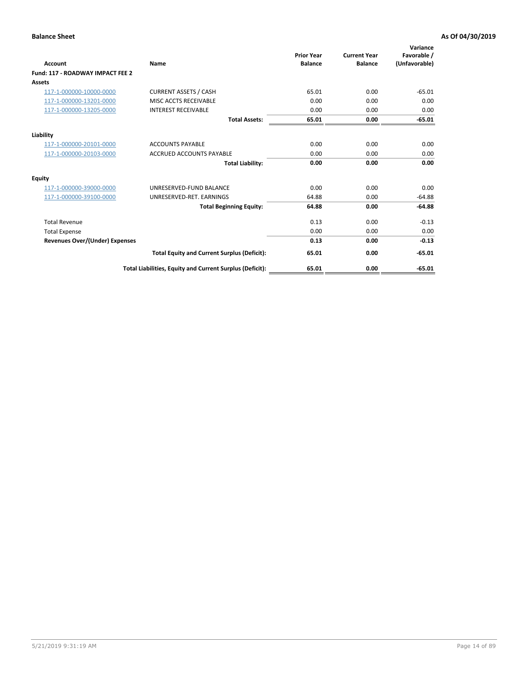| Account                               | Name                                                     | <b>Prior Year</b><br><b>Balance</b> | <b>Current Year</b><br><b>Balance</b> | Variance<br>Favorable /<br>(Unfavorable) |
|---------------------------------------|----------------------------------------------------------|-------------------------------------|---------------------------------------|------------------------------------------|
| Fund: 117 - ROADWAY IMPACT FEE 2      |                                                          |                                     |                                       |                                          |
| Assets                                |                                                          |                                     |                                       |                                          |
| 117-1-000000-10000-0000               | <b>CURRENT ASSETS / CASH</b>                             | 65.01                               | 0.00                                  | $-65.01$                                 |
| 117-1-000000-13201-0000               | MISC ACCTS RECEIVABLE                                    | 0.00                                | 0.00                                  | 0.00                                     |
| 117-1-000000-13205-0000               | <b>INTEREST RECEIVABLE</b>                               | 0.00                                | 0.00                                  | 0.00                                     |
|                                       | <b>Total Assets:</b>                                     | 65.01                               | 0.00                                  | $-65.01$                                 |
| Liability                             |                                                          |                                     |                                       |                                          |
| 117-1-000000-20101-0000               | <b>ACCOUNTS PAYABLE</b>                                  | 0.00                                | 0.00                                  | 0.00                                     |
| 117-1-000000-20103-0000               | <b>ACCRUED ACCOUNTS PAYABLE</b>                          | 0.00                                | 0.00                                  | 0.00                                     |
|                                       | <b>Total Liability:</b>                                  | 0.00                                | 0.00                                  | 0.00                                     |
| Equity                                |                                                          |                                     |                                       |                                          |
| 117-1-000000-39000-0000               | UNRESERVED-FUND BALANCE                                  | 0.00                                | 0.00                                  | 0.00                                     |
| 117-1-000000-39100-0000               | UNRESERVED-RET. EARNINGS                                 | 64.88                               | 0.00                                  | $-64.88$                                 |
|                                       | <b>Total Beginning Equity:</b>                           | 64.88                               | 0.00                                  | $-64.88$                                 |
| <b>Total Revenue</b>                  |                                                          | 0.13                                | 0.00                                  | $-0.13$                                  |
| <b>Total Expense</b>                  |                                                          | 0.00                                | 0.00                                  | 0.00                                     |
| <b>Revenues Over/(Under) Expenses</b> |                                                          | 0.13                                | 0.00                                  | $-0.13$                                  |
|                                       | <b>Total Equity and Current Surplus (Deficit):</b>       | 65.01                               | 0.00                                  | $-65.01$                                 |
|                                       | Total Liabilities, Equity and Current Surplus (Deficit): | 65.01                               | 0.00                                  | $-65.01$                                 |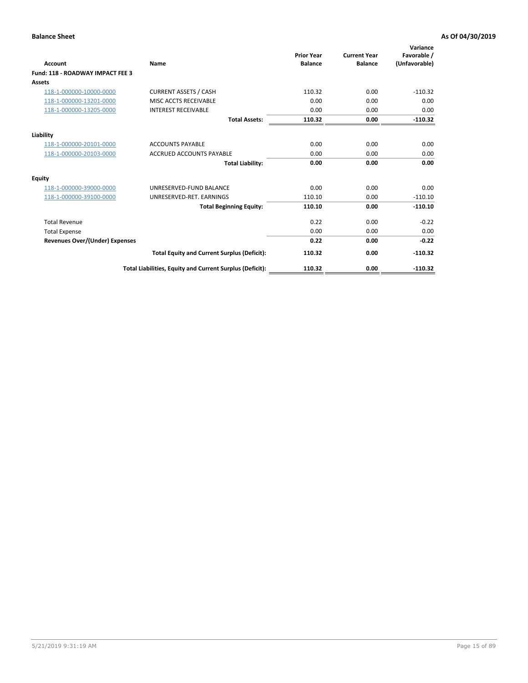| <b>Account</b>                        | Name                                                     | <b>Prior Year</b><br><b>Balance</b> | <b>Current Year</b><br><b>Balance</b> | Variance<br>Favorable /<br>(Unfavorable) |
|---------------------------------------|----------------------------------------------------------|-------------------------------------|---------------------------------------|------------------------------------------|
| Fund: 118 - ROADWAY IMPACT FEE 3      |                                                          |                                     |                                       |                                          |
| <b>Assets</b>                         |                                                          |                                     |                                       |                                          |
| 118-1-000000-10000-0000               | <b>CURRENT ASSETS / CASH</b>                             | 110.32                              | 0.00                                  | $-110.32$                                |
| 118-1-000000-13201-0000               | MISC ACCTS RECEIVABLE                                    | 0.00                                | 0.00                                  | 0.00                                     |
| 118-1-000000-13205-0000               | <b>INTEREST RECEIVABLE</b>                               | 0.00                                | 0.00                                  | 0.00                                     |
|                                       | <b>Total Assets:</b>                                     | 110.32                              | 0.00                                  | $-110.32$                                |
| Liability                             |                                                          |                                     |                                       |                                          |
| 118-1-000000-20101-0000               | <b>ACCOUNTS PAYABLE</b>                                  | 0.00                                | 0.00                                  | 0.00                                     |
| 118-1-000000-20103-0000               | <b>ACCRUED ACCOUNTS PAYABLE</b>                          | 0.00                                | 0.00                                  | 0.00                                     |
|                                       | <b>Total Liability:</b>                                  | 0.00                                | 0.00                                  | 0.00                                     |
| Equity                                |                                                          |                                     |                                       |                                          |
| 118-1-000000-39000-0000               | UNRESERVED-FUND BALANCE                                  | 0.00                                | 0.00                                  | 0.00                                     |
| 118-1-000000-39100-0000               | UNRESERVED-RET. EARNINGS                                 | 110.10                              | 0.00                                  | $-110.10$                                |
|                                       | <b>Total Beginning Equity:</b>                           | 110.10                              | 0.00                                  | $-110.10$                                |
| <b>Total Revenue</b>                  |                                                          | 0.22                                | 0.00                                  | $-0.22$                                  |
| <b>Total Expense</b>                  |                                                          | 0.00                                | 0.00                                  | 0.00                                     |
| <b>Revenues Over/(Under) Expenses</b> |                                                          | 0.22                                | 0.00                                  | $-0.22$                                  |
|                                       | <b>Total Equity and Current Surplus (Deficit):</b>       | 110.32                              | 0.00                                  | $-110.32$                                |
|                                       | Total Liabilities, Equity and Current Surplus (Deficit): | 110.32                              | 0.00                                  | $-110.32$                                |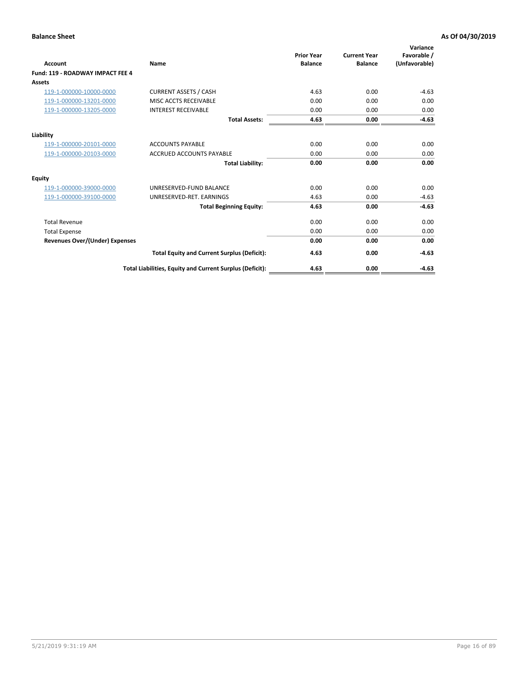| Account                               | Name                                                     | <b>Prior Year</b><br><b>Balance</b> | <b>Current Year</b><br><b>Balance</b> | Variance<br>Favorable /<br>(Unfavorable) |
|---------------------------------------|----------------------------------------------------------|-------------------------------------|---------------------------------------|------------------------------------------|
| Fund: 119 - ROADWAY IMPACT FEE 4      |                                                          |                                     |                                       |                                          |
| Assets                                |                                                          |                                     |                                       |                                          |
| 119-1-000000-10000-0000               | <b>CURRENT ASSETS / CASH</b>                             | 4.63                                | 0.00                                  | $-4.63$                                  |
| 119-1-000000-13201-0000               | <b>MISC ACCTS RECEIVABLE</b>                             | 0.00                                | 0.00                                  | 0.00                                     |
| 119-1-000000-13205-0000               | <b>INTEREST RECEIVABLE</b>                               | 0.00                                | 0.00                                  | 0.00                                     |
|                                       | <b>Total Assets:</b>                                     | 4.63                                | 0.00                                  | $-4.63$                                  |
| Liability                             |                                                          |                                     |                                       |                                          |
| 119-1-000000-20101-0000               | <b>ACCOUNTS PAYABLE</b>                                  | 0.00                                | 0.00                                  | 0.00                                     |
| 119-1-000000-20103-0000               | <b>ACCRUED ACCOUNTS PAYABLE</b>                          | 0.00                                | 0.00                                  | 0.00                                     |
|                                       | <b>Total Liability:</b>                                  | 0.00                                | 0.00                                  | 0.00                                     |
| Equity                                |                                                          |                                     |                                       |                                          |
| 119-1-000000-39000-0000               | UNRESERVED-FUND BALANCE                                  | 0.00                                | 0.00                                  | 0.00                                     |
| 119-1-000000-39100-0000               | UNRESERVED-RET. EARNINGS                                 | 4.63                                | 0.00                                  | $-4.63$                                  |
|                                       | <b>Total Beginning Equity:</b>                           | 4.63                                | 0.00                                  | $-4.63$                                  |
| <b>Total Revenue</b>                  |                                                          | 0.00                                | 0.00                                  | 0.00                                     |
| <b>Total Expense</b>                  |                                                          | 0.00                                | 0.00                                  | 0.00                                     |
| <b>Revenues Over/(Under) Expenses</b> |                                                          | 0.00                                | 0.00                                  | 0.00                                     |
|                                       | <b>Total Equity and Current Surplus (Deficit):</b>       | 4.63                                | 0.00                                  | $-4.63$                                  |
|                                       | Total Liabilities, Equity and Current Surplus (Deficit): | 4.63                                | 0.00                                  | $-4.63$                                  |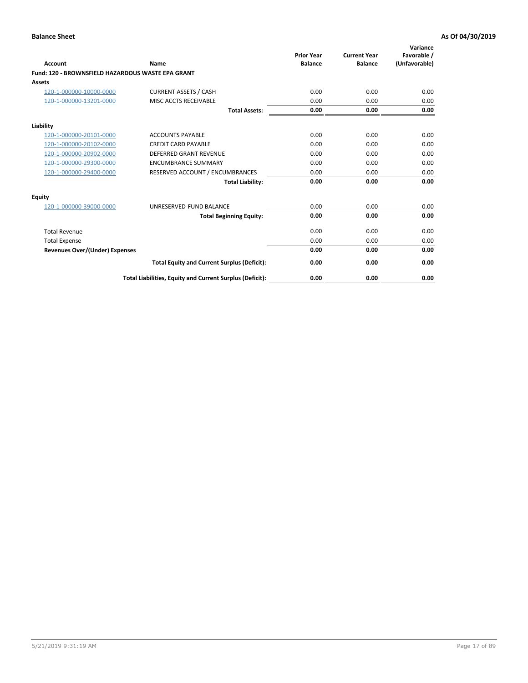|                                                   |                                                          | <b>Prior Year</b> | <b>Current Year</b> | Variance<br>Favorable / |
|---------------------------------------------------|----------------------------------------------------------|-------------------|---------------------|-------------------------|
| <b>Account</b>                                    | Name                                                     | <b>Balance</b>    | <b>Balance</b>      | (Unfavorable)           |
| Fund: 120 - BROWNSFIELD HAZARDOUS WASTE EPA GRANT |                                                          |                   |                     |                         |
| <b>Assets</b>                                     |                                                          |                   |                     |                         |
| 120-1-000000-10000-0000                           | <b>CURRENT ASSETS / CASH</b>                             | 0.00              | 0.00                | 0.00                    |
| 120-1-000000-13201-0000                           | MISC ACCTS RECEIVABLE                                    | 0.00              | 0.00                | 0.00                    |
|                                                   | <b>Total Assets:</b>                                     | 0.00              | 0.00                | 0.00                    |
| Liability                                         |                                                          |                   |                     |                         |
| 120-1-000000-20101-0000                           | <b>ACCOUNTS PAYABLE</b>                                  | 0.00              | 0.00                | 0.00                    |
| 120-1-000000-20102-0000                           | <b>CREDIT CARD PAYABLE</b>                               | 0.00              | 0.00                | 0.00                    |
| 120-1-000000-20902-0000                           | DEFERRED GRANT REVENUE                                   | 0.00              | 0.00                | 0.00                    |
| 120-1-000000-29300-0000                           | <b>ENCUMBRANCE SUMMARY</b>                               | 0.00              | 0.00                | 0.00                    |
| 120-1-000000-29400-0000                           | RESERVED ACCOUNT / ENCUMBRANCES                          | 0.00              | 0.00                | 0.00                    |
|                                                   | <b>Total Liability:</b>                                  | 0.00              | 0.00                | 0.00                    |
| Equity                                            |                                                          |                   |                     |                         |
| 120-1-000000-39000-0000                           | UNRESERVED-FUND BALANCE                                  | 0.00              | 0.00                | 0.00                    |
|                                                   | <b>Total Beginning Equity:</b>                           | 0.00              | 0.00                | 0.00                    |
| <b>Total Revenue</b>                              |                                                          | 0.00              | 0.00                | 0.00                    |
| <b>Total Expense</b>                              |                                                          | 0.00              | 0.00                | 0.00                    |
| Revenues Over/(Under) Expenses                    |                                                          | 0.00              | 0.00                | 0.00                    |
|                                                   | <b>Total Equity and Current Surplus (Deficit):</b>       | 0.00              | 0.00                | 0.00                    |
|                                                   | Total Liabilities, Equity and Current Surplus (Deficit): | 0.00              | 0.00                | 0.00                    |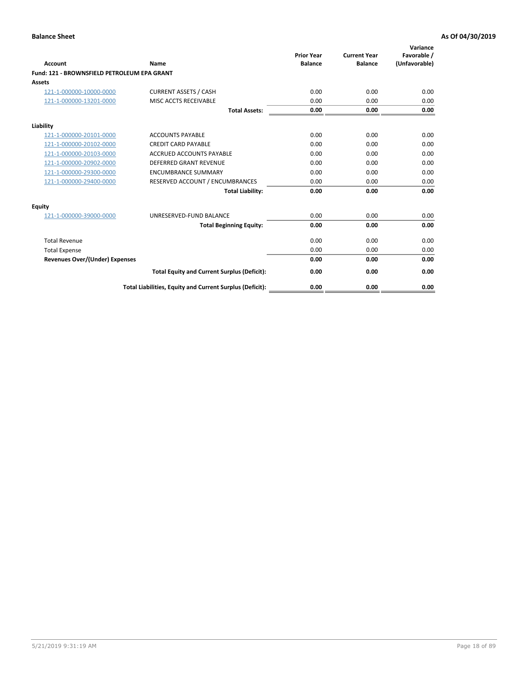| Account                                     | Name                                                     | <b>Prior Year</b><br><b>Balance</b> | <b>Current Year</b><br><b>Balance</b> | Variance<br>Favorable /<br>(Unfavorable) |
|---------------------------------------------|----------------------------------------------------------|-------------------------------------|---------------------------------------|------------------------------------------|
| Fund: 121 - BROWNSFIELD PETROLEUM EPA GRANT |                                                          |                                     |                                       |                                          |
| <b>Assets</b>                               |                                                          |                                     |                                       |                                          |
| 121-1-000000-10000-0000                     | <b>CURRENT ASSETS / CASH</b>                             | 0.00                                | 0.00                                  | 0.00                                     |
| 121-1-000000-13201-0000                     | <b>MISC ACCTS RECEIVABLE</b>                             | 0.00                                | 0.00                                  | 0.00                                     |
|                                             | <b>Total Assets:</b>                                     | 0.00                                | 0.00                                  | 0.00                                     |
| Liability                                   |                                                          |                                     |                                       |                                          |
| 121-1-000000-20101-0000                     | <b>ACCOUNTS PAYABLE</b>                                  | 0.00                                | 0.00                                  | 0.00                                     |
| 121-1-000000-20102-0000                     | <b>CREDIT CARD PAYABLE</b>                               | 0.00                                | 0.00                                  | 0.00                                     |
| 121-1-000000-20103-0000                     | <b>ACCRUED ACCOUNTS PAYABLE</b>                          | 0.00                                | 0.00                                  | 0.00                                     |
| 121-1-000000-20902-0000                     | <b>DEFERRED GRANT REVENUE</b>                            | 0.00                                | 0.00                                  | 0.00                                     |
| 121-1-000000-29300-0000                     | <b>ENCUMBRANCE SUMMARY</b>                               | 0.00                                | 0.00                                  | 0.00                                     |
| 121-1-000000-29400-0000                     | RESERVED ACCOUNT / ENCUMBRANCES                          | 0.00                                | 0.00                                  | 0.00                                     |
|                                             | <b>Total Liability:</b>                                  | 0.00                                | 0.00                                  | 0.00                                     |
| <b>Equity</b>                               |                                                          |                                     |                                       |                                          |
| 121-1-000000-39000-0000                     | UNRESERVED-FUND BALANCE                                  | 0.00                                | 0.00                                  | 0.00                                     |
|                                             | <b>Total Beginning Equity:</b>                           | 0.00                                | 0.00                                  | 0.00                                     |
| <b>Total Revenue</b>                        |                                                          | 0.00                                | 0.00                                  | 0.00                                     |
| <b>Total Expense</b>                        |                                                          | 0.00                                | 0.00                                  | 0.00                                     |
| <b>Revenues Over/(Under) Expenses</b>       |                                                          | 0.00                                | 0.00                                  | 0.00                                     |
|                                             | <b>Total Equity and Current Surplus (Deficit):</b>       | 0.00                                | 0.00                                  | 0.00                                     |
|                                             | Total Liabilities, Equity and Current Surplus (Deficit): | 0.00                                | 0.00                                  | 0.00                                     |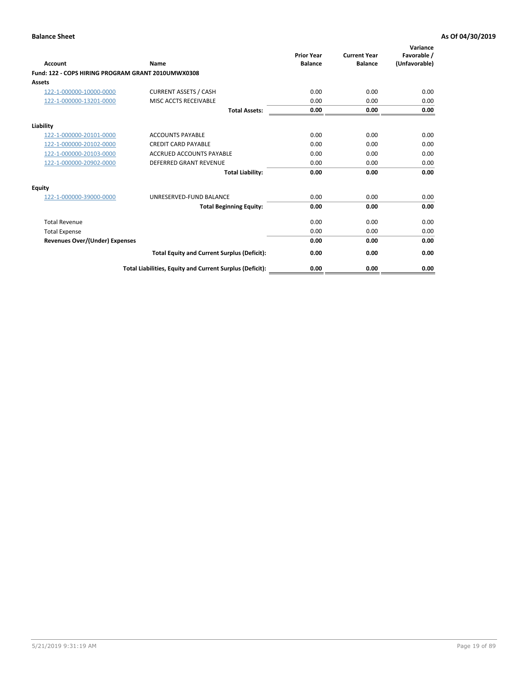| <b>Account</b>                                     | Name                                                     | <b>Prior Year</b><br><b>Balance</b> | <b>Current Year</b><br><b>Balance</b> | Variance<br>Favorable /<br>(Unfavorable) |
|----------------------------------------------------|----------------------------------------------------------|-------------------------------------|---------------------------------------|------------------------------------------|
| Fund: 122 - COPS HIRING PROGRAM GRANT 2010UMWX0308 |                                                          |                                     |                                       |                                          |
| Assets                                             |                                                          |                                     |                                       |                                          |
| 122-1-000000-10000-0000                            | <b>CURRENT ASSETS / CASH</b>                             | 0.00                                | 0.00                                  | 0.00                                     |
| 122-1-000000-13201-0000                            | MISC ACCTS RECEIVABLE                                    | 0.00                                | 0.00                                  | 0.00                                     |
|                                                    | <b>Total Assets:</b>                                     | 0.00                                | 0.00                                  | 0.00                                     |
| Liability                                          |                                                          |                                     |                                       |                                          |
| 122-1-000000-20101-0000                            | <b>ACCOUNTS PAYABLE</b>                                  | 0.00                                | 0.00                                  | 0.00                                     |
| 122-1-000000-20102-0000                            | <b>CREDIT CARD PAYABLE</b>                               | 0.00                                | 0.00                                  | 0.00                                     |
| 122-1-000000-20103-0000                            | <b>ACCRUED ACCOUNTS PAYABLE</b>                          | 0.00                                | 0.00                                  | 0.00                                     |
| 122-1-000000-20902-0000                            | <b>DEFERRED GRANT REVENUE</b>                            | 0.00                                | 0.00                                  | 0.00                                     |
|                                                    | <b>Total Liability:</b>                                  | 0.00                                | 0.00                                  | 0.00                                     |
| Equity                                             |                                                          |                                     |                                       |                                          |
| 122-1-000000-39000-0000                            | UNRESERVED-FUND BALANCE                                  | 0.00                                | 0.00                                  | 0.00                                     |
|                                                    | <b>Total Beginning Equity:</b>                           | 0.00                                | 0.00                                  | 0.00                                     |
| <b>Total Revenue</b>                               |                                                          | 0.00                                | 0.00                                  | 0.00                                     |
| <b>Total Expense</b>                               |                                                          | 0.00                                | 0.00                                  | 0.00                                     |
| <b>Revenues Over/(Under) Expenses</b>              |                                                          | 0.00                                | 0.00                                  | 0.00                                     |
|                                                    | <b>Total Equity and Current Surplus (Deficit):</b>       | 0.00                                | 0.00                                  | 0.00                                     |
|                                                    | Total Liabilities, Equity and Current Surplus (Deficit): | 0.00                                | 0.00                                  | 0.00                                     |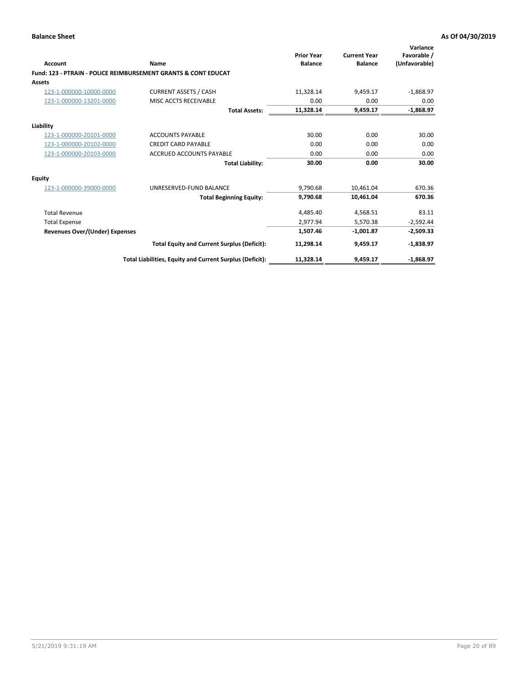| Account                        | Name                                                           | <b>Prior Year</b><br><b>Balance</b> | <b>Current Year</b><br><b>Balance</b> | Variance<br>Favorable /<br>(Unfavorable) |
|--------------------------------|----------------------------------------------------------------|-------------------------------------|---------------------------------------|------------------------------------------|
|                                | Fund: 123 - PTRAIN - POLICE REIMBURSEMENT GRANTS & CONT EDUCAT |                                     |                                       |                                          |
| Assets                         |                                                                |                                     |                                       |                                          |
| 123-1-000000-10000-0000        | <b>CURRENT ASSETS / CASH</b>                                   | 11,328.14                           | 9,459.17                              | $-1,868.97$                              |
| 123-1-000000-13201-0000        | MISC ACCTS RECEIVABLE                                          | 0.00                                | 0.00                                  | 0.00                                     |
|                                | <b>Total Assets:</b>                                           | 11,328.14                           | 9,459.17                              | $-1,868.97$                              |
| Liability                      |                                                                |                                     |                                       |                                          |
| 123-1-000000-20101-0000        | <b>ACCOUNTS PAYABLE</b>                                        | 30.00                               | 0.00                                  | 30.00                                    |
| 123-1-000000-20102-0000        | <b>CREDIT CARD PAYABLE</b>                                     | 0.00                                | 0.00                                  | 0.00                                     |
| 123-1-000000-20103-0000        | <b>ACCRUED ACCOUNTS PAYABLE</b>                                | 0.00                                | 0.00                                  | 0.00                                     |
|                                | <b>Total Liability:</b>                                        | 30.00                               | 0.00                                  | 30.00                                    |
| Equity                         |                                                                |                                     |                                       |                                          |
| 123-1-000000-39000-0000        | UNRESERVED-FUND BALANCE                                        | 9.790.68                            | 10.461.04                             | 670.36                                   |
|                                | <b>Total Beginning Equity:</b>                                 | 9,790.68                            | 10,461.04                             | 670.36                                   |
| <b>Total Revenue</b>           |                                                                | 4,485.40                            | 4,568.51                              | 83.11                                    |
| <b>Total Expense</b>           |                                                                | 2.977.94                            | 5,570.38                              | $-2,592.44$                              |
| Revenues Over/(Under) Expenses |                                                                | 1,507.46                            | $-1,001.87$                           | $-2,509.33$                              |
|                                | <b>Total Equity and Current Surplus (Deficit):</b>             | 11,298.14                           | 9,459.17                              | $-1,838.97$                              |
|                                | Total Liabilities, Equity and Current Surplus (Deficit):       | 11,328.14                           | 9,459.17                              | $-1,868.97$                              |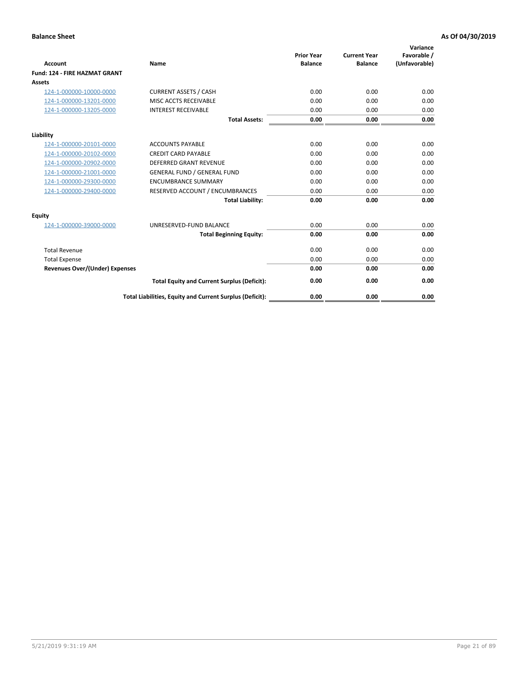| <b>Account</b>                        | Name                                                     | <b>Prior Year</b><br><b>Balance</b> | <b>Current Year</b><br><b>Balance</b> | Variance<br>Favorable /<br>(Unfavorable) |
|---------------------------------------|----------------------------------------------------------|-------------------------------------|---------------------------------------|------------------------------------------|
| <b>Fund: 124 - FIRE HAZMAT GRANT</b>  |                                                          |                                     |                                       |                                          |
| Assets                                |                                                          |                                     |                                       |                                          |
| 124-1-000000-10000-0000               | <b>CURRENT ASSETS / CASH</b>                             | 0.00                                | 0.00                                  | 0.00                                     |
| 124-1-000000-13201-0000               | MISC ACCTS RECEIVABLE                                    | 0.00                                | 0.00                                  | 0.00                                     |
| 124-1-000000-13205-0000               | <b>INTEREST RECEIVABLE</b>                               | 0.00                                | 0.00                                  | 0.00                                     |
|                                       | <b>Total Assets:</b>                                     | 0.00                                | 0.00                                  | 0.00                                     |
| Liability                             |                                                          |                                     |                                       |                                          |
| 124-1-000000-20101-0000               | <b>ACCOUNTS PAYABLE</b>                                  | 0.00                                | 0.00                                  | 0.00                                     |
| 124-1-000000-20102-0000               | <b>CREDIT CARD PAYABLE</b>                               | 0.00                                | 0.00                                  | 0.00                                     |
| 124-1-000000-20902-0000               | <b>DEFERRED GRANT REVENUE</b>                            | 0.00                                | 0.00                                  | 0.00                                     |
| 124-1-000000-21001-0000               | <b>GENERAL FUND / GENERAL FUND</b>                       | 0.00                                | 0.00                                  | 0.00                                     |
| 124-1-000000-29300-0000               | <b>ENCUMBRANCE SUMMARY</b>                               | 0.00                                | 0.00                                  | 0.00                                     |
| 124-1-000000-29400-0000               | RESERVED ACCOUNT / ENCUMBRANCES                          | 0.00                                | 0.00                                  | 0.00                                     |
|                                       | <b>Total Liability:</b>                                  | 0.00                                | 0.00                                  | 0.00                                     |
| <b>Equity</b>                         |                                                          |                                     |                                       |                                          |
| 124-1-000000-39000-0000               | UNRESERVED-FUND BALANCE                                  | 0.00                                | 0.00                                  | 0.00                                     |
|                                       | <b>Total Beginning Equity:</b>                           | 0.00                                | 0.00                                  | 0.00                                     |
| <b>Total Revenue</b>                  |                                                          | 0.00                                | 0.00                                  | 0.00                                     |
| <b>Total Expense</b>                  |                                                          | 0.00                                | 0.00                                  | 0.00                                     |
| <b>Revenues Over/(Under) Expenses</b> |                                                          | 0.00                                | 0.00                                  | 0.00                                     |
|                                       | <b>Total Equity and Current Surplus (Deficit):</b>       | 0.00                                | 0.00                                  | 0.00                                     |
|                                       | Total Liabilities, Equity and Current Surplus (Deficit): | 0.00                                | 0.00                                  | 0.00                                     |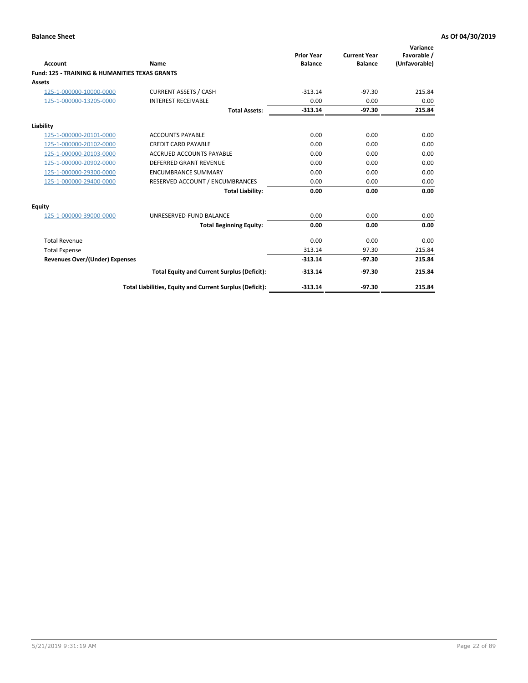| Account                                                   | Name                                                     | <b>Prior Year</b><br><b>Balance</b> | <b>Current Year</b><br><b>Balance</b> | Variance<br>Favorable /<br>(Unfavorable) |
|-----------------------------------------------------------|----------------------------------------------------------|-------------------------------------|---------------------------------------|------------------------------------------|
| <b>Fund: 125 - TRAINING &amp; HUMANITIES TEXAS GRANTS</b> |                                                          |                                     |                                       |                                          |
| <b>Assets</b>                                             |                                                          |                                     |                                       |                                          |
| 125-1-000000-10000-0000                                   | <b>CURRENT ASSETS / CASH</b>                             | $-313.14$                           | $-97.30$                              | 215.84                                   |
| 125-1-000000-13205-0000                                   | <b>INTEREST RECEIVABLE</b>                               | 0.00                                | 0.00                                  | 0.00                                     |
|                                                           | <b>Total Assets:</b>                                     | $-313.14$                           | $-97.30$                              | 215.84                                   |
| Liability                                                 |                                                          |                                     |                                       |                                          |
| 125-1-000000-20101-0000                                   | <b>ACCOUNTS PAYABLE</b>                                  | 0.00                                | 0.00                                  | 0.00                                     |
| 125-1-000000-20102-0000                                   | <b>CREDIT CARD PAYABLE</b>                               | 0.00                                | 0.00                                  | 0.00                                     |
| 125-1-000000-20103-0000                                   | <b>ACCRUED ACCOUNTS PAYABLE</b>                          | 0.00                                | 0.00                                  | 0.00                                     |
| 125-1-000000-20902-0000                                   | DEFERRED GRANT REVENUE                                   | 0.00                                | 0.00                                  | 0.00                                     |
| 125-1-000000-29300-0000                                   | <b>ENCUMBRANCE SUMMARY</b>                               | 0.00                                | 0.00                                  | 0.00                                     |
| 125-1-000000-29400-0000                                   | RESERVED ACCOUNT / ENCUMBRANCES                          | 0.00                                | 0.00                                  | 0.00                                     |
|                                                           | <b>Total Liability:</b>                                  | 0.00                                | 0.00                                  | 0.00                                     |
| <b>Equity</b>                                             |                                                          |                                     |                                       |                                          |
| 125-1-000000-39000-0000                                   | UNRESERVED-FUND BALANCE                                  | 0.00                                | 0.00                                  | 0.00                                     |
|                                                           | <b>Total Beginning Equity:</b>                           | 0.00                                | 0.00                                  | 0.00                                     |
| <b>Total Revenue</b>                                      |                                                          | 0.00                                | 0.00                                  | 0.00                                     |
| <b>Total Expense</b>                                      |                                                          | 313.14                              | 97.30                                 | 215.84                                   |
| <b>Revenues Over/(Under) Expenses</b>                     |                                                          | $-313.14$                           | $-97.30$                              | 215.84                                   |
|                                                           | <b>Total Equity and Current Surplus (Deficit):</b>       | $-313.14$                           | $-97.30$                              | 215.84                                   |
|                                                           | Total Liabilities, Equity and Current Surplus (Deficit): | $-313.14$                           | $-97.30$                              | 215.84                                   |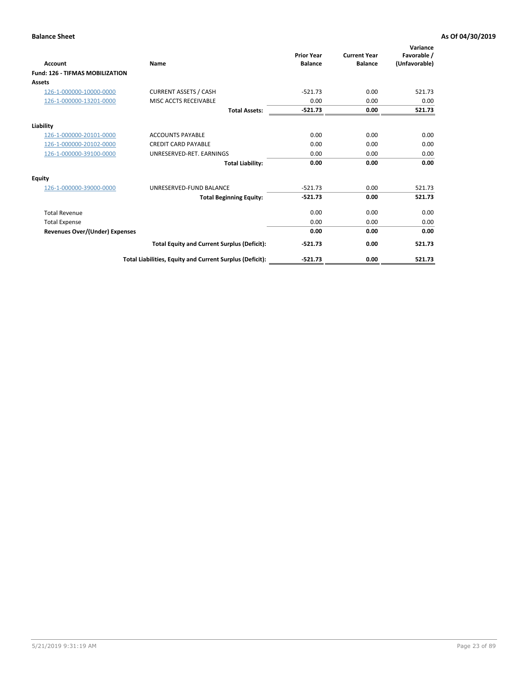| <b>Account</b>                         | <b>Name</b>                                              | <b>Prior Year</b><br><b>Balance</b> | <b>Current Year</b><br><b>Balance</b> | Variance<br>Favorable /<br>(Unfavorable) |
|----------------------------------------|----------------------------------------------------------|-------------------------------------|---------------------------------------|------------------------------------------|
| <b>Fund: 126 - TIFMAS MOBILIZATION</b> |                                                          |                                     |                                       |                                          |
| Assets                                 |                                                          |                                     |                                       |                                          |
| 126-1-000000-10000-0000                | <b>CURRENT ASSETS / CASH</b>                             | $-521.73$                           | 0.00                                  | 521.73                                   |
| 126-1-000000-13201-0000                | MISC ACCTS RECEIVABLE                                    | 0.00                                | 0.00                                  | 0.00                                     |
|                                        | <b>Total Assets:</b>                                     | $-521.73$                           | 0.00                                  | 521.73                                   |
| Liability                              |                                                          |                                     |                                       |                                          |
| 126-1-000000-20101-0000                | <b>ACCOUNTS PAYABLE</b>                                  | 0.00                                | 0.00                                  | 0.00                                     |
| 126-1-000000-20102-0000                | <b>CREDIT CARD PAYABLE</b>                               | 0.00                                | 0.00                                  | 0.00                                     |
| 126-1-000000-39100-0000                | UNRESERVED-RET. EARNINGS                                 | 0.00                                | 0.00                                  | 0.00                                     |
|                                        | <b>Total Liability:</b>                                  | 0.00                                | 0.00                                  | 0.00                                     |
| Equity                                 |                                                          |                                     |                                       |                                          |
| 126-1-000000-39000-0000                | UNRESERVED-FUND BALANCE                                  | $-521.73$                           | 0.00                                  | 521.73                                   |
|                                        | <b>Total Beginning Equity:</b>                           | $-521.73$                           | 0.00                                  | 521.73                                   |
| <b>Total Revenue</b>                   |                                                          | 0.00                                | 0.00                                  | 0.00                                     |
| <b>Total Expense</b>                   |                                                          | 0.00                                | 0.00                                  | 0.00                                     |
| <b>Revenues Over/(Under) Expenses</b>  |                                                          | 0.00                                | 0.00                                  | 0.00                                     |
|                                        | <b>Total Equity and Current Surplus (Deficit):</b>       | $-521.73$                           | 0.00                                  | 521.73                                   |
|                                        | Total Liabilities, Equity and Current Surplus (Deficit): | $-521.73$                           | 0.00                                  | 521.73                                   |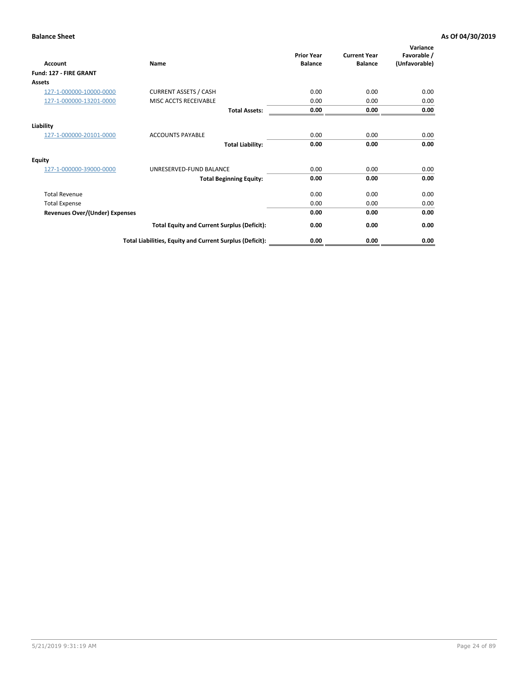| <b>Account</b>                        | Name                                                     | <b>Prior Year</b><br><b>Balance</b> | <b>Current Year</b><br><b>Balance</b> | Variance<br>Favorable /<br>(Unfavorable) |
|---------------------------------------|----------------------------------------------------------|-------------------------------------|---------------------------------------|------------------------------------------|
| Fund: 127 - FIRE GRANT                |                                                          |                                     |                                       |                                          |
| Assets                                |                                                          |                                     |                                       |                                          |
| 127-1-000000-10000-0000               | <b>CURRENT ASSETS / CASH</b>                             | 0.00                                | 0.00                                  | 0.00                                     |
| 127-1-000000-13201-0000               | MISC ACCTS RECEIVABLE                                    | 0.00                                | 0.00                                  | 0.00                                     |
|                                       | <b>Total Assets:</b>                                     | 0.00                                | 0.00                                  | 0.00                                     |
| Liability                             |                                                          |                                     |                                       |                                          |
| 127-1-000000-20101-0000               | <b>ACCOUNTS PAYABLE</b>                                  | 0.00                                | 0.00                                  | 0.00                                     |
|                                       | <b>Total Liability:</b>                                  | 0.00                                | 0.00                                  | 0.00                                     |
| Equity                                |                                                          |                                     |                                       |                                          |
| 127-1-000000-39000-0000               | UNRESERVED-FUND BALANCE                                  | 0.00                                | 0.00                                  | 0.00                                     |
|                                       | <b>Total Beginning Equity:</b>                           | 0.00                                | 0.00                                  | 0.00                                     |
| <b>Total Revenue</b>                  |                                                          | 0.00                                | 0.00                                  | 0.00                                     |
| <b>Total Expense</b>                  |                                                          | 0.00                                | 0.00                                  | 0.00                                     |
| <b>Revenues Over/(Under) Expenses</b> |                                                          | 0.00                                | 0.00                                  | 0.00                                     |
|                                       | <b>Total Equity and Current Surplus (Deficit):</b>       | 0.00                                | 0.00                                  | 0.00                                     |
|                                       | Total Liabilities, Equity and Current Surplus (Deficit): | 0.00                                | 0.00                                  | 0.00                                     |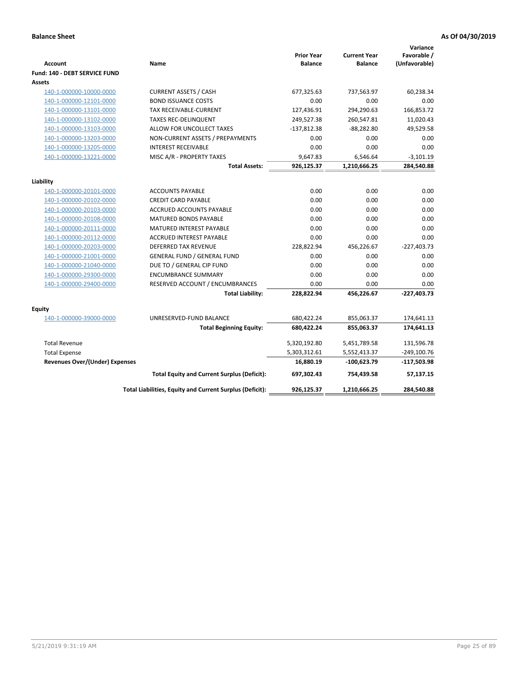| <b>Account</b>                          | Name                                                     | <b>Prior Year</b><br><b>Balance</b> | <b>Current Year</b><br><b>Balance</b> | Variance<br>Favorable /<br>(Unfavorable) |
|-----------------------------------------|----------------------------------------------------------|-------------------------------------|---------------------------------------|------------------------------------------|
| Fund: 140 - DEBT SERVICE FUND<br>Assets |                                                          |                                     |                                       |                                          |
| 140-1-000000-10000-0000                 | <b>CURRENT ASSETS / CASH</b>                             | 677,325.63                          | 737,563.97                            | 60,238.34                                |
| 140-1-000000-12101-0000                 | <b>BOND ISSUANCE COSTS</b>                               | 0.00                                | 0.00                                  | 0.00                                     |
| 140-1-000000-13101-0000                 | <b>TAX RECEIVABLE-CURRENT</b>                            | 127,436.91                          | 294,290.63                            | 166,853.72                               |
| 140-1-000000-13102-0000                 | <b>TAXES REC-DELINQUENT</b>                              | 249,527.38                          | 260,547.81                            | 11,020.43                                |
| 140-1-000000-13103-0000                 | ALLOW FOR UNCOLLECT TAXES                                | $-137,812.38$                       | $-88,282.80$                          | 49,529.58                                |
| 140-1-000000-13203-0000                 | NON-CURRENT ASSETS / PREPAYMENTS                         | 0.00                                | 0.00                                  | 0.00                                     |
| 140-1-000000-13205-0000                 | <b>INTEREST RECEIVABLE</b>                               | 0.00                                | 0.00                                  | 0.00                                     |
| 140-1-000000-13221-0000                 | MISC A/R - PROPERTY TAXES                                | 9,647.83                            | 6,546.64                              | $-3,101.19$                              |
|                                         | <b>Total Assets:</b>                                     | 926,125.37                          | 1,210,666.25                          | 284,540.88                               |
|                                         |                                                          |                                     |                                       |                                          |
| Liability                               |                                                          |                                     |                                       |                                          |
| 140-1-000000-20101-0000                 | <b>ACCOUNTS PAYABLE</b>                                  | 0.00                                | 0.00                                  | 0.00                                     |
| 140-1-000000-20102-0000                 | <b>CREDIT CARD PAYABLE</b>                               | 0.00                                | 0.00                                  | 0.00                                     |
| 140-1-000000-20103-0000                 | <b>ACCRUED ACCOUNTS PAYABLE</b>                          | 0.00                                | 0.00                                  | 0.00                                     |
| 140-1-000000-20108-0000                 | MATURED BONDS PAYABLE                                    | 0.00                                | 0.00                                  | 0.00                                     |
| 140-1-000000-20111-0000                 | MATURED INTEREST PAYABLE                                 | 0.00                                | 0.00                                  | 0.00                                     |
| 140-1-000000-20112-0000                 | <b>ACCRUED INTEREST PAYABLE</b>                          | 0.00                                | 0.00                                  | 0.00                                     |
| 140-1-000000-20203-0000                 | <b>DEFERRED TAX REVENUE</b>                              | 228,822.94                          | 456,226.67                            | $-227,403.73$                            |
| 140-1-000000-21001-0000                 | <b>GENERAL FUND / GENERAL FUND</b>                       | 0.00                                | 0.00                                  | 0.00                                     |
| 140-1-000000-21040-0000                 | DUE TO / GENERAL CIP FUND                                | 0.00                                | 0.00                                  | 0.00                                     |
| 140-1-000000-29300-0000                 | <b>ENCUMBRANCE SUMMARY</b>                               | 0.00                                | 0.00                                  | 0.00                                     |
| 140-1-000000-29400-0000                 | RESERVED ACCOUNT / ENCUMBRANCES                          | 0.00                                | 0.00                                  | 0.00                                     |
|                                         | <b>Total Liability:</b>                                  | 228,822.94                          | 456,226.67                            | $-227,403.73$                            |
|                                         |                                                          |                                     |                                       |                                          |
| Equity                                  | UNRESERVED-FUND BALANCE                                  | 680,422.24                          | 855,063.37                            | 174,641.13                               |
| 140-1-000000-39000-0000                 |                                                          | 680,422.24                          | 855,063.37                            | 174,641.13                               |
|                                         | <b>Total Beginning Equity:</b>                           |                                     |                                       |                                          |
| <b>Total Revenue</b>                    |                                                          | 5,320,192.80                        | 5,451,789.58                          | 131,596.78                               |
| <b>Total Expense</b>                    |                                                          | 5,303,312.61                        | 5,552,413.37                          | $-249,100.76$                            |
| <b>Revenues Over/(Under) Expenses</b>   |                                                          | 16,880.19                           | -100,623.79                           | $-117,503.98$                            |
|                                         | <b>Total Equity and Current Surplus (Deficit):</b>       | 697,302.43                          | 754,439.58                            | 57,137.15                                |
|                                         | Total Liabilities, Equity and Current Surplus (Deficit): | 926,125.37                          | 1,210,666.25                          | 284,540.88                               |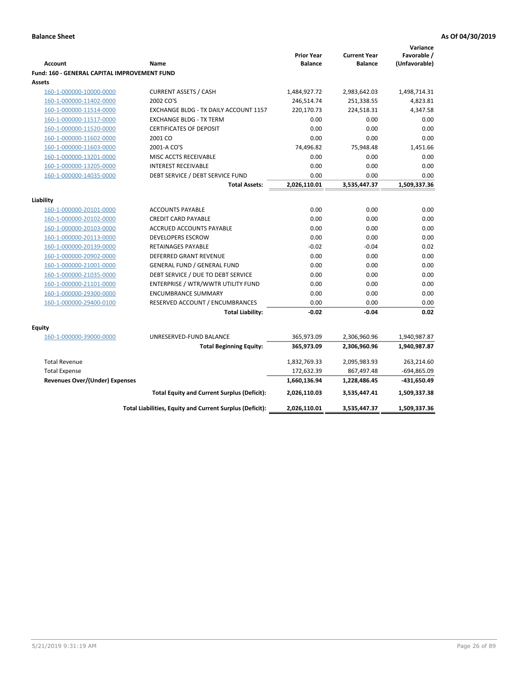|                                                     |                                                          |                                     |                                       | Variance      |
|-----------------------------------------------------|----------------------------------------------------------|-------------------------------------|---------------------------------------|---------------|
| <b>Account</b>                                      |                                                          | <b>Prior Year</b><br><b>Balance</b> | <b>Current Year</b><br><b>Balance</b> | Favorable /   |
|                                                     | Name                                                     |                                     |                                       | (Unfavorable) |
| <b>Fund: 160 - GENERAL CAPITAL IMPROVEMENT FUND</b> |                                                          |                                     |                                       |               |
| <b>Assets</b>                                       |                                                          |                                     |                                       |               |
| 160-1-000000-10000-0000                             | <b>CURRENT ASSETS / CASH</b><br>2002 CO'S                | 1,484,927.72                        | 2,983,642.03                          | 1,498,714.31  |
| 160-1-000000-11402-0000                             |                                                          | 246,514.74                          | 251,338.55                            | 4,823.81      |
| 160-1-000000-11514-0000                             | EXCHANGE BLDG - TX DAILY ACCOUNT 1157                    | 220,170.73                          | 224,518.31                            | 4,347.58      |
| 160-1-000000-11517-0000                             | <b>EXCHANGE BLDG - TX TERM</b>                           | 0.00                                | 0.00                                  | 0.00          |
| 160-1-000000-11520-0000                             | <b>CERTIFICATES OF DEPOSIT</b>                           | 0.00                                | 0.00                                  | 0.00          |
| 160-1-000000-11602-0000                             | 2001 CO                                                  | 0.00                                | 0.00                                  | 0.00          |
| 160-1-000000-11603-0000                             | 2001-A CO'S                                              | 74,496.82                           | 75,948.48                             | 1,451.66      |
| 160-1-000000-13201-0000                             | MISC ACCTS RECEIVABLE                                    | 0.00                                | 0.00                                  | 0.00          |
| 160-1-000000-13205-0000                             | <b>INTEREST RECEIVABLE</b>                               | 0.00                                | 0.00                                  | 0.00          |
| 160-1-000000-14035-0000                             | DEBT SERVICE / DEBT SERVICE FUND                         | 0.00                                | 0.00                                  | 0.00          |
|                                                     | <b>Total Assets:</b>                                     | 2,026,110.01                        | 3,535,447.37                          | 1,509,337.36  |
| Liability                                           |                                                          |                                     |                                       |               |
| 160-1-000000-20101-0000                             | <b>ACCOUNTS PAYABLE</b>                                  | 0.00                                | 0.00                                  | 0.00          |
| 160-1-000000-20102-0000                             | <b>CREDIT CARD PAYABLE</b>                               | 0.00                                | 0.00                                  | 0.00          |
| 160-1-000000-20103-0000                             | <b>ACCRUED ACCOUNTS PAYABLE</b>                          | 0.00                                | 0.00                                  | 0.00          |
| 160-1-000000-20113-0000                             | <b>DEVELOPERS ESCROW</b>                                 | 0.00                                | 0.00                                  | 0.00          |
| 160-1-000000-20139-0000                             | <b>RETAINAGES PAYABLE</b>                                | $-0.02$                             | $-0.04$                               | 0.02          |
| 160-1-000000-20902-0000                             | <b>DEFERRED GRANT REVENUE</b>                            | 0.00                                | 0.00                                  | 0.00          |
| 160-1-000000-21001-0000                             | <b>GENERAL FUND / GENERAL FUND</b>                       | 0.00                                | 0.00                                  | 0.00          |
| 160-1-000000-21035-0000                             | DEBT SERVICE / DUE TO DEBT SERVICE                       | 0.00                                | 0.00                                  | 0.00          |
| 160-1-000000-21101-0000                             | ENTERPRISE / WTR/WWTR UTILITY FUND                       | 0.00                                | 0.00                                  | 0.00          |
| 160-1-000000-29300-0000                             | <b>ENCUMBRANCE SUMMARY</b>                               | 0.00                                | 0.00                                  | 0.00          |
| 160-1-000000-29400-0100                             | RESERVED ACCOUNT / ENCUMBRANCES                          | 0.00                                | 0.00                                  | 0.00          |
|                                                     | <b>Total Liability:</b>                                  | $-0.02$                             | $-0.04$                               | 0.02          |
|                                                     |                                                          |                                     |                                       |               |
| Equity                                              |                                                          |                                     |                                       |               |
| 160-1-000000-39000-0000                             | UNRESERVED-FUND BALANCE                                  | 365,973.09                          | 2,306,960.96                          | 1,940,987.87  |
|                                                     | <b>Total Beginning Equity:</b>                           | 365,973.09                          | 2,306,960.96                          | 1,940,987.87  |
| <b>Total Revenue</b>                                |                                                          | 1,832,769.33                        | 2,095,983.93                          | 263,214.60    |
| <b>Total Expense</b>                                |                                                          | 172,632.39                          | 867,497.48                            | $-694,865.09$ |
| <b>Revenues Over/(Under) Expenses</b>               |                                                          | 1,660,136.94                        | 1,228,486.45                          | -431,650.49   |
|                                                     | <b>Total Equity and Current Surplus (Deficit):</b>       | 2,026,110.03                        | 3,535,447.41                          | 1,509,337.38  |
|                                                     | Total Liabilities, Equity and Current Surplus (Deficit): | 2,026,110.01                        | 3,535,447.37                          | 1,509,337.36  |
|                                                     |                                                          |                                     |                                       |               |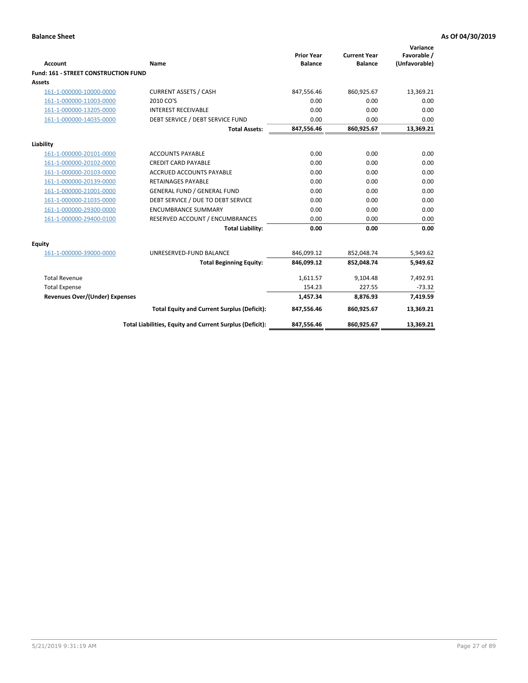| <b>Account</b>                              | Name                                                     | <b>Prior Year</b><br><b>Balance</b> | <b>Current Year</b><br><b>Balance</b> | Variance<br>Favorable /<br>(Unfavorable) |
|---------------------------------------------|----------------------------------------------------------|-------------------------------------|---------------------------------------|------------------------------------------|
| <b>Fund: 161 - STREET CONSTRUCTION FUND</b> |                                                          |                                     |                                       |                                          |
| <b>Assets</b>                               |                                                          |                                     |                                       |                                          |
| 161-1-000000-10000-0000                     | <b>CURRENT ASSETS / CASH</b>                             | 847,556.46                          | 860,925.67                            | 13,369.21                                |
| 161-1-000000-11003-0000                     | 2010 CO'S                                                | 0.00                                | 0.00                                  | 0.00                                     |
| 161-1-000000-13205-0000                     | <b>INTEREST RECEIVABLE</b>                               | 0.00                                | 0.00                                  | 0.00                                     |
| 161-1-000000-14035-0000                     | DEBT SERVICE / DEBT SERVICE FUND                         | 0.00                                | 0.00                                  | 0.00                                     |
|                                             | <b>Total Assets:</b>                                     | 847,556.46                          | 860,925.67                            | 13,369.21                                |
| Liability                                   |                                                          |                                     |                                       |                                          |
| 161-1-000000-20101-0000                     | <b>ACCOUNTS PAYABLE</b>                                  | 0.00                                | 0.00                                  | 0.00                                     |
| 161-1-000000-20102-0000                     | <b>CREDIT CARD PAYABLE</b>                               | 0.00                                | 0.00                                  | 0.00                                     |
| 161-1-000000-20103-0000                     | <b>ACCRUED ACCOUNTS PAYABLE</b>                          | 0.00                                | 0.00                                  | 0.00                                     |
| 161-1-000000-20139-0000                     | <b>RETAINAGES PAYABLE</b>                                | 0.00                                | 0.00                                  | 0.00                                     |
| 161-1-000000-21001-0000                     | <b>GENERAL FUND / GENERAL FUND</b>                       | 0.00                                | 0.00                                  | 0.00                                     |
| 161-1-000000-21035-0000                     | DEBT SERVICE / DUE TO DEBT SERVICE                       | 0.00                                | 0.00                                  | 0.00                                     |
| 161-1-000000-29300-0000                     | <b>ENCUMBRANCE SUMMARY</b>                               | 0.00                                | 0.00                                  | 0.00                                     |
| 161-1-000000-29400-0100                     | RESERVED ACCOUNT / ENCUMBRANCES                          | 0.00                                | 0.00                                  | 0.00                                     |
|                                             | <b>Total Liability:</b>                                  | 0.00                                | 0.00                                  | 0.00                                     |
| <b>Equity</b>                               |                                                          |                                     |                                       |                                          |
| 161-1-000000-39000-0000                     | UNRESERVED-FUND BALANCE                                  | 846,099.12                          | 852,048.74                            | 5,949.62                                 |
|                                             | <b>Total Beginning Equity:</b>                           | 846,099.12                          | 852,048.74                            | 5,949.62                                 |
| <b>Total Revenue</b>                        |                                                          | 1,611.57                            | 9,104.48                              | 7,492.91                                 |
| <b>Total Expense</b>                        |                                                          | 154.23                              | 227.55                                | $-73.32$                                 |
| Revenues Over/(Under) Expenses              |                                                          | 1,457.34                            | 8,876.93                              | 7,419.59                                 |
|                                             | <b>Total Equity and Current Surplus (Deficit):</b>       | 847,556.46                          | 860,925.67                            | 13,369.21                                |
|                                             | Total Liabilities, Equity and Current Surplus (Deficit): | 847,556.46                          | 860,925.67                            | 13,369.21                                |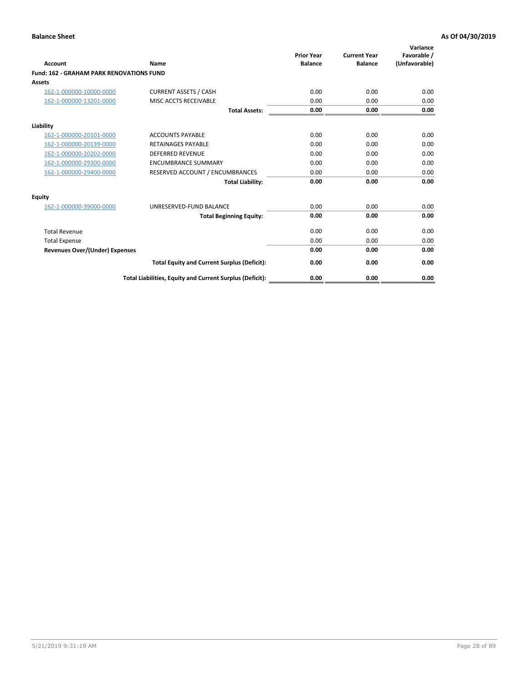| Account                                         | Name                                                     | <b>Prior Year</b><br><b>Balance</b> | <b>Current Year</b><br><b>Balance</b> | Variance<br>Favorable /<br>(Unfavorable) |
|-------------------------------------------------|----------------------------------------------------------|-------------------------------------|---------------------------------------|------------------------------------------|
| <b>Fund: 162 - GRAHAM PARK RENOVATIONS FUND</b> |                                                          |                                     |                                       |                                          |
| <b>Assets</b>                                   |                                                          |                                     |                                       |                                          |
| 162-1-000000-10000-0000                         | <b>CURRENT ASSETS / CASH</b>                             | 0.00                                | 0.00                                  | 0.00                                     |
| 162-1-000000-13201-0000                         | MISC ACCTS RECEIVABLE                                    | 0.00                                | 0.00                                  | 0.00                                     |
|                                                 | <b>Total Assets:</b>                                     | 0.00                                | 0.00                                  | 0.00                                     |
| Liability                                       |                                                          |                                     |                                       |                                          |
| 162-1-000000-20101-0000                         | <b>ACCOUNTS PAYABLE</b>                                  | 0.00                                | 0.00                                  | 0.00                                     |
| 162-1-000000-20139-0000                         | <b>RETAINAGES PAYABLE</b>                                | 0.00                                | 0.00                                  | 0.00                                     |
| 162-1-000000-20202-0000                         | <b>DEFERRED REVENUE</b>                                  | 0.00                                | 0.00                                  | 0.00                                     |
| 162-1-000000-29300-0000                         | <b>ENCUMBRANCE SUMMARY</b>                               | 0.00                                | 0.00                                  | 0.00                                     |
| 162-1-000000-29400-0000                         | RESERVED ACCOUNT / ENCUMBRANCES                          | 0.00                                | 0.00                                  | 0.00                                     |
|                                                 | <b>Total Liability:</b>                                  | 0.00                                | 0.00                                  | 0.00                                     |
| Equity                                          |                                                          |                                     |                                       |                                          |
| 162-1-000000-39000-0000                         | UNRESERVED-FUND BALANCE                                  | 0.00                                | 0.00                                  | 0.00                                     |
|                                                 | <b>Total Beginning Equity:</b>                           | 0.00                                | 0.00                                  | 0.00                                     |
| <b>Total Revenue</b>                            |                                                          | 0.00                                | 0.00                                  | 0.00                                     |
| <b>Total Expense</b>                            |                                                          | 0.00                                | 0.00                                  | 0.00                                     |
| <b>Revenues Over/(Under) Expenses</b>           |                                                          | 0.00                                | 0.00                                  | 0.00                                     |
|                                                 | <b>Total Equity and Current Surplus (Deficit):</b>       | 0.00                                | 0.00                                  | 0.00                                     |
|                                                 | Total Liabilities, Equity and Current Surplus (Deficit): | 0.00                                | 0.00                                  | 0.00                                     |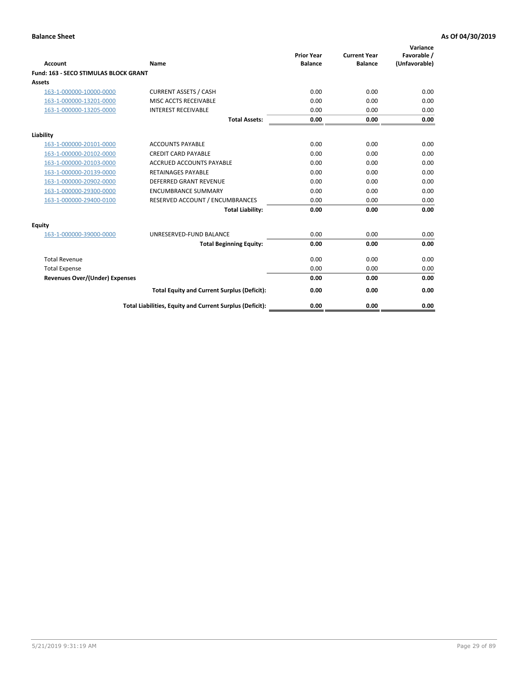| Account                               | Name                                                     | <b>Prior Year</b><br><b>Balance</b> | <b>Current Year</b><br><b>Balance</b> | Variance<br>Favorable /<br>(Unfavorable) |
|---------------------------------------|----------------------------------------------------------|-------------------------------------|---------------------------------------|------------------------------------------|
| Fund: 163 - SECO STIMULAS BLOCK GRANT |                                                          |                                     |                                       |                                          |
| <b>Assets</b>                         |                                                          |                                     |                                       |                                          |
| 163-1-000000-10000-0000               | <b>CURRENT ASSETS / CASH</b>                             | 0.00                                | 0.00                                  | 0.00                                     |
| 163-1-000000-13201-0000               | MISC ACCTS RECEIVABLE                                    | 0.00                                | 0.00                                  | 0.00                                     |
| 163-1-000000-13205-0000               | <b>INTEREST RECEIVABLE</b>                               | 0.00                                | 0.00                                  | 0.00                                     |
|                                       | <b>Total Assets:</b>                                     | 0.00                                | 0.00                                  | 0.00                                     |
| Liability                             |                                                          |                                     |                                       |                                          |
| 163-1-000000-20101-0000               | <b>ACCOUNTS PAYABLE</b>                                  | 0.00                                | 0.00                                  | 0.00                                     |
| 163-1-000000-20102-0000               | <b>CREDIT CARD PAYABLE</b>                               | 0.00                                | 0.00                                  | 0.00                                     |
| 163-1-000000-20103-0000               | <b>ACCRUED ACCOUNTS PAYABLE</b>                          | 0.00                                | 0.00                                  | 0.00                                     |
| 163-1-000000-20139-0000               | <b>RETAINAGES PAYABLE</b>                                | 0.00                                | 0.00                                  | 0.00                                     |
| 163-1-000000-20902-0000               | DEFERRED GRANT REVENUE                                   | 0.00                                | 0.00                                  | 0.00                                     |
| 163-1-000000-29300-0000               | <b>ENCUMBRANCE SUMMARY</b>                               | 0.00                                | 0.00                                  | 0.00                                     |
| 163-1-000000-29400-0100               | RESERVED ACCOUNT / ENCUMBRANCES                          | 0.00                                | 0.00                                  | 0.00                                     |
|                                       | <b>Total Liability:</b>                                  | 0.00                                | 0.00                                  | 0.00                                     |
| <b>Equity</b>                         |                                                          |                                     |                                       |                                          |
| 163-1-000000-39000-0000               | UNRESERVED-FUND BALANCE                                  | 0.00                                | 0.00                                  | 0.00                                     |
|                                       | <b>Total Beginning Equity:</b>                           | 0.00                                | 0.00                                  | 0.00                                     |
| <b>Total Revenue</b>                  |                                                          | 0.00                                | 0.00                                  | 0.00                                     |
| <b>Total Expense</b>                  |                                                          | 0.00                                | 0.00                                  | 0.00                                     |
| <b>Revenues Over/(Under) Expenses</b> |                                                          | 0.00                                | 0.00                                  | 0.00                                     |
|                                       | <b>Total Equity and Current Surplus (Deficit):</b>       | 0.00                                | 0.00                                  | 0.00                                     |
|                                       | Total Liabilities, Equity and Current Surplus (Deficit): | 0.00                                | 0.00                                  | 0.00                                     |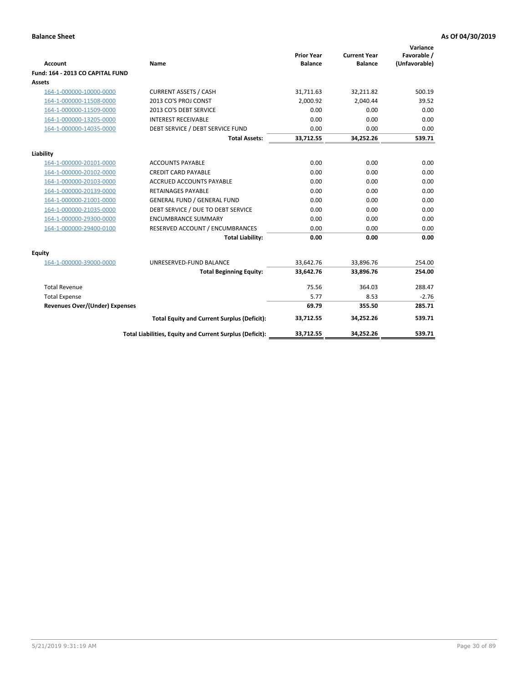| <b>Account</b>                        | <b>Name</b>                                              | <b>Prior Year</b><br><b>Balance</b> | <b>Current Year</b><br><b>Balance</b> | Variance<br>Favorable /<br>(Unfavorable) |
|---------------------------------------|----------------------------------------------------------|-------------------------------------|---------------------------------------|------------------------------------------|
| Fund: 164 - 2013 CO CAPITAL FUND      |                                                          |                                     |                                       |                                          |
| Assets                                |                                                          |                                     |                                       |                                          |
| 164-1-000000-10000-0000               | <b>CURRENT ASSETS / CASH</b>                             | 31,711.63                           | 32,211.82                             | 500.19                                   |
| 164-1-000000-11508-0000               | 2013 CO'S PROJ CONST                                     | 2,000.92                            | 2,040.44                              | 39.52                                    |
| 164-1-000000-11509-0000               | 2013 CO'S DEBT SERVICE                                   | 0.00                                | 0.00                                  | 0.00                                     |
| 164-1-000000-13205-0000               | <b>INTEREST RECEIVABLE</b>                               | 0.00                                | 0.00                                  | 0.00                                     |
| 164-1-000000-14035-0000               | DEBT SERVICE / DEBT SERVICE FUND                         | 0.00                                | 0.00                                  | 0.00                                     |
|                                       | <b>Total Assets:</b>                                     | 33,712.55                           | 34,252.26                             | 539.71                                   |
| Liability                             |                                                          |                                     |                                       |                                          |
| 164-1-000000-20101-0000               | <b>ACCOUNTS PAYABLE</b>                                  | 0.00                                | 0.00                                  | 0.00                                     |
| 164-1-000000-20102-0000               | <b>CREDIT CARD PAYABLE</b>                               | 0.00                                | 0.00                                  | 0.00                                     |
| 164-1-000000-20103-0000               | <b>ACCRUED ACCOUNTS PAYABLE</b>                          | 0.00                                | 0.00                                  | 0.00                                     |
| 164-1-000000-20139-0000               | <b>RETAINAGES PAYABLE</b>                                | 0.00                                | 0.00                                  | 0.00                                     |
| 164-1-000000-21001-0000               | <b>GENERAL FUND / GENERAL FUND</b>                       | 0.00                                | 0.00                                  | 0.00                                     |
| 164-1-000000-21035-0000               | DEBT SERVICE / DUE TO DEBT SERVICE                       | 0.00                                | 0.00                                  | 0.00                                     |
| 164-1-000000-29300-0000               | <b>ENCUMBRANCE SUMMARY</b>                               | 0.00                                | 0.00                                  | 0.00                                     |
| 164-1-000000-29400-0100               | RESERVED ACCOUNT / ENCUMBRANCES                          | 0.00                                | 0.00                                  | 0.00                                     |
|                                       | <b>Total Liability:</b>                                  | 0.00                                | 0.00                                  | 0.00                                     |
| Equity                                |                                                          |                                     |                                       |                                          |
| 164-1-000000-39000-0000               | UNRESERVED-FUND BALANCE                                  | 33,642.76                           | 33,896.76                             | 254.00                                   |
|                                       | <b>Total Beginning Equity:</b>                           | 33,642.76                           | 33,896.76                             | 254.00                                   |
| <b>Total Revenue</b>                  |                                                          | 75.56                               | 364.03                                | 288.47                                   |
| <b>Total Expense</b>                  |                                                          | 5.77                                | 8.53                                  | $-2.76$                                  |
| <b>Revenues Over/(Under) Expenses</b> |                                                          | 69.79                               | 355.50                                | 285.71                                   |
|                                       | <b>Total Equity and Current Surplus (Deficit):</b>       | 33,712.55                           | 34,252.26                             | 539.71                                   |
|                                       | Total Liabilities, Equity and Current Surplus (Deficit): | 33,712.55                           | 34,252.26                             | 539.71                                   |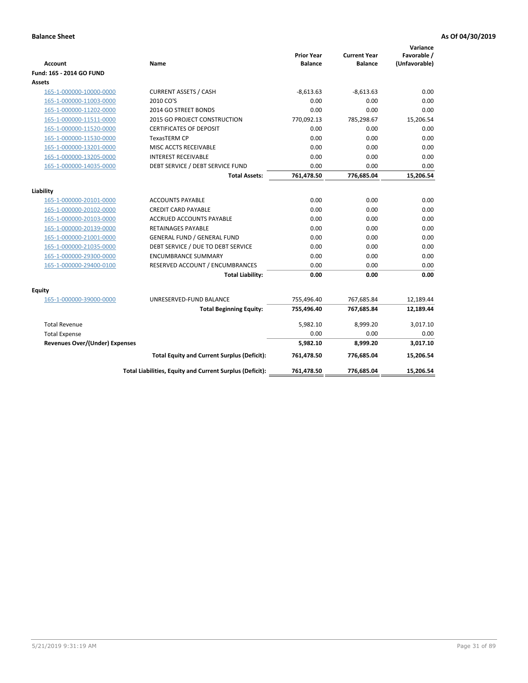| <b>Account</b>                        | Name                                                     | <b>Prior Year</b><br><b>Balance</b> | <b>Current Year</b><br><b>Balance</b> | Variance<br>Favorable /<br>(Unfavorable) |
|---------------------------------------|----------------------------------------------------------|-------------------------------------|---------------------------------------|------------------------------------------|
| Fund: 165 - 2014 GO FUND              |                                                          |                                     |                                       |                                          |
| Assets                                |                                                          |                                     |                                       |                                          |
| 165-1-000000-10000-0000               | <b>CURRENT ASSETS / CASH</b>                             | $-8,613.63$                         | $-8,613.63$                           | 0.00                                     |
| 165-1-000000-11003-0000               | 2010 CO'S                                                | 0.00                                | 0.00                                  | 0.00                                     |
| 165-1-000000-11202-0000               | 2014 GO STREET BONDS                                     | 0.00                                | 0.00                                  | 0.00                                     |
| 165-1-000000-11511-0000               | 2015 GO PROJECT CONSTRUCTION                             | 770,092.13                          | 785,298.67                            | 15,206.54                                |
| 165-1-000000-11520-0000               | <b>CERTIFICATES OF DEPOSIT</b>                           | 0.00                                | 0.00                                  | 0.00                                     |
| 165-1-000000-11530-0000               | <b>TexasTERM CP</b>                                      | 0.00                                | 0.00                                  | 0.00                                     |
| 165-1-000000-13201-0000               | MISC ACCTS RECEIVABLE                                    | 0.00                                | 0.00                                  | 0.00                                     |
| 165-1-000000-13205-0000               | <b>INTEREST RECEIVABLE</b>                               | 0.00                                | 0.00                                  | 0.00                                     |
| 165-1-000000-14035-0000               | DEBT SERVICE / DEBT SERVICE FUND                         | 0.00                                | 0.00                                  | 0.00                                     |
|                                       | <b>Total Assets:</b>                                     | 761,478.50                          | 776,685.04                            | 15,206.54                                |
| Liability                             |                                                          |                                     |                                       |                                          |
| 165-1-000000-20101-0000               | <b>ACCOUNTS PAYABLE</b>                                  | 0.00                                | 0.00                                  | 0.00                                     |
| 165-1-000000-20102-0000               | <b>CREDIT CARD PAYABLE</b>                               | 0.00                                | 0.00                                  | 0.00                                     |
| 165-1-000000-20103-0000               | <b>ACCRUED ACCOUNTS PAYABLE</b>                          | 0.00                                | 0.00                                  | 0.00                                     |
| 165-1-000000-20139-0000               | <b>RETAINAGES PAYABLE</b>                                | 0.00                                | 0.00                                  | 0.00                                     |
| 165-1-000000-21001-0000               | <b>GENERAL FUND / GENERAL FUND</b>                       | 0.00                                | 0.00                                  | 0.00                                     |
| 165-1-000000-21035-0000               | DEBT SERVICE / DUE TO DEBT SERVICE                       | 0.00                                | 0.00                                  | 0.00                                     |
| 165-1-000000-29300-0000               | <b>ENCUMBRANCE SUMMARY</b>                               | 0.00                                | 0.00                                  | 0.00                                     |
| 165-1-000000-29400-0100               | RESERVED ACCOUNT / ENCUMBRANCES                          | 0.00                                | 0.00                                  | 0.00                                     |
|                                       | <b>Total Liability:</b>                                  | 0.00                                | 0.00                                  | 0.00                                     |
| Equity                                |                                                          |                                     |                                       |                                          |
| 165-1-000000-39000-0000               | UNRESERVED-FUND BALANCE                                  | 755,496.40                          | 767,685.84                            | 12,189.44                                |
|                                       | <b>Total Beginning Equity:</b>                           | 755,496.40                          | 767,685.84                            | 12,189.44                                |
| <b>Total Revenue</b>                  |                                                          | 5,982.10                            | 8,999.20                              | 3,017.10                                 |
| <b>Total Expense</b>                  |                                                          | 0.00                                | 0.00                                  | 0.00                                     |
| <b>Revenues Over/(Under) Expenses</b> |                                                          | 5,982.10                            | 8,999.20                              | 3,017.10                                 |
|                                       | <b>Total Equity and Current Surplus (Deficit):</b>       | 761,478.50                          | 776,685.04                            | 15,206.54                                |
|                                       | Total Liabilities, Equity and Current Surplus (Deficit): | 761,478.50                          | 776,685.04                            | 15.206.54                                |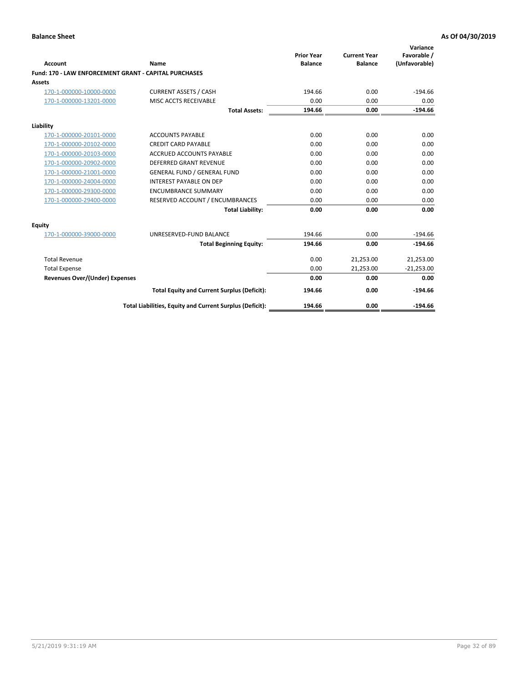| <b>Account</b>                                               | Name                                                     | <b>Prior Year</b><br><b>Balance</b> | <b>Current Year</b><br><b>Balance</b> | Variance<br>Favorable /<br>(Unfavorable) |
|--------------------------------------------------------------|----------------------------------------------------------|-------------------------------------|---------------------------------------|------------------------------------------|
| <b>Fund: 170 - LAW ENFORCEMENT GRANT - CAPITAL PURCHASES</b> |                                                          |                                     |                                       |                                          |
| Assets                                                       |                                                          |                                     |                                       |                                          |
| 170-1-000000-10000-0000                                      | <b>CURRENT ASSETS / CASH</b>                             | 194.66                              | 0.00                                  | $-194.66$                                |
| 170-1-000000-13201-0000                                      | MISC ACCTS RECEIVABLE                                    | 0.00                                | 0.00                                  | 0.00                                     |
|                                                              | <b>Total Assets:</b>                                     | 194.66                              | 0.00                                  | $-194.66$                                |
| Liability                                                    |                                                          |                                     |                                       |                                          |
| 170-1-000000-20101-0000                                      | <b>ACCOUNTS PAYABLE</b>                                  | 0.00                                | 0.00                                  | 0.00                                     |
| 170-1-000000-20102-0000                                      | <b>CREDIT CARD PAYABLE</b>                               | 0.00                                | 0.00                                  | 0.00                                     |
| 170-1-000000-20103-0000                                      | <b>ACCRUED ACCOUNTS PAYABLE</b>                          | 0.00                                | 0.00                                  | 0.00                                     |
| 170-1-000000-20902-0000                                      | <b>DEFERRED GRANT REVENUE</b>                            | 0.00                                | 0.00                                  | 0.00                                     |
| 170-1-000000-21001-0000                                      | <b>GENERAL FUND / GENERAL FUND</b>                       | 0.00                                | 0.00                                  | 0.00                                     |
| 170-1-000000-24004-0000                                      | <b>INTEREST PAYABLE ON DEP</b>                           | 0.00                                | 0.00                                  | 0.00                                     |
| 170-1-000000-29300-0000                                      | <b>ENCUMBRANCE SUMMARY</b>                               | 0.00                                | 0.00                                  | 0.00                                     |
| 170-1-000000-29400-0000                                      | RESERVED ACCOUNT / ENCUMBRANCES                          | 0.00                                | 0.00                                  | 0.00                                     |
|                                                              | <b>Total Liability:</b>                                  | 0.00                                | 0.00                                  | 0.00                                     |
| <b>Equity</b>                                                |                                                          |                                     |                                       |                                          |
| 170-1-000000-39000-0000                                      | UNRESERVED-FUND BALANCE                                  | 194.66                              | 0.00                                  | $-194.66$                                |
|                                                              | <b>Total Beginning Equity:</b>                           | 194.66                              | 0.00                                  | $-194.66$                                |
| <b>Total Revenue</b>                                         |                                                          | 0.00                                | 21,253.00                             | 21,253.00                                |
| <b>Total Expense</b>                                         |                                                          | 0.00                                | 21,253.00                             | $-21,253.00$                             |
| <b>Revenues Over/(Under) Expenses</b>                        |                                                          | 0.00                                | 0.00                                  | 0.00                                     |
|                                                              | <b>Total Equity and Current Surplus (Deficit):</b>       | 194.66                              | 0.00                                  | $-194.66$                                |
|                                                              | Total Liabilities, Equity and Current Surplus (Deficit): | 194.66                              | 0.00                                  | $-194.66$                                |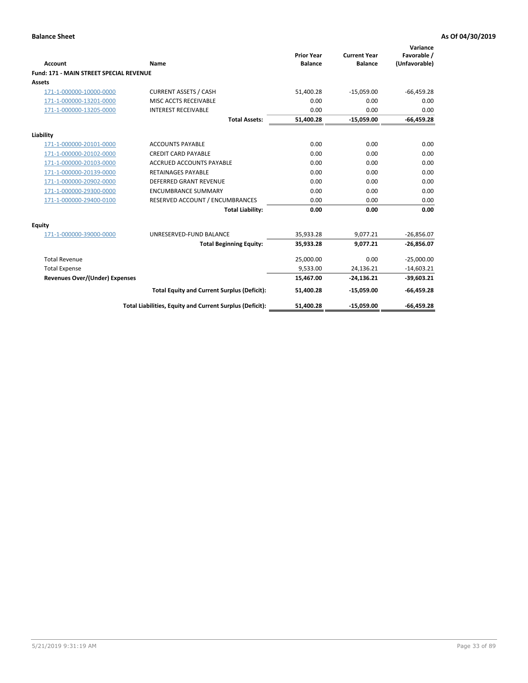|                                                |                                                          | <b>Prior Year</b> | <b>Current Year</b> | Variance<br>Favorable / |
|------------------------------------------------|----------------------------------------------------------|-------------------|---------------------|-------------------------|
| <b>Account</b>                                 | Name                                                     | <b>Balance</b>    | <b>Balance</b>      | (Unfavorable)           |
| <b>Fund: 171 - MAIN STREET SPECIAL REVENUE</b> |                                                          |                   |                     |                         |
| Assets                                         |                                                          |                   |                     |                         |
| 171-1-000000-10000-0000                        | <b>CURRENT ASSETS / CASH</b>                             | 51,400.28         | $-15,059.00$        | $-66,459.28$            |
| 171-1-000000-13201-0000                        | MISC ACCTS RECEIVABLE                                    | 0.00              | 0.00                | 0.00                    |
| 171-1-000000-13205-0000                        | <b>INTEREST RECEIVABLE</b>                               | 0.00              | 0.00                | 0.00                    |
|                                                | <b>Total Assets:</b>                                     | 51,400.28         | $-15,059.00$        | $-66,459.28$            |
| Liability                                      |                                                          |                   |                     |                         |
| 171-1-000000-20101-0000                        | <b>ACCOUNTS PAYABLE</b>                                  | 0.00              | 0.00                | 0.00                    |
| 171-1-000000-20102-0000                        | <b>CREDIT CARD PAYABLE</b>                               | 0.00              | 0.00                | 0.00                    |
| 171-1-000000-20103-0000                        | <b>ACCRUED ACCOUNTS PAYABLE</b>                          | 0.00              | 0.00                | 0.00                    |
| 171-1-000000-20139-0000                        | <b>RETAINAGES PAYABLE</b>                                | 0.00              | 0.00                | 0.00                    |
| 171-1-000000-20902-0000                        | <b>DEFERRED GRANT REVENUE</b>                            | 0.00              | 0.00                | 0.00                    |
| 171-1-000000-29300-0000                        | <b>ENCUMBRANCE SUMMARY</b>                               | 0.00              | 0.00                | 0.00                    |
| 171-1-000000-29400-0100                        | RESERVED ACCOUNT / ENCUMBRANCES                          | 0.00              | 0.00                | 0.00                    |
|                                                | <b>Total Liability:</b>                                  | 0.00              | 0.00                | 0.00                    |
| <b>Equity</b>                                  |                                                          |                   |                     |                         |
| 171-1-000000-39000-0000                        | UNRESERVED-FUND BALANCE                                  | 35,933.28         | 9,077.21            | $-26,856.07$            |
|                                                | <b>Total Beginning Equity:</b>                           | 35,933.28         | 9.077.21            | $-26,856.07$            |
| <b>Total Revenue</b>                           |                                                          | 25,000.00         | 0.00                | $-25,000.00$            |
| <b>Total Expense</b>                           |                                                          | 9,533.00          | 24,136.21           | $-14,603.21$            |
| <b>Revenues Over/(Under) Expenses</b>          |                                                          | 15,467.00         | $-24,136.21$        | $-39,603.21$            |
|                                                | <b>Total Equity and Current Surplus (Deficit):</b>       | 51,400.28         | $-15,059.00$        | $-66,459.28$            |
|                                                | Total Liabilities, Equity and Current Surplus (Deficit): | 51.400.28         | $-15.059.00$        | $-66.459.28$            |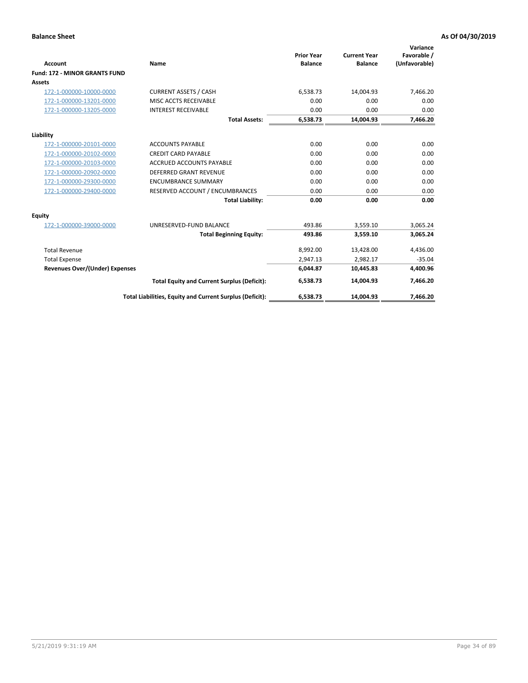|                                       |                                                          |                                     |                                       | Variance                     |
|---------------------------------------|----------------------------------------------------------|-------------------------------------|---------------------------------------|------------------------------|
| <b>Account</b>                        | <b>Name</b>                                              | <b>Prior Year</b><br><b>Balance</b> | <b>Current Year</b><br><b>Balance</b> | Favorable /<br>(Unfavorable) |
|                                       |                                                          |                                     |                                       |                              |
| <b>Fund: 172 - MINOR GRANTS FUND</b>  |                                                          |                                     |                                       |                              |
| <b>Assets</b>                         |                                                          |                                     |                                       |                              |
| 172-1-000000-10000-0000               | <b>CURRENT ASSETS / CASH</b>                             | 6,538.73                            | 14,004.93                             | 7,466.20                     |
| 172-1-000000-13201-0000               | MISC ACCTS RECEIVABLE                                    | 0.00                                | 0.00                                  | 0.00                         |
| 172-1-000000-13205-0000               | <b>INTEREST RECEIVABLE</b>                               | 0.00                                | 0.00                                  | 0.00                         |
|                                       | <b>Total Assets:</b>                                     | 6,538.73                            | 14,004.93                             | 7,466.20                     |
| Liability                             |                                                          |                                     |                                       |                              |
| 172-1-000000-20101-0000               | <b>ACCOUNTS PAYABLE</b>                                  | 0.00                                | 0.00                                  | 0.00                         |
| 172-1-000000-20102-0000               | <b>CREDIT CARD PAYABLE</b>                               | 0.00                                | 0.00                                  | 0.00                         |
| 172-1-000000-20103-0000               | <b>ACCRUED ACCOUNTS PAYABLE</b>                          | 0.00                                | 0.00                                  | 0.00                         |
| 172-1-000000-20902-0000               | <b>DEFERRED GRANT REVENUE</b>                            | 0.00                                | 0.00                                  | 0.00                         |
| 172-1-000000-29300-0000               | <b>ENCUMBRANCE SUMMARY</b>                               | 0.00                                | 0.00                                  | 0.00                         |
| 172-1-000000-29400-0000               | RESERVED ACCOUNT / ENCUMBRANCES                          | 0.00                                | 0.00                                  | 0.00                         |
|                                       | <b>Total Liability:</b>                                  | 0.00                                | 0.00                                  | 0.00                         |
| Equity                                |                                                          |                                     |                                       |                              |
| 172-1-000000-39000-0000               | UNRESERVED-FUND BALANCE                                  | 493.86                              | 3,559.10                              | 3,065.24                     |
|                                       | <b>Total Beginning Equity:</b>                           | 493.86                              | 3,559.10                              | 3,065.24                     |
| <b>Total Revenue</b>                  |                                                          | 8,992.00                            | 13,428.00                             | 4,436.00                     |
| <b>Total Expense</b>                  |                                                          | 2,947.13                            | 2,982.17                              | $-35.04$                     |
| <b>Revenues Over/(Under) Expenses</b> |                                                          | 6,044.87                            | 10,445.83                             | 4,400.96                     |
|                                       | <b>Total Equity and Current Surplus (Deficit):</b>       | 6,538.73                            | 14.004.93                             | 7.466.20                     |
|                                       | Total Liabilities, Equity and Current Surplus (Deficit): | 6,538.73                            | 14,004.93                             | 7,466.20                     |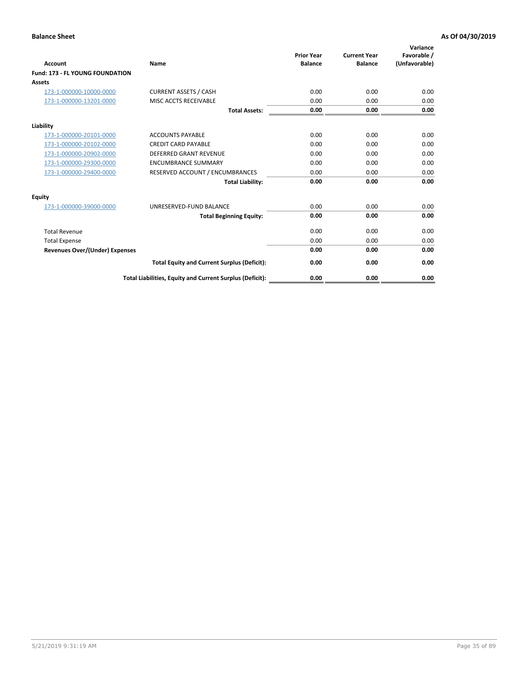| <b>Account</b>                         | Name                                                     | <b>Prior Year</b><br><b>Balance</b> | <b>Current Year</b><br><b>Balance</b> | Variance<br>Favorable /<br>(Unfavorable) |
|----------------------------------------|----------------------------------------------------------|-------------------------------------|---------------------------------------|------------------------------------------|
| <b>Fund: 173 - FL YOUNG FOUNDATION</b> |                                                          |                                     |                                       |                                          |
| Assets                                 |                                                          |                                     |                                       |                                          |
| 173-1-000000-10000-0000                | <b>CURRENT ASSETS / CASH</b>                             | 0.00                                | 0.00                                  | 0.00                                     |
| 173-1-000000-13201-0000                | MISC ACCTS RECEIVABLE                                    | 0.00                                | 0.00                                  | 0.00                                     |
|                                        | <b>Total Assets:</b>                                     | 0.00                                | 0.00                                  | 0.00                                     |
| Liability                              |                                                          |                                     |                                       |                                          |
| 173-1-000000-20101-0000                | <b>ACCOUNTS PAYABLE</b>                                  | 0.00                                | 0.00                                  | 0.00                                     |
| 173-1-000000-20102-0000                | <b>CREDIT CARD PAYABLE</b>                               | 0.00                                | 0.00                                  | 0.00                                     |
| 173-1-000000-20902-0000                | <b>DEFERRED GRANT REVENUE</b>                            | 0.00                                | 0.00                                  | 0.00                                     |
| 173-1-000000-29300-0000                | <b>ENCUMBRANCE SUMMARY</b>                               | 0.00                                | 0.00                                  | 0.00                                     |
| 173-1-000000-29400-0000                | RESERVED ACCOUNT / ENCUMBRANCES                          | 0.00                                | 0.00                                  | 0.00                                     |
|                                        | <b>Total Liability:</b>                                  | 0.00                                | 0.00                                  | 0.00                                     |
| Equity                                 |                                                          |                                     |                                       |                                          |
| 173-1-000000-39000-0000                | UNRESERVED-FUND BALANCE                                  | 0.00                                | 0.00                                  | 0.00                                     |
|                                        | <b>Total Beginning Equity:</b>                           | 0.00                                | 0.00                                  | 0.00                                     |
| <b>Total Revenue</b>                   |                                                          | 0.00                                | 0.00                                  | 0.00                                     |
| <b>Total Expense</b>                   |                                                          | 0.00                                | 0.00                                  | 0.00                                     |
| <b>Revenues Over/(Under) Expenses</b>  |                                                          | 0.00                                | 0.00                                  | 0.00                                     |
|                                        | <b>Total Equity and Current Surplus (Deficit):</b>       | 0.00                                | 0.00                                  | 0.00                                     |
|                                        | Total Liabilities, Equity and Current Surplus (Deficit): | 0.00                                | 0.00                                  | 0.00                                     |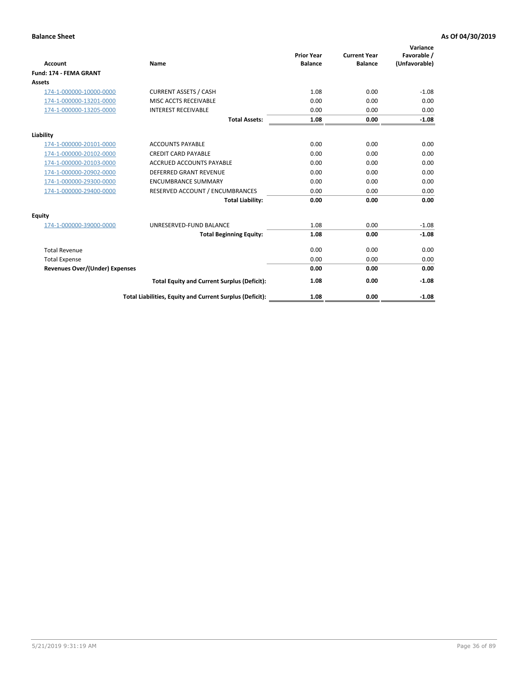| <b>Account</b>                        | Name                                                     | <b>Prior Year</b><br><b>Balance</b> | <b>Current Year</b><br><b>Balance</b> | Variance<br>Favorable /<br>(Unfavorable) |
|---------------------------------------|----------------------------------------------------------|-------------------------------------|---------------------------------------|------------------------------------------|
| Fund: 174 - FEMA GRANT                |                                                          |                                     |                                       |                                          |
| Assets                                |                                                          |                                     |                                       |                                          |
| 174-1-000000-10000-0000               | <b>CURRENT ASSETS / CASH</b>                             | 1.08                                | 0.00                                  | $-1.08$                                  |
| 174-1-000000-13201-0000               | MISC ACCTS RECEIVABLE                                    | 0.00                                | 0.00                                  | 0.00                                     |
| 174-1-000000-13205-0000               | <b>INTEREST RECEIVABLE</b>                               | 0.00                                | 0.00                                  | 0.00                                     |
|                                       | <b>Total Assets:</b>                                     | 1.08                                | 0.00                                  | $-1.08$                                  |
| Liability                             |                                                          |                                     |                                       |                                          |
| 174-1-000000-20101-0000               | <b>ACCOUNTS PAYABLE</b>                                  | 0.00                                | 0.00                                  | 0.00                                     |
| 174-1-000000-20102-0000               | <b>CREDIT CARD PAYABLE</b>                               | 0.00                                | 0.00                                  | 0.00                                     |
| 174-1-000000-20103-0000               | <b>ACCRUED ACCOUNTS PAYABLE</b>                          | 0.00                                | 0.00                                  | 0.00                                     |
| 174-1-000000-20902-0000               | <b>DEFERRED GRANT REVENUE</b>                            | 0.00                                | 0.00                                  | 0.00                                     |
| 174-1-000000-29300-0000               | <b>ENCUMBRANCE SUMMARY</b>                               | 0.00                                | 0.00                                  | 0.00                                     |
| 174-1-000000-29400-0000               | RESERVED ACCOUNT / ENCUMBRANCES                          | 0.00                                | 0.00                                  | 0.00                                     |
|                                       | <b>Total Liability:</b>                                  | 0.00                                | 0.00                                  | 0.00                                     |
| <b>Equity</b>                         |                                                          |                                     |                                       |                                          |
| 174-1-000000-39000-0000               | UNRESERVED-FUND BALANCE                                  | 1.08                                | 0.00                                  | $-1.08$                                  |
|                                       | <b>Total Beginning Equity:</b>                           | 1.08                                | 0.00                                  | $-1.08$                                  |
| <b>Total Revenue</b>                  |                                                          | 0.00                                | 0.00                                  | 0.00                                     |
| <b>Total Expense</b>                  |                                                          | 0.00                                | 0.00                                  | 0.00                                     |
| <b>Revenues Over/(Under) Expenses</b> |                                                          | 0.00                                | 0.00                                  | 0.00                                     |
|                                       | <b>Total Equity and Current Surplus (Deficit):</b>       | 1.08                                | 0.00                                  | $-1.08$                                  |
|                                       | Total Liabilities, Equity and Current Surplus (Deficit): | 1.08                                | 0.00                                  | $-1.08$                                  |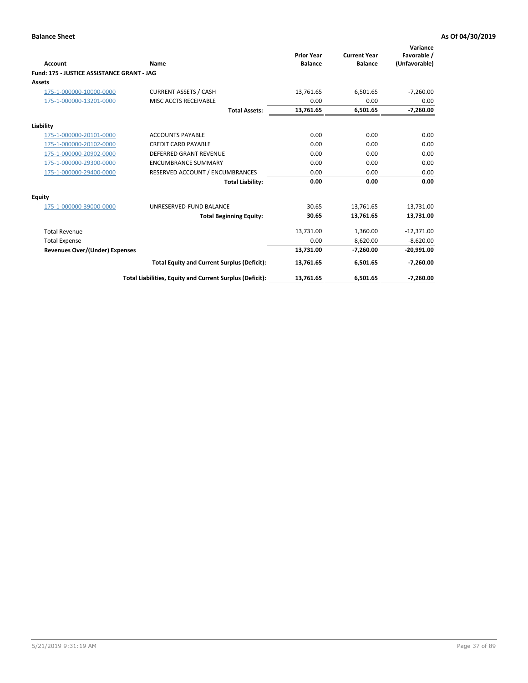|                                            |                                                          | <b>Prior Year</b> | <b>Current Year</b> | Variance<br>Favorable / |
|--------------------------------------------|----------------------------------------------------------|-------------------|---------------------|-------------------------|
| <b>Account</b>                             | Name                                                     | <b>Balance</b>    | <b>Balance</b>      | (Unfavorable)           |
| Fund: 175 - JUSTICE ASSISTANCE GRANT - JAG |                                                          |                   |                     |                         |
| <b>Assets</b>                              |                                                          |                   |                     |                         |
| 175-1-000000-10000-0000                    | <b>CURRENT ASSETS / CASH</b>                             | 13.761.65         | 6,501.65            | $-7,260.00$             |
| 175-1-000000-13201-0000                    | MISC ACCTS RECEIVABLE                                    | 0.00              | 0.00                | 0.00                    |
|                                            | <b>Total Assets:</b>                                     | 13,761.65         | 6,501.65            | $-7,260.00$             |
| Liability                                  |                                                          |                   |                     |                         |
| 175-1-000000-20101-0000                    | <b>ACCOUNTS PAYABLE</b>                                  | 0.00              | 0.00                | 0.00                    |
| 175-1-000000-20102-0000                    | <b>CREDIT CARD PAYABLE</b>                               | 0.00              | 0.00                | 0.00                    |
| 175-1-000000-20902-0000                    | <b>DEFERRED GRANT REVENUE</b>                            | 0.00              | 0.00                | 0.00                    |
| 175-1-000000-29300-0000                    | <b>ENCUMBRANCE SUMMARY</b>                               | 0.00              | 0.00                | 0.00                    |
| 175-1-000000-29400-0000                    | RESERVED ACCOUNT / ENCUMBRANCES                          | 0.00              | 0.00                | 0.00                    |
|                                            | <b>Total Liability:</b>                                  | 0.00              | 0.00                | 0.00                    |
| Equity                                     |                                                          |                   |                     |                         |
| 175-1-000000-39000-0000                    | UNRESERVED-FUND BALANCE                                  | 30.65             | 13,761.65           | 13,731.00               |
|                                            | <b>Total Beginning Equity:</b>                           | 30.65             | 13,761.65           | 13,731.00               |
| <b>Total Revenue</b>                       |                                                          | 13,731.00         | 1,360.00            | $-12,371.00$            |
| <b>Total Expense</b>                       |                                                          | 0.00              | 8,620.00            | $-8,620.00$             |
| Revenues Over/(Under) Expenses             |                                                          | 13,731.00         | $-7,260.00$         | $-20,991.00$            |
|                                            | <b>Total Equity and Current Surplus (Deficit):</b>       | 13,761.65         | 6,501.65            | $-7,260.00$             |
|                                            | Total Liabilities, Equity and Current Surplus (Deficit): | 13,761.65         | 6,501.65            | $-7,260.00$             |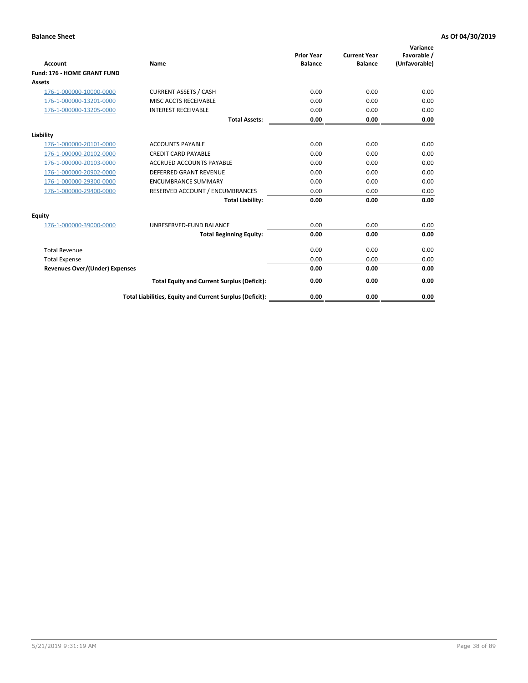| <b>Account</b>                        | Name                                                     | <b>Prior Year</b><br><b>Balance</b> | <b>Current Year</b><br><b>Balance</b> | Variance<br>Favorable /<br>(Unfavorable) |
|---------------------------------------|----------------------------------------------------------|-------------------------------------|---------------------------------------|------------------------------------------|
| Fund: 176 - HOME GRANT FUND           |                                                          |                                     |                                       |                                          |
| Assets                                |                                                          |                                     |                                       |                                          |
| 176-1-000000-10000-0000               | <b>CURRENT ASSETS / CASH</b>                             | 0.00                                | 0.00                                  | 0.00                                     |
| 176-1-000000-13201-0000               | MISC ACCTS RECEIVABLE                                    | 0.00                                | 0.00                                  | 0.00                                     |
| 176-1-000000-13205-0000               | <b>INTEREST RECEIVABLE</b>                               | 0.00                                | 0.00                                  | 0.00                                     |
|                                       | <b>Total Assets:</b>                                     | 0.00                                | 0.00                                  | 0.00                                     |
| Liability                             |                                                          |                                     |                                       |                                          |
| 176-1-000000-20101-0000               | <b>ACCOUNTS PAYABLE</b>                                  | 0.00                                | 0.00                                  | 0.00                                     |
| 176-1-000000-20102-0000               | <b>CREDIT CARD PAYABLE</b>                               | 0.00                                | 0.00                                  | 0.00                                     |
| 176-1-000000-20103-0000               | <b>ACCRUED ACCOUNTS PAYABLE</b>                          | 0.00                                | 0.00                                  | 0.00                                     |
| 176-1-000000-20902-0000               | <b>DEFERRED GRANT REVENUE</b>                            | 0.00                                | 0.00                                  | 0.00                                     |
| 176-1-000000-29300-0000               | <b>ENCUMBRANCE SUMMARY</b>                               | 0.00                                | 0.00                                  | 0.00                                     |
| 176-1-000000-29400-0000               | RESERVED ACCOUNT / ENCUMBRANCES                          | 0.00                                | 0.00                                  | 0.00                                     |
|                                       | <b>Total Liability:</b>                                  | 0.00                                | 0.00                                  | 0.00                                     |
| <b>Equity</b>                         |                                                          |                                     |                                       |                                          |
| 176-1-000000-39000-0000               | UNRESERVED-FUND BALANCE                                  | 0.00                                | 0.00                                  | 0.00                                     |
|                                       | <b>Total Beginning Equity:</b>                           | 0.00                                | 0.00                                  | 0.00                                     |
| <b>Total Revenue</b>                  |                                                          | 0.00                                | 0.00                                  | 0.00                                     |
| <b>Total Expense</b>                  |                                                          | 0.00                                | 0.00                                  | 0.00                                     |
| <b>Revenues Over/(Under) Expenses</b> |                                                          | 0.00                                | 0.00                                  | 0.00                                     |
|                                       | <b>Total Equity and Current Surplus (Deficit):</b>       | 0.00                                | 0.00                                  | 0.00                                     |
|                                       | Total Liabilities, Equity and Current Surplus (Deficit): | 0.00                                | 0.00                                  | 0.00                                     |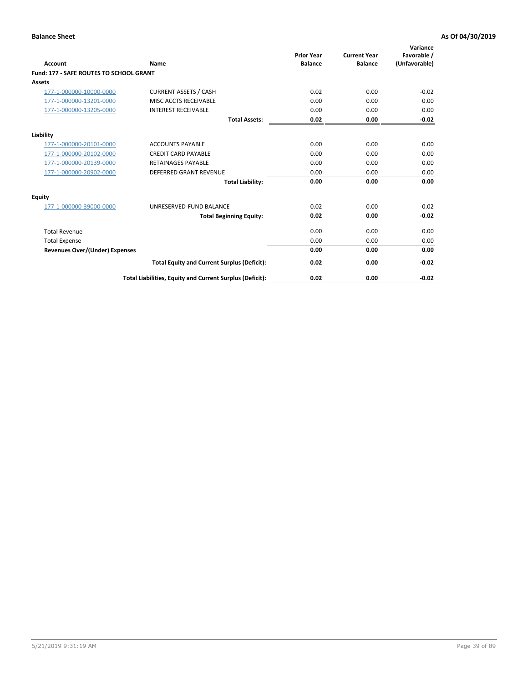| Account                                        | Name                                                     | <b>Prior Year</b><br><b>Balance</b> | <b>Current Year</b><br><b>Balance</b> | Variance<br>Favorable /<br>(Unfavorable) |
|------------------------------------------------|----------------------------------------------------------|-------------------------------------|---------------------------------------|------------------------------------------|
| <b>Fund: 177 - SAFE ROUTES TO SCHOOL GRANT</b> |                                                          |                                     |                                       |                                          |
| <b>Assets</b>                                  |                                                          |                                     |                                       |                                          |
| 177-1-000000-10000-0000                        | <b>CURRENT ASSETS / CASH</b>                             | 0.02                                | 0.00                                  | $-0.02$                                  |
| 177-1-000000-13201-0000                        | MISC ACCTS RECEIVABLE                                    | 0.00                                | 0.00                                  | 0.00                                     |
| 177-1-000000-13205-0000                        | <b>INTEREST RECEIVABLE</b>                               | 0.00                                | 0.00                                  | 0.00                                     |
|                                                | <b>Total Assets:</b>                                     | 0.02                                | 0.00                                  | $-0.02$                                  |
| Liability                                      |                                                          |                                     |                                       |                                          |
| 177-1-000000-20101-0000                        | <b>ACCOUNTS PAYABLE</b>                                  | 0.00                                | 0.00                                  | 0.00                                     |
| 177-1-000000-20102-0000                        | <b>CREDIT CARD PAYABLE</b>                               | 0.00                                | 0.00                                  | 0.00                                     |
| 177-1-000000-20139-0000                        | <b>RETAINAGES PAYABLE</b>                                | 0.00                                | 0.00                                  | 0.00                                     |
| 177-1-000000-20902-0000                        | <b>DEFERRED GRANT REVENUE</b>                            | 0.00                                | 0.00                                  | 0.00                                     |
|                                                | <b>Total Liability:</b>                                  | 0.00                                | 0.00                                  | 0.00                                     |
| Equity                                         |                                                          |                                     |                                       |                                          |
| 177-1-000000-39000-0000                        | UNRESERVED-FUND BALANCE                                  | 0.02                                | 0.00                                  | $-0.02$                                  |
|                                                | <b>Total Beginning Equity:</b>                           | 0.02                                | 0.00                                  | $-0.02$                                  |
| <b>Total Revenue</b>                           |                                                          | 0.00                                | 0.00                                  | 0.00                                     |
| <b>Total Expense</b>                           |                                                          | 0.00                                | 0.00                                  | 0.00                                     |
| <b>Revenues Over/(Under) Expenses</b>          |                                                          | 0.00                                | 0.00                                  | 0.00                                     |
|                                                | <b>Total Equity and Current Surplus (Deficit):</b>       | 0.02                                | 0.00                                  | $-0.02$                                  |
|                                                | Total Liabilities, Equity and Current Surplus (Deficit): | 0.02                                | 0.00                                  | $-0.02$                                  |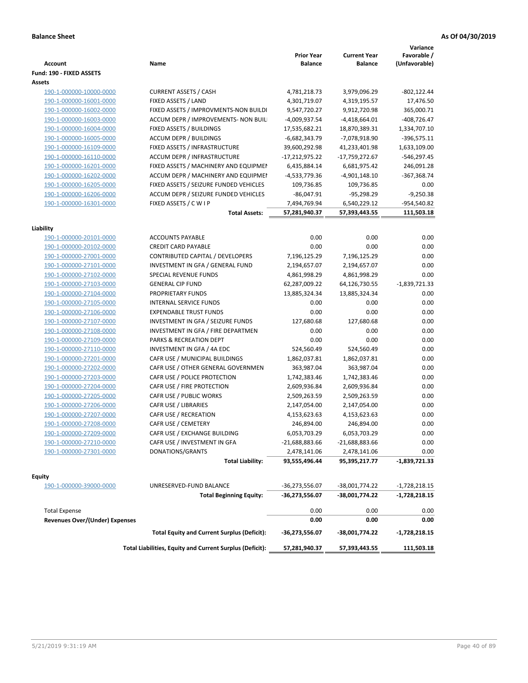| <b>Account</b>                        | Name                                                     | <b>Prior Year</b><br><b>Balance</b> | <b>Current Year</b><br><b>Balance</b> | Variance<br>Favorable /<br>(Unfavorable) |
|---------------------------------------|----------------------------------------------------------|-------------------------------------|---------------------------------------|------------------------------------------|
| Fund: 190 - FIXED ASSETS<br>Assets    |                                                          |                                     |                                       |                                          |
| 190-1-000000-10000-0000               | <b>CURRENT ASSETS / CASH</b>                             | 4,781,218.73                        | 3,979,096.29                          | $-802, 122.44$                           |
| 190-1-000000-16001-0000               | FIXED ASSETS / LAND                                      | 4,301,719.07                        | 4,319,195.57                          | 17,476.50                                |
| 190-1-000000-16002-0000               | FIXED ASSETS / IMPROVMENTS-NON BUILDI                    | 9,547,720.27                        | 9,912,720.98                          | 365,000.71                               |
| 190-1-000000-16003-0000               | ACCUM DEPR / IMPROVEMENTS- NON BUIL                      | -4,009,937.54                       | $-4,418,664.01$                       | $-408,726.47$                            |
| 190-1-000000-16004-0000               | FIXED ASSETS / BUILDINGS                                 | 17,535,682.21                       | 18,870,389.31                         | 1,334,707.10                             |
| 190-1-000000-16005-0000               | <b>ACCUM DEPR / BUILDINGS</b>                            | $-6,682,343.79$                     | -7,078,918.90                         | $-396,575.11$                            |
| 190-1-000000-16109-0000               | FIXED ASSETS / INFRASTRUCTURE                            | 39,600,292.98                       | 41,233,401.98                         | 1,633,109.00                             |
| 190-1-000000-16110-0000               | ACCUM DEPR / INFRASTRUCTURE                              | $-17,212,975.22$                    | -17,759,272.67                        | -546,297.45                              |
| 190-1-000000-16201-0000               | FIXED ASSETS / MACHINERY AND EQUIPMEN                    | 6,435,884.14                        | 6,681,975.42                          | 246,091.28                               |
| 190-1-000000-16202-0000               | ACCUM DEPR / MACHINERY AND EQUIPMEI                      | -4,533,779.36                       | -4,901,148.10                         | $-367,368.74$                            |
| 190-1-000000-16205-0000               | FIXED ASSETS / SEIZURE FUNDED VEHICLES                   | 109,736.85                          | 109,736.85                            | 0.00                                     |
| 190-1-000000-16206-0000               | ACCUM DEPR / SEIZURE FUNDED VEHICLES                     | $-86,047.91$                        | $-95,298.29$                          | $-9,250.38$                              |
| 190-1-000000-16301-0000               | FIXED ASSETS / C W I P                                   | 7,494,769.94                        | 6,540,229.12                          | -954,540.82                              |
|                                       | <b>Total Assets:</b>                                     | 57,281,940.37                       | 57,393,443.55                         | 111,503.18                               |
|                                       |                                                          |                                     |                                       |                                          |
| Liability                             |                                                          |                                     |                                       |                                          |
| 190-1-000000-20101-0000               | <b>ACCOUNTS PAYABLE</b>                                  | 0.00                                | 0.00                                  | 0.00                                     |
| 190-1-000000-20102-0000               | <b>CREDIT CARD PAYABLE</b>                               | 0.00                                | 0.00                                  | 0.00                                     |
| 190-1-000000-27001-0000               | CONTRIBUTED CAPITAL / DEVELOPERS                         | 7,196,125.29                        | 7,196,125.29                          | 0.00                                     |
| 190-1-000000-27101-0000               | INVESTMENT IN GFA / GENERAL FUND                         | 2,194,657.07                        | 2,194,657.07                          | 0.00                                     |
| 190-1-000000-27102-0000               | SPECIAL REVENUE FUNDS                                    | 4,861,998.29                        | 4,861,998.29                          | 0.00                                     |
| 190-1-000000-27103-0000               | <b>GENERAL CIP FUND</b>                                  | 62,287,009.22                       | 64,126,730.55                         | $-1,839,721.33$                          |
| 190-1-000000-27104-0000               | PROPRIETARY FUNDS                                        | 13,885,324.34                       | 13,885,324.34                         | 0.00                                     |
| 190-1-000000-27105-0000               | <b>INTERNAL SERVICE FUNDS</b>                            | 0.00                                | 0.00                                  | 0.00                                     |
| 190-1-000000-27106-0000               | <b>EXPENDABLE TRUST FUNDS</b>                            | 0.00                                | 0.00                                  | 0.00                                     |
| 190-1-000000-27107-0000               | INVESTMENT IN GFA / SEIZURE FUNDS                        | 127,680.68                          | 127,680.68                            | 0.00                                     |
| 190-1-000000-27108-0000               | INVESTMENT IN GFA / FIRE DEPARTMEN                       | 0.00                                | 0.00                                  | 0.00                                     |
| 190-1-000000-27109-0000               | PARKS & RECREATION DEPT                                  | 0.00                                | 0.00                                  | 0.00                                     |
| 190-1-000000-27110-0000               | INVESTMENT IN GFA / 4A EDC                               | 524,560.49                          | 524,560.49                            | 0.00                                     |
| 190-1-000000-27201-0000               | CAFR USE / MUNICIPAL BUILDINGS                           | 1,862,037.81                        | 1,862,037.81                          | 0.00                                     |
| 190-1-000000-27202-0000               | CAFR USE / OTHER GENERAL GOVERNMEN                       | 363,987.04                          | 363,987.04                            | 0.00                                     |
| 190-1-000000-27203-0000               | CAFR USE / POLICE PROTECTION                             | 1,742,383.46                        | 1,742,383.46                          | 0.00                                     |
| 190-1-000000-27204-0000               | CAFR USE / FIRE PROTECTION                               | 2,609,936.84                        | 2,609,936.84                          | 0.00                                     |
| 190-1-000000-27205-0000               | CAFR USE / PUBLIC WORKS                                  | 2,509,263.59                        | 2,509,263.59                          | 0.00                                     |
| 190-1-000000-27206-0000               | CAFR USE / LIBRARIES                                     | 2,147,054.00                        | 2,147,054.00                          | 0.00                                     |
| 190-1-000000-27207-0000               | CAFR USE / RECREATION                                    | 4,153,623.63                        | 4,153,623.63                          | 0.00                                     |
| 190-1-000000-27208-0000               | CAFR USE / CEMETERY                                      | 246,894.00                          | 246,894.00                            | 0.00                                     |
| 190-1-000000-27209-0000               | CAFR USE / EXCHANGE BUILDING                             | 6,053,703.29                        | 6,053,703.29                          | 0.00                                     |
| 190-1-000000-27210-0000               | CAFR USE / INVESTMENT IN GFA                             | -21,688,883.66                      | $-21,688,883.66$                      | 0.00                                     |
| 190-1-000000-27301-0000               | DONATIONS/GRANTS                                         | 2,478,141.06                        | 2,478,141.06                          | 0.00                                     |
|                                       | <b>Total Liability:</b>                                  | 93,555,496.44                       | 95,395,217.77                         | -1,839,721.33                            |
| <b>Equity</b>                         |                                                          |                                     |                                       |                                          |
| 190-1-000000-39000-0000               | UNRESERVED-FUND BALANCE                                  | -36,273,556.07                      | -38,001,774.22                        | $-1,728,218.15$                          |
|                                       | <b>Total Beginning Equity:</b>                           | -36,273,556.07                      | -38,001,774.22                        | -1,728,218.15                            |
| <b>Total Expense</b>                  |                                                          | 0.00                                | 0.00                                  | 0.00                                     |
| <b>Revenues Over/(Under) Expenses</b> |                                                          | 0.00                                | 0.00                                  | 0.00                                     |
|                                       | <b>Total Equity and Current Surplus (Deficit):</b>       | -36,273,556.07                      | -38,001,774.22                        | $-1,728,218.15$                          |
|                                       | Total Liabilities, Equity and Current Surplus (Deficit): | 57,281,940.37                       | 57,393,443.55                         | 111,503.18                               |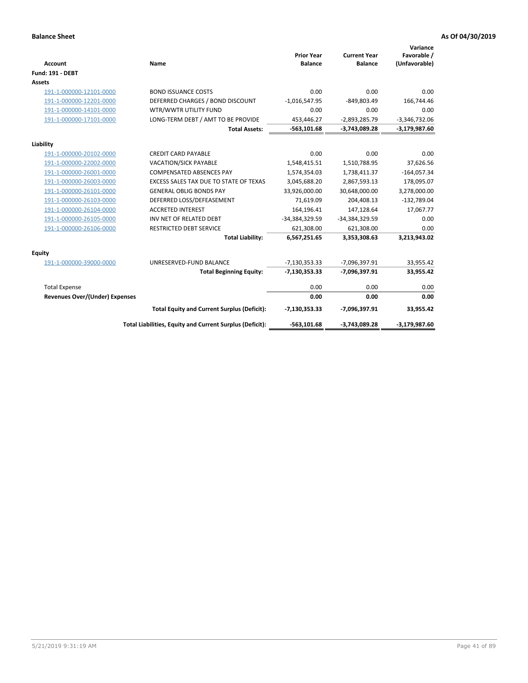| <b>Account</b>                 | Name                                                     | <b>Prior Year</b><br><b>Balance</b> | <b>Current Year</b><br><b>Balance</b> | Variance<br>Favorable /<br>(Unfavorable) |
|--------------------------------|----------------------------------------------------------|-------------------------------------|---------------------------------------|------------------------------------------|
| <b>Fund: 191 - DEBT</b>        |                                                          |                                     |                                       |                                          |
| <b>Assets</b>                  |                                                          |                                     |                                       |                                          |
| 191-1-000000-12101-0000        | <b>BOND ISSUANCE COSTS</b>                               | 0.00                                | 0.00                                  | 0.00                                     |
| 191-1-000000-12201-0000        | DEFERRED CHARGES / BOND DISCOUNT                         | $-1,016,547.95$                     | $-849,803.49$                         | 166,744.46                               |
| 191-1-000000-14101-0000        | WTR/WWTR UTILITY FUND                                    | 0.00                                | 0.00                                  | 0.00                                     |
| 191-1-000000-17101-0000        | LONG-TERM DEBT / AMT TO BE PROVIDE                       | 453,446.27                          | $-2,893,285.79$                       | $-3,346,732.06$                          |
|                                | <b>Total Assets:</b>                                     | $-563, 101.68$                      | $-3,743,089.28$                       | $-3,179,987.60$                          |
| Liability                      |                                                          |                                     |                                       |                                          |
| 191-1-000000-20102-0000        | <b>CREDIT CARD PAYABLE</b>                               | 0.00                                | 0.00                                  | 0.00                                     |
| 191-1-000000-22002-0000        | <b>VACATION/SICK PAYABLE</b>                             | 1,548,415.51                        | 1,510,788.95                          | 37,626.56                                |
| 191-1-000000-26001-0000        | <b>COMPENSATED ABSENCES PAY</b>                          | 1,574,354.03                        | 1,738,411.37                          | $-164,057.34$                            |
| 191-1-000000-26003-0000        | EXCESS SALES TAX DUE TO STATE OF TEXAS                   | 3,045,688.20                        | 2,867,593.13                          | 178,095.07                               |
| 191-1-000000-26101-0000        | <b>GENERAL OBLIG BONDS PAY</b>                           | 33,926,000.00                       | 30,648,000.00                         | 3,278,000.00                             |
| 191-1-000000-26103-0000        | DEFERRED LOSS/DEFEASEMENT                                | 71,619.09                           | 204,408.13                            | $-132,789.04$                            |
| 191-1-000000-26104-0000        | <b>ACCRETED INTEREST</b>                                 | 164,196.41                          | 147,128.64                            | 17,067.77                                |
| 191-1-000000-26105-0000        | INV NET OF RELATED DEBT                                  | -34,384,329.59                      | -34,384,329.59                        | 0.00                                     |
| 191-1-000000-26106-0000        | <b>RESTRICTED DEBT SERVICE</b>                           | 621,308.00                          | 621,308.00                            | 0.00                                     |
|                                | <b>Total Liability:</b>                                  | 6,567,251.65                        | 3,353,308.63                          | 3,213,943.02                             |
| Equity                         |                                                          |                                     |                                       |                                          |
| 191-1-000000-39000-0000        | UNRESERVED-FUND BALANCE                                  | $-7,130,353.33$                     | -7,096,397.91                         | 33,955.42                                |
|                                | <b>Total Beginning Equity:</b>                           | $-7,130,353.33$                     | -7,096,397.91                         | 33,955.42                                |
| <b>Total Expense</b>           |                                                          | 0.00                                | 0.00                                  | 0.00                                     |
| Revenues Over/(Under) Expenses |                                                          | 0.00                                | 0.00                                  | 0.00                                     |
|                                | <b>Total Equity and Current Surplus (Deficit):</b>       | $-7,130,353.33$                     | -7,096,397.91                         | 33,955.42                                |
|                                | Total Liabilities, Equity and Current Surplus (Deficit): | $-563, 101.68$                      | $-3,743,089.28$                       | $-3,179,987.60$                          |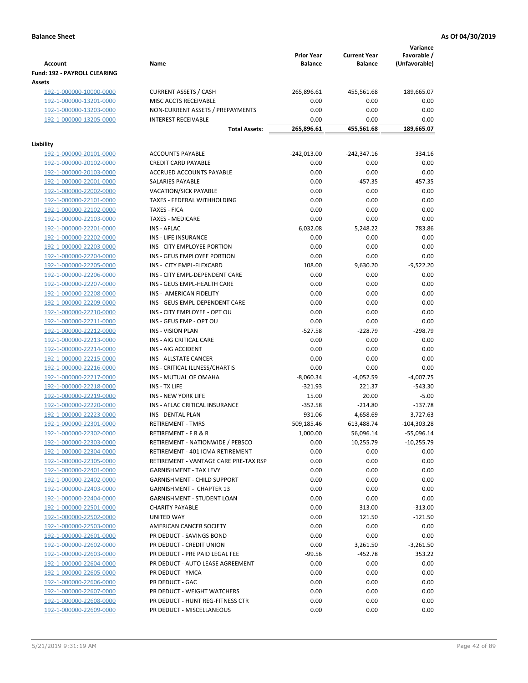| <b>Account</b>                         | Name                                  | <b>Prior Year</b><br><b>Balance</b> | <b>Current Year</b><br><b>Balance</b> | Variance<br>Favorable /<br>(Unfavorable) |
|----------------------------------------|---------------------------------------|-------------------------------------|---------------------------------------|------------------------------------------|
| Fund: 192 - PAYROLL CLEARING<br>Assets |                                       |                                     |                                       |                                          |
|                                        | <b>CURRENT ASSETS / CASH</b>          |                                     |                                       |                                          |
| 192-1-000000-10000-0000                | MISC ACCTS RECEIVABLE                 | 265,896.61<br>0.00                  | 455,561.68                            | 189,665.07                               |
| 192-1-000000-13201-0000                |                                       |                                     | 0.00                                  | 0.00                                     |
| 192-1-000000-13203-0000                | NON-CURRENT ASSETS / PREPAYMENTS      | 0.00                                | 0.00                                  | 0.00                                     |
| 192-1-000000-13205-0000                | <b>INTEREST RECEIVABLE</b>            | 0.00                                | 0.00                                  | 0.00                                     |
|                                        | <b>Total Assets:</b>                  | 265,896.61                          | 455,561.68                            | 189,665.07                               |
| Liability                              |                                       |                                     |                                       |                                          |
| 192-1-000000-20101-0000                | <b>ACCOUNTS PAYABLE</b>               | $-242,013.00$                       | $-242,347.16$                         | 334.16                                   |
| 192-1-000000-20102-0000                | <b>CREDIT CARD PAYABLE</b>            | 0.00                                | 0.00                                  | 0.00                                     |
| 192-1-000000-20103-0000                | ACCRUED ACCOUNTS PAYABLE              | 0.00                                | 0.00                                  | 0.00                                     |
| 192-1-000000-22001-0000                | SALARIES PAYABLE                      | 0.00                                | $-457.35$                             | 457.35                                   |
| 192-1-000000-22002-0000                | VACATION/SICK PAYABLE                 | 0.00                                | 0.00                                  | 0.00                                     |
| 192-1-000000-22101-0000                | TAXES - FEDERAL WITHHOLDING           | 0.00                                | 0.00                                  | 0.00                                     |
| 192-1-000000-22102-0000                | <b>TAXES - FICA</b>                   | 0.00                                | 0.00                                  | 0.00                                     |
| 192-1-000000-22103-0000                | <b>TAXES - MEDICARE</b>               | 0.00                                | 0.00                                  | 0.00                                     |
| 192-1-000000-22201-0000                | <b>INS - AFLAC</b>                    | 6,032.08                            | 5,248.22                              | 783.86                                   |
| 192-1-000000-22202-0000                | INS - LIFE INSURANCE                  | 0.00                                | 0.00                                  | 0.00                                     |
| 192-1-000000-22203-0000                | INS - CITY EMPLOYEE PORTION           | 0.00                                | 0.00                                  | 0.00                                     |
| 192-1-000000-22204-0000                | INS - GEUS EMPLOYEE PORTION           | 0.00                                | 0.00                                  | 0.00                                     |
| 192-1-000000-22205-0000                | INS - CITY EMPL-FLEXCARD              | 108.00                              | 9,630.20                              | $-9,522.20$                              |
| 192-1-000000-22206-0000                | INS - CITY EMPL-DEPENDENT CARE        | 0.00                                | 0.00                                  | 0.00                                     |
| 192-1-000000-22207-0000                | INS - GEUS EMPL-HEALTH CARE           | 0.00                                | 0.00                                  | 0.00                                     |
| 192-1-000000-22208-0000                | INS - AMERICAN FIDELITY               | 0.00                                | 0.00                                  | 0.00                                     |
| 192-1-000000-22209-0000                | INS - GEUS EMPL-DEPENDENT CARE        | 0.00                                | 0.00                                  | 0.00                                     |
| 192-1-000000-22210-0000                | INS - CITY EMPLOYEE - OPT OU          | 0.00                                | 0.00                                  | 0.00                                     |
| 192-1-000000-22211-0000                | INS - GEUS EMP - OPT OU               | 0.00                                | 0.00                                  | 0.00                                     |
| 192-1-000000-22212-0000                | <b>INS - VISION PLAN</b>              | $-527.58$                           | $-228.79$                             | $-298.79$                                |
| 192-1-000000-22213-0000                | INS - AIG CRITICAL CARE               | 0.00                                | 0.00                                  | 0.00                                     |
| 192-1-000000-22214-0000                | INS - AIG ACCIDENT                    | 0.00                                | 0.00                                  | 0.00                                     |
| 192-1-000000-22215-0000                | INS - ALLSTATE CANCER                 | 0.00                                | 0.00                                  | 0.00                                     |
| 192-1-000000-22216-0000                | INS - CRITICAL ILLNESS/CHARTIS        | 0.00                                | 0.00                                  | 0.00                                     |
| 192-1-000000-22217-0000                | INS - MUTUAL OF OMAHA                 | $-8,060.34$                         | $-4,052.59$                           | $-4,007.75$                              |
| 192-1-000000-22218-0000                | INS - TX LIFE                         | $-321.93$                           | 221.37                                | $-543.30$                                |
| 192-1-000000-22219-0000                | <b>INS - NEW YORK LIFE</b>            | 15.00                               | 20.00                                 | $-5.00$                                  |
| 192-1-000000-22220-0000                | INS - AFLAC CRITICAL INSURANCE        | $-352.58$                           | $-214.80$                             | $-137.78$                                |
| 192-1-000000-22223-0000                | <b>INS - DENTAL PLAN</b>              | 931.06                              | 4,658.69                              | $-3,727.63$                              |
| <u>192-1-000000-22301-0000</u>         | <b>RETIREMENT - TMRS</b>              | 509,185.46                          | 613,488.74                            | $-104,303.28$                            |
| 192-1-000000-22302-0000                | <b>RETIREMENT - F R &amp; R</b>       | 1,000.00                            | 56,096.14                             | $-55,096.14$                             |
| 192-1-000000-22303-0000                | RETIREMENT - NATIONWIDE / PEBSCO      | 0.00                                | 10,255.79                             | $-10,255.79$                             |
| 192-1-000000-22304-0000                | RETIREMENT - 401 ICMA RETIREMENT      | 0.00                                | 0.00                                  | 0.00                                     |
| 192-1-000000-22305-0000                | RETIREMENT - VANTAGE CARE PRE-TAX RSP | 0.00                                | 0.00                                  | 0.00                                     |
| 192-1-000000-22401-0000                | <b>GARNISHMENT - TAX LEVY</b>         | 0.00                                | 0.00                                  | 0.00                                     |
| 192-1-000000-22402-0000                | <b>GARNISHMENT - CHILD SUPPORT</b>    | 0.00                                | 0.00                                  | 0.00                                     |
| 192-1-000000-22403-0000                | <b>GARNISHMENT - CHAPTER 13</b>       | 0.00                                | 0.00                                  | 0.00                                     |
| 192-1-000000-22404-0000                | <b>GARNISHMENT - STUDENT LOAN</b>     | 0.00                                | 0.00                                  | 0.00                                     |
| 192-1-000000-22501-0000                | <b>CHARITY PAYABLE</b>                | 0.00                                | 313.00                                | $-313.00$                                |
| 192-1-000000-22502-0000                | UNITED WAY                            | 0.00                                | 121.50                                | $-121.50$                                |
| 192-1-000000-22503-0000                | AMERICAN CANCER SOCIETY               | 0.00                                | 0.00                                  | 0.00                                     |
| 192-1-000000-22601-0000                | PR DEDUCT - SAVINGS BOND              | 0.00                                | 0.00                                  | 0.00                                     |
| 192-1-000000-22602-0000                | PR DEDUCT - CREDIT UNION              | 0.00                                | 3,261.50                              | $-3,261.50$                              |
| 192-1-000000-22603-0000                | PR DEDUCT - PRE PAID LEGAL FEE        | $-99.56$                            | $-452.78$                             | 353.22                                   |
| 192-1-000000-22604-0000                | PR DEDUCT - AUTO LEASE AGREEMENT      | 0.00                                | 0.00                                  | 0.00                                     |
| 192-1-000000-22605-0000                | PR DEDUCT - YMCA                      | 0.00                                | 0.00                                  | 0.00                                     |
| 192-1-000000-22606-0000                | PR DEDUCT - GAC                       | 0.00                                | 0.00                                  | 0.00                                     |
| 192-1-000000-22607-0000                | PR DEDUCT - WEIGHT WATCHERS           | 0.00                                | 0.00                                  | 0.00                                     |
| 192-1-000000-22608-0000                | PR DEDUCT - HUNT REG-FITNESS CTR      | 0.00                                | 0.00                                  | 0.00                                     |
| 192-1-000000-22609-0000                | PR DEDUCT - MISCELLANEOUS             | 0.00                                | 0.00                                  | 0.00                                     |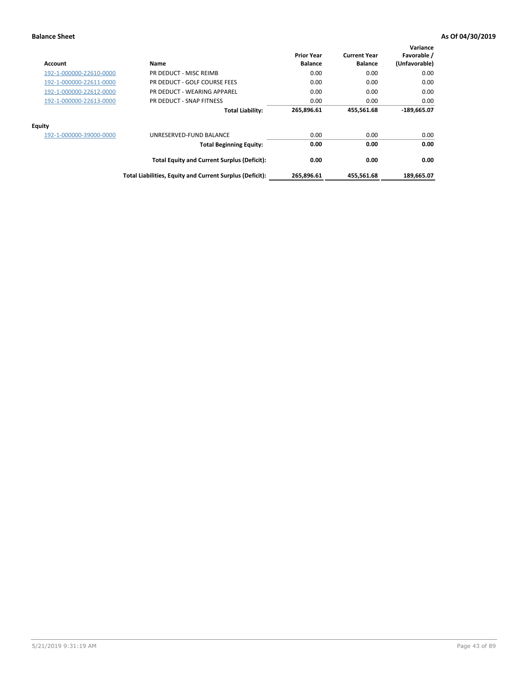| Account                 | Name                                                     | <b>Prior Year</b><br><b>Balance</b> | <b>Current Year</b><br><b>Balance</b> | Variance<br>Favorable /<br>(Unfavorable) |
|-------------------------|----------------------------------------------------------|-------------------------------------|---------------------------------------|------------------------------------------|
| 192-1-000000-22610-0000 | PR DEDUCT - MISC REIMB                                   | 0.00                                | 0.00                                  | 0.00                                     |
| 192-1-000000-22611-0000 | PR DEDUCT - GOLF COURSE FEES                             | 0.00                                | 0.00                                  | 0.00                                     |
| 192-1-000000-22612-0000 | PR DEDUCT - WEARING APPAREL                              | 0.00                                | 0.00                                  | 0.00                                     |
| 192-1-000000-22613-0000 | PR DEDUCT - SNAP FITNESS                                 | 0.00                                | 0.00                                  | 0.00                                     |
|                         | <b>Total Liability:</b>                                  | 265,896.61                          | 455,561.68                            | $-189,665.07$                            |
| Equity                  |                                                          |                                     |                                       |                                          |
| 192-1-000000-39000-0000 | UNRESERVED-FUND BALANCE                                  | 0.00                                | 0.00                                  | 0.00                                     |
|                         | <b>Total Beginning Equity:</b>                           | 0.00                                | 0.00                                  | 0.00                                     |
|                         | <b>Total Equity and Current Surplus (Deficit):</b>       | 0.00                                | 0.00                                  | 0.00                                     |
|                         | Total Liabilities, Equity and Current Surplus (Deficit): | 265,896.61                          | 455,561.68                            | 189,665.07                               |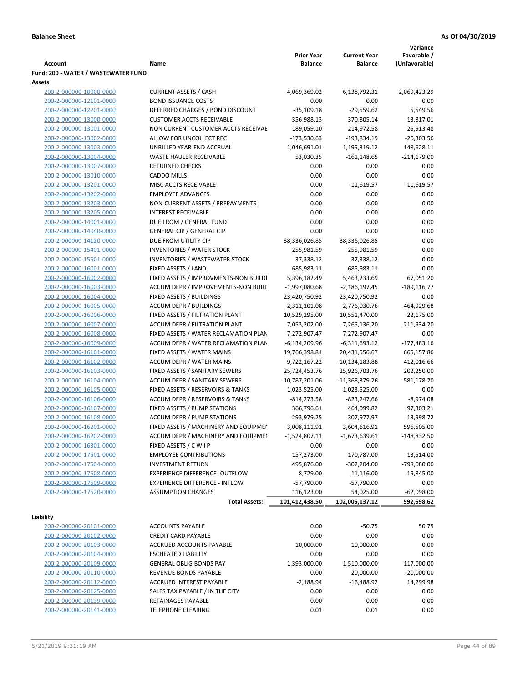|                                     |                                       |                   |                     | Variance       |
|-------------------------------------|---------------------------------------|-------------------|---------------------|----------------|
|                                     |                                       | <b>Prior Year</b> | <b>Current Year</b> | Favorable /    |
| <b>Account</b>                      | Name                                  | <b>Balance</b>    | <b>Balance</b>      | (Unfavorable)  |
| Fund: 200 - WATER / WASTEWATER FUND |                                       |                   |                     |                |
| Assets                              |                                       |                   |                     |                |
| 200-2-000000-10000-0000             | <b>CURRENT ASSETS / CASH</b>          | 4,069,369.02      | 6,138,792.31        | 2,069,423.29   |
| 200-2-000000-12101-0000             | <b>BOND ISSUANCE COSTS</b>            | 0.00              | 0.00                | 0.00           |
| 200-2-000000-12201-0000             | DEFERRED CHARGES / BOND DISCOUNT      | $-35,109.18$      | $-29,559.62$        | 5,549.56       |
| 200-2-000000-13000-0000             | <b>CUSTOMER ACCTS RECEIVABLE</b>      | 356,988.13        | 370,805.14          | 13,817.01      |
| 200-2-000000-13001-0000             | NON CURRENT CUSTOMER ACCTS RECEIVAE   | 189,059.10        | 214,972.58          | 25,913.48      |
| 200-2-000000-13002-0000             | ALLOW FOR UNCOLLECT REC               | $-173,530.63$     | -193,834.19         | $-20,303.56$   |
| 200-2-000000-13003-0000             | UNBILLED YEAR-END ACCRUAL             | 1,046,691.01      | 1,195,319.12        | 148,628.11     |
| 200-2-000000-13004-0000             | <b>WASTE HAULER RECEIVABLE</b>        | 53,030.35         | $-161, 148.65$      | $-214,179.00$  |
| 200-2-000000-13007-0000             | <b>RETURNED CHECKS</b>                | 0.00              | 0.00                | 0.00           |
| 200-2-000000-13010-0000             | <b>CADDO MILLS</b>                    | 0.00              | 0.00                | 0.00           |
| 200-2-000000-13201-0000             | MISC ACCTS RECEIVABLE                 | 0.00              | $-11,619.57$        | $-11,619.57$   |
| 200-2-000000-13202-0000             | <b>EMPLOYEE ADVANCES</b>              | 0.00              | 0.00                | 0.00           |
| 200-2-000000-13203-0000             | NON-CURRENT ASSETS / PREPAYMENTS      | 0.00              | 0.00                | 0.00           |
| 200-2-000000-13205-0000             | <b>INTEREST RECEIVABLE</b>            | 0.00              | 0.00                | 0.00           |
| 200-2-000000-14001-0000             | DUE FROM / GENERAL FUND               | 0.00              | 0.00                | 0.00           |
| 200-2-000000-14040-0000             | <b>GENERAL CIP / GENERAL CIP</b>      | 0.00              | 0.00                | 0.00           |
| 200-2-000000-14120-0000             | DUE FROM UTILITY CIP                  | 38,336,026.85     |                     | 0.00           |
|                                     |                                       |                   | 38,336,026.85       |                |
| 200-2-000000-15401-0000             | <b>INVENTORIES / WATER STOCK</b>      | 255,981.59        | 255,981.59          | 0.00           |
| 200-2-000000-15501-0000             | <b>INVENTORIES / WASTEWATER STOCK</b> | 37,338.12         | 37,338.12           | 0.00           |
| 200-2-000000-16001-0000             | FIXED ASSETS / LAND                   | 685,983.11        | 685,983.11          | 0.00           |
| 200-2-000000-16002-0000             | FIXED ASSETS / IMPROVMENTS-NON BUILDI | 5,396,182.49      | 5,463,233.69        | 67,051.20      |
| 200-2-000000-16003-0000             | ACCUM DEPR / IMPROVEMENTS-NON BUILI   | $-1,997,080.68$   | $-2,186,197.45$     | $-189, 116.77$ |
| 200-2-000000-16004-0000             | FIXED ASSETS / BUILDINGS              | 23,420,750.92     | 23,420,750.92       | 0.00           |
| 200-2-000000-16005-0000             | <b>ACCUM DEPR / BUILDINGS</b>         | $-2,311,101.08$   | $-2,776,030.76$     | $-464,929.68$  |
| 200-2-000000-16006-0000             | FIXED ASSETS / FILTRATION PLANT       | 10,529,295.00     | 10,551,470.00       | 22,175.00      |
| 200-2-000000-16007-0000             | ACCUM DEPR / FILTRATION PLANT         | -7,053,202.00     | -7,265,136.20       | $-211,934.20$  |
| 200-2-000000-16008-0000             | FIXED ASSETS / WATER RECLAMATION PLAN | 7,272,907.47      | 7,272,907.47        | 0.00           |
| 200-2-000000-16009-0000             | ACCUM DEPR / WATER RECLAMATION PLAN   | $-6,134,209.96$   | $-6,311,693.12$     | $-177,483.16$  |
| 200-2-000000-16101-0000             | FIXED ASSETS / WATER MAINS            | 19,766,398.81     | 20,431,556.67       | 665,157.86     |
| 200-2-000000-16102-0000             | <b>ACCUM DEPR / WATER MAINS</b>       | -9,722,167.22     | $-10,134,183.88$    | $-412,016.66$  |
| 200-2-000000-16103-0000             | FIXED ASSETS / SANITARY SEWERS        | 25,724,453.76     | 25,926,703.76       | 202,250.00     |
| 200-2-000000-16104-0000             | <b>ACCUM DEPR / SANITARY SEWERS</b>   | -10,787,201.06    | -11,368,379.26      | $-581,178.20$  |
| 200-2-000000-16105-0000             | FIXED ASSETS / RESERVOIRS & TANKS     | 1,023,525.00      | 1,023,525.00        | 0.00           |
| 200-2-000000-16106-0000             | ACCUM DEPR / RESERVOIRS & TANKS       | $-814, 273.58$    | $-823,247.66$       | $-8,974.08$    |
| 200-2-000000-16107-0000             | FIXED ASSETS / PUMP STATIONS          | 366,796.61        | 464,099.82          | 97,303.21      |
| 200-2-000000-16108-0000             | <b>ACCUM DEPR / PUMP STATIONS</b>     | -293,979.25       | -307,977.97         | $-13,998.72$   |
| 200-2-000000-16201-0000             | FIXED ASSETS / MACHINERY AND EQUIPMEN | 3,008,111.91      | 3,604,616.91        | 596,505.00     |
| 200-2-000000-16202-0000             | ACCUM DEPR / MACHINERY AND EQUIPMEI   | $-1,524,807.11$   | $-1,673,639.61$     | $-148,832.50$  |
| 200-2-000000-16301-0000             | FIXED ASSETS / C W I P                | 0.00              | 0.00                | 0.00           |
| 200-2-000000-17501-0000             | <b>EMPLOYEE CONTRIBUTIONS</b>         | 157,273.00        | 170,787.00          | 13,514.00      |
| 200-2-000000-17504-0000             | <b>INVESTMENT RETURN</b>              | 495,876.00        | $-302,204.00$       | -798,080.00    |
| 200-2-000000-17508-0000             | <b>EXPERIENCE DIFFERENCE- OUTFLOW</b> | 8,729.00          | $-11,116.00$        | $-19,845.00$   |
| 200-2-000000-17509-0000             | <b>EXPERIENCE DIFFERENCE - INFLOW</b> | $-57,790.00$      | $-57,790.00$        | 0.00           |
| 200-2-000000-17520-0000             | <b>ASSUMPTION CHANGES</b>             | 116,123.00        | 54,025.00           | $-62,098.00$   |
|                                     | <b>Total Assets:</b>                  | 101,412,438.50    | 102,005,137.12      | 592,698.62     |
|                                     |                                       |                   |                     |                |
| Liability                           |                                       |                   |                     |                |
| 200-2-000000-20101-0000             | <b>ACCOUNTS PAYABLE</b>               | 0.00              | $-50.75$            | 50.75          |
| 200-2-000000-20102-0000             | <b>CREDIT CARD PAYABLE</b>            | 0.00              | 0.00                | 0.00           |
| 200-2-000000-20103-0000             | ACCRUED ACCOUNTS PAYABLE              | 10,000.00         | 10,000.00           | 0.00           |
| 200-2-000000-20104-0000             | <b>ESCHEATED LIABILITY</b>            | 0.00              | 0.00                | 0.00           |
| 200-2-000000-20109-0000             | <b>GENERAL OBLIG BONDS PAY</b>        | 1,393,000.00      | 1,510,000.00        | $-117,000.00$  |
| 200-2-000000-20110-0000             | REVENUE BONDS PAYABLE                 | 0.00              | 20,000.00           | $-20,000.00$   |
| 200-2-000000-20112-0000             | ACCRUED INTEREST PAYABLE              | $-2,188.94$       | $-16,488.92$        | 14,299.98      |
| 200-2-000000-20125-0000             | SALES TAX PAYABLE / IN THE CITY       | 0.00              | 0.00                | 0.00           |
| 200-2-000000-20139-0000             | RETAINAGES PAYABLE                    | 0.00              | 0.00                | 0.00           |
| 200-2-000000-20141-0000             | <b>TELEPHONE CLEARING</b>             | 0.01              | 0.01                | 0.00           |
|                                     |                                       |                   |                     |                |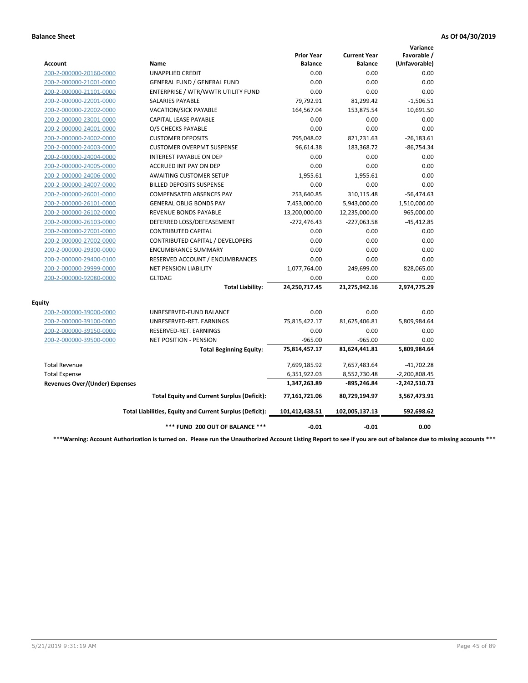|                                       |                                                          |                                     |                                       | Variance                     |
|---------------------------------------|----------------------------------------------------------|-------------------------------------|---------------------------------------|------------------------------|
| Account                               | Name                                                     | <b>Prior Year</b><br><b>Balance</b> | <b>Current Year</b><br><b>Balance</b> | Favorable /<br>(Unfavorable) |
| 200-2-000000-20160-0000               | <b>UNAPPLIED CREDIT</b>                                  | 0.00                                | 0.00                                  | 0.00                         |
| 200-2-000000-21001-0000               | <b>GENERAL FUND / GENERAL FUND</b>                       | 0.00                                | 0.00                                  | 0.00                         |
| 200-2-000000-21101-0000               | ENTERPRISE / WTR/WWTR UTILITY FUND                       | 0.00                                | 0.00                                  | 0.00                         |
| 200-2-000000-22001-0000               | <b>SALARIES PAYABLE</b>                                  | 79,792.91                           | 81,299.42                             | $-1,506.51$                  |
| 200-2-000000-22002-0000               | <b>VACATION/SICK PAYABLE</b>                             | 164,567.04                          | 153,875.54                            | 10,691.50                    |
| 200-2-000000-23001-0000               | CAPITAL LEASE PAYABLE                                    | 0.00                                | 0.00                                  | 0.00                         |
| 200-2-000000-24001-0000               | O/S CHECKS PAYABLE                                       | 0.00                                | 0.00                                  | 0.00                         |
| 200-2-000000-24002-0000               | <b>CUSTOMER DEPOSITS</b>                                 | 795,048.02                          | 821,231.63                            | $-26,183.61$                 |
| 200-2-000000-24003-0000               | <b>CUSTOMER OVERPMT SUSPENSE</b>                         | 96,614.38                           | 183,368.72                            | $-86,754.34$                 |
| 200-2-000000-24004-0000               | <b>INTEREST PAYABLE ON DEP</b>                           | 0.00                                | 0.00                                  | 0.00                         |
| 200-2-000000-24005-0000               | <b>ACCRUED INT PAY ON DEP</b>                            | 0.00                                | 0.00                                  | 0.00                         |
| 200-2-000000-24006-0000               | <b>AWAITING CUSTOMER SETUP</b>                           | 1,955.61                            | 1,955.61                              | 0.00                         |
| 200-2-000000-24007-0000               | <b>BILLED DEPOSITS SUSPENSE</b>                          | 0.00                                | 0.00                                  | 0.00                         |
| 200-2-000000-26001-0000               | <b>COMPENSATED ABSENCES PAY</b>                          | 253,640.85                          | 310,115.48                            | $-56,474.63$                 |
| 200-2-000000-26101-0000               | <b>GENERAL OBLIG BONDS PAY</b>                           | 7,453,000.00                        | 5,943,000.00                          | 1,510,000.00                 |
| 200-2-000000-26102-0000               | <b>REVENUE BONDS PAYABLE</b>                             | 13,200,000.00                       | 12,235,000.00                         | 965,000.00                   |
| 200-2-000000-26103-0000               | DEFERRED LOSS/DEFEASEMENT                                | $-272,476.43$                       | $-227,063.58$                         | $-45,412.85$                 |
| 200-2-000000-27001-0000               | <b>CONTRIBUTED CAPITAL</b>                               | 0.00                                | 0.00                                  | 0.00                         |
| 200-2-000000-27002-0000               | CONTRIBUTED CAPITAL / DEVELOPERS                         | 0.00                                | 0.00                                  | 0.00                         |
| 200-2-000000-29300-0000               | <b>ENCUMBRANCE SUMMARY</b>                               | 0.00                                | 0.00                                  | 0.00                         |
| 200-2-000000-29400-0100               | RESERVED ACCOUNT / ENCUMBRANCES                          | 0.00                                | 0.00                                  | 0.00                         |
| 200-2-000000-29999-0000               | <b>NET PENSION LIABILITY</b>                             | 1,077,764.00                        | 249,699.00                            | 828,065.00                   |
| 200-2-000000-92080-0000               | <b>GLTDAG</b>                                            | 0.00                                | 0.00                                  | 0.00                         |
|                                       | <b>Total Liability:</b>                                  | 24,250,717.45                       | 21,275,942.16                         | 2,974,775.29                 |
| <b>Equity</b>                         |                                                          |                                     |                                       |                              |
| 200-2-000000-39000-0000               | UNRESERVED-FUND BALANCE                                  | 0.00                                | 0.00                                  | 0.00                         |
| 200-2-000000-39100-0000               | UNRESERVED-RET. EARNINGS                                 | 75,815,422.17                       | 81,625,406.81                         | 5,809,984.64                 |
| 200-2-000000-39150-0000               | RESERVED-RET. EARNINGS                                   | 0.00                                | 0.00                                  | 0.00                         |
| 200-2-000000-39500-0000               | NET POSITION - PENSION                                   | $-965.00$                           | $-965.00$                             | 0.00                         |
|                                       | <b>Total Beginning Equity:</b>                           | 75,814,457.17                       | 81,624,441.81                         | 5,809,984.64                 |
| <b>Total Revenue</b>                  |                                                          | 7,699,185.92                        | 7,657,483.64                          | $-41,702.28$                 |
| <b>Total Expense</b>                  |                                                          | 6,351,922.03                        | 8,552,730.48                          | $-2,200,808.45$              |
| <b>Revenues Over/(Under) Expenses</b> |                                                          | 1,347,263.89                        | -895,246.84                           | $-2,242,510.73$              |
|                                       | <b>Total Equity and Current Surplus (Deficit):</b>       | 77,161,721.06                       | 80,729,194.97                         | 3,567,473.91                 |
|                                       | Total Liabilities, Equity and Current Surplus (Deficit): | 101,412,438.51                      | 102,005,137.13                        | 592,698.62                   |
|                                       | *** FUND 200 OUT OF BALANCE ***                          | $-0.01$                             | $-0.01$                               | 0.00                         |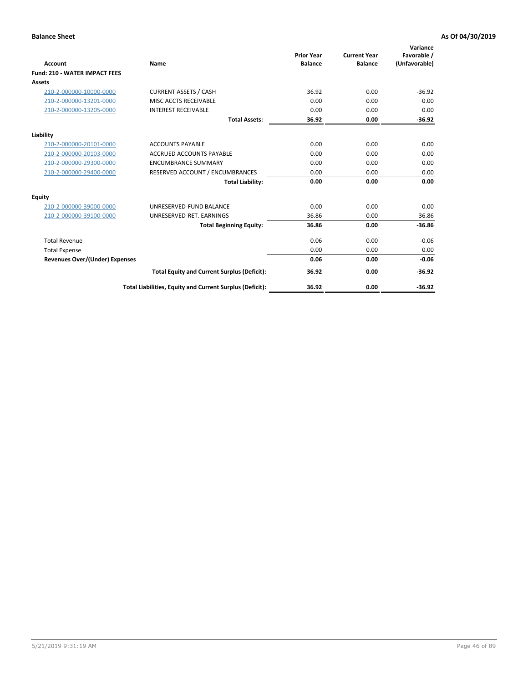| <b>Account</b>                        | Name                                                     | <b>Prior Year</b><br><b>Balance</b> | <b>Current Year</b><br><b>Balance</b> | Variance<br>Favorable /<br>(Unfavorable) |
|---------------------------------------|----------------------------------------------------------|-------------------------------------|---------------------------------------|------------------------------------------|
| <b>Fund: 210 - WATER IMPACT FEES</b>  |                                                          |                                     |                                       |                                          |
| <b>Assets</b>                         |                                                          |                                     |                                       |                                          |
| 210-2-000000-10000-0000               | <b>CURRENT ASSETS / CASH</b>                             | 36.92                               | 0.00                                  | $-36.92$                                 |
| 210-2-000000-13201-0000               | MISC ACCTS RECEIVABLE                                    | 0.00                                | 0.00                                  | 0.00                                     |
| 210-2-000000-13205-0000               | <b>INTEREST RECEIVABLE</b>                               | 0.00                                | 0.00                                  | 0.00                                     |
|                                       | <b>Total Assets:</b>                                     | 36.92                               | 0.00                                  | $-36.92$                                 |
| Liability                             |                                                          |                                     |                                       |                                          |
| 210-2-000000-20101-0000               | <b>ACCOUNTS PAYABLE</b>                                  | 0.00                                | 0.00                                  | 0.00                                     |
| 210-2-000000-20103-0000               | <b>ACCRUED ACCOUNTS PAYABLE</b>                          | 0.00                                | 0.00                                  | 0.00                                     |
| 210-2-000000-29300-0000               | <b>ENCUMBRANCE SUMMARY</b>                               | 0.00                                | 0.00                                  | 0.00                                     |
| 210-2-000000-29400-0000               | RESERVED ACCOUNT / ENCUMBRANCES                          | 0.00                                | 0.00                                  | 0.00                                     |
|                                       | <b>Total Liability:</b>                                  | 0.00                                | 0.00                                  | 0.00                                     |
| <b>Equity</b>                         |                                                          |                                     |                                       |                                          |
| 210-2-000000-39000-0000               | UNRESERVED-FUND BALANCE                                  | 0.00                                | 0.00                                  | 0.00                                     |
| 210-2-000000-39100-0000               | UNRESERVED-RET. EARNINGS                                 | 36.86                               | 0.00                                  | $-36.86$                                 |
|                                       | <b>Total Beginning Equity:</b>                           | 36.86                               | 0.00                                  | $-36.86$                                 |
| <b>Total Revenue</b>                  |                                                          | 0.06                                | 0.00                                  | $-0.06$                                  |
| <b>Total Expense</b>                  |                                                          | 0.00                                | 0.00                                  | 0.00                                     |
| <b>Revenues Over/(Under) Expenses</b> |                                                          | 0.06                                | 0.00                                  | $-0.06$                                  |
|                                       | <b>Total Equity and Current Surplus (Deficit):</b>       | 36.92                               | 0.00                                  | $-36.92$                                 |
|                                       | Total Liabilities, Equity and Current Surplus (Deficit): | 36.92                               | 0.00                                  | $-36.92$                                 |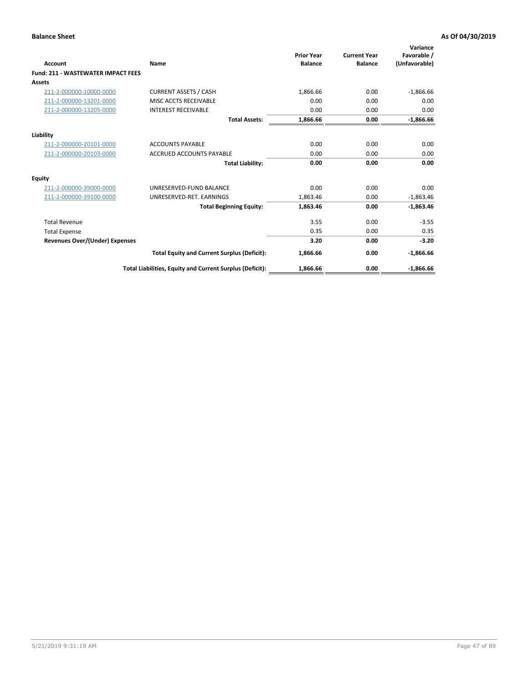| Account                                   | Name                                                     | <b>Prior Year</b><br><b>Balance</b> | <b>Current Year</b><br><b>Balance</b> | Variance<br>Favorable /<br>(Unfavorable) |
|-------------------------------------------|----------------------------------------------------------|-------------------------------------|---------------------------------------|------------------------------------------|
| <b>Fund: 211 - WASTEWATER IMPACT FEES</b> |                                                          |                                     |                                       |                                          |
| <b>Assets</b>                             |                                                          |                                     |                                       |                                          |
| 211-2-000000-10000-0000                   | <b>CURRENT ASSETS / CASH</b>                             | 1,866.66                            | 0.00                                  | $-1,866.66$                              |
| 211-2-000000-13201-0000                   | MISC ACCTS RECEIVABLE                                    | 0.00                                | 0.00                                  | 0.00                                     |
| 211-2-000000-13205-0000                   | <b>INTEREST RECEIVABLE</b>                               | 0.00                                | 0.00                                  | 0.00                                     |
|                                           | <b>Total Assets:</b>                                     | 1,866.66                            | 0.00                                  | $-1,866.66$                              |
| Liability                                 |                                                          |                                     |                                       |                                          |
| 211-2-000000-20101-0000                   | <b>ACCOUNTS PAYABLE</b>                                  | 0.00                                | 0.00                                  | 0.00                                     |
| 211-2-000000-20103-0000                   | <b>ACCRUED ACCOUNTS PAYABLE</b>                          | 0.00                                | 0.00                                  | 0.00                                     |
|                                           | <b>Total Liability:</b>                                  | 0.00                                | 0.00                                  | 0.00                                     |
| Equity                                    |                                                          |                                     |                                       |                                          |
| 211-2-000000-39000-0000                   | UNRESERVED-FUND BALANCE                                  | 0.00                                | 0.00                                  | 0.00                                     |
| 211-2-000000-39100-0000                   | UNRESERVED-RET. EARNINGS                                 | 1,863.46                            | 0.00                                  | $-1,863.46$                              |
|                                           | <b>Total Beginning Equity:</b>                           | 1,863.46                            | 0.00                                  | $-1,863.46$                              |
| <b>Total Revenue</b>                      |                                                          | 3.55                                | 0.00                                  | $-3.55$                                  |
| <b>Total Expense</b>                      |                                                          | 0.35                                | 0.00                                  | 0.35                                     |
| <b>Revenues Over/(Under) Expenses</b>     |                                                          | 3.20                                | 0.00                                  | $-3.20$                                  |
|                                           | <b>Total Equity and Current Surplus (Deficit):</b>       | 1,866.66                            | 0.00                                  | $-1,866.66$                              |
|                                           | Total Liabilities, Equity and Current Surplus (Deficit): | 1,866.66                            | 0.00                                  | $-1.866.66$                              |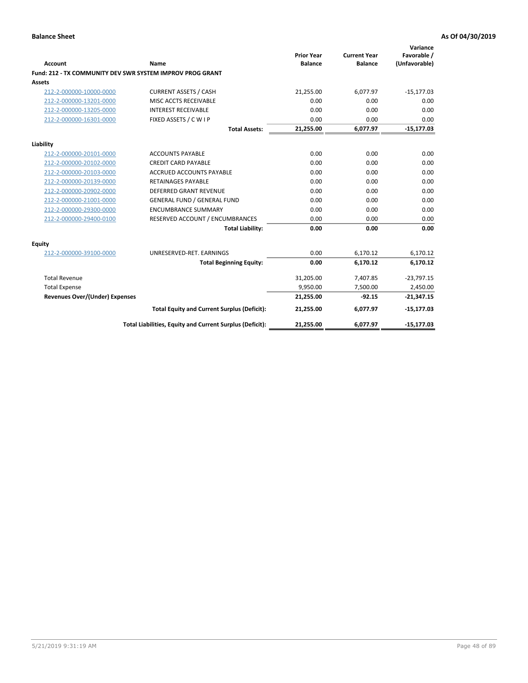| <b>Account</b>                        | Name                                                      | <b>Prior Year</b><br><b>Balance</b> | <b>Current Year</b><br><b>Balance</b> | Variance<br>Favorable /<br>(Unfavorable) |
|---------------------------------------|-----------------------------------------------------------|-------------------------------------|---------------------------------------|------------------------------------------|
|                                       | Fund: 212 - TX COMMUNITY DEV SWR SYSTEM IMPROV PROG GRANT |                                     |                                       |                                          |
| <b>Assets</b>                         |                                                           |                                     |                                       |                                          |
| 212-2-000000-10000-0000               | <b>CURRENT ASSETS / CASH</b>                              | 21,255.00                           | 6,077.97                              | $-15,177.03$                             |
| 212-2-000000-13201-0000               | MISC ACCTS RECEIVABLE                                     | 0.00                                | 0.00                                  | 0.00                                     |
| 212-2-000000-13205-0000               | <b>INTEREST RECEIVABLE</b>                                | 0.00                                | 0.00                                  | 0.00                                     |
| 212-2-000000-16301-0000               | FIXED ASSETS / C W I P                                    | 0.00                                | 0.00                                  | 0.00                                     |
|                                       | <b>Total Assets:</b>                                      | 21,255.00                           | 6,077.97                              | $-15,177.03$                             |
| Liability                             |                                                           |                                     |                                       |                                          |
| 212-2-000000-20101-0000               | <b>ACCOUNTS PAYABLE</b>                                   | 0.00                                | 0.00                                  | 0.00                                     |
| 212-2-000000-20102-0000               | <b>CREDIT CARD PAYABLE</b>                                | 0.00                                | 0.00                                  | 0.00                                     |
| 212-2-000000-20103-0000               | <b>ACCRUED ACCOUNTS PAYABLE</b>                           | 0.00                                | 0.00                                  | 0.00                                     |
| 212-2-000000-20139-0000               | <b>RETAINAGES PAYABLE</b>                                 | 0.00                                | 0.00                                  | 0.00                                     |
| 212-2-000000-20902-0000               | <b>DEFERRED GRANT REVENUE</b>                             | 0.00                                | 0.00                                  | 0.00                                     |
| 212-2-000000-21001-0000               | <b>GENERAL FUND / GENERAL FUND</b>                        | 0.00                                | 0.00                                  | 0.00                                     |
| 212-2-000000-29300-0000               | <b>ENCUMBRANCE SUMMARY</b>                                | 0.00                                | 0.00                                  | 0.00                                     |
| 212-2-000000-29400-0100               | RESERVED ACCOUNT / ENCUMBRANCES                           | 0.00                                | 0.00                                  | 0.00                                     |
|                                       | <b>Total Liability:</b>                                   | 0.00                                | 0.00                                  | 0.00                                     |
| <b>Equity</b>                         |                                                           |                                     |                                       |                                          |
| 212-2-000000-39100-0000               | UNRESERVED-RET. EARNINGS                                  | 0.00                                | 6,170.12                              | 6,170.12                                 |
|                                       | <b>Total Beginning Equity:</b>                            | 0.00                                | 6,170.12                              | 6,170.12                                 |
| <b>Total Revenue</b>                  |                                                           | 31,205.00                           | 7,407.85                              | $-23,797.15$                             |
| <b>Total Expense</b>                  |                                                           | 9,950.00                            | 7,500.00                              | 2,450.00                                 |
| <b>Revenues Over/(Under) Expenses</b> |                                                           | 21,255.00                           | $-92.15$                              | $-21,347.15$                             |
|                                       | <b>Total Equity and Current Surplus (Deficit):</b>        | 21,255.00                           | 6,077.97                              | $-15,177.03$                             |
|                                       | Total Liabilities, Equity and Current Surplus (Deficit):  | 21,255.00                           | 6,077.97                              | $-15,177.03$                             |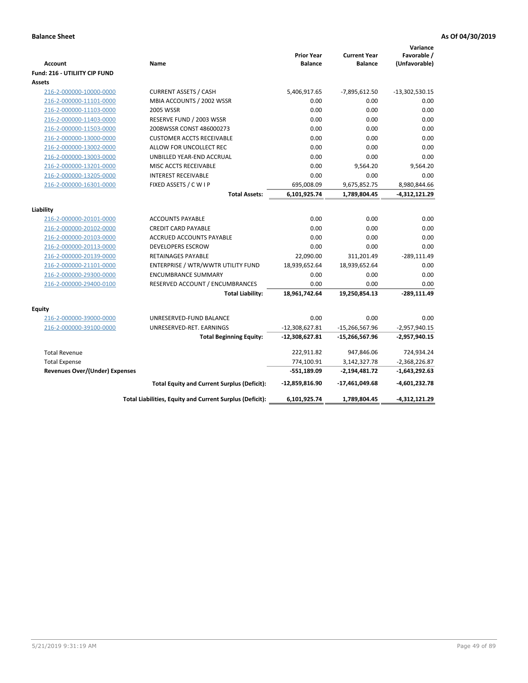| <b>Account</b>                                     | Name                                                      | <b>Prior Year</b><br><b>Balance</b> | <b>Current Year</b><br><b>Balance</b> | Variance<br>Favorable /<br>(Unfavorable) |
|----------------------------------------------------|-----------------------------------------------------------|-------------------------------------|---------------------------------------|------------------------------------------|
| Fund: 216 - UTILIITY CIP FUND                      |                                                           |                                     |                                       |                                          |
| <b>Assets</b>                                      |                                                           |                                     |                                       |                                          |
| 216-2-000000-10000-0000<br>216-2-000000-11101-0000 | <b>CURRENT ASSETS / CASH</b><br>MBIA ACCOUNTS / 2002 WSSR | 5,406,917.65<br>0.00                | $-7,895,612.50$<br>0.00               | $-13,302,530.15$<br>0.00                 |
|                                                    | 2005 WSSR                                                 | 0.00                                | 0.00                                  | 0.00                                     |
| 216-2-000000-11103-0000<br>216-2-000000-11403-0000 | RESERVE FUND / 2003 WSSR                                  | 0.00                                | 0.00                                  | 0.00                                     |
| 216-2-000000-11503-0000                            | 2008WSSR CONST 486000273                                  | 0.00                                | 0.00                                  | 0.00                                     |
| 216-2-000000-13000-0000                            | <b>CUSTOMER ACCTS RECEIVABLE</b>                          | 0.00                                | 0.00                                  | 0.00                                     |
| 216-2-000000-13002-0000                            | ALLOW FOR UNCOLLECT REC                                   | 0.00                                | 0.00                                  | 0.00                                     |
| 216-2-000000-13003-0000                            | UNBILLED YEAR-END ACCRUAL                                 | 0.00                                | 0.00                                  | 0.00                                     |
| 216-2-000000-13201-0000                            | MISC ACCTS RECEIVABLE                                     | 0.00                                | 9,564.20                              | 9,564.20                                 |
| 216-2-000000-13205-0000                            | <b>INTEREST RECEIVABLE</b>                                | 0.00                                | 0.00                                  | 0.00                                     |
| 216-2-000000-16301-0000                            | FIXED ASSETS / C W I P                                    | 695,008.09                          | 9,675,852.75                          | 8,980,844.66                             |
|                                                    | <b>Total Assets:</b>                                      | 6,101,925.74                        | 1,789,804.45                          | $-4,312,121.29$                          |
|                                                    |                                                           |                                     |                                       |                                          |
| Liability                                          |                                                           |                                     |                                       |                                          |
| 216-2-000000-20101-0000                            | <b>ACCOUNTS PAYABLE</b>                                   | 0.00                                | 0.00                                  | 0.00                                     |
| 216-2-000000-20102-0000                            | <b>CREDIT CARD PAYABLE</b>                                | 0.00                                | 0.00                                  | 0.00                                     |
| 216-2-000000-20103-0000                            | ACCRUED ACCOUNTS PAYABLE                                  | 0.00                                | 0.00                                  | 0.00                                     |
| 216-2-000000-20113-0000                            | <b>DEVELOPERS ESCROW</b>                                  | 0.00                                | 0.00                                  | 0.00                                     |
| 216-2-000000-20139-0000                            | RETAINAGES PAYABLE                                        | 22,090.00                           | 311,201.49                            | $-289,111.49$                            |
| 216-2-000000-21101-0000                            | ENTERPRISE / WTR/WWTR UTILITY FUND                        | 18,939,652.64                       | 18,939,652.64                         | 0.00                                     |
| 216-2-000000-29300-0000                            | <b>ENCUMBRANCE SUMMARY</b>                                | 0.00                                | 0.00                                  | 0.00                                     |
| 216-2-000000-29400-0100                            | RESERVED ACCOUNT / ENCUMBRANCES                           | 0.00                                | 0.00                                  | 0.00                                     |
|                                                    | <b>Total Liability:</b>                                   | 18,961,742.64                       | 19,250,854.13                         | $-289,111.49$                            |
| <b>Equity</b>                                      |                                                           |                                     |                                       |                                          |
| 216-2-000000-39000-0000                            | UNRESERVED-FUND BALANCE                                   | 0.00                                | 0.00                                  | 0.00                                     |
| 216-2-000000-39100-0000                            | UNRESERVED-RET. EARNINGS                                  | $-12,308,627.81$                    | $-15,266,567.96$                      | $-2,957,940.15$                          |
|                                                    | <b>Total Beginning Equity:</b>                            | $-12,308,627.81$                    | $-15,266,567.96$                      | $-2,957,940.15$                          |
| <b>Total Revenue</b>                               |                                                           | 222,911.82                          | 947,846.06                            | 724,934.24                               |
| <b>Total Expense</b>                               |                                                           | 774,100.91                          | 3,142,327.78                          | $-2,368,226.87$                          |
| <b>Revenues Over/(Under) Expenses</b>              |                                                           | $-551,189.09$                       | $-2,194,481.72$                       | $-1,643,292.63$                          |
|                                                    | <b>Total Equity and Current Surplus (Deficit):</b>        | -12,859,816.90                      | -17,461,049.68                        | -4,601,232.78                            |
|                                                    | Total Liabilities, Equity and Current Surplus (Deficit):  | 6,101,925.74                        | 1,789,804.45                          | $-4,312,121.29$                          |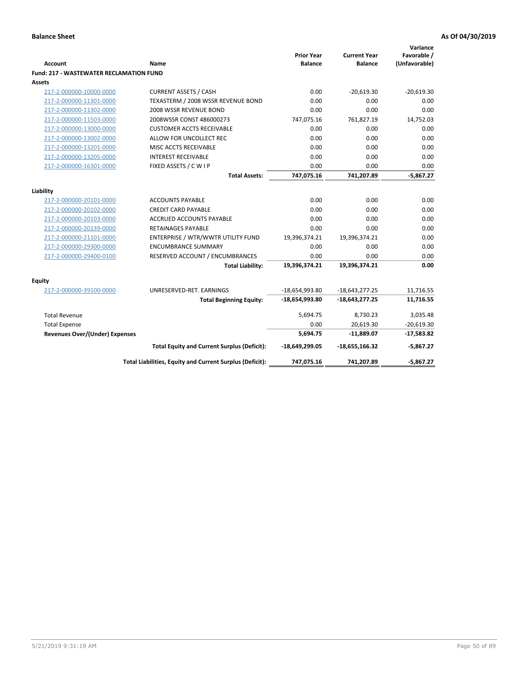|                                                |                                                          | <b>Prior Year</b> | <b>Current Year</b> | Variance<br>Favorable / |
|------------------------------------------------|----------------------------------------------------------|-------------------|---------------------|-------------------------|
| <b>Account</b>                                 | Name                                                     | <b>Balance</b>    | <b>Balance</b>      | (Unfavorable)           |
| <b>Fund: 217 - WASTEWATER RECLAMATION FUND</b> |                                                          |                   |                     |                         |
| <b>Assets</b>                                  |                                                          |                   |                     |                         |
| 217-2-000000-10000-0000                        | <b>CURRENT ASSETS / CASH</b>                             | 0.00              | $-20,619.30$        | $-20,619.30$            |
| 217-2-000000-11301-0000                        | TEXASTERM / 2008 WSSR REVENUE BOND                       | 0.00              | 0.00                | 0.00                    |
| 217-2-000000-11302-0000                        | 2008 WSSR REVENUE BOND                                   | 0.00              | 0.00                | 0.00                    |
| 217-2-000000-11503-0000                        | 2008WSSR CONST 486000273                                 | 747,075.16        | 761,827.19          | 14,752.03               |
| 217-2-000000-13000-0000                        | <b>CUSTOMER ACCTS RECEIVABLE</b>                         | 0.00              | 0.00                | 0.00                    |
| 217-2-000000-13002-0000                        | ALLOW FOR UNCOLLECT REC                                  | 0.00              | 0.00                | 0.00                    |
| 217-2-000000-13201-0000                        | MISC ACCTS RECEIVABLE                                    | 0.00              | 0.00                | 0.00                    |
| 217-2-000000-13205-0000                        | <b>INTEREST RECEIVABLE</b>                               | 0.00              | 0.00                | 0.00                    |
| 217-2-000000-16301-0000                        | FIXED ASSETS / C W I P                                   | 0.00              | 0.00                | 0.00                    |
|                                                | <b>Total Assets:</b>                                     | 747,075.16        | 741,207.89          | $-5,867.27$             |
| Liability                                      |                                                          |                   |                     |                         |
| 217-2-000000-20101-0000                        | <b>ACCOUNTS PAYABLE</b>                                  | 0.00              | 0.00                | 0.00                    |
| 217-2-000000-20102-0000                        | <b>CREDIT CARD PAYABLE</b>                               | 0.00              | 0.00                | 0.00                    |
| 217-2-000000-20103-0000                        | ACCRUED ACCOUNTS PAYABLE                                 | 0.00              | 0.00                | 0.00                    |
| 217-2-000000-20139-0000                        | <b>RETAINAGES PAYABLE</b>                                | 0.00              | 0.00                | 0.00                    |
| 217-2-000000-21101-0000                        | ENTERPRISE / WTR/WWTR UTILITY FUND                       | 19,396,374.21     | 19,396,374.21       | 0.00                    |
| 217-2-000000-29300-0000                        | <b>ENCUMBRANCE SUMMARY</b>                               | 0.00              | 0.00                | 0.00                    |
| 217-2-000000-29400-0100                        | RESERVED ACCOUNT / ENCUMBRANCES                          | 0.00              | 0.00                | 0.00                    |
|                                                | <b>Total Liability:</b>                                  | 19,396,374.21     | 19,396,374.21       | 0.00                    |
|                                                |                                                          |                   |                     |                         |
| <b>Equity</b>                                  |                                                          |                   |                     |                         |
| 217-2-000000-39100-0000                        | UNRESERVED-RET. EARNINGS                                 | $-18,654,993.80$  | $-18,643,277.25$    | 11,716.55               |
|                                                | <b>Total Beginning Equity:</b>                           | -18,654,993.80    | $-18,643,277.25$    | 11,716.55               |
| <b>Total Revenue</b>                           |                                                          | 5,694.75          | 8,730.23            | 3,035.48                |
| <b>Total Expense</b>                           |                                                          | 0.00              | 20,619.30           | $-20,619.30$            |
| <b>Revenues Over/(Under) Expenses</b>          |                                                          | 5,694.75          | $-11,889.07$        | $-17,583.82$            |
|                                                | <b>Total Equity and Current Surplus (Deficit):</b>       | -18,649,299.05    | -18,655,166.32      | $-5,867.27$             |
|                                                | Total Liabilities, Equity and Current Surplus (Deficit): | 747,075.16        | 741,207.89          | $-5,867.27$             |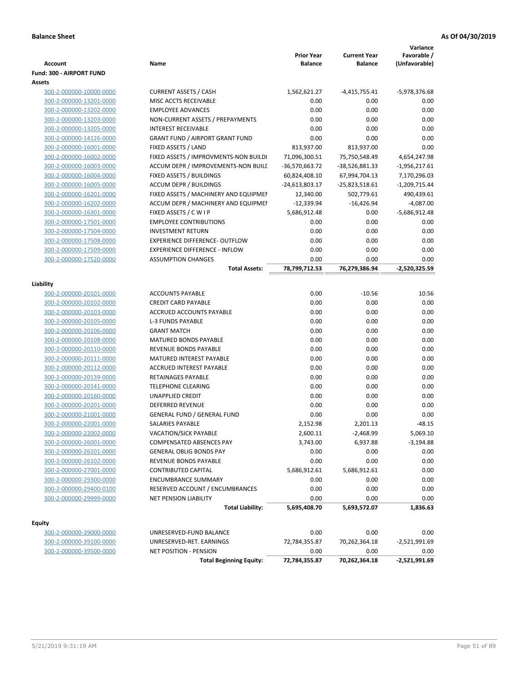| <b>Account</b>           | Name                                   | <b>Prior Year</b><br><b>Balance</b> | <b>Current Year</b><br><b>Balance</b> | Variance<br>Favorable /<br>(Unfavorable) |
|--------------------------|----------------------------------------|-------------------------------------|---------------------------------------|------------------------------------------|
| Fund: 300 - AIRPORT FUND |                                        |                                     |                                       |                                          |
| Assets                   |                                        |                                     |                                       |                                          |
| 300-2-000000-10000-0000  | <b>CURRENT ASSETS / CASH</b>           | 1,562,621.27                        | $-4,415,755.41$                       | -5,978,376.68                            |
| 300-2-000000-13201-0000  | MISC ACCTS RECEIVABLE                  | 0.00                                | 0.00                                  | 0.00                                     |
| 300-2-000000-13202-0000  | <b>EMPLOYEE ADVANCES</b>               | 0.00                                | 0.00                                  | 0.00                                     |
| 300-2-000000-13203-0000  | NON-CURRENT ASSETS / PREPAYMENTS       | 0.00                                | 0.00                                  | 0.00                                     |
| 300-2-000000-13205-0000  | <b>INTEREST RECEIVABLE</b>             | 0.00                                | 0.00                                  | 0.00                                     |
| 300-2-000000-14126-0000  | <b>GRANT FUND / AIRPORT GRANT FUND</b> | 0.00                                | 0.00                                  | 0.00                                     |
| 300-2-000000-16001-0000  | FIXED ASSETS / LAND                    | 813,937.00                          | 813,937.00                            | 0.00                                     |
| 300-2-000000-16002-0000  | FIXED ASSETS / IMPROVMENTS-NON BUILDI  | 71,096,300.51                       | 75,750,548.49                         | 4,654,247.98                             |
| 300-2-000000-16003-0000  | ACCUM DEPR / IMPROVEMENTS-NON BUILL    | -36,570,663.72                      | -38,526,881.33                        | $-1,956,217.61$                          |
| 300-2-000000-16004-0000  | FIXED ASSETS / BUILDINGS               | 60,824,408.10                       | 67,994,704.13                         | 7,170,296.03                             |
| 300-2-000000-16005-0000  | <b>ACCUM DEPR / BUILDINGS</b>          | -24,613,803.17                      | -25,823,518.61                        | $-1,209,715.44$                          |
| 300-2-000000-16201-0000  | FIXED ASSETS / MACHINERY AND EQUIPMEN  | 12,340.00                           | 502,779.61                            | 490,439.61                               |
| 300-2-000000-16202-0000  | ACCUM DEPR / MACHINERY AND EQUIPMEI    | $-12,339.94$                        | $-16,426.94$                          | $-4,087.00$                              |
| 300-2-000000-16301-0000  | FIXED ASSETS / C W I P                 | 5,686,912.48                        | 0.00                                  | -5,686,912.48                            |
| 300-2-000000-17501-0000  | <b>EMPLOYEE CONTRIBUTIONS</b>          | 0.00                                | 0.00                                  | 0.00                                     |
| 300-2-000000-17504-0000  | <b>INVESTMENT RETURN</b>               | 0.00                                | 0.00                                  | 0.00                                     |
| 300-2-000000-17508-0000  | <b>EXPERIENCE DIFFERENCE- OUTFLOW</b>  | 0.00                                | 0.00                                  | 0.00                                     |
| 300-2-000000-17509-0000  | <b>EXPERIENCE DIFFERENCE - INFLOW</b>  | 0.00                                | 0.00                                  | 0.00                                     |
| 300-2-000000-17520-0000  | <b>ASSUMPTION CHANGES</b>              | 0.00                                | 0.00                                  | 0.00                                     |
|                          | <b>Total Assets:</b>                   | 78,799,712.53                       | 76,279,386.94                         | -2,520,325.59                            |
| Liability                |                                        |                                     |                                       |                                          |
| 300-2-000000-20101-0000  | <b>ACCOUNTS PAYABLE</b>                | 0.00                                | $-10.56$                              | 10.56                                    |
| 300-2-000000-20102-0000  | <b>CREDIT CARD PAYABLE</b>             | 0.00                                | 0.00                                  | 0.00                                     |
| 300-2-000000-20103-0000  | ACCRUED ACCOUNTS PAYABLE               | 0.00                                | 0.00                                  | 0.00                                     |
| 300-2-000000-20105-0000  | <b>L-3 FUNDS PAYABLE</b>               | 0.00                                | 0.00                                  | 0.00                                     |
| 300-2-000000-20106-0000  | <b>GRANT MATCH</b>                     | 0.00                                | 0.00                                  | 0.00                                     |
| 300-2-000000-20108-0000  | MATURED BONDS PAYABLE                  | 0.00                                | 0.00                                  | 0.00                                     |
| 300-2-000000-20110-0000  | REVENUE BONDS PAYABLE                  | 0.00                                | 0.00                                  | 0.00                                     |
| 300-2-000000-20111-0000  | MATURED INTEREST PAYABLE               | 0.00                                | 0.00                                  | 0.00                                     |
| 300-2-000000-20112-0000  | <b>ACCRUED INTEREST PAYABLE</b>        | 0.00                                | 0.00                                  | 0.00                                     |
| 300-2-000000-20139-0000  | RETAINAGES PAYABLE                     | 0.00                                | 0.00                                  | 0.00                                     |
| 300-2-000000-20141-0000  | <b>TELEPHONE CLEARING</b>              | 0.00                                | 0.00                                  | 0.00                                     |
| 300-2-000000-20160-0000  | <b>UNAPPLIED CREDIT</b>                | 0.00                                | 0.00                                  | 0.00                                     |
| 300-2-000000-20201-0000  | <b>DEFERRED REVENUE</b>                | 0.00                                | 0.00                                  | 0.00                                     |
| 300-2-000000-21001-0000  | <b>GENERAL FUND / GENERAL FUND</b>     | 0.00                                | 0.00                                  | 0.00                                     |
| 300-2-000000-22001-0000  | SALARIES PAYABLE                       | 2,152.98                            | 2,201.13                              | $-48.15$                                 |
| 300-2-000000-22002-0000  | VACATION/SICK PAYABLE                  | 2,600.11                            | $-2,468.99$                           | 5,069.10                                 |
| 300-2-000000-26001-0000  | COMPENSATED ABSENCES PAY               | 3,743.00                            | 6,937.88                              | -3,194.88                                |
| 300-2-000000-26101-0000  | <b>GENERAL OBLIG BONDS PAY</b>         | 0.00                                | 0.00                                  | 0.00                                     |
| 300-2-000000-26102-0000  | REVENUE BONDS PAYABLE                  | 0.00                                | 0.00                                  | 0.00                                     |
| 300-2-000000-27001-0000  | <b>CONTRIBUTED CAPITAL</b>             | 5,686,912.61                        | 5,686,912.61                          | 0.00                                     |
| 300-2-000000-29300-0000  | <b>ENCUMBRANCE SUMMARY</b>             | 0.00                                | 0.00                                  | 0.00                                     |
| 300-2-000000-29400-0100  | RESERVED ACCOUNT / ENCUMBRANCES        | 0.00                                | 0.00                                  | 0.00                                     |
| 300-2-000000-29999-0000  | <b>NET PENSION LIABILITY</b>           | 0.00                                | 0.00                                  | 0.00                                     |
|                          | <b>Total Liability:</b>                | 5,695,408.70                        | 5,693,572.07                          | 1,836.63                                 |
|                          |                                        |                                     |                                       |                                          |
| Equity                   |                                        |                                     |                                       |                                          |
| 300-2-000000-39000-0000  | UNRESERVED-FUND BALANCE                | 0.00                                | 0.00                                  | 0.00                                     |
| 300-2-000000-39100-0000  | UNRESERVED-RET. EARNINGS               | 72,784,355.87                       | 70,262,364.18                         | $-2,521,991.69$                          |
| 300-2-000000-39500-0000  | <b>NET POSITION - PENSION</b>          | 0.00                                | 0.00                                  | 0.00                                     |
|                          | <b>Total Beginning Equity:</b>         | 72,784,355.87                       | 70,262,364.18                         | $-2,521,991.69$                          |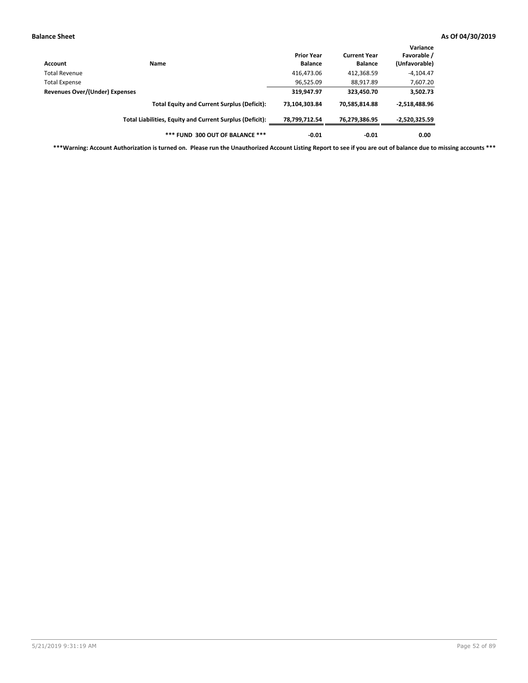| Account                        | Name                                                     | <b>Prior Year</b><br><b>Balance</b> | <b>Current Year</b><br><b>Balance</b> | Variance<br>Favorable /<br>(Unfavorable) |
|--------------------------------|----------------------------------------------------------|-------------------------------------|---------------------------------------|------------------------------------------|
| Total Revenue                  |                                                          | 416,473.06                          | 412,368.59                            | $-4,104.47$                              |
| <b>Total Expense</b>           |                                                          | 96,525.09                           | 88,917.89                             | 7,607.20                                 |
| Revenues Over/(Under) Expenses |                                                          | 319,947.97                          | 323,450.70                            | 3,502.73                                 |
|                                | <b>Total Equity and Current Surplus (Deficit):</b>       | 73.104.303.84                       | 70,585,814.88                         | $-2,518,488.96$                          |
|                                | Total Liabilities, Equity and Current Surplus (Deficit): | 78,799,712.54                       | 76,279,386.95                         | -2,520,325.59                            |
|                                | *** FUND 300 OUT OF BALANCE ***                          | $-0.01$                             | $-0.01$                               | 0.00                                     |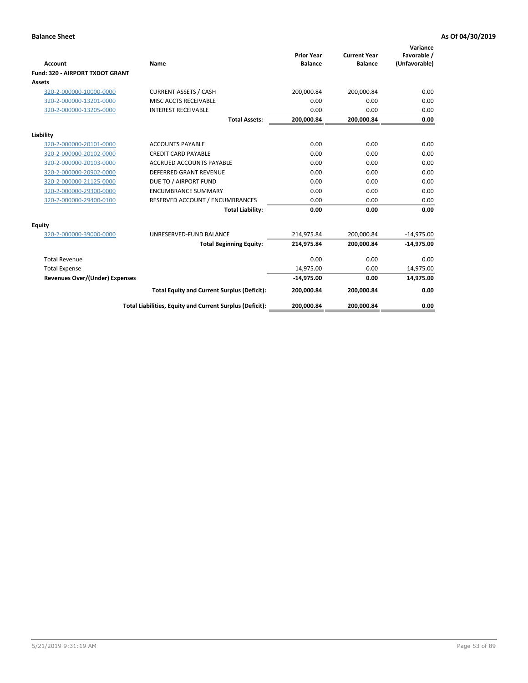|                                       |                                                          |                                     |                                       | Variance                     |
|---------------------------------------|----------------------------------------------------------|-------------------------------------|---------------------------------------|------------------------------|
| <b>Account</b>                        | Name                                                     | <b>Prior Year</b><br><b>Balance</b> | <b>Current Year</b><br><b>Balance</b> | Favorable /<br>(Unfavorable) |
| Fund: 320 - AIRPORT TXDOT GRANT       |                                                          |                                     |                                       |                              |
| Assets                                |                                                          |                                     |                                       |                              |
| 320-2-000000-10000-0000               | <b>CURRENT ASSETS / CASH</b>                             | 200,000.84                          | 200,000.84                            | 0.00                         |
| 320-2-000000-13201-0000               | MISC ACCTS RECEIVABLE                                    | 0.00                                | 0.00                                  | 0.00                         |
| 320-2-000000-13205-0000               | <b>INTEREST RECEIVABLE</b>                               | 0.00                                | 0.00                                  | 0.00                         |
|                                       | <b>Total Assets:</b>                                     | 200,000.84                          | 200,000.84                            | 0.00                         |
| Liability                             |                                                          |                                     |                                       |                              |
| 320-2-000000-20101-0000               | <b>ACCOUNTS PAYABLE</b>                                  | 0.00                                | 0.00                                  | 0.00                         |
| 320-2-000000-20102-0000               | <b>CREDIT CARD PAYABLE</b>                               | 0.00                                | 0.00                                  | 0.00                         |
| 320-2-000000-20103-0000               | <b>ACCRUED ACCOUNTS PAYABLE</b>                          | 0.00                                | 0.00                                  | 0.00                         |
| 320-2-000000-20902-0000               | <b>DEFERRED GRANT REVENUE</b>                            | 0.00                                | 0.00                                  | 0.00                         |
| 320-2-000000-21125-0000               | DUE TO / AIRPORT FUND                                    | 0.00                                | 0.00                                  | 0.00                         |
| 320-2-000000-29300-0000               | <b>ENCUMBRANCE SUMMARY</b>                               | 0.00                                | 0.00                                  | 0.00                         |
| 320-2-000000-29400-0100               | RESERVED ACCOUNT / ENCUMBRANCES                          | 0.00                                | 0.00                                  | 0.00                         |
|                                       | <b>Total Liability:</b>                                  | 0.00                                | 0.00                                  | 0.00                         |
| <b>Equity</b>                         |                                                          |                                     |                                       |                              |
| 320-2-000000-39000-0000               | UNRESERVED-FUND BALANCE                                  | 214,975.84                          | 200,000.84                            | $-14,975.00$                 |
|                                       | <b>Total Beginning Equity:</b>                           | 214,975.84                          | 200,000.84                            | $-14,975.00$                 |
| <b>Total Revenue</b>                  |                                                          | 0.00                                | 0.00                                  | 0.00                         |
| <b>Total Expense</b>                  |                                                          | 14,975.00                           | 0.00                                  | 14,975.00                    |
| <b>Revenues Over/(Under) Expenses</b> |                                                          | $-14,975.00$                        | 0.00                                  | 14,975.00                    |
|                                       | <b>Total Equity and Current Surplus (Deficit):</b>       | 200,000.84                          | 200,000.84                            | 0.00                         |
|                                       | Total Liabilities, Equity and Current Surplus (Deficit): | 200,000.84                          | 200,000.84                            | 0.00                         |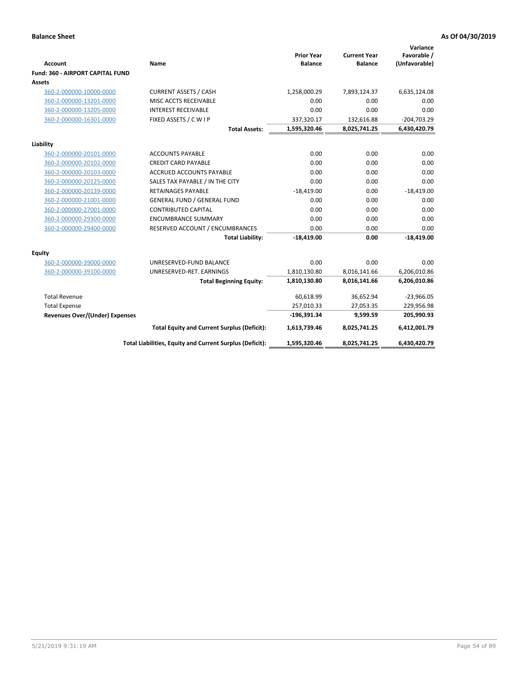| <b>Account</b><br>Fund: 360 - AIRPORT CAPITAL FUND | Name                                                     | <b>Prior Year</b><br><b>Balance</b> | <b>Current Year</b><br><b>Balance</b> | Variance<br>Favorable /<br>(Unfavorable) |
|----------------------------------------------------|----------------------------------------------------------|-------------------------------------|---------------------------------------|------------------------------------------|
| <b>Assets</b>                                      |                                                          |                                     |                                       |                                          |
| 360-2-000000-10000-0000                            | <b>CURRENT ASSETS / CASH</b>                             | 1,258,000.29                        | 7,893,124.37                          | 6,635,124.08                             |
| 360-2-000000-13201-0000                            | MISC ACCTS RECEIVABLE                                    | 0.00                                | 0.00                                  | 0.00                                     |
| 360-2-000000-13205-0000                            | <b>INTEREST RECEIVABLE</b>                               | 0.00                                | 0.00                                  | 0.00                                     |
| 360-2-000000-16301-0000                            | FIXED ASSETS / C W I P                                   | 337,320.17                          | 132,616.88                            | $-204,703.29$                            |
|                                                    | <b>Total Assets:</b>                                     | 1,595,320.46                        | 8,025,741.25                          | 6,430,420.79                             |
| Liability                                          |                                                          |                                     |                                       |                                          |
| 360-2-000000-20101-0000                            | <b>ACCOUNTS PAYABLE</b>                                  | 0.00                                | 0.00                                  | 0.00                                     |
| 360-2-000000-20102-0000                            | <b>CREDIT CARD PAYABLE</b>                               | 0.00                                | 0.00                                  | 0.00                                     |
| 360-2-000000-20103-0000                            | <b>ACCRUED ACCOUNTS PAYABLE</b>                          | 0.00                                | 0.00                                  | 0.00                                     |
| 360-2-000000-20125-0000                            | SALES TAX PAYABLE / IN THE CITY                          | 0.00                                | 0.00                                  | 0.00                                     |
| 360-2-000000-20139-0000                            | <b>RETAINAGES PAYABLE</b>                                | $-18,419.00$                        | 0.00                                  | $-18,419.00$                             |
| 360-2-000000-21001-0000                            | <b>GENERAL FUND / GENERAL FUND</b>                       | 0.00                                | 0.00                                  | 0.00                                     |
| 360-2-000000-27001-0000                            | <b>CONTRIBUTED CAPITAL</b>                               | 0.00                                | 0.00                                  | 0.00                                     |
| 360-2-000000-29300-0000                            | <b>ENCUMBRANCE SUMMARY</b>                               | 0.00                                | 0.00                                  | 0.00                                     |
| 360-2-000000-29400-0000                            | RESERVED ACCOUNT / ENCUMBRANCES                          | 0.00                                | 0.00                                  | 0.00                                     |
|                                                    | <b>Total Liability:</b>                                  | $-18,419.00$                        | 0.00                                  | $-18,419.00$                             |
| Equity                                             |                                                          |                                     |                                       |                                          |
| 360-2-000000-39000-0000                            | UNRESERVED-FUND BALANCE                                  | 0.00                                | 0.00                                  | 0.00                                     |
| 360-2-000000-39100-0000                            | UNRESERVED-RET. EARNINGS                                 | 1,810,130.80                        | 8,016,141.66                          | 6,206,010.86                             |
|                                                    | <b>Total Beginning Equity:</b>                           | 1,810,130.80                        | 8,016,141.66                          | 6,206,010.86                             |
| <b>Total Revenue</b>                               |                                                          | 60,618.99                           | 36,652.94                             | $-23,966.05$                             |
| <b>Total Expense</b>                               |                                                          | 257,010.33                          | 27,053.35                             | 229,956.98                               |
| <b>Revenues Over/(Under) Expenses</b>              |                                                          | $-196,391.34$                       | 9,599.59                              | 205,990.93                               |
|                                                    | <b>Total Equity and Current Surplus (Deficit):</b>       | 1,613,739.46                        | 8,025,741.25                          | 6,412,001.79                             |
|                                                    | Total Liabilities, Equity and Current Surplus (Deficit): | 1,595,320.46                        | 8,025,741.25                          | 6,430,420.79                             |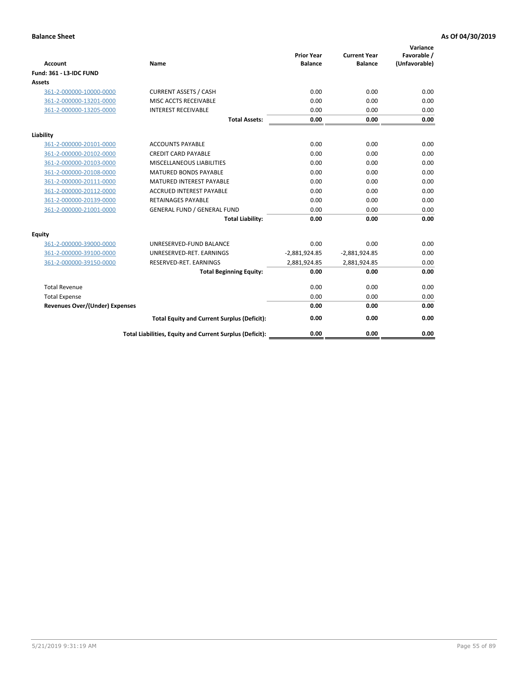| <b>Account</b>                        | <b>Name</b>                                              | <b>Prior Year</b><br><b>Balance</b> | <b>Current Year</b><br><b>Balance</b> | Variance<br>Favorable /<br>(Unfavorable) |
|---------------------------------------|----------------------------------------------------------|-------------------------------------|---------------------------------------|------------------------------------------|
| <b>Fund: 361 - L3-IDC FUND</b>        |                                                          |                                     |                                       |                                          |
| Assets                                |                                                          |                                     |                                       |                                          |
| 361-2-000000-10000-0000               | <b>CURRENT ASSETS / CASH</b>                             | 0.00                                | 0.00                                  | 0.00                                     |
| 361-2-000000-13201-0000               | MISC ACCTS RECEIVABLE                                    | 0.00                                | 0.00                                  | 0.00                                     |
| 361-2-000000-13205-0000               | <b>INTEREST RECEIVABLE</b>                               | 0.00                                | 0.00                                  | 0.00                                     |
|                                       | <b>Total Assets:</b>                                     | 0.00                                | 0.00                                  | 0.00                                     |
| Liability                             |                                                          |                                     |                                       |                                          |
| 361-2-000000-20101-0000               | <b>ACCOUNTS PAYABLE</b>                                  | 0.00                                | 0.00                                  | 0.00                                     |
| 361-2-000000-20102-0000               | <b>CREDIT CARD PAYABLE</b>                               | 0.00                                | 0.00                                  | 0.00                                     |
| 361-2-000000-20103-0000               | MISCELLANEOUS LIABILITIES                                | 0.00                                | 0.00                                  | 0.00                                     |
| 361-2-000000-20108-0000               | <b>MATURED BONDS PAYABLE</b>                             | 0.00                                | 0.00                                  | 0.00                                     |
| 361-2-000000-20111-0000               | <b>MATURED INTEREST PAYABLE</b>                          | 0.00                                | 0.00                                  | 0.00                                     |
| 361-2-000000-20112-0000               | <b>ACCRUED INTEREST PAYABLE</b>                          | 0.00                                | 0.00                                  | 0.00                                     |
| 361-2-000000-20139-0000               | <b>RETAINAGES PAYABLE</b>                                | 0.00                                | 0.00                                  | 0.00                                     |
| 361-2-000000-21001-0000               | <b>GENERAL FUND / GENERAL FUND</b>                       | 0.00                                | 0.00                                  | 0.00                                     |
|                                       | <b>Total Liability:</b>                                  | 0.00                                | 0.00                                  | 0.00                                     |
| Equity                                |                                                          |                                     |                                       |                                          |
| 361-2-000000-39000-0000               | UNRESERVED-FUND BALANCE                                  | 0.00                                | 0.00                                  | 0.00                                     |
| 361-2-000000-39100-0000               | UNRESERVED-RET. EARNINGS                                 | $-2,881,924.85$                     | $-2,881,924.85$                       | 0.00                                     |
| 361-2-000000-39150-0000               | RESERVED-RET. EARNINGS                                   | 2,881,924.85                        | 2,881,924.85                          | 0.00                                     |
|                                       | <b>Total Beginning Equity:</b>                           | 0.00                                | 0.00                                  | 0.00                                     |
| <b>Total Revenue</b>                  |                                                          | 0.00                                | 0.00                                  | 0.00                                     |
| <b>Total Expense</b>                  |                                                          | 0.00                                | 0.00                                  | 0.00                                     |
| <b>Revenues Over/(Under) Expenses</b> |                                                          | 0.00                                | 0.00                                  | 0.00                                     |
|                                       | <b>Total Equity and Current Surplus (Deficit):</b>       | 0.00                                | 0.00                                  | 0.00                                     |
|                                       | Total Liabilities, Equity and Current Surplus (Deficit): | 0.00                                | 0.00                                  | 0.00                                     |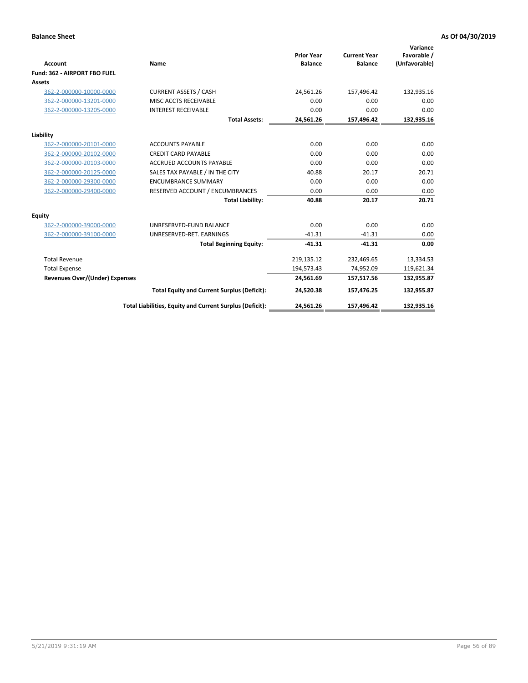|                                       |                                                          |                                     |                                       | Variance                     |
|---------------------------------------|----------------------------------------------------------|-------------------------------------|---------------------------------------|------------------------------|
| <b>Account</b>                        | Name                                                     | <b>Prior Year</b><br><b>Balance</b> | <b>Current Year</b><br><b>Balance</b> | Favorable /<br>(Unfavorable) |
| Fund: 362 - AIRPORT FBO FUEL          |                                                          |                                     |                                       |                              |
| Assets                                |                                                          |                                     |                                       |                              |
| 362-2-000000-10000-0000               | <b>CURRENT ASSETS / CASH</b>                             | 24.561.26                           | 157,496.42                            | 132,935.16                   |
| 362-2-000000-13201-0000               | MISC ACCTS RECEIVABLE                                    | 0.00                                | 0.00                                  | 0.00                         |
| 362-2-000000-13205-0000               | <b>INTEREST RECEIVABLE</b>                               | 0.00                                | 0.00                                  | 0.00                         |
|                                       | <b>Total Assets:</b>                                     | 24,561.26                           | 157,496.42                            | 132,935.16                   |
| Liability                             |                                                          |                                     |                                       |                              |
| 362-2-000000-20101-0000               | <b>ACCOUNTS PAYABLE</b>                                  | 0.00                                | 0.00                                  | 0.00                         |
| 362-2-000000-20102-0000               | <b>CREDIT CARD PAYABLE</b>                               | 0.00                                | 0.00                                  | 0.00                         |
| 362-2-000000-20103-0000               | <b>ACCRUED ACCOUNTS PAYABLE</b>                          | 0.00                                | 0.00                                  | 0.00                         |
| 362-2-000000-20125-0000               | SALES TAX PAYABLE / IN THE CITY                          | 40.88                               | 20.17                                 | 20.71                        |
| 362-2-000000-29300-0000               | <b>ENCUMBRANCE SUMMARY</b>                               | 0.00                                | 0.00                                  | 0.00                         |
| 362-2-000000-29400-0000               | RESERVED ACCOUNT / ENCUMBRANCES                          | 0.00                                | 0.00                                  | 0.00                         |
|                                       | <b>Total Liability:</b>                                  | 40.88                               | 20.17                                 | 20.71                        |
| <b>Equity</b>                         |                                                          |                                     |                                       |                              |
| 362-2-000000-39000-0000               | UNRESERVED-FUND BALANCE                                  | 0.00                                | 0.00                                  | 0.00                         |
| 362-2-000000-39100-0000               | UNRESERVED-RET. EARNINGS                                 | $-41.31$                            | $-41.31$                              | 0.00                         |
|                                       | <b>Total Beginning Equity:</b>                           | $-41.31$                            | $-41.31$                              | 0.00                         |
| <b>Total Revenue</b>                  |                                                          | 219,135.12                          | 232,469.65                            | 13,334.53                    |
| <b>Total Expense</b>                  |                                                          | 194,573.43                          | 74,952.09                             | 119,621.34                   |
| <b>Revenues Over/(Under) Expenses</b> |                                                          | 24,561.69                           | 157,517.56                            | 132,955.87                   |
|                                       | <b>Total Equity and Current Surplus (Deficit):</b>       | 24,520.38                           | 157,476.25                            | 132,955.87                   |
|                                       | Total Liabilities, Equity and Current Surplus (Deficit): | 24,561.26                           | 157,496.42                            | 132,935.16                   |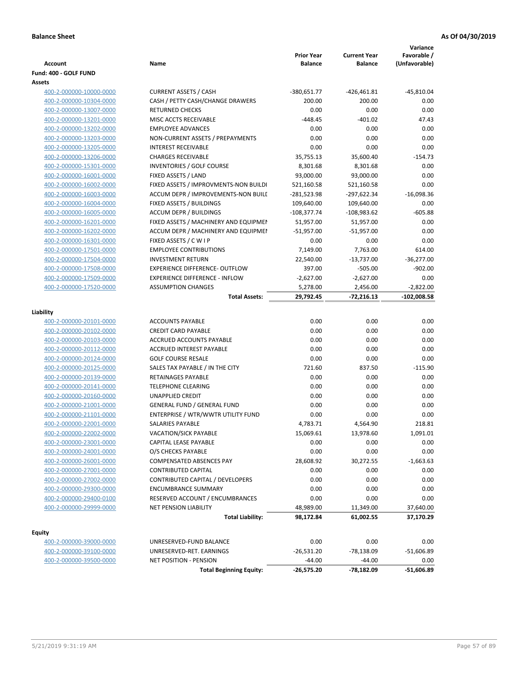| Account<br>Fund: 400 - GOLF FUND                   | Name                                  | <b>Prior Year</b><br><b>Balance</b> | <b>Current Year</b><br><b>Balance</b> | Variance<br>Favorable /<br>(Unfavorable) |
|----------------------------------------------------|---------------------------------------|-------------------------------------|---------------------------------------|------------------------------------------|
| Assets                                             |                                       |                                     |                                       |                                          |
| 400-2-000000-10000-0000                            | <b>CURRENT ASSETS / CASH</b>          | -380,651.77                         | -426,461.81                           | $-45,810.04$                             |
| 400-2-000000-10304-0000                            | CASH / PETTY CASH/CHANGE DRAWERS      | 200.00                              | 200.00                                | 0.00                                     |
| 400-2-000000-13007-0000                            | <b>RETURNED CHECKS</b>                | 0.00                                | 0.00                                  | 0.00                                     |
| 400-2-000000-13201-0000                            | MISC ACCTS RECEIVABLE                 | $-448.45$                           | $-401.02$                             | 47.43                                    |
| 400-2-000000-13202-0000                            | <b>EMPLOYEE ADVANCES</b>              | 0.00                                | 0.00                                  | 0.00                                     |
| 400-2-000000-13203-0000                            | NON-CURRENT ASSETS / PREPAYMENTS      | 0.00                                | 0.00                                  | 0.00                                     |
| 400-2-000000-13205-0000                            | <b>INTEREST RECEIVABLE</b>            | 0.00                                | 0.00                                  | 0.00                                     |
| 400-2-000000-13206-0000                            | <b>CHARGES RECEIVABLE</b>             | 35,755.13                           | 35,600.40                             | $-154.73$                                |
| 400-2-000000-15301-0000                            | INVENTORIES / GOLF COURSE             | 8,301.68                            | 8,301.68                              | 0.00                                     |
| 400-2-000000-16001-0000                            | FIXED ASSETS / LAND                   | 93,000.00                           | 93,000.00                             | 0.00                                     |
| 400-2-000000-16002-0000                            | FIXED ASSETS / IMPROVMENTS-NON BUILDI | 521,160.58                          | 521,160.58                            | 0.00                                     |
| 400-2-000000-16003-0000                            | ACCUM DEPR / IMPROVEMENTS-NON BUILI   | -281,523.98                         | -297,622.34                           | $-16,098.36$                             |
| 400-2-000000-16004-0000                            | FIXED ASSETS / BUILDINGS              | 109,640.00                          | 109,640.00                            | 0.00                                     |
| 400-2-000000-16005-0000                            | <b>ACCUM DEPR / BUILDINGS</b>         | $-108,377.74$                       | -108,983.62                           | $-605.88$                                |
| 400-2-000000-16201-0000                            | FIXED ASSETS / MACHINERY AND EQUIPMEN | 51,957.00                           | 51,957.00                             | 0.00                                     |
| 400-2-000000-16202-0000                            | ACCUM DEPR / MACHINERY AND EQUIPMEI   | -51,957.00                          | $-51,957.00$                          | 0.00                                     |
| 400-2-000000-16301-0000                            | FIXED ASSETS / C W I P                | 0.00                                | 0.00                                  | 0.00                                     |
| 400-2-000000-17501-0000                            | <b>EMPLOYEE CONTRIBUTIONS</b>         | 7,149.00                            | 7,763.00                              | 614.00                                   |
| 400-2-000000-17504-0000                            | <b>INVESTMENT RETURN</b>              | 22,540.00                           | $-13,737.00$                          | $-36,277.00$                             |
| 400-2-000000-17508-0000                            | <b>EXPERIENCE DIFFERENCE- OUTFLOW</b> | 397.00                              | $-505.00$                             | $-902.00$                                |
| 400-2-000000-17509-0000                            | <b>EXPERIENCE DIFFERENCE - INFLOW</b> | $-2,627.00$                         | $-2,627.00$                           | 0.00                                     |
| 400-2-000000-17520-0000                            | <b>ASSUMPTION CHANGES</b>             | 5,278.00                            | 2,456.00                              | $-2,822.00$                              |
|                                                    | <b>Total Assets:</b>                  | 29,792.45                           | $-72,216.13$                          | $-102,008.58$                            |
|                                                    |                                       |                                     |                                       |                                          |
| Liability                                          | <b>ACCOUNTS PAYABLE</b>               | 0.00                                | 0.00                                  | 0.00                                     |
| 400-2-000000-20101-0000<br>400-2-000000-20102-0000 | <b>CREDIT CARD PAYABLE</b>            | 0.00                                | 0.00                                  | 0.00                                     |
| 400-2-000000-20103-0000                            | ACCRUED ACCOUNTS PAYABLE              | 0.00                                | 0.00                                  | 0.00                                     |
| 400-2-000000-20112-0000                            | <b>ACCRUED INTEREST PAYABLE</b>       | 0.00                                | 0.00                                  | 0.00                                     |
| 400-2-000000-20124-0000                            | <b>GOLF COURSE RESALE</b>             | 0.00                                | 0.00                                  | 0.00                                     |
| 400-2-000000-20125-0000                            | SALES TAX PAYABLE / IN THE CITY       | 721.60                              | 837.50                                | $-115.90$                                |
| 400-2-000000-20139-0000                            | RETAINAGES PAYABLE                    | 0.00                                | 0.00                                  | 0.00                                     |
| 400-2-000000-20141-0000                            | <b>TELEPHONE CLEARING</b>             | 0.00                                | 0.00                                  | 0.00                                     |
| 400-2-000000-20160-0000                            | <b>UNAPPLIED CREDIT</b>               | 0.00                                | 0.00                                  | 0.00                                     |
| 400-2-000000-21001-0000                            | <b>GENERAL FUND / GENERAL FUND</b>    | 0.00                                | 0.00                                  | 0.00                                     |
| 400-2-000000-21101-0000                            | ENTERPRISE / WTR/WWTR UTILITY FUND    | 0.00                                | 0.00                                  | 0.00                                     |
| 400-2-000000-22001-0000                            | SALARIES PAYABLE                      | 4,783.71                            | 4.564.90                              | 218.81                                   |
| 400-2-000000-22002-0000                            | VACATION/SICK PAYABLE                 | 15,069.61                           | 13,978.60                             | 1,091.01                                 |
| 400-2-000000-23001-0000                            | CAPITAL LEASE PAYABLE                 | 0.00                                | 0.00                                  | 0.00                                     |
| 400-2-000000-24001-0000                            | O/S CHECKS PAYABLE                    | 0.00                                | 0.00                                  | 0.00                                     |
| 400-2-000000-26001-0000                            | <b>COMPENSATED ABSENCES PAY</b>       | 28,608.92                           | 30,272.55                             | $-1,663.63$                              |
| 400-2-000000-27001-0000                            | <b>CONTRIBUTED CAPITAL</b>            | 0.00                                | 0.00                                  | 0.00                                     |
| 400-2-000000-27002-0000                            | CONTRIBUTED CAPITAL / DEVELOPERS      | 0.00                                | 0.00                                  | 0.00                                     |
| 400-2-000000-29300-0000                            | <b>ENCUMBRANCE SUMMARY</b>            | 0.00                                | 0.00                                  | 0.00                                     |
| 400-2-000000-29400-0100                            | RESERVED ACCOUNT / ENCUMBRANCES       | 0.00                                | 0.00                                  | 0.00                                     |
| 400-2-000000-29999-0000                            | NET PENSION LIABILITY                 | 48,989.00                           | 11,349.00                             | 37,640.00                                |
|                                                    | <b>Total Liability:</b>               | 98,172.84                           | 61,002.55                             | 37,170.29                                |
|                                                    |                                       |                                     |                                       |                                          |
| <b>Equity</b>                                      |                                       |                                     |                                       |                                          |
| 400-2-000000-39000-0000                            | UNRESERVED-FUND BALANCE               | 0.00                                | 0.00                                  | 0.00                                     |
| 400-2-000000-39100-0000                            | UNRESERVED-RET. EARNINGS              | $-26,531.20$                        | $-78,138.09$                          | $-51,606.89$                             |
| 400-2-000000-39500-0000                            | <b>NET POSITION - PENSION</b>         | $-44.00$                            | $-44.00$                              | 0.00                                     |
|                                                    | <b>Total Beginning Equity:</b>        | $-26,575.20$                        | -78,182.09                            | $-51,606.89$                             |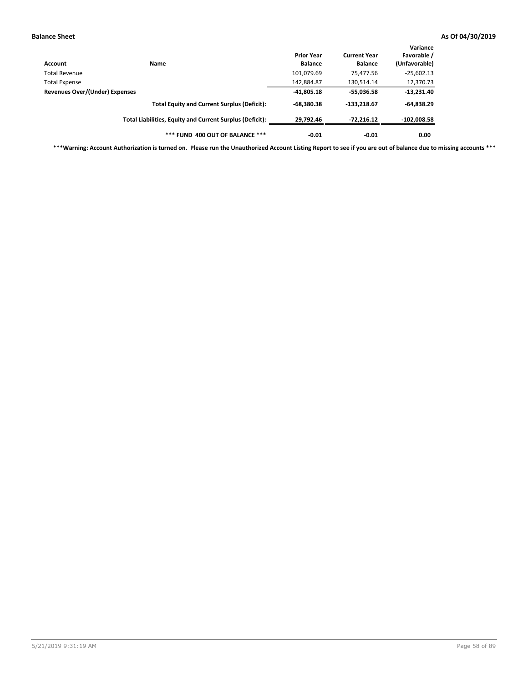| Account                        | Name                                                     | <b>Prior Year</b><br><b>Balance</b> | <b>Current Year</b><br><b>Balance</b> | Variance<br>Favorable /<br>(Unfavorable) |
|--------------------------------|----------------------------------------------------------|-------------------------------------|---------------------------------------|------------------------------------------|
| Total Revenue                  |                                                          | 101,079.69                          | 75,477.56                             | $-25,602.13$                             |
| <b>Total Expense</b>           |                                                          | 142,884.87                          | 130,514.14                            | 12,370.73                                |
| Revenues Over/(Under) Expenses | $-41,805.18$                                             | $-55,036.58$                        | $-13,231.40$                          |                                          |
|                                | <b>Total Equity and Current Surplus (Deficit):</b>       | $-68,380.38$                        | $-133.218.67$                         | $-64,838.29$                             |
|                                | Total Liabilities, Equity and Current Surplus (Deficit): | 29,792.46                           | -72,216.12                            | $-102,008.58$                            |
|                                | *** FUND 400 OUT OF BALANCE ***                          | $-0.01$                             | $-0.01$                               | 0.00                                     |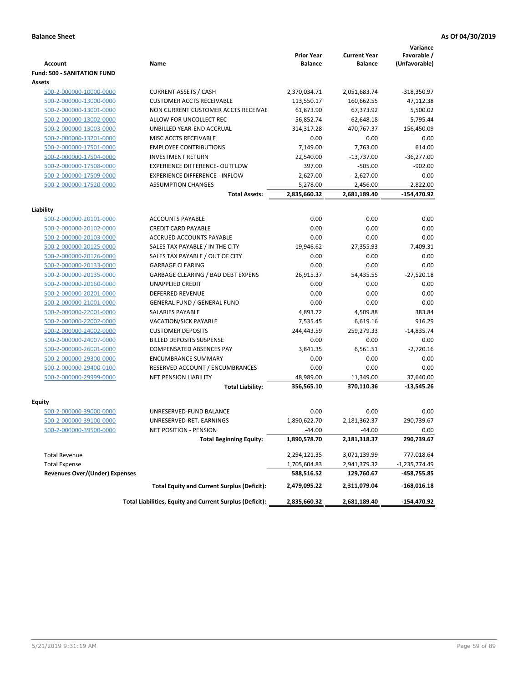|                                       |                                                          | <b>Prior Year</b> | <b>Current Year</b> | Variance<br>Favorable / |
|---------------------------------------|----------------------------------------------------------|-------------------|---------------------|-------------------------|
| <b>Account</b>                        | Name                                                     | <b>Balance</b>    | <b>Balance</b>      | (Unfavorable)           |
| <b>Fund: 500 - SANITATION FUND</b>    |                                                          |                   |                     |                         |
| Assets                                |                                                          |                   |                     |                         |
| 500-2-000000-10000-0000               | <b>CURRENT ASSETS / CASH</b>                             | 2,370,034.71      | 2,051,683.74        | -318,350.97             |
| 500-2-000000-13000-0000               | <b>CUSTOMER ACCTS RECEIVABLE</b>                         | 113,550.17        | 160,662.55          | 47,112.38               |
| 500-2-000000-13001-0000               | NON CURRENT CUSTOMER ACCTS RECEIVAE                      | 61,873.90         | 67,373.92           | 5,500.02                |
| 500-2-000000-13002-0000               | ALLOW FOR UNCOLLECT REC                                  | $-56,852.74$      | $-62,648.18$        | $-5,795.44$             |
| 500-2-000000-13003-0000               | UNBILLED YEAR-END ACCRUAL                                | 314,317.28        | 470,767.37          | 156,450.09              |
| 500-2-000000-13201-0000               | MISC ACCTS RECEIVABLE                                    | 0.00              | 0.00                | 0.00                    |
| 500-2-000000-17501-0000               | <b>EMPLOYEE CONTRIBUTIONS</b>                            | 7,149.00          | 7,763.00            | 614.00                  |
| 500-2-000000-17504-0000               | <b>INVESTMENT RETURN</b>                                 | 22,540.00         | $-13,737.00$        | $-36,277.00$            |
| 500-2-000000-17508-0000               | <b>EXPERIENCE DIFFERENCE- OUTFLOW</b>                    | 397.00            | $-505.00$           | $-902.00$               |
| 500-2-000000-17509-0000               | <b>EXPERIENCE DIFFERENCE - INFLOW</b>                    | $-2,627.00$       | $-2,627.00$         | 0.00                    |
| 500-2-000000-17520-0000               | <b>ASSUMPTION CHANGES</b>                                | 5,278.00          | 2,456.00            | $-2,822.00$             |
|                                       | <b>Total Assets:</b>                                     | 2,835,660.32      | 2,681,189.40        | -154,470.92             |
|                                       |                                                          |                   |                     |                         |
| Liability                             |                                                          |                   |                     |                         |
| 500-2-000000-20101-0000               | <b>ACCOUNTS PAYABLE</b>                                  | 0.00              | 0.00                | 0.00                    |
| 500-2-000000-20102-0000               | <b>CREDIT CARD PAYABLE</b>                               | 0.00              | 0.00                | 0.00                    |
| 500-2-000000-20103-0000               | <b>ACCRUED ACCOUNTS PAYABLE</b>                          | 0.00              | 0.00                | 0.00                    |
| 500-2-000000-20125-0000               | SALES TAX PAYABLE / IN THE CITY                          | 19,946.62         | 27,355.93           | $-7,409.31$             |
| 500-2-000000-20126-0000               | SALES TAX PAYABLE / OUT OF CITY                          | 0.00              | 0.00                | 0.00                    |
| 500-2-000000-20133-0000               | <b>GARBAGE CLEARING</b>                                  | 0.00              | 0.00                | 0.00                    |
| 500-2-000000-20135-0000               | GARBAGE CLEARING / BAD DEBT EXPENS                       | 26,915.37         | 54,435.55           | $-27,520.18$            |
| 500-2-000000-20160-0000               | UNAPPLIED CREDIT                                         | 0.00              | 0.00                | 0.00                    |
| 500-2-000000-20201-0000               | <b>DEFERRED REVENUE</b>                                  | 0.00              | 0.00                | 0.00                    |
| 500-2-000000-21001-0000               | <b>GENERAL FUND / GENERAL FUND</b>                       | 0.00              | 0.00                | 0.00                    |
| 500-2-000000-22001-0000               | <b>SALARIES PAYABLE</b>                                  | 4,893.72          | 4,509.88            | 383.84                  |
| 500-2-000000-22002-0000               | <b>VACATION/SICK PAYABLE</b>                             | 7,535.45          | 6,619.16            | 916.29                  |
| 500-2-000000-24002-0000               | <b>CUSTOMER DEPOSITS</b>                                 | 244,443.59        | 259,279.33          | $-14,835.74$            |
| 500-2-000000-24007-0000               | <b>BILLED DEPOSITS SUSPENSE</b>                          | 0.00              | 0.00                | 0.00                    |
| 500-2-000000-26001-0000               | <b>COMPENSATED ABSENCES PAY</b>                          | 3,841.35          | 6,561.51            | $-2,720.16$             |
| 500-2-000000-29300-0000               | <b>ENCUMBRANCE SUMMARY</b>                               | 0.00              | 0.00                | 0.00                    |
| 500-2-000000-29400-0100               | RESERVED ACCOUNT / ENCUMBRANCES                          | 0.00              | 0.00                | 0.00                    |
| 500-2-000000-29999-0000               | <b>NET PENSION LIABILITY</b>                             | 48,989.00         | 11,349.00           | 37,640.00               |
|                                       | <b>Total Liability:</b>                                  | 356,565.10        | 370,110.36          | $-13,545.26$            |
| Equity                                |                                                          |                   |                     |                         |
| 500-2-000000-39000-0000               | UNRESERVED-FUND BALANCE                                  | 0.00              | 0.00                | 0.00                    |
| 500-2-000000-39100-0000               | UNRESERVED-RET. EARNINGS                                 | 1,890,622.70      | 2,181,362.37        | 290,739.67              |
| <u>500-2-000000-39500-0000</u>        | NET POSITION - PENSION                                   | $-44.00$          | $-44.00$            | 0.00                    |
|                                       | <b>Total Beginning Equity:</b>                           | 1,890,578.70      | 2,181,318.37        | 290,739.67              |
| <b>Total Revenue</b>                  |                                                          | 2,294,121.35      | 3,071,139.99        | 777,018.64              |
| <b>Total Expense</b>                  |                                                          | 1,705,604.83      | 2,941,379.32        | -1,235,774.49           |
| <b>Revenues Over/(Under) Expenses</b> |                                                          | 588,516.52        | 129,760.67          | -458,755.85             |
|                                       | <b>Total Equity and Current Surplus (Deficit):</b>       | 2,479,095.22      | 2,311,079.04        | $-168,016.18$           |
|                                       | Total Liabilities, Equity and Current Surplus (Deficit): | 2,835,660.32      | 2,681,189.40        | -154,470.92             |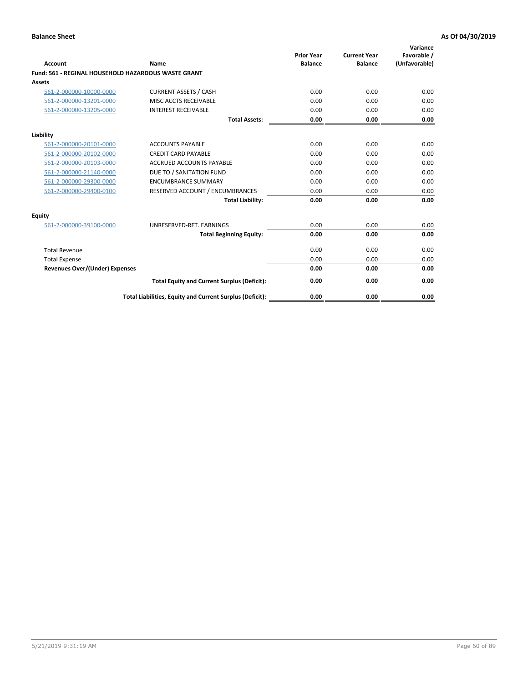| <b>Account</b>                                      | Name                                                     | <b>Prior Year</b><br><b>Balance</b> | <b>Current Year</b><br><b>Balance</b> | Variance<br>Favorable /<br>(Unfavorable) |
|-----------------------------------------------------|----------------------------------------------------------|-------------------------------------|---------------------------------------|------------------------------------------|
| Fund: 561 - REGINAL HOUSEHOLD HAZARDOUS WASTE GRANT |                                                          |                                     |                                       |                                          |
| Assets                                              |                                                          |                                     |                                       |                                          |
| 561-2-000000-10000-0000                             | <b>CURRENT ASSETS / CASH</b>                             | 0.00                                | 0.00                                  | 0.00                                     |
| 561-2-000000-13201-0000                             | MISC ACCTS RECEIVABLE                                    | 0.00                                | 0.00                                  | 0.00                                     |
| 561-2-000000-13205-0000                             | <b>INTEREST RECEIVABLE</b>                               | 0.00                                | 0.00                                  | 0.00                                     |
|                                                     | <b>Total Assets:</b>                                     | 0.00                                | 0.00                                  | 0.00                                     |
| Liability                                           |                                                          |                                     |                                       |                                          |
| 561-2-000000-20101-0000                             | <b>ACCOUNTS PAYABLE</b>                                  | 0.00                                | 0.00                                  | 0.00                                     |
| 561-2-000000-20102-0000                             | <b>CREDIT CARD PAYABLE</b>                               | 0.00                                | 0.00                                  | 0.00                                     |
| 561-2-000000-20103-0000                             | <b>ACCRUED ACCOUNTS PAYABLE</b>                          | 0.00                                | 0.00                                  | 0.00                                     |
| 561-2-000000-21140-0000                             | DUE TO / SANITATION FUND                                 | 0.00                                | 0.00                                  | 0.00                                     |
| 561-2-000000-29300-0000                             | <b>ENCUMBRANCE SUMMARY</b>                               | 0.00                                | 0.00                                  | 0.00                                     |
| 561-2-000000-29400-0100                             | RESERVED ACCOUNT / ENCUMBRANCES                          | 0.00                                | 0.00                                  | 0.00                                     |
|                                                     | <b>Total Liability:</b>                                  | 0.00                                | 0.00                                  | 0.00                                     |
| <b>Equity</b>                                       |                                                          |                                     |                                       |                                          |
| 561-2-000000-39100-0000                             | UNRESERVED-RET. EARNINGS                                 | 0.00                                | 0.00                                  | 0.00                                     |
|                                                     | <b>Total Beginning Equity:</b>                           | 0.00                                | 0.00                                  | 0.00                                     |
| <b>Total Revenue</b>                                |                                                          | 0.00                                | 0.00                                  | 0.00                                     |
| <b>Total Expense</b>                                |                                                          | 0.00                                | 0.00                                  | 0.00                                     |
| <b>Revenues Over/(Under) Expenses</b>               |                                                          | 0.00                                | 0.00                                  | 0.00                                     |
|                                                     | <b>Total Equity and Current Surplus (Deficit):</b>       | 0.00                                | 0.00                                  | 0.00                                     |
|                                                     | Total Liabilities, Equity and Current Surplus (Deficit): | 0.00                                | 0.00                                  | 0.00                                     |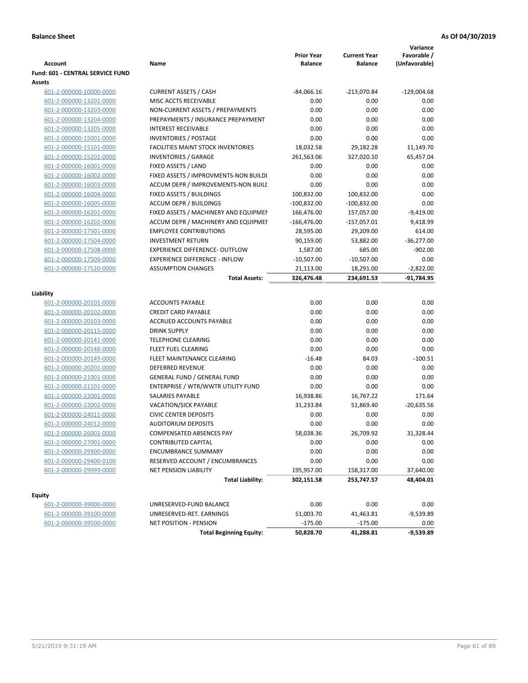| <b>Account</b>                          | Name                                      | <b>Prior Year</b><br><b>Balance</b> | <b>Current Year</b><br><b>Balance</b> | Variance<br>Favorable /<br>(Unfavorable) |
|-----------------------------------------|-------------------------------------------|-------------------------------------|---------------------------------------|------------------------------------------|
| <b>Fund: 601 - CENTRAL SERVICE FUND</b> |                                           |                                     |                                       |                                          |
| Assets                                  |                                           |                                     |                                       |                                          |
| 601-2-000000-10000-0000                 | <b>CURRENT ASSETS / CASH</b>              | $-84,066.16$                        | $-213,070.84$                         | $-129,004.68$                            |
| 601-2-000000-13201-0000                 | MISC ACCTS RECEIVABLE                     | 0.00                                | 0.00                                  | 0.00                                     |
| 601-2-000000-13203-0000                 | NON-CURRENT ASSETS / PREPAYMENTS          | 0.00                                | 0.00                                  | 0.00                                     |
| 601-2-000000-13204-0000                 | PREPAYMENTS / INSURANCE PREPAYMENT        | 0.00                                | 0.00                                  | 0.00                                     |
| 601-2-000000-13205-0000                 | <b>INTEREST RECEIVABLE</b>                | 0.00                                | 0.00                                  | 0.00                                     |
| 601-2-000000-15001-0000                 | <b>INVENTORIES / POSTAGE</b>              | 0.00                                | 0.00                                  | 0.00                                     |
| 601-2-000000-15101-0000                 | <b>FACILITIES MAINT STOCK INVENTORIES</b> | 18,032.58                           | 29,182.28                             | 11,149.70                                |
| 601-2-000000-15201-0000                 | <b>INVENTORIES / GARAGE</b>               | 261,563.06                          | 327,020.10                            | 65,457.04                                |
| 601-2-000000-16001-0000                 | FIXED ASSETS / LAND                       | 0.00                                | 0.00                                  | 0.00                                     |
| 601-2-000000-16002-0000                 | FIXED ASSETS / IMPROVMENTS-NON BUILDI     | 0.00                                | 0.00                                  | 0.00                                     |
| 601-2-000000-16003-0000                 | ACCUM DEPR / IMPROVEMENTS-NON BUILI       | 0.00                                | 0.00                                  | 0.00                                     |
| 601-2-000000-16004-0000                 | FIXED ASSETS / BUILDINGS                  | 100,832.00                          | 100,832.00                            | 0.00                                     |
| 601-2-000000-16005-0000                 | <b>ACCUM DEPR / BUILDINGS</b>             | $-100,832.00$                       | $-100,832.00$                         | 0.00                                     |
| 601-2-000000-16201-0000                 | FIXED ASSETS / MACHINERY AND EQUIPMEN     | 166,476.00                          | 157,057.00                            | $-9,419.00$                              |
| 601-2-000000-16202-0000                 | ACCUM DEPR / MACHINERY AND EQUIPMEI       | $-166,476.00$                       | $-157,057.01$                         | 9,418.99                                 |
| 601-2-000000-17501-0000                 | <b>EMPLOYEE CONTRIBUTIONS</b>             | 28,595.00                           | 29,209.00                             | 614.00                                   |
| 601-2-000000-17504-0000                 | <b>INVESTMENT RETURN</b>                  | 90,159.00                           | 53,882.00                             | $-36,277.00$                             |
| 601-2-000000-17508-0000                 | <b>EXPERIENCE DIFFERENCE- OUTFLOW</b>     | 1,587.00                            | 685.00                                | $-902.00$                                |
| 601-2-000000-17509-0000                 | <b>EXPERIENCE DIFFERENCE - INFLOW</b>     | $-10,507.00$                        | $-10,507.00$                          | 0.00                                     |
| 601-2-000000-17520-0000                 | <b>ASSUMPTION CHANGES</b>                 | 21,113.00                           | 18,291.00                             | $-2,822.00$                              |
|                                         | <b>Total Assets:</b>                      | 326,476.48                          | 234,691.53                            | -91,784.95                               |
|                                         |                                           |                                     |                                       |                                          |
| Liability                               |                                           |                                     |                                       |                                          |
| 601-2-000000-20101-0000                 | <b>ACCOUNTS PAYABLE</b>                   | 0.00                                | 0.00                                  | 0.00                                     |
| 601-2-000000-20102-0000                 | <b>CREDIT CARD PAYABLE</b>                | 0.00                                | 0.00                                  | 0.00                                     |
| 601-2-000000-20103-0000                 | ACCRUED ACCOUNTS PAYABLE                  | 0.00                                | 0.00                                  | 0.00                                     |
| 601-2-000000-20115-0000                 | <b>DRINK SUPPLY</b>                       | 0.00                                | 0.00                                  | 0.00                                     |
| 601-2-000000-20141-0000                 | <b>TELEPHONE CLEARING</b>                 | 0.00                                | 0.00                                  | 0.00                                     |
| 601-2-000000-20148-0000                 | FLEET FUEL CLEARING                       | 0.00                                | 0.00                                  | 0.00                                     |
| 601-2-000000-20149-0000                 | FLEET MAINTENANCE CLEARING                | $-16.48$                            | 84.03                                 | $-100.51$                                |
| 601-2-000000-20201-0000                 | <b>DEFERRED REVENUE</b>                   | 0.00                                | 0.00                                  | 0.00                                     |
| 601-2-000000-21001-0000                 | <b>GENERAL FUND / GENERAL FUND</b>        | 0.00                                | 0.00                                  | 0.00                                     |
| 601-2-000000-21101-0000                 | ENTERPRISE / WTR/WWTR UTILITY FUND        | 0.00                                | 0.00                                  | 0.00                                     |
| 601-2-000000-22001-0000                 | <b>SALARIES PAYABLE</b>                   | 16,938.86                           | 16,767.22                             | 171.64                                   |
| 601-2-000000-22002-0000                 | <b>VACATION/SICK PAYABLE</b>              | 31,233.84                           | 51,869.40                             | $-20,635.56$                             |
| 601-2-000000-24011-0000                 | <b>CIVIC CENTER DEPOSITS</b>              | 0.00                                | 0.00                                  | 0.00                                     |
| 601-2-000000-24012-0000                 | <b>AUDITORIUM DEPOSITS</b>                | 0.00                                | 0.00                                  | 0.00                                     |
| 601-2-000000-26001-0000                 | COMPENSATED ABSENCES PAY                  | 58,038.36                           | 26,709.92                             | 31,328.44                                |
| 601-2-000000-27001-0000                 | <b>CONTRIBUTED CAPITAL</b>                | 0.00                                | 0.00                                  | 0.00                                     |
| 601-2-000000-29300-0000                 | <b>ENCUMBRANCE SUMMARY</b>                | 0.00                                | 0.00                                  | 0.00                                     |
| 601-2-000000-29400-0100                 | RESERVED ACCOUNT / ENCUMBRANCES           | 0.00                                | 0.00                                  | 0.00                                     |
| 601-2-000000-29999-0000                 | NET PENSION LIABILITY                     | 195,957.00                          | 158,317.00                            | 37,640.00                                |
|                                         | <b>Total Liability:</b>                   | 302,151.58                          | 253,747.57                            | 48,404.01                                |
| <b>Equity</b>                           |                                           |                                     |                                       |                                          |
| 601-2-000000-39000-0000                 | UNRESERVED-FUND BALANCE                   | 0.00                                | 0.00                                  | 0.00                                     |
| 601-2-000000-39100-0000                 | UNRESERVED-RET. EARNINGS                  | 51,003.70                           | 41,463.81                             | $-9,539.89$                              |
| 601-2-000000-39500-0000                 | NET POSITION - PENSION                    | $-175.00$                           | $-175.00$                             | 0.00                                     |
|                                         | <b>Total Beginning Equity:</b>            | 50,828.70                           | 41,288.81                             | $-9,539.89$                              |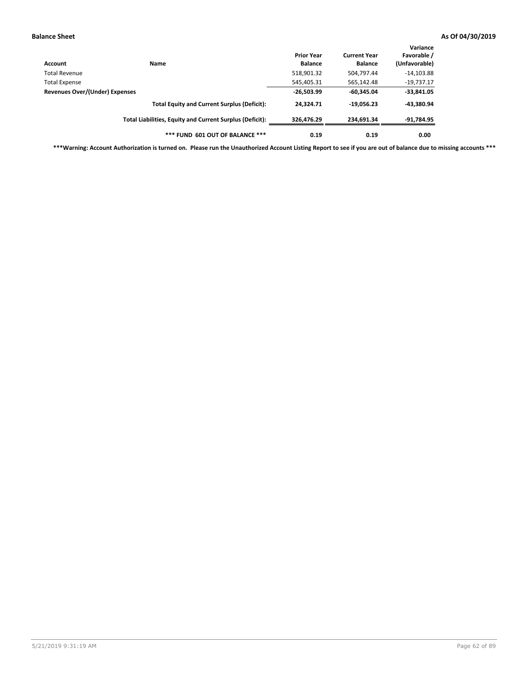| Account                        | Name                                                     | <b>Prior Year</b><br><b>Balance</b> | <b>Current Year</b><br><b>Balance</b> | Variance<br>Favorable /<br>(Unfavorable) |
|--------------------------------|----------------------------------------------------------|-------------------------------------|---------------------------------------|------------------------------------------|
| Total Revenue                  |                                                          | 518,901.32                          | 504,797.44                            | $-14,103.88$                             |
| <b>Total Expense</b>           |                                                          | 545,405.31                          | 565,142.48                            | $-19,737.17$                             |
| Revenues Over/(Under) Expenses |                                                          | $-26,503.99$                        | $-60.345.04$                          | $-33,841.05$                             |
|                                | <b>Total Equity and Current Surplus (Deficit):</b>       | 24,324.71                           | $-19,056.23$                          | -43,380.94                               |
|                                | Total Liabilities, Equity and Current Surplus (Deficit): | 326,476.29                          | 234.691.34                            | $-91,784.95$                             |
|                                | *** FUND 601 OUT OF BALANCE ***                          | 0.19                                | 0.19                                  | 0.00                                     |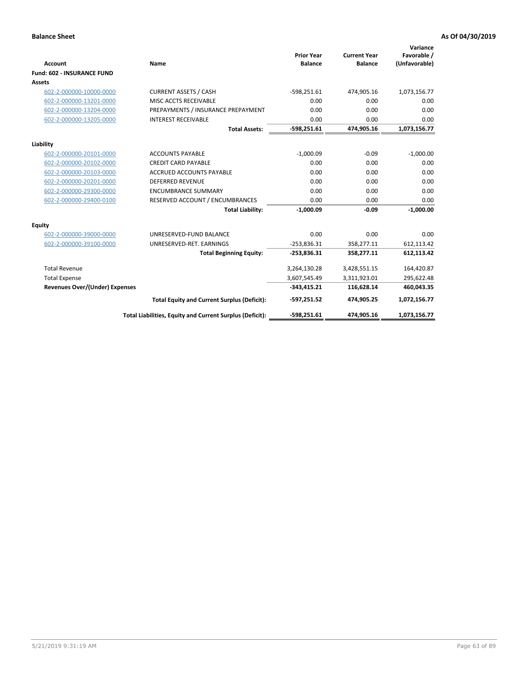|                                       |                                                          |                                     |                                       | Variance                     |
|---------------------------------------|----------------------------------------------------------|-------------------------------------|---------------------------------------|------------------------------|
| <b>Account</b>                        | <b>Name</b>                                              | <b>Prior Year</b><br><b>Balance</b> | <b>Current Year</b><br><b>Balance</b> | Favorable /<br>(Unfavorable) |
| <b>Fund: 602 - INSURANCE FUND</b>     |                                                          |                                     |                                       |                              |
| <b>Assets</b>                         |                                                          |                                     |                                       |                              |
| 602-2-000000-10000-0000               | <b>CURRENT ASSETS / CASH</b>                             | $-598,251.61$                       | 474,905.16                            | 1,073,156.77                 |
| 602-2-000000-13201-0000               | MISC ACCTS RECEIVABLE                                    | 0.00                                | 0.00                                  | 0.00                         |
| 602-2-000000-13204-0000               | PREPAYMENTS / INSURANCE PREPAYMENT                       | 0.00                                | 0.00                                  | 0.00                         |
| 602-2-000000-13205-0000               | <b>INTEREST RECEIVABLE</b>                               | 0.00                                | 0.00                                  | 0.00                         |
|                                       | <b>Total Assets:</b>                                     | $-598,251.61$                       | 474,905.16                            | 1,073,156.77                 |
| Liability                             |                                                          |                                     |                                       |                              |
| 602-2-000000-20101-0000               | <b>ACCOUNTS PAYABLE</b>                                  | $-1,000.09$                         | $-0.09$                               | $-1,000.00$                  |
| 602-2-000000-20102-0000               | <b>CREDIT CARD PAYABLE</b>                               | 0.00                                | 0.00                                  | 0.00                         |
| 602-2-000000-20103-0000               | <b>ACCRUED ACCOUNTS PAYABLE</b>                          | 0.00                                | 0.00                                  | 0.00                         |
| 602-2-000000-20201-0000               | <b>DEFERRED REVENUE</b>                                  | 0.00                                | 0.00                                  | 0.00                         |
| 602-2-000000-29300-0000               | <b>ENCUMBRANCE SUMMARY</b>                               | 0.00                                | 0.00                                  | 0.00                         |
| 602-2-000000-29400-0100               | RESERVED ACCOUNT / ENCUMBRANCES                          | 0.00                                | 0.00                                  | 0.00                         |
|                                       | <b>Total Liability:</b>                                  | $-1,000.09$                         | $-0.09$                               | $-1.000.00$                  |
| <b>Equity</b>                         |                                                          |                                     |                                       |                              |
| 602-2-000000-39000-0000               | UNRESERVED-FUND BALANCE                                  | 0.00                                | 0.00                                  | 0.00                         |
| 602-2-000000-39100-0000               | UNRESERVED-RET. EARNINGS                                 | $-253,836.31$                       | 358,277.11                            | 612,113.42                   |
|                                       | <b>Total Beginning Equity:</b>                           | $-253,836.31$                       | 358,277.11                            | 612,113.42                   |
| <b>Total Revenue</b>                  |                                                          | 3,264,130.28                        | 3,428,551.15                          | 164,420.87                   |
| <b>Total Expense</b>                  |                                                          | 3,607,545.49                        | 3,311,923.01                          | 295,622.48                   |
| <b>Revenues Over/(Under) Expenses</b> |                                                          | $-343,415.21$                       | 116,628.14                            | 460,043.35                   |
|                                       | <b>Total Equity and Current Surplus (Deficit):</b>       | -597,251.52                         | 474,905.25                            | 1,072,156.77                 |
|                                       | Total Liabilities, Equity and Current Surplus (Deficit): | $-598,251.61$                       | 474,905.16                            | 1,073,156.77                 |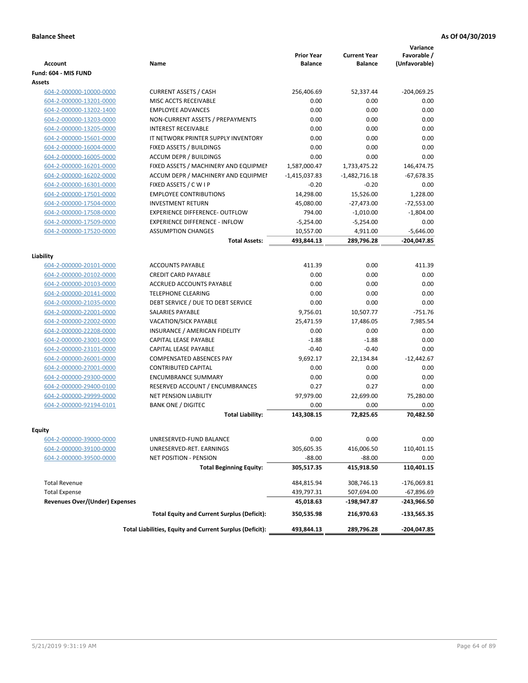| <b>Account</b>                        | <b>Name</b>                                              | <b>Prior Year</b><br><b>Balance</b> | <b>Current Year</b><br><b>Balance</b> | Variance<br>Favorable /<br>(Unfavorable) |
|---------------------------------------|----------------------------------------------------------|-------------------------------------|---------------------------------------|------------------------------------------|
| Fund: 604 - MIS FUND                  |                                                          |                                     |                                       |                                          |
| Assets                                |                                                          |                                     |                                       |                                          |
| 604-2-000000-10000-0000               | <b>CURRENT ASSETS / CASH</b>                             | 256,406.69                          | 52,337.44                             | $-204,069.25$                            |
| 604-2-000000-13201-0000               | MISC ACCTS RECEIVABLE                                    | 0.00                                | 0.00                                  | 0.00                                     |
| 604-2-000000-13202-1400               | <b>EMPLOYEE ADVANCES</b>                                 | 0.00                                | 0.00                                  | 0.00                                     |
| 604-2-000000-13203-0000               | NON-CURRENT ASSETS / PREPAYMENTS                         | 0.00                                | 0.00                                  | 0.00                                     |
| 604-2-000000-13205-0000               | <b>INTEREST RECEIVABLE</b>                               | 0.00                                | 0.00                                  | 0.00                                     |
| 604-2-000000-15601-0000               | IT NETWORK PRINTER SUPPLY INVENTORY                      | 0.00                                | 0.00                                  | 0.00                                     |
| 604-2-000000-16004-0000               | FIXED ASSETS / BUILDINGS                                 | 0.00                                | 0.00                                  | 0.00                                     |
| 604-2-000000-16005-0000               | <b>ACCUM DEPR / BUILDINGS</b>                            | 0.00                                | 0.00                                  | 0.00                                     |
| 604-2-000000-16201-0000               | FIXED ASSETS / MACHINERY AND EQUIPMEN                    | 1,587,000.47                        | 1,733,475.22                          | 146,474.75                               |
| 604-2-000000-16202-0000               | ACCUM DEPR / MACHINERY AND EQUIPMEI                      | $-1,415,037.83$                     | $-1,482,716.18$                       | $-67,678.35$                             |
| 604-2-000000-16301-0000               | FIXED ASSETS / C W I P                                   | $-0.20$                             | $-0.20$                               | 0.00                                     |
| 604-2-000000-17501-0000               | <b>EMPLOYEE CONTRIBUTIONS</b>                            | 14,298.00                           | 15,526.00                             | 1,228.00                                 |
| 604-2-000000-17504-0000               | <b>INVESTMENT RETURN</b>                                 | 45,080.00                           | $-27,473.00$                          | $-72,553.00$                             |
| 604-2-000000-17508-0000               | <b>EXPERIENCE DIFFERENCE- OUTFLOW</b>                    | 794.00                              | $-1,010.00$                           | $-1.804.00$                              |
| 604-2-000000-17509-0000               | <b>EXPERIENCE DIFFERENCE - INFLOW</b>                    | $-5,254.00$                         | $-5,254.00$                           | 0.00                                     |
| 604-2-000000-17520-0000               | <b>ASSUMPTION CHANGES</b>                                | 10,557.00                           | 4,911.00                              | $-5,646.00$                              |
|                                       | <b>Total Assets:</b>                                     | 493,844.13                          | 289,796.28                            | $-204,047.85$                            |
|                                       |                                                          |                                     |                                       |                                          |
| Liability                             |                                                          |                                     |                                       |                                          |
| 604-2-000000-20101-0000               | <b>ACCOUNTS PAYABLE</b>                                  | 411.39                              | 0.00                                  | 411.39                                   |
| 604-2-000000-20102-0000               | <b>CREDIT CARD PAYABLE</b>                               | 0.00                                | 0.00                                  | 0.00                                     |
| 604-2-000000-20103-0000               | <b>ACCRUED ACCOUNTS PAYABLE</b>                          | 0.00                                | 0.00                                  | 0.00                                     |
| 604-2-000000-20141-0000               | <b>TELEPHONE CLEARING</b>                                | 0.00                                | 0.00                                  | 0.00                                     |
| 604-2-000000-21035-0000               | DEBT SERVICE / DUE TO DEBT SERVICE                       | 0.00                                | 0.00                                  | 0.00                                     |
| 604-2-000000-22001-0000               | <b>SALARIES PAYABLE</b>                                  | 9,756.01                            | 10,507.77                             | $-751.76$                                |
| 604-2-000000-22002-0000               | <b>VACATION/SICK PAYABLE</b>                             | 25,471.59                           | 17,486.05                             | 7,985.54                                 |
| 604-2-000000-22208-0000               | INSURANCE / AMERICAN FIDELITY                            | 0.00                                | 0.00                                  | 0.00                                     |
| 604-2-000000-23001-0000               | CAPITAL LEASE PAYABLE                                    | $-1.88$                             | $-1.88$                               | 0.00                                     |
| 604-2-000000-23101-0000               | CAPITAL LEASE PAYABLE                                    | $-0.40$                             | $-0.40$                               | 0.00                                     |
| 604-2-000000-26001-0000               | <b>COMPENSATED ABSENCES PAY</b>                          | 9,692.17                            | 22,134.84                             | $-12,442.67$                             |
| 604-2-000000-27001-0000               | <b>CONTRIBUTED CAPITAL</b>                               | 0.00                                | 0.00                                  | 0.00                                     |
| 604-2-000000-29300-0000               | <b>ENCUMBRANCE SUMMARY</b>                               | 0.00                                | 0.00                                  | 0.00                                     |
| 604-2-000000-29400-0100               | RESERVED ACCOUNT / ENCUMBRANCES                          | 0.27                                | 0.27                                  | 0.00                                     |
| 604-2-000000-29999-0000               | <b>NET PENSION LIABILITY</b>                             | 97,979.00                           | 22,699.00                             | 75,280.00                                |
| 604-2-000000-92194-0101               | <b>BANK ONE / DIGITEC</b>                                | 0.00                                | 0.00                                  | 0.00                                     |
|                                       | <b>Total Liability:</b>                                  | 143,308.15                          | 72,825.65                             | 70,482.50                                |
|                                       |                                                          |                                     |                                       |                                          |
| Equity<br>604-2-000000-39000-0000     | UNRESERVED-FUND BALANCE                                  | 0.00                                | 0.00                                  | 0.00                                     |
| 604-2-000000-39100-0000               | UNRESERVED-RET. EARNINGS                                 | 305,605.35                          | 416,006.50                            | 110,401.15                               |
| 604-2-000000-39500-0000               | NET POSITION - PENSION                                   | $-88.00$                            | $-88.00$                              | 0.00                                     |
|                                       | <b>Total Beginning Equity:</b>                           | 305,517.35                          | 415,918.50                            | 110,401.15                               |
|                                       |                                                          |                                     |                                       |                                          |
| <b>Total Revenue</b>                  |                                                          | 484,815.94                          | 308,746.13                            | $-176,069.81$                            |
| <b>Total Expense</b>                  |                                                          | 439,797.31                          | 507,694.00                            | -67,896.69                               |
| <b>Revenues Over/(Under) Expenses</b> |                                                          | 45,018.63                           | -198,947.87                           | -243,966.50                              |
|                                       | <b>Total Equity and Current Surplus (Deficit):</b>       | 350,535.98                          | 216,970.63                            | -133,565.35                              |
|                                       | Total Liabilities, Equity and Current Surplus (Deficit): | 493,844.13                          | 289,796.28                            | -204,047.85                              |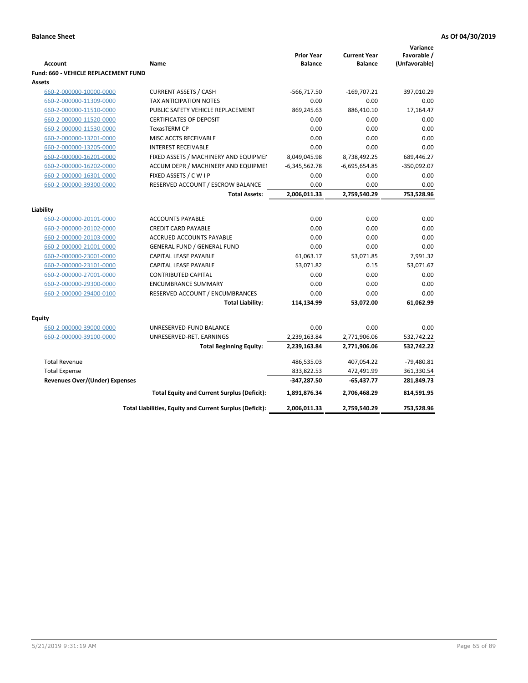|                                             |                                                          |                                     |                                       | Variance                     |
|---------------------------------------------|----------------------------------------------------------|-------------------------------------|---------------------------------------|------------------------------|
| <b>Account</b>                              | Name                                                     | <b>Prior Year</b><br><b>Balance</b> | <b>Current Year</b><br><b>Balance</b> | Favorable /<br>(Unfavorable) |
| <b>Fund: 660 - VEHICLE REPLACEMENT FUND</b> |                                                          |                                     |                                       |                              |
| <b>Assets</b>                               |                                                          |                                     |                                       |                              |
| 660-2-000000-10000-0000                     | <b>CURRENT ASSETS / CASH</b>                             | $-566,717.50$                       | $-169,707.21$                         | 397,010.29                   |
| 660-2-000000-11309-0000                     | TAX ANTICIPATION NOTES                                   | 0.00                                | 0.00                                  | 0.00                         |
| 660-2-000000-11510-0000                     | PUBLIC SAFETY VEHICLE REPLACEMENT                        | 869,245.63                          | 886,410.10                            | 17,164.47                    |
| 660-2-000000-11520-0000                     | <b>CERTIFICATES OF DEPOSIT</b>                           | 0.00                                | 0.00                                  | 0.00                         |
| 660-2-000000-11530-0000                     | TexasTERM CP                                             | 0.00                                | 0.00                                  | 0.00                         |
| 660-2-000000-13201-0000                     | MISC ACCTS RECEIVABLE                                    | 0.00                                | 0.00                                  | 0.00                         |
| 660-2-000000-13205-0000                     | <b>INTEREST RECEIVABLE</b>                               | 0.00                                | 0.00                                  | 0.00                         |
| 660-2-000000-16201-0000                     | FIXED ASSETS / MACHINERY AND EQUIPMEN                    | 8,049,045.98                        | 8,738,492.25                          | 689,446.27                   |
| 660-2-000000-16202-0000                     | ACCUM DEPR / MACHINERY AND EQUIPMEI                      | $-6,345,562.78$                     | $-6,695,654.85$                       | $-350,092.07$                |
| 660-2-000000-16301-0000                     | FIXED ASSETS / C W I P                                   | 0.00                                | 0.00                                  | 0.00                         |
| 660-2-000000-39300-0000                     | RESERVED ACCOUNT / ESCROW BALANCE                        | 0.00                                | 0.00                                  | 0.00                         |
|                                             | <b>Total Assets:</b>                                     | 2,006,011.33                        | 2,759,540.29                          | 753,528.96                   |
|                                             |                                                          |                                     |                                       |                              |
| Liability                                   |                                                          |                                     |                                       |                              |
| 660-2-000000-20101-0000                     | <b>ACCOUNTS PAYABLE</b>                                  | 0.00                                | 0.00                                  | 0.00                         |
| 660-2-000000-20102-0000                     | <b>CREDIT CARD PAYABLE</b>                               | 0.00                                | 0.00                                  | 0.00                         |
| 660-2-000000-20103-0000                     | <b>ACCRUED ACCOUNTS PAYABLE</b>                          | 0.00                                | 0.00                                  | 0.00                         |
| 660-2-000000-21001-0000                     | <b>GENERAL FUND / GENERAL FUND</b>                       | 0.00                                | 0.00                                  | 0.00                         |
| 660-2-000000-23001-0000                     | <b>CAPITAL LEASE PAYABLE</b>                             | 61,063.17                           | 53,071.85                             | 7,991.32                     |
| 660-2-000000-23101-0000                     | <b>CAPITAL LEASE PAYABLE</b>                             | 53,071.82                           | 0.15                                  | 53,071.67                    |
| 660-2-000000-27001-0000                     | <b>CONTRIBUTED CAPITAL</b>                               | 0.00                                | 0.00                                  | 0.00                         |
| 660-2-000000-29300-0000                     | <b>ENCUMBRANCE SUMMARY</b>                               | 0.00                                | 0.00                                  | 0.00                         |
| 660-2-000000-29400-0100                     | RESERVED ACCOUNT / ENCUMBRANCES                          | 0.00                                | 0.00                                  | 0.00                         |
|                                             | <b>Total Liability:</b>                                  | 114,134.99                          | 53,072.00                             | 61,062.99                    |
| <b>Equity</b>                               |                                                          |                                     |                                       |                              |
| 660-2-000000-39000-0000                     | UNRESERVED-FUND BALANCE                                  | 0.00                                | 0.00                                  | 0.00                         |
| 660-2-000000-39100-0000                     | UNRESERVED-RET. EARNINGS                                 | 2,239,163.84                        | 2,771,906.06                          | 532,742.22                   |
|                                             | <b>Total Beginning Equity:</b>                           | 2,239,163.84                        | 2,771,906.06                          | 532,742.22                   |
| <b>Total Revenue</b>                        |                                                          | 486,535.03                          | 407,054.22                            | $-79,480.81$                 |
| <b>Total Expense</b>                        |                                                          | 833,822.53                          | 472,491.99                            | 361,330.54                   |
| <b>Revenues Over/(Under) Expenses</b>       |                                                          | -347,287.50                         | $-65,437.77$                          | 281,849.73                   |
|                                             | <b>Total Equity and Current Surplus (Deficit):</b>       | 1,891,876.34                        | 2,706,468.29                          | 814,591.95                   |
|                                             | Total Liabilities, Equity and Current Surplus (Deficit): | 2,006,011.33                        | 2,759,540.29                          | 753,528.96                   |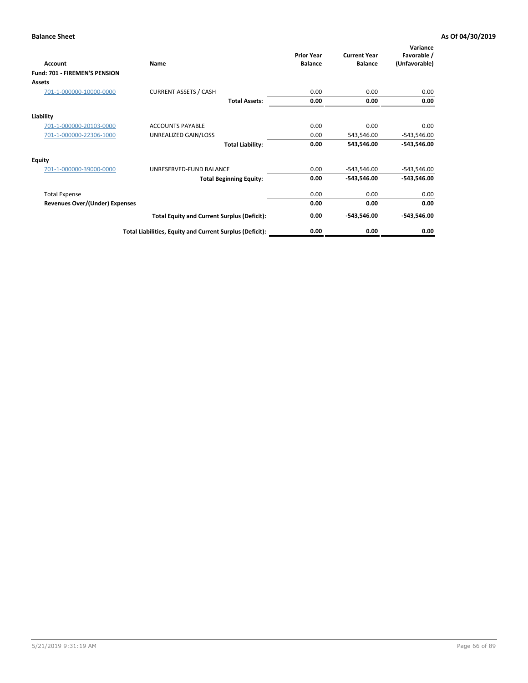| Account                        | Name                                                     | <b>Prior Year</b><br><b>Balance</b> | <b>Current Year</b><br><b>Balance</b> | Variance<br>Favorable /<br>(Unfavorable) |
|--------------------------------|----------------------------------------------------------|-------------------------------------|---------------------------------------|------------------------------------------|
| Fund: 701 - FIREMEN'S PENSION  |                                                          |                                     |                                       |                                          |
| <b>Assets</b>                  |                                                          |                                     |                                       |                                          |
| 701-1-000000-10000-0000        | <b>CURRENT ASSETS / CASH</b>                             | 0.00                                | 0.00                                  | 0.00                                     |
|                                | <b>Total Assets:</b>                                     | 0.00                                | 0.00                                  | 0.00                                     |
| Liability                      |                                                          |                                     |                                       |                                          |
| 701-1-000000-20103-0000        | <b>ACCOUNTS PAYABLE</b>                                  | 0.00                                | 0.00                                  | 0.00                                     |
| 701-1-000000-22306-1000        | UNREALIZED GAIN/LOSS                                     | 0.00                                | 543,546.00                            | $-543,546.00$                            |
|                                | <b>Total Liability:</b>                                  | 0.00                                | 543,546.00                            | $-543,546.00$                            |
| <b>Equity</b>                  |                                                          |                                     |                                       |                                          |
| 701-1-000000-39000-0000        | UNRESERVED-FUND BALANCE                                  | 0.00                                | $-543,546.00$                         | $-543,546.00$                            |
|                                | <b>Total Beginning Equity:</b>                           | 0.00                                | -543,546.00                           | $-543,546.00$                            |
| <b>Total Expense</b>           |                                                          | 0.00                                | 0.00                                  | 0.00                                     |
| Revenues Over/(Under) Expenses |                                                          | 0.00                                | 0.00                                  | 0.00                                     |
|                                | <b>Total Equity and Current Surplus (Deficit):</b>       | 0.00                                | -543,546.00                           | $-543,546.00$                            |
|                                | Total Liabilities, Equity and Current Surplus (Deficit): | 0.00                                | 0.00                                  | 0.00                                     |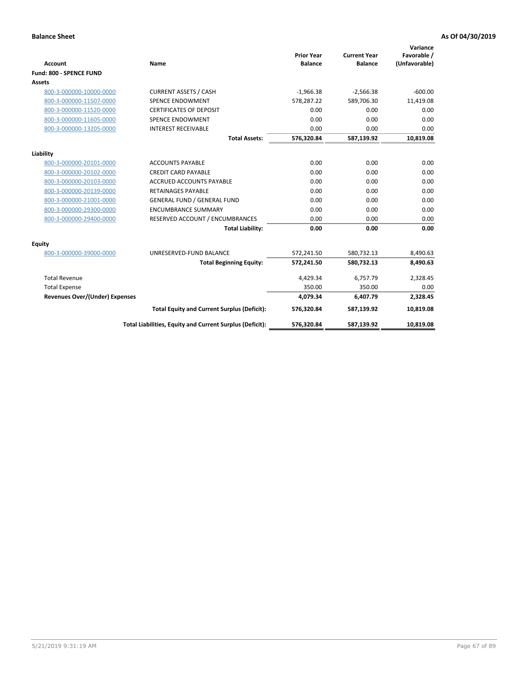|                                       |                                                          |                                     |                                       | Variance                     |
|---------------------------------------|----------------------------------------------------------|-------------------------------------|---------------------------------------|------------------------------|
| <b>Account</b>                        | <b>Name</b>                                              | <b>Prior Year</b><br><b>Balance</b> | <b>Current Year</b><br><b>Balance</b> | Favorable /<br>(Unfavorable) |
| Fund: 800 - SPENCE FUND               |                                                          |                                     |                                       |                              |
| Assets                                |                                                          |                                     |                                       |                              |
| 800-3-000000-10000-0000               | <b>CURRENT ASSETS / CASH</b>                             | $-1,966.38$                         | $-2,566.38$                           | $-600.00$                    |
| 800-3-000000-11507-0000               | <b>SPENCE ENDOWMENT</b>                                  | 578,287.22                          | 589.706.30                            | 11,419.08                    |
| 800-3-000000-11520-0000               | <b>CERTIFICATES OF DEPOSIT</b>                           | 0.00                                | 0.00                                  | 0.00                         |
| 800-3-000000-11605-0000               | SPENCE ENDOWMENT                                         | 0.00                                | 0.00                                  | 0.00                         |
| 800-3-000000-13205-0000               | <b>INTEREST RECEIVABLE</b>                               | 0.00                                | 0.00                                  | 0.00                         |
|                                       | <b>Total Assets:</b>                                     | 576,320.84                          | 587,139.92                            | 10,819.08                    |
|                                       |                                                          |                                     |                                       |                              |
| Liability                             |                                                          |                                     |                                       |                              |
| 800-3-000000-20101-0000               | <b>ACCOUNTS PAYABLE</b>                                  | 0.00                                | 0.00                                  | 0.00                         |
| 800-3-000000-20102-0000               | <b>CREDIT CARD PAYABLE</b>                               | 0.00                                | 0.00                                  | 0.00                         |
| 800-3-000000-20103-0000               | <b>ACCRUED ACCOUNTS PAYABLE</b>                          | 0.00                                | 0.00                                  | 0.00                         |
| 800-3-000000-20139-0000               | <b>RETAINAGES PAYABLE</b>                                | 0.00                                | 0.00                                  | 0.00                         |
| 800-3-000000-21001-0000               | <b>GENERAL FUND / GENERAL FUND</b>                       | 0.00                                | 0.00                                  | 0.00                         |
| 800-3-000000-29300-0000               | <b>ENCUMBRANCE SUMMARY</b>                               | 0.00                                | 0.00                                  | 0.00                         |
| 800-3-000000-29400-0000               | RESERVED ACCOUNT / ENCUMBRANCES                          | 0.00                                | 0.00                                  | 0.00                         |
|                                       | <b>Total Liability:</b>                                  | 0.00                                | 0.00                                  | 0.00                         |
| Equity                                |                                                          |                                     |                                       |                              |
| 800-3-000000-39000-0000               | UNRESERVED-FUND BALANCE                                  | 572,241.50                          | 580,732.13                            | 8,490.63                     |
|                                       | <b>Total Beginning Equity:</b>                           | 572,241.50                          | 580,732.13                            | 8,490.63                     |
| <b>Total Revenue</b>                  |                                                          | 4,429.34                            | 6,757.79                              | 2,328.45                     |
| <b>Total Expense</b>                  |                                                          | 350.00                              | 350.00                                | 0.00                         |
| <b>Revenues Over/(Under) Expenses</b> |                                                          | 4,079.34                            | 6,407.79                              | 2,328.45                     |
|                                       | <b>Total Equity and Current Surplus (Deficit):</b>       | 576,320.84                          | 587,139.92                            | 10,819.08                    |
|                                       | Total Liabilities, Equity and Current Surplus (Deficit): | 576,320.84                          | 587,139.92                            | 10,819.08                    |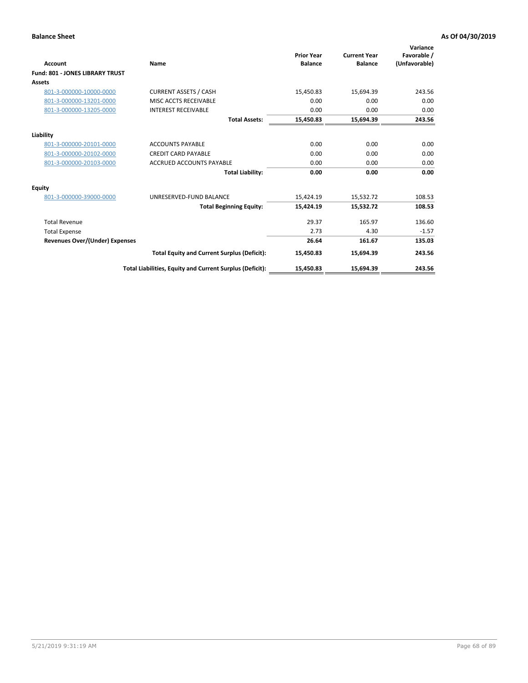| <b>Account</b>                         | Name                                                     | <b>Prior Year</b><br><b>Balance</b> | <b>Current Year</b><br><b>Balance</b> | Variance<br>Favorable /<br>(Unfavorable) |
|----------------------------------------|----------------------------------------------------------|-------------------------------------|---------------------------------------|------------------------------------------|
| <b>Fund: 801 - JONES LIBRARY TRUST</b> |                                                          |                                     |                                       |                                          |
| <b>Assets</b>                          |                                                          |                                     |                                       |                                          |
| 801-3-000000-10000-0000                | <b>CURRENT ASSETS / CASH</b>                             | 15,450.83                           | 15,694.39                             | 243.56                                   |
| 801-3-000000-13201-0000                | MISC ACCTS RECEIVABLE                                    | 0.00                                | 0.00                                  | 0.00                                     |
| 801-3-000000-13205-0000                | <b>INTEREST RECEIVABLE</b>                               | 0.00                                | 0.00                                  | 0.00                                     |
|                                        | <b>Total Assets:</b>                                     | 15,450.83                           | 15,694.39                             | 243.56                                   |
| Liability                              |                                                          |                                     |                                       |                                          |
| 801-3-000000-20101-0000                | <b>ACCOUNTS PAYABLE</b>                                  | 0.00                                | 0.00                                  | 0.00                                     |
| 801-3-000000-20102-0000                | <b>CREDIT CARD PAYABLE</b>                               | 0.00                                | 0.00                                  | 0.00                                     |
| 801-3-000000-20103-0000                | <b>ACCRUED ACCOUNTS PAYABLE</b>                          | 0.00                                | 0.00                                  | 0.00                                     |
|                                        | <b>Total Liability:</b>                                  | 0.00                                | 0.00                                  | 0.00                                     |
| Equity                                 |                                                          |                                     |                                       |                                          |
| 801-3-000000-39000-0000                | UNRESERVED-FUND BALANCE                                  | 15,424.19                           | 15,532.72                             | 108.53                                   |
|                                        | <b>Total Beginning Equity:</b>                           | 15,424.19                           | 15,532.72                             | 108.53                                   |
| <b>Total Revenue</b>                   |                                                          | 29.37                               | 165.97                                | 136.60                                   |
| <b>Total Expense</b>                   |                                                          | 2.73                                | 4.30                                  | $-1.57$                                  |
| <b>Revenues Over/(Under) Expenses</b>  |                                                          | 26.64                               | 161.67                                | 135.03                                   |
|                                        | <b>Total Equity and Current Surplus (Deficit):</b>       | 15,450.83                           | 15,694.39                             | 243.56                                   |
|                                        | Total Liabilities, Equity and Current Surplus (Deficit): | 15,450.83                           | 15,694.39                             | 243.56                                   |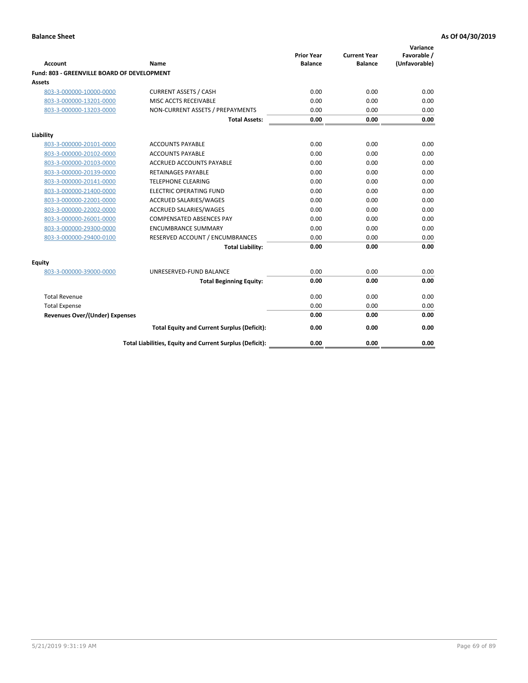| <b>Account</b>                              | Name                                                     | <b>Prior Year</b><br><b>Balance</b> | <b>Current Year</b><br><b>Balance</b> | Variance<br>Favorable /<br>(Unfavorable) |
|---------------------------------------------|----------------------------------------------------------|-------------------------------------|---------------------------------------|------------------------------------------|
| Fund: 803 - GREENVILLE BOARD OF DEVELOPMENT |                                                          |                                     |                                       |                                          |
| <b>Assets</b>                               |                                                          |                                     |                                       |                                          |
| 803-3-000000-10000-0000                     | <b>CURRENT ASSETS / CASH</b>                             | 0.00                                | 0.00                                  | 0.00                                     |
| 803-3-000000-13201-0000                     | MISC ACCTS RECEIVABLE                                    | 0.00                                | 0.00                                  | 0.00                                     |
| 803-3-000000-13203-0000                     | NON-CURRENT ASSETS / PREPAYMENTS                         | 0.00                                | 0.00                                  | 0.00                                     |
|                                             | <b>Total Assets:</b>                                     | 0.00                                | 0.00                                  | 0.00                                     |
| Liability                                   |                                                          |                                     |                                       |                                          |
| 803-3-000000-20101-0000                     | <b>ACCOUNTS PAYABLE</b>                                  | 0.00                                | 0.00                                  | 0.00                                     |
| 803-3-000000-20102-0000                     | <b>ACCOUNTS PAYABLE</b>                                  | 0.00                                | 0.00                                  | 0.00                                     |
| 803-3-000000-20103-0000                     | <b>ACCRUED ACCOUNTS PAYABLE</b>                          | 0.00                                | 0.00                                  | 0.00                                     |
| 803-3-000000-20139-0000                     | <b>RETAINAGES PAYABLE</b>                                | 0.00                                | 0.00                                  | 0.00                                     |
| 803-3-000000-20141-0000                     | <b>TELEPHONE CLEARING</b>                                | 0.00                                | 0.00                                  | 0.00                                     |
| 803-3-000000-21400-0000                     | <b>ELECTRIC OPERATING FUND</b>                           | 0.00                                | 0.00                                  | 0.00                                     |
| 803-3-000000-22001-0000                     | <b>ACCRUED SALARIES/WAGES</b>                            | 0.00                                | 0.00                                  | 0.00                                     |
| 803-3-000000-22002-0000                     | <b>ACCRUED SALARIES/WAGES</b>                            | 0.00                                | 0.00                                  | 0.00                                     |
| 803-3-000000-26001-0000                     | <b>COMPENSATED ABSENCES PAY</b>                          | 0.00                                | 0.00                                  | 0.00                                     |
| 803-3-000000-29300-0000                     | <b>ENCUMBRANCE SUMMARY</b>                               | 0.00                                | 0.00                                  | 0.00                                     |
| 803-3-000000-29400-0100                     | RESERVED ACCOUNT / ENCUMBRANCES                          | 0.00                                | 0.00                                  | 0.00                                     |
|                                             | <b>Total Liability:</b>                                  | 0.00                                | 0.00                                  | 0.00                                     |
| Equity                                      |                                                          |                                     |                                       |                                          |
| 803-3-000000-39000-0000                     | UNRESERVED-FUND BALANCE                                  | 0.00                                | 0.00                                  | 0.00                                     |
|                                             | <b>Total Beginning Equity:</b>                           | 0.00                                | 0.00                                  | 0.00                                     |
| <b>Total Revenue</b>                        |                                                          | 0.00                                | 0.00                                  | 0.00                                     |
| <b>Total Expense</b>                        |                                                          | 0.00                                | 0.00                                  | 0.00                                     |
| <b>Revenues Over/(Under) Expenses</b>       |                                                          | 0.00                                | 0.00                                  | 0.00                                     |
|                                             | <b>Total Equity and Current Surplus (Deficit):</b>       | 0.00                                | 0.00                                  | 0.00                                     |
|                                             | Total Liabilities, Equity and Current Surplus (Deficit): | 0.00                                | 0.00                                  | 0.00                                     |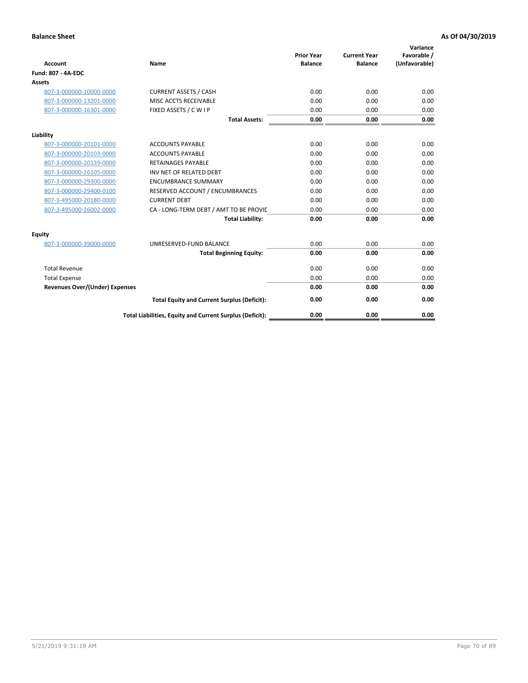| <b>Account</b>                        | Name                                                     | <b>Prior Year</b><br><b>Balance</b> | <b>Current Year</b><br><b>Balance</b> | Variance<br>Favorable /<br>(Unfavorable) |
|---------------------------------------|----------------------------------------------------------|-------------------------------------|---------------------------------------|------------------------------------------|
| Fund: 807 - 4A-EDC                    |                                                          |                                     |                                       |                                          |
| <b>Assets</b>                         |                                                          |                                     |                                       |                                          |
| 807-3-000000-10000-0000               | <b>CURRENT ASSETS / CASH</b>                             | 0.00                                | 0.00                                  | 0.00                                     |
| 807-3-000000-13201-0000               | MISC ACCTS RECEIVABLE                                    | 0.00                                | 0.00                                  | 0.00                                     |
| 807-3-000000-16301-0000               | FIXED ASSETS / C W I P                                   | 0.00                                | 0.00                                  | 0.00                                     |
|                                       | <b>Total Assets:</b>                                     | 0.00                                | 0.00                                  | 0.00                                     |
| Liability                             |                                                          |                                     |                                       |                                          |
| 807-3-000000-20101-0000               | <b>ACCOUNTS PAYABLE</b>                                  | 0.00                                | 0.00                                  | 0.00                                     |
| 807-3-000000-20103-0000               | <b>ACCOUNTS PAYABLE</b>                                  | 0.00                                | 0.00                                  | 0.00                                     |
| 807-3-000000-20139-0000               | <b>RETAINAGES PAYABLE</b>                                | 0.00                                | 0.00                                  | 0.00                                     |
| 807-3-000000-26105-0000               | INV NET OF RELATED DEBT                                  | 0.00                                | 0.00                                  | 0.00                                     |
| 807-3-000000-29300-0000               | <b>ENCUMBRANCE SUMMARY</b>                               | 0.00                                | 0.00                                  | 0.00                                     |
| 807-3-000000-29400-0100               | RESERVED ACCOUNT / ENCUMBRANCES                          | 0.00                                | 0.00                                  | 0.00                                     |
| 807-3-495000-20180-0000               | <b>CURRENT DEBT</b>                                      | 0.00                                | 0.00                                  | 0.00                                     |
| 807-3-495000-26002-0000               | CA - LONG-TERM DEBT / AMT TO BE PROVIL                   | 0.00                                | 0.00                                  | 0.00                                     |
|                                       | <b>Total Liability:</b>                                  | 0.00                                | 0.00                                  | 0.00                                     |
| Equity                                |                                                          |                                     |                                       |                                          |
| 807-3-000000-39000-0000               | UNRESERVED-FUND BALANCE                                  | 0.00                                | 0.00                                  | 0.00                                     |
|                                       | <b>Total Beginning Equity:</b>                           | 0.00                                | 0.00                                  | 0.00                                     |
| <b>Total Revenue</b>                  |                                                          | 0.00                                | 0.00                                  | 0.00                                     |
| <b>Total Expense</b>                  |                                                          | 0.00                                | 0.00                                  | 0.00                                     |
| <b>Revenues Over/(Under) Expenses</b> |                                                          | 0.00                                | 0.00                                  | 0.00                                     |
|                                       | <b>Total Equity and Current Surplus (Deficit):</b>       | 0.00                                | 0.00                                  | 0.00                                     |
|                                       | Total Liabilities, Equity and Current Surplus (Deficit): | 0.00                                | 0.00                                  | 0.00                                     |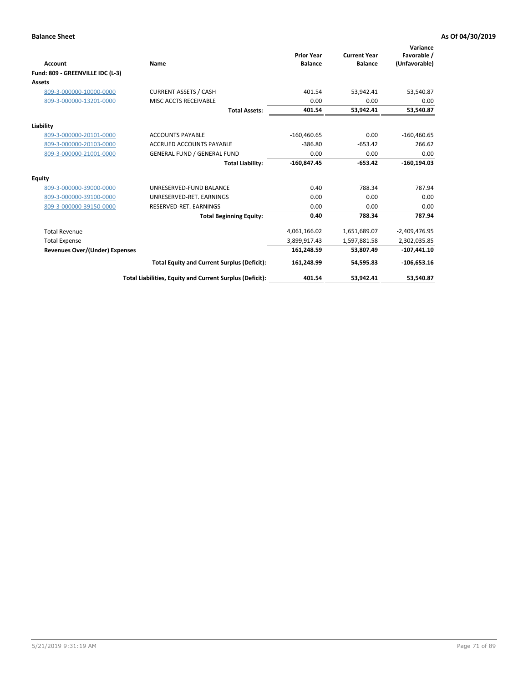|                                       |                                                          |                                     |                                       | Variance                     |
|---------------------------------------|----------------------------------------------------------|-------------------------------------|---------------------------------------|------------------------------|
| Account                               | Name                                                     | <b>Prior Year</b><br><b>Balance</b> | <b>Current Year</b><br><b>Balance</b> | Favorable /<br>(Unfavorable) |
| Fund: 809 - GREENVILLE IDC (L-3)      |                                                          |                                     |                                       |                              |
| <b>Assets</b>                         |                                                          |                                     |                                       |                              |
| 809-3-000000-10000-0000               | <b>CURRENT ASSETS / CASH</b>                             | 401.54                              | 53,942.41                             | 53,540.87                    |
| 809-3-000000-13201-0000               | MISC ACCTS RECEIVABLE                                    | 0.00                                | 0.00                                  | 0.00                         |
|                                       | <b>Total Assets:</b>                                     | 401.54                              | 53,942.41                             | 53,540.87                    |
| Liability                             |                                                          |                                     |                                       |                              |
| 809-3-000000-20101-0000               | <b>ACCOUNTS PAYABLE</b>                                  | $-160,460.65$                       | 0.00                                  | $-160,460.65$                |
| 809-3-000000-20103-0000               | <b>ACCRUED ACCOUNTS PAYABLE</b>                          | $-386.80$                           | $-653.42$                             | 266.62                       |
| 809-3-000000-21001-0000               | <b>GENERAL FUND / GENERAL FUND</b>                       | 0.00                                | 0.00                                  | 0.00                         |
|                                       | <b>Total Liability:</b>                                  | $-160,847.45$                       | $-653.42$                             | $-160, 194.03$               |
| <b>Equity</b>                         |                                                          |                                     |                                       |                              |
| 809-3-000000-39000-0000               | UNRESERVED-FUND BALANCE                                  | 0.40                                | 788.34                                | 787.94                       |
| 809-3-000000-39100-0000               | UNRESERVED-RET, EARNINGS                                 | 0.00                                | 0.00                                  | 0.00                         |
| 809-3-000000-39150-0000               | RESERVED-RET. EARNINGS                                   | 0.00                                | 0.00                                  | 0.00                         |
|                                       | <b>Total Beginning Equity:</b>                           | 0.40                                | 788.34                                | 787.94                       |
| <b>Total Revenue</b>                  |                                                          | 4,061,166.02                        | 1,651,689.07                          | $-2,409,476.95$              |
| <b>Total Expense</b>                  |                                                          | 3,899,917.43                        | 1,597,881.58                          | 2,302,035.85                 |
| <b>Revenues Over/(Under) Expenses</b> |                                                          | 161,248.59                          | 53,807.49                             | $-107,441.10$                |
|                                       | <b>Total Equity and Current Surplus (Deficit):</b>       | 161,248.99                          | 54,595.83                             | $-106,653.16$                |
|                                       | Total Liabilities, Equity and Current Surplus (Deficit): | 401.54                              | 53.942.41                             | 53,540.87                    |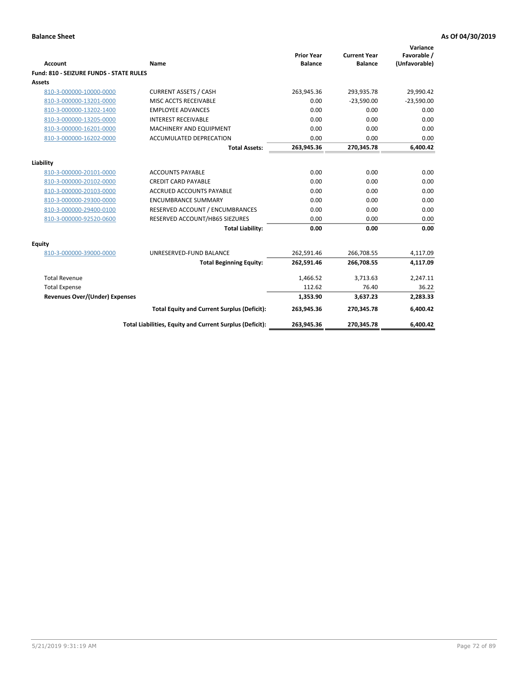| <b>Account</b>                                 | <b>Name</b>                                              | <b>Prior Year</b><br><b>Balance</b> | <b>Current Year</b><br><b>Balance</b> | Variance<br>Favorable /<br>(Unfavorable) |
|------------------------------------------------|----------------------------------------------------------|-------------------------------------|---------------------------------------|------------------------------------------|
| <b>Fund: 810 - SEIZURE FUNDS - STATE RULES</b> |                                                          |                                     |                                       |                                          |
| <b>Assets</b>                                  |                                                          |                                     |                                       |                                          |
| 810-3-000000-10000-0000                        | <b>CURRENT ASSETS / CASH</b>                             | 263,945.36                          | 293,935.78                            | 29,990.42                                |
| 810-3-000000-13201-0000                        | MISC ACCTS RECEIVABLE                                    | 0.00                                | $-23,590.00$                          | $-23,590.00$                             |
| 810-3-000000-13202-1400                        | <b>EMPLOYEE ADVANCES</b>                                 | 0.00                                | 0.00                                  | 0.00                                     |
| 810-3-000000-13205-0000                        | <b>INTEREST RECEIVABLE</b>                               | 0.00                                | 0.00                                  | 0.00                                     |
| 810-3-000000-16201-0000                        | <b>MACHINERY AND EQUIPMENT</b>                           | 0.00                                | 0.00                                  | 0.00                                     |
| 810-3-000000-16202-0000                        | ACCUMULATED DEPRECATION                                  | 0.00                                | 0.00                                  | 0.00                                     |
|                                                | <b>Total Assets:</b>                                     | 263,945.36                          | 270,345.78                            | 6,400.42                                 |
|                                                |                                                          |                                     |                                       |                                          |
| Liability                                      |                                                          |                                     |                                       |                                          |
| 810-3-000000-20101-0000                        | <b>ACCOUNTS PAYABLE</b>                                  | 0.00                                | 0.00                                  | 0.00                                     |
| 810-3-000000-20102-0000                        | <b>CREDIT CARD PAYABLE</b>                               | 0.00                                | 0.00                                  | 0.00                                     |
| 810-3-000000-20103-0000                        | <b>ACCRUED ACCOUNTS PAYABLE</b>                          | 0.00                                | 0.00                                  | 0.00                                     |
| 810-3-000000-29300-0000                        | <b>ENCUMBRANCE SUMMARY</b>                               | 0.00                                | 0.00                                  | 0.00                                     |
| 810-3-000000-29400-0100                        | RESERVED ACCOUNT / ENCUMBRANCES                          | 0.00                                | 0.00                                  | 0.00                                     |
| 810-3-000000-92520-0600                        | RESERVED ACCOUNT/HB65 SIEZURES                           | 0.00                                | 0.00                                  | 0.00                                     |
|                                                | <b>Total Liability:</b>                                  | 0.00                                | 0.00                                  | 0.00                                     |
| <b>Equity</b>                                  |                                                          |                                     |                                       |                                          |
| 810-3-000000-39000-0000                        | UNRESERVED-FUND BALANCE                                  | 262,591.46                          | 266,708.55                            | 4,117.09                                 |
|                                                | <b>Total Beginning Equity:</b>                           | 262,591.46                          | 266,708.55                            | 4,117.09                                 |
| <b>Total Revenue</b>                           |                                                          | 1,466.52                            | 3,713.63                              | 2,247.11                                 |
| <b>Total Expense</b>                           |                                                          | 112.62                              | 76.40                                 | 36.22                                    |
| Revenues Over/(Under) Expenses                 |                                                          | 1,353.90                            | 3,637.23                              | 2,283.33                                 |
|                                                | <b>Total Equity and Current Surplus (Deficit):</b>       | 263,945.36                          | 270,345.78                            | 6,400.42                                 |
|                                                | Total Liabilities, Equity and Current Surplus (Deficit): | 263,945.36                          | 270,345.78                            | 6,400.42                                 |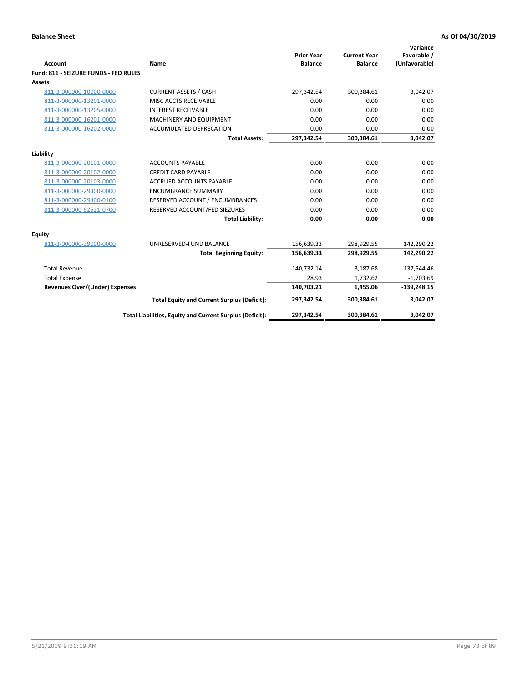| Account                               | Name                                                     | <b>Prior Year</b><br><b>Balance</b> | <b>Current Year</b><br><b>Balance</b> | Variance<br>Favorable /<br>(Unfavorable) |
|---------------------------------------|----------------------------------------------------------|-------------------------------------|---------------------------------------|------------------------------------------|
| Fund: 811 - SEIZURE FUNDS - FED RULES |                                                          |                                     |                                       |                                          |
| <b>Assets</b>                         |                                                          |                                     |                                       |                                          |
| 811-3-000000-10000-0000               | <b>CURRENT ASSETS / CASH</b>                             | 297,342.54                          | 300,384.61                            | 3,042.07                                 |
| 811-3-000000-13201-0000               | MISC ACCTS RECEIVABLE                                    | 0.00                                | 0.00                                  | 0.00                                     |
| 811-3-000000-13205-0000               | <b>INTEREST RECEIVABLE</b>                               | 0.00                                | 0.00                                  | 0.00                                     |
| 811-3-000000-16201-0000               | <b>MACHINERY AND EQUIPMENT</b>                           | 0.00                                | 0.00                                  | 0.00                                     |
| 811-3-000000-16202-0000               | ACCUMULATED DEPRECATION                                  | 0.00                                | 0.00                                  | 0.00                                     |
|                                       | <b>Total Assets:</b>                                     | 297,342.54                          | 300,384.61                            | 3,042.07                                 |
| Liability                             |                                                          |                                     |                                       |                                          |
| 811-3-000000-20101-0000               | <b>ACCOUNTS PAYABLE</b>                                  | 0.00                                | 0.00                                  | 0.00                                     |
| 811-3-000000-20102-0000               | <b>CREDIT CARD PAYABLE</b>                               | 0.00                                | 0.00                                  | 0.00                                     |
| 811-3-000000-20103-0000               | <b>ACCRUED ACCOUNTS PAYABLE</b>                          | 0.00                                | 0.00                                  | 0.00                                     |
| 811-3-000000-29300-0000               | <b>ENCUMBRANCE SUMMARY</b>                               | 0.00                                | 0.00                                  | 0.00                                     |
| 811-3-000000-29400-0100               | RESERVED ACCOUNT / ENCUMBRANCES                          | 0.00                                | 0.00                                  | 0.00                                     |
| 811-3-000000-92521-0700               | RESERVED ACCOUNT/FED SIEZURES                            | 0.00                                | 0.00                                  | 0.00                                     |
|                                       | <b>Total Liability:</b>                                  | 0.00                                | 0.00                                  | 0.00                                     |
| Equity                                |                                                          |                                     |                                       |                                          |
| 811-3-000000-39000-0000               | UNRESERVED-FUND BALANCE                                  | 156,639.33                          | 298,929.55                            | 142,290.22                               |
|                                       | <b>Total Beginning Equity:</b>                           | 156,639.33                          | 298,929.55                            | 142,290.22                               |
| <b>Total Revenue</b>                  |                                                          | 140,732.14                          | 3,187.68                              | $-137,544.46$                            |
| <b>Total Expense</b>                  |                                                          | 28.93                               | 1,732.62                              | $-1,703.69$                              |
| Revenues Over/(Under) Expenses        |                                                          | 140,703.21                          | 1,455.06                              | $-139,248.15$                            |
|                                       | <b>Total Equity and Current Surplus (Deficit):</b>       | 297,342.54                          | 300,384.61                            | 3,042.07                                 |
|                                       | Total Liabilities, Equity and Current Surplus (Deficit): | 297,342.54                          | 300,384.61                            | 3,042.07                                 |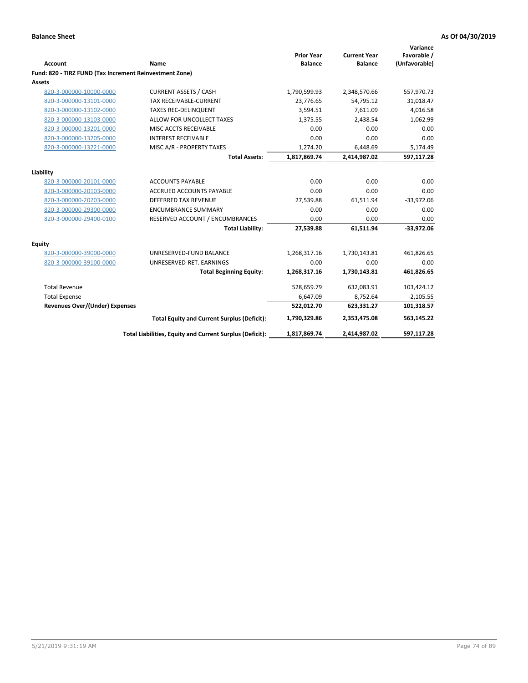| <b>Account</b>                                          | Name                                                     | <b>Prior Year</b><br><b>Balance</b> | <b>Current Year</b><br><b>Balance</b> | Variance<br>Favorable /<br>(Unfavorable) |
|---------------------------------------------------------|----------------------------------------------------------|-------------------------------------|---------------------------------------|------------------------------------------|
| Fund: 820 - TIRZ FUND (Tax Increment Reinvestment Zone) |                                                          |                                     |                                       |                                          |
| <b>Assets</b>                                           |                                                          |                                     |                                       |                                          |
| 820-3-000000-10000-0000                                 | <b>CURRENT ASSETS / CASH</b>                             | 1,790,599.93                        | 2,348,570.66                          | 557,970.73                               |
| 820-3-000000-13101-0000                                 | <b>TAX RECEIVABLE-CURRENT</b>                            | 23,776.65                           | 54,795.12                             | 31,018.47                                |
| 820-3-000000-13102-0000                                 | <b>TAXES REC-DELINQUENT</b>                              | 3,594.51                            | 7,611.09                              | 4,016.58                                 |
| 820-3-000000-13103-0000                                 | ALLOW FOR UNCOLLECT TAXES                                | $-1,375.55$                         | $-2,438.54$                           | $-1,062.99$                              |
| 820-3-000000-13201-0000                                 | MISC ACCTS RECEIVABLE                                    | 0.00                                | 0.00                                  | 0.00                                     |
| 820-3-000000-13205-0000                                 | <b>INTEREST RECEIVABLE</b>                               | 0.00                                | 0.00                                  | 0.00                                     |
| 820-3-000000-13221-0000                                 | MISC A/R - PROPERTY TAXES                                | 1,274.20                            | 6,448.69                              | 5,174.49                                 |
|                                                         | <b>Total Assets:</b>                                     | 1,817,869.74                        | 2,414,987.02                          | 597,117.28                               |
| Liability                                               |                                                          |                                     |                                       |                                          |
| 820-3-000000-20101-0000                                 | <b>ACCOUNTS PAYABLE</b>                                  | 0.00                                | 0.00                                  | 0.00                                     |
| 820-3-000000-20103-0000                                 | <b>ACCRUED ACCOUNTS PAYABLE</b>                          | 0.00                                | 0.00                                  | 0.00                                     |
| 820-3-000000-20203-0000                                 | DEFERRED TAX REVENUE                                     | 27,539.88                           | 61,511.94                             | $-33,972.06$                             |
| 820-3-000000-29300-0000                                 | <b>ENCUMBRANCE SUMMARY</b>                               | 0.00                                | 0.00                                  | 0.00                                     |
| 820-3-000000-29400-0100                                 | RESERVED ACCOUNT / ENCUMBRANCES                          | 0.00                                | 0.00                                  | 0.00                                     |
|                                                         | <b>Total Liability:</b>                                  | 27,539.88                           | 61,511.94                             | $-33,972.06$                             |
| Equity                                                  |                                                          |                                     |                                       |                                          |
| 820-3-000000-39000-0000                                 | UNRESERVED-FUND BALANCE                                  | 1,268,317.16                        | 1,730,143.81                          | 461,826.65                               |
| 820-3-000000-39100-0000                                 | UNRESERVED-RET. EARNINGS                                 | 0.00                                | 0.00                                  | 0.00                                     |
|                                                         | <b>Total Beginning Equity:</b>                           | 1,268,317.16                        | 1,730,143.81                          | 461,826.65                               |
| <b>Total Revenue</b>                                    |                                                          | 528,659.79                          | 632,083.91                            | 103,424.12                               |
| <b>Total Expense</b>                                    |                                                          | 6,647.09                            | 8,752.64                              | $-2,105.55$                              |
| <b>Revenues Over/(Under) Expenses</b>                   |                                                          | 522,012.70                          | 623,331.27                            | 101,318.57                               |
|                                                         | <b>Total Equity and Current Surplus (Deficit):</b>       | 1,790,329.86                        | 2,353,475.08                          | 563,145.22                               |
|                                                         | Total Liabilities, Equity and Current Surplus (Deficit): | 1,817,869.74                        | 2,414,987.02                          | 597,117.28                               |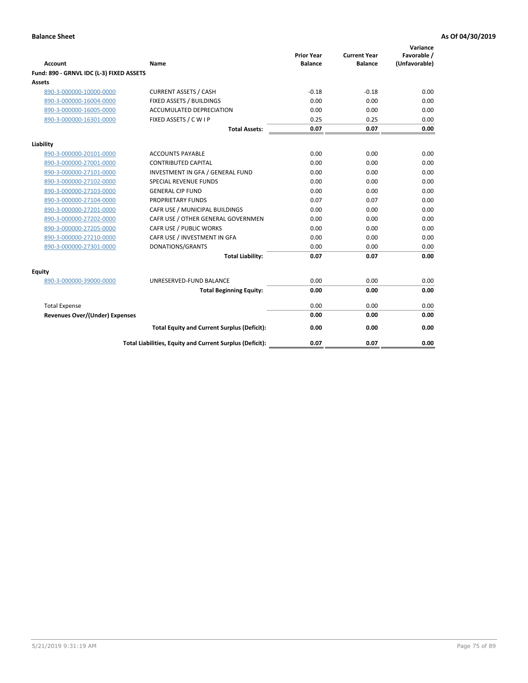| <b>Account</b>                           | Name                                                     | <b>Prior Year</b><br><b>Balance</b> | <b>Current Year</b><br><b>Balance</b> | Variance<br>Favorable /<br>(Unfavorable) |
|------------------------------------------|----------------------------------------------------------|-------------------------------------|---------------------------------------|------------------------------------------|
| Fund: 890 - GRNVL IDC (L-3) FIXED ASSETS |                                                          |                                     |                                       |                                          |
| <b>Assets</b>                            |                                                          |                                     |                                       |                                          |
| 890-3-000000-10000-0000                  | <b>CURRENT ASSETS / CASH</b>                             | $-0.18$                             | $-0.18$                               | 0.00                                     |
| 890-3-000000-16004-0000                  | FIXED ASSETS / BUILDINGS                                 | 0.00                                | 0.00                                  | 0.00                                     |
| 890-3-000000-16005-0000                  | <b>ACCUMULATED DEPRECIATION</b>                          | 0.00                                | 0.00                                  | 0.00                                     |
| 890-3-000000-16301-0000                  | FIXED ASSETS / C W I P                                   | 0.25                                | 0.25                                  | 0.00                                     |
|                                          | <b>Total Assets:</b>                                     | 0.07                                | 0.07                                  | 0.00                                     |
| Liability                                |                                                          |                                     |                                       |                                          |
| 890-3-000000-20101-0000                  | <b>ACCOUNTS PAYABLE</b>                                  | 0.00                                | 0.00                                  | 0.00                                     |
| 890-3-000000-27001-0000                  | <b>CONTRIBUTED CAPITAL</b>                               | 0.00                                | 0.00                                  | 0.00                                     |
| 890-3-000000-27101-0000                  | INVESTMENT IN GFA / GENERAL FUND                         | 0.00                                | 0.00                                  | 0.00                                     |
| 890-3-000000-27102-0000                  | <b>SPECIAL REVENUE FUNDS</b>                             | 0.00                                | 0.00                                  | 0.00                                     |
| 890-3-000000-27103-0000                  | <b>GENERAL CIP FUND</b>                                  | 0.00                                | 0.00                                  | 0.00                                     |
| 890-3-000000-27104-0000                  | PROPRIETARY FUNDS                                        | 0.07                                | 0.07                                  | 0.00                                     |
| 890-3-000000-27201-0000                  | CAFR USE / MUNICIPAL BUILDINGS                           | 0.00                                | 0.00                                  | 0.00                                     |
| 890-3-000000-27202-0000                  | CAFR USE / OTHER GENERAL GOVERNMEN                       | 0.00                                | 0.00                                  | 0.00                                     |
| 890-3-000000-27205-0000                  | CAFR USE / PUBLIC WORKS                                  | 0.00                                | 0.00                                  | 0.00                                     |
| 890-3-000000-27210-0000                  | CAFR USE / INVESTMENT IN GFA                             | 0.00                                | 0.00                                  | 0.00                                     |
| 890-3-000000-27301-0000                  | DONATIONS/GRANTS                                         | 0.00                                | 0.00                                  | 0.00                                     |
|                                          | <b>Total Liability:</b>                                  | 0.07                                | 0.07                                  | 0.00                                     |
| Equity                                   |                                                          |                                     |                                       |                                          |
| 890-3-000000-39000-0000                  | UNRESERVED-FUND BALANCE                                  | 0.00                                | 0.00                                  | 0.00                                     |
|                                          | <b>Total Beginning Equity:</b>                           | 0.00                                | 0.00                                  | 0.00                                     |
| <b>Total Expense</b>                     |                                                          | 0.00                                | 0.00                                  | 0.00                                     |
| Revenues Over/(Under) Expenses           |                                                          | 0.00                                | 0.00                                  | 0.00                                     |
|                                          |                                                          |                                     |                                       |                                          |
|                                          | <b>Total Equity and Current Surplus (Deficit):</b>       | 0.00                                | 0.00                                  | 0.00                                     |
|                                          | Total Liabilities, Equity and Current Surplus (Deficit): | 0.07                                | 0.07                                  | 0.00                                     |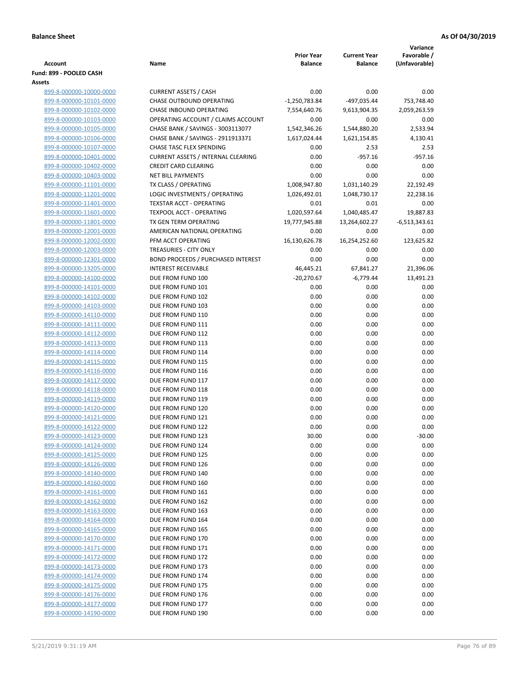|                                                    |                                                   |                                     |                                       | Variance                     |
|----------------------------------------------------|---------------------------------------------------|-------------------------------------|---------------------------------------|------------------------------|
| <b>Account</b>                                     | Name                                              | <b>Prior Year</b><br><b>Balance</b> | <b>Current Year</b><br><b>Balance</b> | Favorable /<br>(Unfavorable) |
| Fund: 899 - POOLED CASH                            |                                                   |                                     |                                       |                              |
| Assets                                             |                                                   |                                     |                                       |                              |
| 899-8-000000-10000-0000                            | <b>CURRENT ASSETS / CASH</b>                      | 0.00                                | 0.00                                  | 0.00                         |
| 899-8-000000-10101-0000                            | <b>CHASE OUTBOUND OPERATING</b>                   | $-1,250,783.84$                     | -497,035.44                           | 753,748.40                   |
| 899-8-000000-10102-0000                            | CHASE INBOUND OPERATING                           | 7,554,640.76                        | 9,613,904.35                          | 2,059,263.59                 |
| 899-8-000000-10103-0000                            | OPERATING ACCOUNT / CLAIMS ACCOUNT                | 0.00                                | 0.00                                  | 0.00                         |
| 899-8-000000-10105-0000                            | CHASE BANK / SAVINGS - 3003113077                 | 1,542,346.26                        | 1,544,880.20                          | 2,533.94                     |
| 899-8-000000-10106-0000                            | CHASE BANK / SAVINGS - 2911913371                 | 1,617,024.44                        | 1,621,154.85                          | 4,130.41                     |
| 899-8-000000-10107-0000                            | CHASE TASC FLEX SPENDING                          | 0.00                                | 2.53                                  | 2.53                         |
| 899-8-000000-10401-0000                            | <b>CURRENT ASSETS / INTERNAL CLEARING</b>         | 0.00                                | $-957.16$                             | $-957.16$                    |
| 899-8-000000-10402-0000                            | <b>CREDIT CARD CLEARING</b>                       | 0.00                                | 0.00                                  | 0.00                         |
| 899-8-000000-10403-0000                            | <b>NET BILL PAYMENTS</b>                          | 0.00                                | 0.00                                  | 0.00                         |
| 899-8-000000-11101-0000                            | TX CLASS / OPERATING                              | 1,008,947.80                        | 1,031,140.29                          | 22,192.49                    |
| 899-8-000000-11201-0000                            | LOGIC INVESTMENTS / OPERATING                     | 1,026,492.01                        | 1,048,730.17                          | 22,238.16                    |
| 899-8-000000-11401-0000                            | <b>TEXSTAR ACCT - OPERATING</b>                   | 0.01                                | 0.01                                  | 0.00                         |
| 899-8-000000-11601-0000                            | <b>TEXPOOL ACCT - OPERATING</b>                   | 1,020,597.64                        | 1,040,485.47                          | 19,887.83                    |
| 899-8-000000-11801-0000                            | TX GEN TERM OPERATING                             | 19,777,945.88                       | 13,264,602.27                         | $-6,513,343.61$              |
| 899-8-000000-12001-0000                            | AMERICAN NATIONAL OPERATING<br>PFM ACCT OPERATING | 0.00<br>16,130,626.78               | 0.00                                  | 0.00                         |
| 899-8-000000-12002-0000                            | TREASURIES - CITY ONLY                            |                                     | 16,254,252.60                         | 123,625.82<br>0.00           |
| 899-8-000000-12003-0000<br>899-8-000000-12301-0000 | <b>BOND PROCEEDS / PURCHASED INTEREST</b>         | 0.00<br>0.00                        | 0.00<br>0.00                          | 0.00                         |
| 899-8-000000-13205-0000                            | <b>INTEREST RECEIVABLE</b>                        | 46,445.21                           | 67,841.27                             | 21,396.06                    |
| 899-8-000000-14100-0000                            | DUE FROM FUND 100                                 | $-20,270.67$                        | $-6,779.44$                           | 13,491.23                    |
| 899-8-000000-14101-0000                            | DUE FROM FUND 101                                 | 0.00                                | 0.00                                  | 0.00                         |
| 899-8-000000-14102-0000                            | DUE FROM FUND 102                                 | 0.00                                | 0.00                                  | 0.00                         |
| 899-8-000000-14103-0000                            | DUE FROM FUND 103                                 | 0.00                                | 0.00                                  | 0.00                         |
| 899-8-000000-14110-0000                            | DUE FROM FUND 110                                 | 0.00                                | 0.00                                  | 0.00                         |
| 899-8-000000-14111-0000                            | DUE FROM FUND 111                                 | 0.00                                | 0.00                                  | 0.00                         |
| 899-8-000000-14112-0000                            | DUE FROM FUND 112                                 | 0.00                                | 0.00                                  | 0.00                         |
| 899-8-000000-14113-0000                            | DUE FROM FUND 113                                 | 0.00                                | 0.00                                  | 0.00                         |
| 899-8-000000-14114-0000                            | DUE FROM FUND 114                                 | 0.00                                | 0.00                                  | 0.00                         |
| 899-8-000000-14115-0000                            | DUE FROM FUND 115                                 | 0.00                                | 0.00                                  | 0.00                         |
| 899-8-000000-14116-0000                            | DUE FROM FUND 116                                 | 0.00                                | 0.00                                  | 0.00                         |
| 899-8-000000-14117-0000                            | DUE FROM FUND 117                                 | 0.00                                | 0.00                                  | 0.00                         |
| 899-8-000000-14118-0000                            | DUE FROM FUND 118                                 | 0.00                                | 0.00                                  | 0.00                         |
| 899-8-000000-14119-0000                            | DUE FROM FUND 119                                 | 0.00                                | 0.00                                  | 0.00                         |
| 899-8-000000-14120-0000                            | DUE FROM FUND 120                                 | 0.00                                | 0.00                                  | 0.00                         |
| 899-8-000000-14121-0000                            | DUE FROM FUND 121                                 | 0.00                                | 0.00                                  | 0.00                         |
| 899-8-000000-14122-0000                            | DUE FROM FUND 122                                 | 0.00                                | 0.00                                  | 0.00                         |
| 899-8-000000-14123-0000                            | DUE FROM FUND 123                                 | 30.00                               | 0.00                                  | $-30.00$                     |
| 899-8-000000-14124-0000                            | DUE FROM FUND 124                                 | 0.00                                | 0.00                                  | 0.00                         |
| 899-8-000000-14125-0000                            | DUE FROM FUND 125                                 | 0.00                                | 0.00                                  | 0.00                         |
| 899-8-000000-14126-0000                            | DUE FROM FUND 126                                 | 0.00                                | 0.00                                  | 0.00                         |
| 899-8-000000-14140-0000                            | DUE FROM FUND 140                                 | 0.00                                | 0.00                                  | 0.00                         |
| 899-8-000000-14160-0000                            | DUE FROM FUND 160                                 | 0.00                                | 0.00                                  | 0.00                         |
| 899-8-000000-14161-0000<br>899-8-000000-14162-0000 | DUE FROM FUND 161                                 | 0.00<br>0.00                        | 0.00<br>0.00                          | 0.00<br>0.00                 |
| 899-8-000000-14163-0000                            | DUE FROM FUND 162<br>DUE FROM FUND 163            | 0.00                                | 0.00                                  | 0.00                         |
| 899-8-000000-14164-0000                            | DUE FROM FUND 164                                 | 0.00                                | 0.00                                  | 0.00                         |
| 899-8-000000-14165-0000                            | DUE FROM FUND 165                                 | 0.00                                | 0.00                                  | 0.00                         |
| 899-8-000000-14170-0000                            | DUE FROM FUND 170                                 | 0.00                                | 0.00                                  | 0.00                         |
| 899-8-000000-14171-0000                            | DUE FROM FUND 171                                 | 0.00                                | 0.00                                  | 0.00                         |
| 899-8-000000-14172-0000                            | DUE FROM FUND 172                                 | 0.00                                | 0.00                                  | 0.00                         |
| 899-8-000000-14173-0000                            | DUE FROM FUND 173                                 | 0.00                                | 0.00                                  | 0.00                         |
| 899-8-000000-14174-0000                            | DUE FROM FUND 174                                 | 0.00                                | 0.00                                  | 0.00                         |
| 899-8-000000-14175-0000                            | DUE FROM FUND 175                                 | 0.00                                | 0.00                                  | 0.00                         |
| 899-8-000000-14176-0000                            | DUE FROM FUND 176                                 | 0.00                                | 0.00                                  | 0.00                         |
| 899-8-000000-14177-0000                            | DUE FROM FUND 177                                 | 0.00                                | 0.00                                  | 0.00                         |
| 899-8-000000-14190-0000                            | DUE FROM FUND 190                                 | 0.00                                | 0.00                                  | 0.00                         |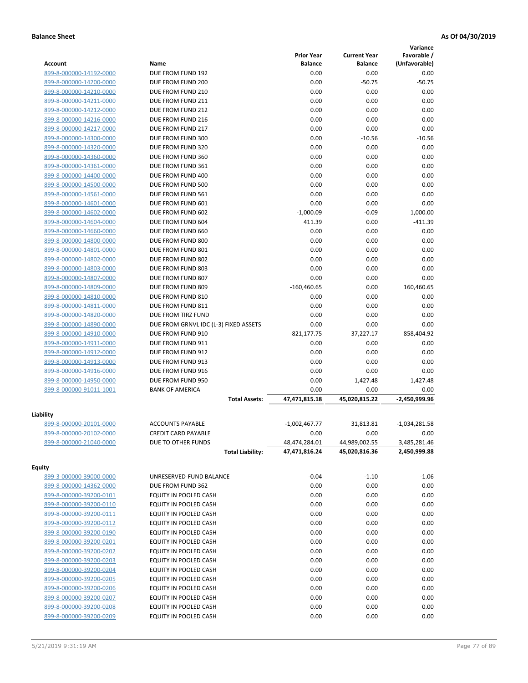|                         |                                       |                   |                     | Variance        |
|-------------------------|---------------------------------------|-------------------|---------------------|-----------------|
|                         |                                       | <b>Prior Year</b> | <b>Current Year</b> | Favorable /     |
| <b>Account</b>          | Name                                  | <b>Balance</b>    | <b>Balance</b>      | (Unfavorable)   |
| 899-8-000000-14192-0000 | DUE FROM FUND 192                     | 0.00              | 0.00                | 0.00            |
| 899-8-000000-14200-0000 | DUE FROM FUND 200                     | 0.00              | $-50.75$            | $-50.75$        |
| 899-8-000000-14210-0000 | DUE FROM FUND 210                     | 0.00              | 0.00                | 0.00            |
| 899-8-000000-14211-0000 | DUE FROM FUND 211                     | 0.00              | 0.00                | 0.00            |
| 899-8-000000-14212-0000 | DUE FROM FUND 212                     | 0.00              | 0.00                | 0.00            |
| 899-8-000000-14216-0000 | DUE FROM FUND 216                     | 0.00              | 0.00                | 0.00            |
| 899-8-000000-14217-0000 | DUE FROM FUND 217                     | 0.00              | 0.00                | 0.00            |
| 899-8-000000-14300-0000 | DUE FROM FUND 300                     | 0.00              | $-10.56$            | $-10.56$        |
| 899-8-000000-14320-0000 | DUE FROM FUND 320                     | 0.00              | 0.00                | 0.00            |
| 899-8-000000-14360-0000 | DUE FROM FUND 360                     | 0.00              | 0.00                | 0.00            |
| 899-8-000000-14361-0000 | DUE FROM FUND 361                     | 0.00              | 0.00                | 0.00            |
| 899-8-000000-14400-0000 | DUE FROM FUND 400                     | 0.00              | 0.00                | 0.00            |
| 899-8-000000-14500-0000 | DUE FROM FUND 500                     | 0.00              | 0.00                | 0.00            |
| 899-8-000000-14561-0000 | DUE FROM FUND 561                     | 0.00              | 0.00                | 0.00            |
| 899-8-000000-14601-0000 | DUE FROM FUND 601                     | 0.00              | 0.00                | 0.00            |
| 899-8-000000-14602-0000 | DUE FROM FUND 602                     | $-1,000.09$       | $-0.09$             | 1,000.00        |
| 899-8-000000-14604-0000 | DUE FROM FUND 604                     | 411.39            | 0.00                | $-411.39$       |
| 899-8-000000-14660-0000 | DUE FROM FUND 660                     | 0.00              | 0.00                | 0.00            |
| 899-8-000000-14800-0000 | DUE FROM FUND 800                     | 0.00              | 0.00                | 0.00            |
| 899-8-000000-14801-0000 | DUE FROM FUND 801                     | 0.00              | 0.00                | 0.00            |
| 899-8-000000-14802-0000 | DUE FROM FUND 802                     | 0.00              | 0.00                | 0.00            |
| 899-8-000000-14803-0000 | DUE FROM FUND 803                     | 0.00              | 0.00                | 0.00            |
| 899-8-000000-14807-0000 | DUE FROM FUND 807                     | 0.00              | 0.00                | 0.00            |
| 899-8-000000-14809-0000 | DUE FROM FUND 809                     | $-160,460.65$     | 0.00                | 160,460.65      |
| 899-8-000000-14810-0000 | DUE FROM FUND 810                     | 0.00              | 0.00                | 0.00            |
| 899-8-000000-14811-0000 | DUE FROM FUND 811                     | 0.00              | 0.00                | 0.00            |
| 899-8-000000-14820-0000 | DUE FROM TIRZ FUND                    | 0.00              | 0.00                | 0.00            |
| 899-8-000000-14890-0000 | DUE FROM GRNVL IDC (L-3) FIXED ASSETS | 0.00              | 0.00                | 0.00            |
| 899-8-000000-14910-0000 | DUE FROM FUND 910                     | $-821, 177.75$    | 37,227.17           | 858,404.92      |
| 899-8-000000-14911-0000 | DUE FROM FUND 911                     | 0.00              | 0.00                | 0.00            |
| 899-8-000000-14912-0000 | DUE FROM FUND 912                     | 0.00              | 0.00                | 0.00            |
| 899-8-000000-14913-0000 | DUE FROM FUND 913                     | 0.00              | 0.00                | 0.00            |
| 899-8-000000-14916-0000 | DUE FROM FUND 916                     | 0.00              | 0.00                | 0.00            |
| 899-8-000000-14950-0000 | DUE FROM FUND 950                     | 0.00              | 1,427.48            | 1,427.48        |
| 899-8-000000-91011-1001 | <b>BANK OF AMERICA</b>                | 0.00              | 0.00                | 0.00            |
|                         | <b>Total Assets:</b>                  | 47,471,815.18     | 45,020,815.22       | -2,450,999.96   |
|                         |                                       |                   |                     |                 |
| Liability               |                                       |                   |                     |                 |
| 899-8-000000-20101-0000 | <b>ACCOUNTS PAYABLE</b>               | $-1,002,467.77$   | 31,813.81           | $-1,034,281.58$ |
| 899-8-000000-20102-0000 | <b>CREDIT CARD PAYABLE</b>            | 0.00              | 0.00                | 0.00            |
| 899-8-000000-21040-0000 | DUE TO OTHER FUNDS                    | 48,474,284.01     | 44,989,002.55       | 3,485,281.46    |
|                         | <b>Total Liability:</b>               | 47,471,816.24     | 45,020,816.36       | 2,450,999.88    |
| <b>Equity</b>           |                                       |                   |                     |                 |
| 899-3-000000-39000-0000 | UNRESERVED-FUND BALANCE               | $-0.04$           | $-1.10$             | $-1.06$         |
| 899-8-000000-14362-0000 | DUE FROM FUND 362                     | 0.00              | 0.00                | 0.00            |
| 899-8-000000-39200-0101 | EQUITY IN POOLED CASH                 | 0.00              | 0.00                | 0.00            |
| 899-8-000000-39200-0110 | EQUITY IN POOLED CASH                 | 0.00              | 0.00                | 0.00            |
| 899-8-000000-39200-0111 | EQUITY IN POOLED CASH                 | 0.00              | 0.00                | 0.00            |
| 899-8-000000-39200-0112 | EQUITY IN POOLED CASH                 | 0.00              | 0.00                | 0.00            |
| 899-8-000000-39200-0190 | EQUITY IN POOLED CASH                 | 0.00              | 0.00                | 0.00            |
| 899-8-000000-39200-0201 | EQUITY IN POOLED CASH                 | 0.00              | 0.00                | 0.00            |
| 899-8-000000-39200-0202 | EQUITY IN POOLED CASH                 | 0.00              | 0.00                | 0.00            |
| 899-8-000000-39200-0203 | EQUITY IN POOLED CASH                 | 0.00              | 0.00                | 0.00            |
| 899-8-000000-39200-0204 | EQUITY IN POOLED CASH                 | 0.00              | 0.00                | 0.00            |
| 899-8-000000-39200-0205 | EQUITY IN POOLED CASH                 | 0.00              | 0.00                | 0.00            |
| 899-8-000000-39200-0206 | EQUITY IN POOLED CASH                 | 0.00              | 0.00                | 0.00            |
| 899-8-000000-39200-0207 | EQUITY IN POOLED CASH                 | 0.00              | 0.00                | 0.00            |
| 899-8-000000-39200-0208 | EQUITY IN POOLED CASH                 | 0.00              | 0.00                | 0.00            |
| 899-8-000000-39200-0209 | EQUITY IN POOLED CASH                 | 0.00              | 0.00                | 0.00            |
|                         |                                       |                   |                     |                 |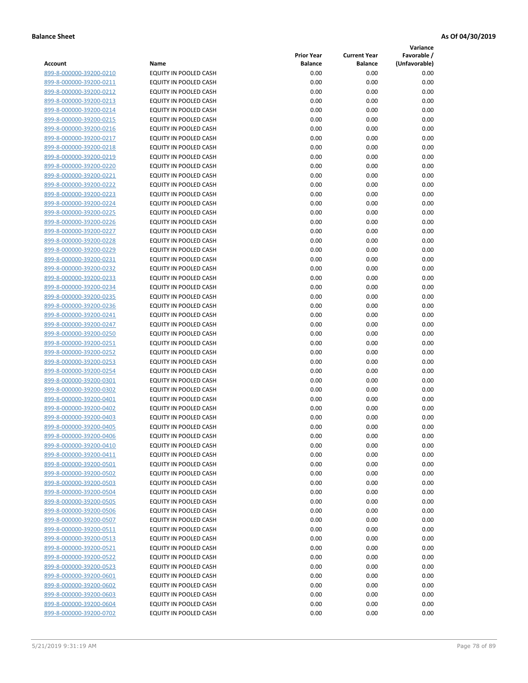**Variance**

| Account                                            | Name                                           | <b>Prior Year</b><br><b>Balance</b> | <b>Current Year</b><br><b>Balance</b> | Favorable /<br>(Unfavorable) |
|----------------------------------------------------|------------------------------------------------|-------------------------------------|---------------------------------------|------------------------------|
| 899-8-000000-39200-0210                            | EQUITY IN POOLED CASH                          | 0.00                                | 0.00                                  | 0.00                         |
| 899-8-000000-39200-0211                            | EQUITY IN POOLED CASH                          | 0.00                                | 0.00                                  | 0.00                         |
| 899-8-000000-39200-0212                            | EQUITY IN POOLED CASH                          | 0.00                                | 0.00                                  | 0.00                         |
| 899-8-000000-39200-0213                            | EQUITY IN POOLED CASH                          | 0.00                                | 0.00                                  | 0.00                         |
| 899-8-000000-39200-0214                            | <b>EQUITY IN POOLED CASH</b>                   | 0.00                                | 0.00                                  | 0.00                         |
| 899-8-000000-39200-0215                            | EQUITY IN POOLED CASH                          | 0.00                                | 0.00                                  | 0.00                         |
| 899-8-000000-39200-0216                            | EQUITY IN POOLED CASH                          | 0.00                                | 0.00                                  | 0.00                         |
| 899-8-000000-39200-0217                            | EQUITY IN POOLED CASH                          | 0.00                                | 0.00                                  | 0.00                         |
| 899-8-000000-39200-0218                            | EQUITY IN POOLED CASH                          | 0.00                                | 0.00                                  | 0.00                         |
| 899-8-000000-39200-0219                            | EQUITY IN POOLED CASH                          | 0.00                                | 0.00                                  | 0.00                         |
| 899-8-000000-39200-0220                            | EQUITY IN POOLED CASH                          | 0.00                                | 0.00                                  | 0.00                         |
| 899-8-000000-39200-0221                            | EQUITY IN POOLED CASH                          | 0.00                                | 0.00                                  | 0.00                         |
| 899-8-000000-39200-0222                            | EQUITY IN POOLED CASH                          | 0.00                                | 0.00                                  | 0.00                         |
| 899-8-000000-39200-0223                            | EQUITY IN POOLED CASH                          | 0.00                                | 0.00                                  | 0.00                         |
| 899-8-000000-39200-0224                            | EQUITY IN POOLED CASH                          | 0.00                                | 0.00                                  | 0.00                         |
| 899-8-000000-39200-0225                            | EQUITY IN POOLED CASH                          | 0.00                                | 0.00                                  | 0.00                         |
| 899-8-000000-39200-0226                            | EQUITY IN POOLED CASH                          | 0.00                                | 0.00                                  | 0.00                         |
| 899-8-000000-39200-0227                            | EQUITY IN POOLED CASH                          | 0.00                                | 0.00                                  | 0.00                         |
| 899-8-000000-39200-0228                            | EQUITY IN POOLED CASH                          | 0.00                                | 0.00                                  | 0.00                         |
| 899-8-000000-39200-0229                            | <b>EQUITY IN POOLED CASH</b>                   | 0.00                                | 0.00                                  | 0.00                         |
| 899-8-000000-39200-0231                            | <b>EQUITY IN POOLED CASH</b>                   | 0.00                                | 0.00                                  | 0.00                         |
| 899-8-000000-39200-0232                            | EQUITY IN POOLED CASH                          | 0.00                                | 0.00                                  | 0.00                         |
| 899-8-000000-39200-0233                            | <b>EQUITY IN POOLED CASH</b>                   | 0.00                                | 0.00                                  | 0.00                         |
| 899-8-000000-39200-0234                            | EQUITY IN POOLED CASH                          | 0.00                                | 0.00                                  | 0.00                         |
| 899-8-000000-39200-0235                            | EQUITY IN POOLED CASH                          | 0.00                                | 0.00                                  | 0.00                         |
| 899-8-000000-39200-0236                            | EQUITY IN POOLED CASH                          | 0.00                                | 0.00                                  | 0.00                         |
| 899-8-000000-39200-0241                            | EQUITY IN POOLED CASH                          | 0.00                                | 0.00                                  | 0.00                         |
| 899-8-000000-39200-0247                            | EQUITY IN POOLED CASH                          | 0.00                                | 0.00                                  | 0.00                         |
| 899-8-000000-39200-0250                            | EQUITY IN POOLED CASH                          | 0.00                                | 0.00                                  | 0.00                         |
| 899-8-000000-39200-0251                            | EQUITY IN POOLED CASH                          | 0.00                                | 0.00                                  | 0.00                         |
| 899-8-000000-39200-0252                            | EQUITY IN POOLED CASH                          | 0.00<br>0.00                        | 0.00<br>0.00                          | 0.00<br>0.00                 |
| 899-8-000000-39200-0253<br>899-8-000000-39200-0254 | EQUITY IN POOLED CASH<br>EQUITY IN POOLED CASH | 0.00                                | 0.00                                  | 0.00                         |
| 899-8-000000-39200-0301                            | EQUITY IN POOLED CASH                          | 0.00                                | 0.00                                  | 0.00                         |
| 899-8-000000-39200-0302                            | EQUITY IN POOLED CASH                          | 0.00                                | 0.00                                  | 0.00                         |
| 899-8-000000-39200-0401                            | EQUITY IN POOLED CASH                          | 0.00                                | 0.00                                  | 0.00                         |
| 899-8-000000-39200-0402                            | EQUITY IN POOLED CASH                          | 0.00                                | 0.00                                  | 0.00                         |
| 899-8-000000-39200-0403                            | EQUITY IN POOLED CASH                          | 0.00                                | 0.00                                  | 0.00                         |
| 899-8-000000-39200-0405                            | <b>EQUITY IN POOLED CASH</b>                   | 0.00                                | 0.00                                  | 0.00                         |
| 899-8-000000-39200-0406                            | EQUITY IN POOLED CASH                          | 0.00                                | 0.00                                  | 0.00                         |
| 899-8-000000-39200-0410                            | EQUITY IN POOLED CASH                          | 0.00                                | 0.00                                  | 0.00                         |
| 899-8-000000-39200-0411                            | EQUITY IN POOLED CASH                          | 0.00                                | 0.00                                  | 0.00                         |
| 899-8-000000-39200-0501                            | EQUITY IN POOLED CASH                          | 0.00                                | 0.00                                  | 0.00                         |
| 899-8-000000-39200-0502                            | EQUITY IN POOLED CASH                          | 0.00                                | 0.00                                  | 0.00                         |
| 899-8-000000-39200-0503                            | EQUITY IN POOLED CASH                          | 0.00                                | 0.00                                  | 0.00                         |
| 899-8-000000-39200-0504                            | EQUITY IN POOLED CASH                          | 0.00                                | 0.00                                  | 0.00                         |
| 899-8-000000-39200-0505                            | EQUITY IN POOLED CASH                          | 0.00                                | 0.00                                  | 0.00                         |
| 899-8-000000-39200-0506                            | EQUITY IN POOLED CASH                          | 0.00                                | 0.00                                  | 0.00                         |
| 899-8-000000-39200-0507                            | EQUITY IN POOLED CASH                          | 0.00                                | 0.00                                  | 0.00                         |
| 899-8-000000-39200-0511                            | <b>EQUITY IN POOLED CASH</b>                   | 0.00                                | 0.00                                  | 0.00                         |
| 899-8-000000-39200-0513                            | EQUITY IN POOLED CASH                          | 0.00                                | 0.00                                  | 0.00                         |
| 899-8-000000-39200-0521                            | EQUITY IN POOLED CASH                          | 0.00                                | 0.00                                  | 0.00                         |
| 899-8-000000-39200-0522                            | EQUITY IN POOLED CASH                          | 0.00                                | 0.00                                  | 0.00                         |
| 899-8-000000-39200-0523                            | EQUITY IN POOLED CASH                          | 0.00                                | 0.00                                  | 0.00                         |
| 899-8-000000-39200-0601                            | EQUITY IN POOLED CASH                          | 0.00                                | 0.00                                  | 0.00                         |
| 899-8-000000-39200-0602                            | EQUITY IN POOLED CASH                          | 0.00                                | 0.00                                  | 0.00                         |
| 899-8-000000-39200-0603<br>899-8-000000-39200-0604 | EQUITY IN POOLED CASH                          | 0.00                                | 0.00                                  | 0.00                         |
| 899-8-000000-39200-0702                            | EQUITY IN POOLED CASH<br>EQUITY IN POOLED CASH | 0.00<br>0.00                        | 0.00<br>0.00                          | 0.00<br>0.00                 |
|                                                    |                                                |                                     |                                       |                              |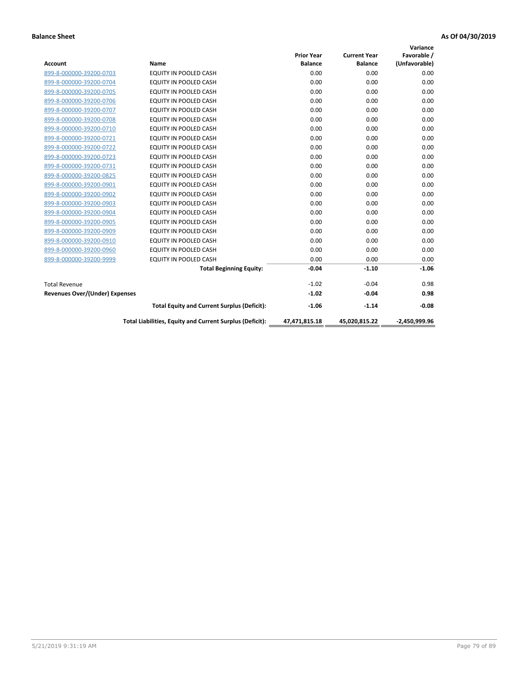| <b>Account</b>                        | Name                                                     | <b>Prior Year</b><br><b>Balance</b> | <b>Current Year</b><br><b>Balance</b> | Variance<br>Favorable /<br>(Unfavorable) |
|---------------------------------------|----------------------------------------------------------|-------------------------------------|---------------------------------------|------------------------------------------|
| 899-8-000000-39200-0703               | <b>EQUITY IN POOLED CASH</b>                             | 0.00                                | 0.00                                  | 0.00                                     |
| 899-8-000000-39200-0704               | EQUITY IN POOLED CASH                                    | 0.00                                | 0.00                                  | 0.00                                     |
| 899-8-000000-39200-0705               | <b>EQUITY IN POOLED CASH</b>                             | 0.00                                | 0.00                                  | 0.00                                     |
| 899-8-000000-39200-0706               | <b>EQUITY IN POOLED CASH</b>                             | 0.00                                | 0.00                                  | 0.00                                     |
| 899-8-000000-39200-0707               | <b>EQUITY IN POOLED CASH</b>                             | 0.00                                | 0.00                                  | 0.00                                     |
| 899-8-000000-39200-0708               | <b>EQUITY IN POOLED CASH</b>                             | 0.00                                | 0.00                                  | 0.00                                     |
| 899-8-000000-39200-0710               | <b>EQUITY IN POOLED CASH</b>                             | 0.00                                | 0.00                                  | 0.00                                     |
| 899-8-000000-39200-0721               | <b>EQUITY IN POOLED CASH</b>                             | 0.00                                | 0.00                                  | 0.00                                     |
| 899-8-000000-39200-0722               | EQUITY IN POOLED CASH                                    | 0.00                                | 0.00                                  | 0.00                                     |
| 899-8-000000-39200-0723               | <b>EQUITY IN POOLED CASH</b>                             | 0.00                                | 0.00                                  | 0.00                                     |
| 899-8-000000-39200-0731               | EQUITY IN POOLED CASH                                    | 0.00                                | 0.00                                  | 0.00                                     |
| 899-8-000000-39200-0825               | <b>EQUITY IN POOLED CASH</b>                             | 0.00                                | 0.00                                  | 0.00                                     |
| 899-8-000000-39200-0901               | <b>EQUITY IN POOLED CASH</b>                             | 0.00                                | 0.00                                  | 0.00                                     |
| 899-8-000000-39200-0902               | <b>EQUITY IN POOLED CASH</b>                             | 0.00                                | 0.00                                  | 0.00                                     |
| 899-8-000000-39200-0903               | <b>EQUITY IN POOLED CASH</b>                             | 0.00                                | 0.00                                  | 0.00                                     |
| 899-8-000000-39200-0904               | <b>EQUITY IN POOLED CASH</b>                             | 0.00                                | 0.00                                  | 0.00                                     |
| 899-8-000000-39200-0905               | EQUITY IN POOLED CASH                                    | 0.00                                | 0.00                                  | 0.00                                     |
| 899-8-000000-39200-0909               | EQUITY IN POOLED CASH                                    | 0.00                                | 0.00                                  | 0.00                                     |
| 899-8-000000-39200-0910               | <b>EQUITY IN POOLED CASH</b>                             | 0.00                                | 0.00                                  | 0.00                                     |
| 899-8-000000-39200-0960               | <b>EQUITY IN POOLED CASH</b>                             | 0.00                                | 0.00                                  | 0.00                                     |
| 899-8-000000-39200-9999               | EQUITY IN POOLED CASH                                    | 0.00                                | 0.00                                  | 0.00                                     |
|                                       | <b>Total Beginning Equity:</b>                           | $-0.04$                             | $-1.10$                               | $-1.06$                                  |
| <b>Total Revenue</b>                  |                                                          | $-1.02$                             | $-0.04$                               | 0.98                                     |
| <b>Revenues Over/(Under) Expenses</b> |                                                          | $-1.02$                             | $-0.04$                               | 0.98                                     |
|                                       | <b>Total Equity and Current Surplus (Deficit):</b>       | $-1.06$                             | $-1.14$                               | $-0.08$                                  |
|                                       | Total Liabilities, Equity and Current Surplus (Deficit): | 47,471,815.18                       | 45,020,815.22                         | $-2.450.999.96$                          |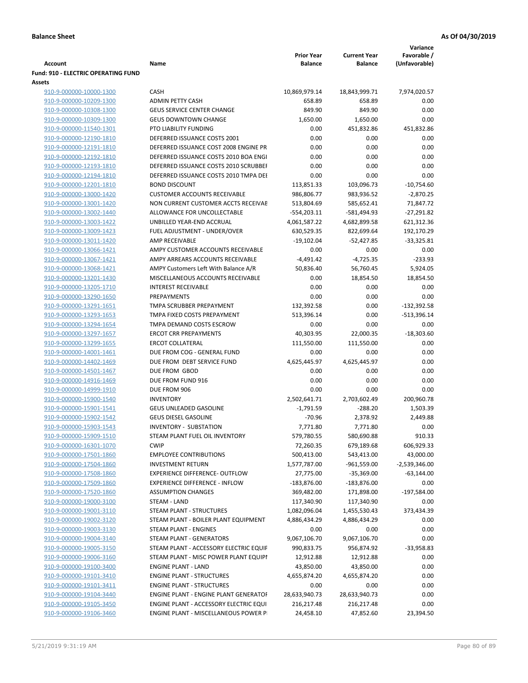|                                                             |                                                           | <b>Prior Year</b>    | <b>Current Year</b>  | Variance<br>Favorable / |
|-------------------------------------------------------------|-----------------------------------------------------------|----------------------|----------------------|-------------------------|
| <b>Account</b>                                              | Name                                                      | <b>Balance</b>       | <b>Balance</b>       | (Unfavorable)           |
| <b>Fund: 910 - ELECTRIC OPERATING FUND</b><br><b>Assets</b> |                                                           |                      |                      |                         |
| 910-9-000000-10000-1300                                     | <b>CASH</b>                                               | 10,869,979.14        | 18,843,999.71        | 7,974,020.57            |
| 910-9-000000-10209-1300                                     | <b>ADMIN PETTY CASH</b>                                   | 658.89               | 658.89               | 0.00                    |
| 910-9-000000-10308-1300                                     | <b>GEUS SERVICE CENTER CHANGE</b>                         | 849.90               | 849.90               | 0.00                    |
| 910-9-000000-10309-1300                                     | <b>GEUS DOWNTOWN CHANGE</b>                               | 1,650.00             | 1,650.00             | 0.00                    |
| 910-9-000000-11540-1301                                     | PTO LIABILITY FUNDING                                     | 0.00                 | 451,832.86           | 451,832.86              |
| 910-9-000000-12190-1810                                     | DEFERRED ISSUANCE COSTS 2001                              | 0.00                 | 0.00                 | 0.00                    |
| 910-9-000000-12191-1810                                     | DEFERRED ISSUANCE COST 2008 ENGINE PR                     | 0.00                 | 0.00                 | 0.00                    |
| 910-9-000000-12192-1810                                     | DEFERRED ISSUANCE COSTS 2010 BOA ENGI                     | 0.00                 | 0.00                 | 0.00                    |
| 910-9-000000-12193-1810                                     | DEFERRED ISSUANCE COSTS 2010 SCRUBBEI                     | 0.00                 | 0.00                 | 0.00                    |
| 910-9-000000-12194-1810                                     | DEFERRED ISSUANCE COSTS 2010 TMPA DEI                     | 0.00                 | 0.00                 | 0.00                    |
| 910-9-000000-12201-1810                                     | <b>BOND DISCOUNT</b>                                      | 113,851.33           | 103,096.73           | $-10,754.60$            |
| 910-9-000000-13000-1420                                     | <b>CUSTOMER ACCOUNTS RECEIVABLE</b>                       | 986,806.77           | 983,936.52           | $-2,870.25$             |
| 910-9-000000-13001-1420                                     | NON CURRENT CUSTOMER ACCTS RECEIVAE                       | 513,804.69           | 585,652.41           | 71,847.72               |
| 910-9-000000-13002-1440                                     | ALLOWANCE FOR UNCOLLECTABLE                               | $-554,203.11$        | -581,494.93          | $-27,291.82$            |
| 910-9-000000-13003-1422                                     | UNBILLED YEAR-END ACCRUAL                                 | 4,061,587.22         | 4,682,899.58         | 621,312.36              |
| 910-9-000000-13009-1423                                     | FUEL ADJUSTMENT - UNDER/OVER                              | 630,529.35           | 822,699.64           | 192,170.29              |
| 910-9-000000-13011-1420                                     | AMP RECEIVABLE                                            | $-19,102.04$         | $-52,427.85$         | $-33,325.81$            |
| 910-9-000000-13066-1421                                     | AMPY CUSTOMER ACCOUNTS RECEIVABLE                         | 0.00                 | 0.00                 | 0.00                    |
| 910-9-000000-13067-1421                                     | AMPY ARREARS ACCOUNTS RECEIVABLE                          | $-4,491.42$          | $-4,725.35$          | $-233.93$               |
| 910-9-000000-13068-1421                                     | AMPY Customers Left With Balance A/R                      | 50,836.40            | 56,760.45            | 5,924.05                |
| 910-9-000000-13201-1430                                     | MISCELLANEOUS ACCOUNTS RECEIVABLE                         | 0.00                 | 18,854.50            | 18,854.50               |
| 910-9-000000-13205-1710                                     | <b>INTEREST RECEIVABLE</b>                                | 0.00                 | 0.00                 | 0.00                    |
| 910-9-000000-13290-1650                                     | PREPAYMENTS                                               | 0.00                 | 0.00                 | 0.00                    |
| 910-9-000000-13291-1651                                     | TMPA SCRUBBER PREPAYMENT                                  | 132,392.58           | 0.00                 | $-132,392.58$           |
| 910-9-000000-13293-1653                                     | TMPA FIXED COSTS PREPAYMENT                               | 513,396.14           | 0.00                 | $-513,396.14$           |
| 910-9-000000-13294-1654                                     | TMPA DEMAND COSTS ESCROW                                  | 0.00                 | 0.00                 | 0.00                    |
| 910-9-000000-13297-1657                                     | <b>ERCOT CRR PREPAYMENTS</b>                              | 40,303.95            | 22,000.35            | $-18,303.60$            |
| 910-9-000000-13299-1655                                     | <b>ERCOT COLLATERAL</b>                                   | 111,550.00           | 111,550.00           | 0.00                    |
| 910-9-000000-14001-1461                                     | DUE FROM COG - GENERAL FUND<br>DUE FROM DEBT SERVICE FUND | 0.00                 | 0.00                 | 0.00<br>0.00            |
| 910-9-000000-14402-1469                                     | DUE FROM GBOD                                             | 4,625,445.97<br>0.00 | 4,625,445.97<br>0.00 | 0.00                    |
| 910-9-000000-14501-1467<br>910-9-000000-14916-1469          | DUE FROM FUND 916                                         | 0.00                 | 0.00                 | 0.00                    |
| 910-9-000000-14999-1910                                     | DUE FROM 906                                              | 0.00                 | 0.00                 | 0.00                    |
| 910-9-000000-15900-1540                                     | <b>INVENTORY</b>                                          | 2,502,641.71         | 2,703,602.49         | 200,960.78              |
| 910-9-000000-15901-1541                                     | <b>GEUS UNLEADED GASOLINE</b>                             | $-1,791.59$          | $-288.20$            | 1,503.39                |
| 910-9-000000-15902-1542                                     | <b>GEUS DIESEL GASOLINE</b>                               | $-70.96$             | 2,378.92             | 2,449.88                |
| 910-9-000000-15903-1543                                     | <b>INVENTORY - SUBSTATION</b>                             | 7,771.80             | 7,771.80             | 0.00                    |
| 910-9-000000-15909-1510                                     | STEAM PLANT FUEL OIL INVENTORY                            | 579,780.55           | 580,690.88           | 910.33                  |
| 910-9-000000-16301-1070                                     | <b>CWIP</b>                                               | 72,260.35            | 679,189.68           | 606,929.33              |
| 910-9-000000-17501-1860                                     | <b>EMPLOYEE CONTRIBUTIONS</b>                             | 500,413.00           | 543,413.00           | 43,000.00               |
| 910-9-000000-17504-1860                                     | <b>INVESTMENT RETURN</b>                                  | 1,577,787.00         | -961,559.00          | $-2,539,346.00$         |
| 910-9-000000-17508-1860                                     | <b>EXPERIENCE DIFFERENCE- OUTFLOW</b>                     | 27,775.00            | $-35,369.00$         | $-63,144.00$            |
| 910-9-000000-17509-1860                                     | <b>EXPERIENCE DIFFERENCE - INFLOW</b>                     | $-183,876.00$        | $-183,876.00$        | 0.00                    |
| 910-9-000000-17520-1860                                     | <b>ASSUMPTION CHANGES</b>                                 | 369,482.00           | 171,898.00           | -197,584.00             |
| 910-9-000000-19000-3100                                     | <b>STEAM - LAND</b>                                       | 117,340.90           | 117,340.90           | 0.00                    |
| 910-9-000000-19001-3110                                     | STEAM PLANT - STRUCTURES                                  | 1,082,096.04         | 1,455,530.43         | 373,434.39              |
| 910-9-000000-19002-3120                                     | STEAM PLANT - BOILER PLANT EQUIPMENT                      | 4,886,434.29         | 4,886,434.29         | 0.00                    |
| 910-9-000000-19003-3130                                     | STEAM PLANT - ENGINES                                     | 0.00                 | 0.00                 | 0.00                    |
| 910-9-000000-19004-3140                                     | STEAM PLANT - GENERATORS                                  | 9,067,106.70         | 9,067,106.70         | 0.00                    |
| 910-9-000000-19005-3150                                     | STEAM PLANT - ACCESSORY ELECTRIC EQUIF                    | 990,833.75           | 956,874.92           | $-33,958.83$            |
| 910-9-000000-19006-3160                                     | STEAM PLANT - MISC POWER PLANT EQUIPI                     | 12,912.88            | 12,912.88            | 0.00                    |
| 910-9-000000-19100-3400                                     | <b>ENGINE PLANT - LAND</b>                                | 43,850.00            | 43,850.00            | 0.00                    |
| 910-9-000000-19101-3410                                     | <b>ENGINE PLANT - STRUCTURES</b>                          | 4,655,874.20         | 4,655,874.20         | 0.00                    |
| 910-9-000000-19101-3411                                     | <b>ENGINE PLANT - STRUCTURES</b>                          | 0.00                 | 0.00                 | 0.00                    |
| 910-9-000000-19104-3440                                     | ENGINE PLANT - ENGINE PLANT GENERATOF                     | 28,633,940.73        | 28,633,940.73        | 0.00                    |
| 910-9-000000-19105-3450                                     | ENGINE PLANT - ACCESSORY ELECTRIC EQUI                    | 216,217.48           | 216,217.48           | 0.00                    |
| 910-9-000000-19106-3460                                     | ENGINE PLANT - MISCELLANEOUS POWER P                      | 24,458.10            | 47,852.60            | 23,394.50               |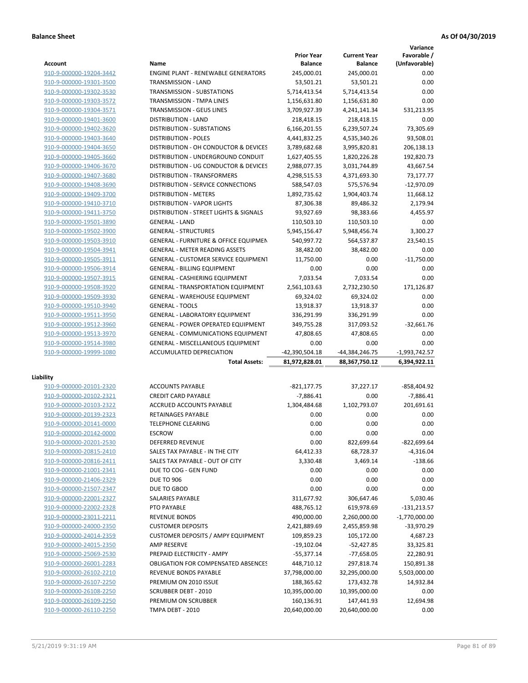|                         |                                             |                   |                     | Variance        |
|-------------------------|---------------------------------------------|-------------------|---------------------|-----------------|
|                         |                                             | <b>Prior Year</b> | <b>Current Year</b> | Favorable /     |
| <b>Account</b>          | Name                                        | <b>Balance</b>    | <b>Balance</b>      | (Unfavorable)   |
| 910-9-000000-19204-3442 | <b>ENGINE PLANT - RENEWABLE GENERATORS</b>  | 245,000.01        | 245.000.01          | 0.00            |
| 910-9-000000-19301-3500 | TRANSMISSION - LAND                         | 53,501.21         | 53,501.21           | 0.00            |
| 910-9-000000-19302-3530 | <b>TRANSMISSION - SUBSTATIONS</b>           | 5,714,413.54      | 5,714,413.54        | 0.00            |
| 910-9-000000-19303-3572 | <b>TRANSMISSION - TMPA LINES</b>            | 1,156,631.80      | 1,156,631.80        | 0.00            |
| 910-9-000000-19304-3571 | <b>TRANSMISSION - GEUS LINES</b>            | 3,709,927.39      | 4,241,141.34        | 531,213.95      |
| 910-9-000000-19401-3600 | <b>DISTRIBUTION - LAND</b>                  | 218,418.15        | 218,418.15          | 0.00            |
| 910-9-000000-19402-3620 | DISTRIBUTION - SUBSTATIONS                  | 6,166,201.55      | 6,239,507.24        | 73,305.69       |
| 910-9-000000-19403-3640 | <b>DISTRIBUTION - POLES</b>                 | 4,441,832.25      | 4,535,340.26        | 93,508.01       |
| 910-9-000000-19404-3650 | DISTRIBUTION - OH CONDUCTOR & DEVICES       | 3,789,682.68      | 3,995,820.81        | 206,138.13      |
| 910-9-000000-19405-3660 | DISTRIBUTION - UNDERGROUND CONDUIT          | 1,627,405.55      | 1,820,226.28        | 192,820.73      |
| 910-9-000000-19406-3670 | DISTRIBUTION - UG CONDUCTOR & DEVICES       | 2,988,077.35      | 3,031,744.89        | 43,667.54       |
| 910-9-000000-19407-3680 | DISTRIBUTION - TRANSFORMERS                 | 4,298,515.53      | 4,371,693.30        | 73,177.77       |
| 910-9-000000-19408-3690 | DISTRIBUTION - SERVICE CONNECTIONS          | 588,547.03        | 575,576.94          | $-12,970.09$    |
| 910-9-000000-19409-3700 | <b>DISTRIBUTION - METERS</b>                | 1,892,735.62      | 1,904,403.74        | 11,668.12       |
| 910-9-000000-19410-3710 | <b>DISTRIBUTION - VAPOR LIGHTS</b>          | 87,306.38         | 89,486.32           | 2,179.94        |
| 910-9-000000-19411-3750 | DISTRIBUTION - STREET LIGHTS & SIGNALS      | 93,927.69         | 98.383.66           | 4,455.97        |
| 910-9-000000-19501-3890 | <b>GENERAL - LAND</b>                       | 110,503.10        | 110,503.10          | 0.00            |
| 910-9-000000-19502-3900 | <b>GENERAL - STRUCTURES</b>                 | 5,945,156.47      | 5,948,456.74        | 3,300.27        |
| 910-9-000000-19503-3910 | GENERAL - FURNITURE & OFFICE EQUIPMEN       | 540,997.72        | 564,537.87          | 23,540.15       |
| 910-9-000000-19504-3941 | <b>GENERAL - METER READING ASSETS</b>       | 38,482.00         | 38,482.00           | 0.00            |
| 910-9-000000-19505-3911 | <b>GENERAL - CUSTOMER SERVICE EQUIPMENT</b> | 11,750.00         | 0.00                | $-11,750.00$    |
| 910-9-000000-19506-3914 | <b>GENERAL - BILLING EQUIPMENT</b>          | 0.00              | 0.00                | 0.00            |
| 910-9-000000-19507-3915 | GENERAL - CASHIERING EQUIPMENT              | 7.033.54          | 7,033.54            | 0.00            |
| 910-9-000000-19508-3920 | <b>GENERAL - TRANSPORTATION EQUIPMENT</b>   | 2,561,103.63      | 2,732,230.50        | 171,126.87      |
| 910-9-000000-19509-3930 | <b>GENERAL - WAREHOUSE EQUIPMENT</b>        | 69,324.02         | 69,324.02           | 0.00            |
| 910-9-000000-19510-3940 | <b>GENERAL - TOOLS</b>                      | 13,918.37         | 13,918.37           | 0.00            |
| 910-9-000000-19511-3950 | <b>GENERAL - LABORATORY EQUIPMENT</b>       | 336,291.99        | 336,291.99          | 0.00            |
| 910-9-000000-19512-3960 | <b>GENERAL - POWER OPERATED EQUIPMENT</b>   | 349,755.28        | 317,093.52          | $-32,661.76$    |
| 910-9-000000-19513-3970 | <b>GENERAL - COMMUNICATIONS EQUIPMENT</b>   | 47,808.65         | 47,808.65           | 0.00            |
| 910-9-000000-19514-3980 | <b>GENERAL - MISCELLANEOUS EQUIPMENT</b>    | 0.00              | 0.00                | 0.00            |
| 910-9-000000-19999-1080 | ACCUMULATED DEPRECIATION                    | -42,390,504.18    | -44,384,246.75      | $-1,993,742.57$ |
|                         | <b>Total Assets:</b>                        | 81,972,828.01     | 88,367,750.12       | 6,394,922.11    |
|                         |                                             |                   |                     |                 |
| Liability               |                                             |                   |                     |                 |
| 910-9-000000-20101-2320 | <b>ACCOUNTS PAYABLE</b>                     | $-821, 177.75$    | 37.227.17           | -858,404.92     |
| 910-9-000000-20102-2321 | <b>CREDIT CARD PAYABLE</b>                  | $-7,886.41$       | 0.00                | $-7,886.41$     |
| 910-9-000000-20103-2322 | ACCRUED ACCOUNTS PAYABLE                    | 1,304,484.68      | 1,102,793.07        | 201,691.61      |
| 910-9-000000-20139-2323 | RETAINAGES PAYABLE                          | 0.00              | 0.00                | 0.00            |
| 910-9-000000-20141-0000 | <b>TELEPHONE CLEARING</b>                   | 0.00              | 0.00                | 0.00            |
| 910-9-000000-20142-0000 | <b>ESCROW</b>                               | 0.00              | 0.00                | 0.00            |
| 910-9-000000-20201-2530 | DEFERRED REVENUE                            | 0.00              | 822,699.64          | $-822,699.64$   |
| 910-9-000000-20815-2410 | SALES TAX PAYABLE - IN THE CITY             | 64,412.33         | 68,728.37           | $-4,316.04$     |
| 910-9-000000-20816-2411 | SALES TAX PAYABLE - OUT OF CITY             | 3,330.48          | 3,469.14            | $-138.66$       |
| 910-9-000000-21001-2341 | DUE TO COG - GEN FUND                       | 0.00              | 0.00                | 0.00            |
| 910-9-000000-21406-2329 | <b>DUE TO 906</b>                           | 0.00              | 0.00                | 0.00            |
| 910-9-000000-21507-2347 | DUE TO GBOD                                 | 0.00              | 0.00                | 0.00            |
| 910-9-000000-22001-2327 | SALARIES PAYABLE                            | 311,677.92        | 306,647.46          | 5,030.46        |
| 910-9-000000-22002-2328 | PTO PAYABLE                                 | 488,765.12        | 619,978.69          | $-131,213.57$   |
| 910-9-000000-23011-2211 | <b>REVENUE BONDS</b>                        | 490,000.00        | 2,260,000.00        | $-1,770,000.00$ |
| 910-9-000000-24000-2350 | <b>CUSTOMER DEPOSITS</b>                    | 2,421,889.69      | 2,455,859.98        | -33,970.29      |
| 910-9-000000-24014-2359 | <b>CUSTOMER DEPOSITS / AMPY EQUIPMENT</b>   | 109,859.23        | 105,172.00          | 4,687.23        |
| 910-9-000000-24015-2350 | AMP RESERVE                                 | $-19,102.04$      | $-52,427.85$        | 33,325.81       |
| 910-9-000000-25069-2530 | PREPAID ELECTRICITY - AMPY                  | $-55,377.14$      | $-77,658.05$        | 22,280.91       |
| 910-9-000000-26001-2283 | <b>OBLIGATION FOR COMPENSATED ABSENCES</b>  | 448,710.12        | 297,818.74          | 150,891.38      |
| 910-9-000000-26102-2210 | REVENUE BONDS PAYABLE                       | 37,798,000.00     | 32,295,000.00       | 5,503,000.00    |
| 910-9-000000-26107-2250 | PREMIUM ON 2010 ISSUE                       | 188,365.62        | 173,432.78          | 14,932.84       |
| 910-9-000000-26108-2250 | <b>SCRUBBER DEBT - 2010</b>                 | 10,395,000.00     | 10,395,000.00       | 0.00            |
| 910-9-000000-26109-2250 | PREMIUM ON SCRUBBER                         | 160,136.91        | 147,441.93          | 12,694.98       |
| 910-9-000000-26110-2250 | TMPA DEBT - 2010                            | 20,640,000.00     | 20,640,000.00       | 0.00            |
|                         |                                             |                   |                     |                 |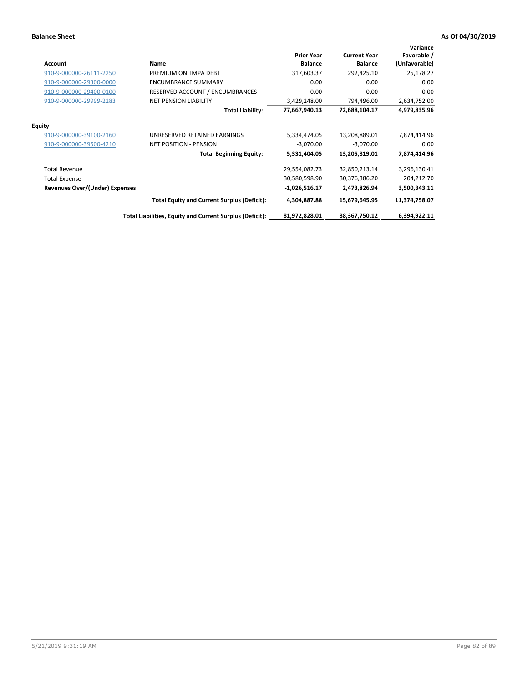| Account                               | Name                                                     | <b>Prior Year</b><br><b>Balance</b> | <b>Current Year</b><br><b>Balance</b> | Variance<br>Favorable /<br>(Unfavorable) |
|---------------------------------------|----------------------------------------------------------|-------------------------------------|---------------------------------------|------------------------------------------|
| 910-9-000000-26111-2250               | PREMIUM ON TMPA DEBT                                     | 317,603.37                          | 292,425.10                            | 25,178.27                                |
| 910-9-000000-29300-0000               | <b>ENCUMBRANCE SUMMARY</b>                               | 0.00                                | 0.00                                  | 0.00                                     |
| 910-9-000000-29400-0100               | RESERVED ACCOUNT / ENCUMBRANCES                          | 0.00                                | 0.00                                  | 0.00                                     |
| 910-9-000000-29999-2283               | <b>NET PENSION LIABILITY</b>                             | 3,429,248.00                        | 794,496.00                            | 2,634,752.00                             |
|                                       | <b>Total Liability:</b>                                  | 77,667,940.13                       | 72,688,104.17                         | 4,979,835.96                             |
| <b>Equity</b>                         |                                                          |                                     |                                       |                                          |
| 910-9-000000-39100-2160               | UNRESERVED RETAINED EARNINGS                             | 5,334,474.05                        | 13,208,889.01                         | 7,874,414.96                             |
| 910-9-000000-39500-4210               | <b>NET POSITION - PENSION</b>                            | $-3,070.00$                         | $-3,070.00$                           | 0.00                                     |
|                                       | <b>Total Beginning Equity:</b>                           | 5,331,404.05                        | 13,205,819.01                         | 7,874,414.96                             |
| <b>Total Revenue</b>                  |                                                          | 29,554,082.73                       | 32,850,213.14                         | 3,296,130.41                             |
| <b>Total Expense</b>                  |                                                          | 30,580,598.90                       | 30,376,386.20                         | 204,212.70                               |
| <b>Revenues Over/(Under) Expenses</b> |                                                          | $-1,026,516.17$                     | 2,473,826.94                          | 3,500,343.11                             |
|                                       | <b>Total Equity and Current Surplus (Deficit):</b>       | 4,304,887.88                        | 15,679,645.95                         | 11,374,758.07                            |
|                                       | Total Liabilities, Equity and Current Surplus (Deficit): | 81,972,828.01                       | 88,367,750.12                         | 6,394,922.11                             |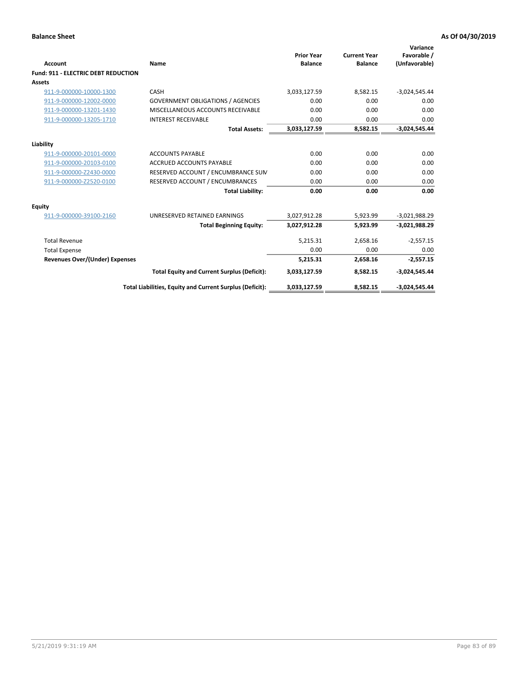| Account                                    | Name                                                     | <b>Prior Year</b><br><b>Balance</b> | <b>Current Year</b><br><b>Balance</b> | Variance<br>Favorable /<br>(Unfavorable) |
|--------------------------------------------|----------------------------------------------------------|-------------------------------------|---------------------------------------|------------------------------------------|
| <b>Fund: 911 - ELECTRIC DEBT REDUCTION</b> |                                                          |                                     |                                       |                                          |
| Assets                                     |                                                          |                                     |                                       |                                          |
| 911-9-000000-10000-1300                    | CASH                                                     | 3,033,127.59                        | 8,582.15                              | $-3,024,545.44$                          |
| 911-9-000000-12002-0000                    | <b>GOVERNMENT OBLIGATIONS / AGENCIES</b>                 | 0.00                                | 0.00                                  | 0.00                                     |
| 911-9-000000-13201-1430                    | MISCELLANEOUS ACCOUNTS RECEIVABLE                        | 0.00                                | 0.00                                  | 0.00                                     |
| 911-9-000000-13205-1710                    | <b>INTEREST RECEIVABLE</b>                               | 0.00                                | 0.00                                  | 0.00                                     |
|                                            | <b>Total Assets:</b>                                     | 3,033,127.59                        | 8,582.15                              | $-3,024,545.44$                          |
| Liability                                  |                                                          |                                     |                                       |                                          |
| 911-9-000000-20101-0000                    | <b>ACCOUNTS PAYABLE</b>                                  | 0.00                                | 0.00                                  | 0.00                                     |
| 911-9-000000-20103-0100                    | <b>ACCRUED ACCOUNTS PAYABLE</b>                          | 0.00                                | 0.00                                  | 0.00                                     |
| 911-9-000000-Z2430-0000                    | RESERVED ACCOUNT / ENCUMBRANCE SUM                       | 0.00                                | 0.00                                  | 0.00                                     |
| 911-9-000000-Z2520-0100                    | RESERVED ACCOUNT / ENCUMBRANCES                          | 0.00                                | 0.00                                  | 0.00                                     |
|                                            | <b>Total Liability:</b>                                  | 0.00                                | 0.00                                  | 0.00                                     |
| Equity                                     |                                                          |                                     |                                       |                                          |
| 911-9-000000-39100-2160                    | UNRESERVED RETAINED EARNINGS                             | 3,027,912.28                        | 5,923.99                              | $-3,021,988.29$                          |
|                                            | <b>Total Beginning Equity:</b>                           | 3,027,912.28                        | 5,923.99                              | $-3,021,988.29$                          |
| <b>Total Revenue</b>                       |                                                          | 5,215.31                            | 2,658.16                              | $-2,557.15$                              |
| <b>Total Expense</b>                       |                                                          | 0.00                                | 0.00                                  | 0.00                                     |
| Revenues Over/(Under) Expenses             |                                                          | 5,215.31                            | 2,658.16                              | $-2,557.15$                              |
|                                            | <b>Total Equity and Current Surplus (Deficit):</b>       | 3,033,127.59                        | 8,582.15                              | $-3,024,545.44$                          |
|                                            | Total Liabilities, Equity and Current Surplus (Deficit): | 3,033,127.59                        | 8,582.15                              | $-3,024,545.44$                          |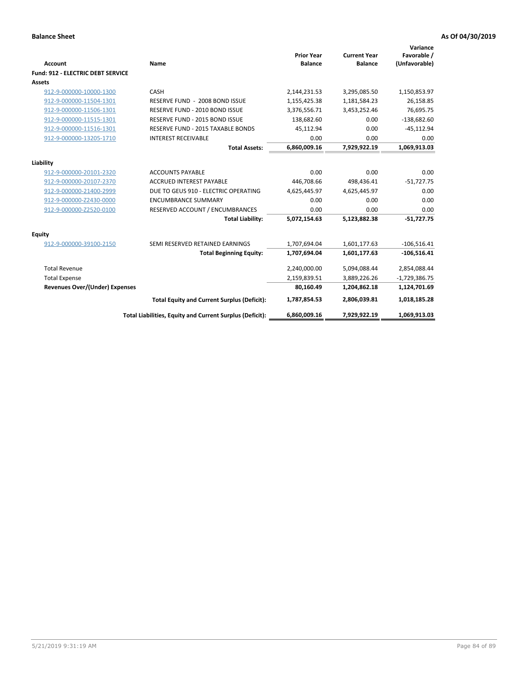| Account                                  | Name                                                     | <b>Prior Year</b><br><b>Balance</b> | <b>Current Year</b><br><b>Balance</b> | Variance<br>Favorable /<br>(Unfavorable) |
|------------------------------------------|----------------------------------------------------------|-------------------------------------|---------------------------------------|------------------------------------------|
| <b>Fund: 912 - ELECTRIC DEBT SERVICE</b> |                                                          |                                     |                                       |                                          |
| <b>Assets</b>                            |                                                          |                                     |                                       |                                          |
| 912-9-000000-10000-1300                  | CASH                                                     | 2,144,231.53                        | 3,295,085.50                          | 1,150,853.97                             |
| 912-9-000000-11504-1301                  | RESERVE FUND - 2008 BOND ISSUE                           | 1,155,425.38                        | 1,181,584.23                          | 26,158.85                                |
| 912-9-000000-11506-1301                  | RESERVE FUND - 2010 BOND ISSUE                           | 3,376,556.71                        | 3,453,252.46                          | 76,695.75                                |
| 912-9-000000-11515-1301                  | RESERVE FUND - 2015 BOND ISSUE                           | 138,682.60                          | 0.00                                  | $-138,682.60$                            |
| 912-9-000000-11516-1301                  | RESERVE FUND - 2015 TAXABLE BONDS                        | 45,112.94                           | 0.00                                  | $-45,112.94$                             |
| 912-9-000000-13205-1710                  | <b>INTEREST RECEIVABLE</b>                               | 0.00                                | 0.00                                  | 0.00                                     |
|                                          | <b>Total Assets:</b>                                     | 6,860,009.16                        | 7,929,922.19                          | 1,069,913.03                             |
| Liability                                |                                                          |                                     |                                       |                                          |
| 912-9-000000-20101-2320                  | <b>ACCOUNTS PAYABLE</b>                                  | 0.00                                | 0.00                                  | 0.00                                     |
| 912-9-000000-20107-2370                  | <b>ACCRUED INTEREST PAYABLE</b>                          | 446,708.66                          | 498,436.41                            | $-51,727.75$                             |
| 912-9-000000-21400-2999                  | DUE TO GEUS 910 - ELECTRIC OPERATING                     | 4,625,445.97                        | 4,625,445.97                          | 0.00                                     |
| 912-9-000000-Z2430-0000                  | <b>ENCUMBRANCE SUMMARY</b>                               | 0.00                                | 0.00                                  | 0.00                                     |
| 912-9-000000-Z2520-0100                  | RESERVED ACCOUNT / ENCUMBRANCES                          | 0.00                                | 0.00                                  | 0.00                                     |
|                                          | <b>Total Liability:</b>                                  | 5,072,154.63                        | 5,123,882.38                          | $-51,727.75$                             |
| Equity                                   |                                                          |                                     |                                       |                                          |
| 912-9-000000-39100-2150                  | SEMI RESERVED RETAINED EARNINGS                          | 1,707,694.04                        | 1,601,177.63                          | $-106,516.41$                            |
|                                          | <b>Total Beginning Equity:</b>                           | 1,707,694.04                        | 1,601,177.63                          | $-106,516.41$                            |
| <b>Total Revenue</b>                     |                                                          | 2,240,000.00                        | 5,094,088.44                          | 2,854,088.44                             |
| <b>Total Expense</b>                     |                                                          | 2,159,839.51                        | 3,889,226.26                          | $-1,729,386.75$                          |
| <b>Revenues Over/(Under) Expenses</b>    |                                                          | 80,160.49                           | 1,204,862.18                          | 1,124,701.69                             |
|                                          | <b>Total Equity and Current Surplus (Deficit):</b>       | 1,787,854.53                        | 2,806,039.81                          | 1,018,185.28                             |
|                                          | Total Liabilities, Equity and Current Surplus (Deficit): | 6,860,009.16                        | 7,929,922.19                          | 1.069.913.03                             |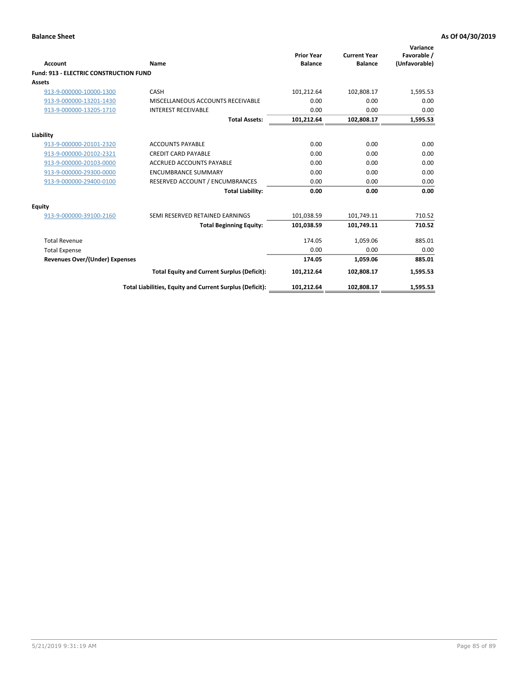| Account                                       | Name                                                     | <b>Prior Year</b><br><b>Balance</b> | <b>Current Year</b><br><b>Balance</b> | Variance<br>Favorable /<br>(Unfavorable) |
|-----------------------------------------------|----------------------------------------------------------|-------------------------------------|---------------------------------------|------------------------------------------|
| <b>Fund: 913 - ELECTRIC CONSTRUCTION FUND</b> |                                                          |                                     |                                       |                                          |
| <b>Assets</b>                                 |                                                          |                                     |                                       |                                          |
| 913-9-000000-10000-1300                       | CASH                                                     | 101,212.64                          | 102,808.17                            | 1,595.53                                 |
| 913-9-000000-13201-1430                       | MISCELLANEOUS ACCOUNTS RECEIVABLE                        | 0.00                                | 0.00                                  | 0.00                                     |
| 913-9-000000-13205-1710                       | <b>INTEREST RECEIVABLE</b>                               | 0.00                                | 0.00                                  | 0.00                                     |
|                                               | <b>Total Assets:</b>                                     | 101,212.64                          | 102,808.17                            | 1,595.53                                 |
| Liability                                     |                                                          |                                     |                                       |                                          |
| 913-9-000000-20101-2320                       | <b>ACCOUNTS PAYABLE</b>                                  | 0.00                                | 0.00                                  | 0.00                                     |
| 913-9-000000-20102-2321                       | <b>CREDIT CARD PAYABLE</b>                               | 0.00                                | 0.00                                  | 0.00                                     |
| 913-9-000000-20103-0000                       | <b>ACCRUED ACCOUNTS PAYABLE</b>                          | 0.00                                | 0.00                                  | 0.00                                     |
| 913-9-000000-29300-0000                       | <b>ENCUMBRANCE SUMMARY</b>                               | 0.00                                | 0.00                                  | 0.00                                     |
| 913-9-000000-29400-0100                       | RESERVED ACCOUNT / ENCUMBRANCES                          | 0.00                                | 0.00                                  | 0.00                                     |
|                                               | <b>Total Liability:</b>                                  | 0.00                                | 0.00                                  | 0.00                                     |
| <b>Equity</b>                                 |                                                          |                                     |                                       |                                          |
| 913-9-000000-39100-2160                       | SEMI RESERVED RETAINED EARNINGS                          | 101,038.59                          | 101,749.11                            | 710.52                                   |
|                                               | <b>Total Beginning Equity:</b>                           | 101,038.59                          | 101.749.11                            | 710.52                                   |
| <b>Total Revenue</b>                          |                                                          | 174.05                              | 1,059.06                              | 885.01                                   |
| <b>Total Expense</b>                          |                                                          | 0.00                                | 0.00                                  | 0.00                                     |
| <b>Revenues Over/(Under) Expenses</b>         |                                                          | 174.05                              | 1,059.06                              | 885.01                                   |
|                                               | <b>Total Equity and Current Surplus (Deficit):</b>       | 101,212.64                          | 102.808.17                            | 1,595.53                                 |
|                                               | Total Liabilities, Equity and Current Surplus (Deficit): | 101,212.64                          | 102,808.17                            | 1,595.53                                 |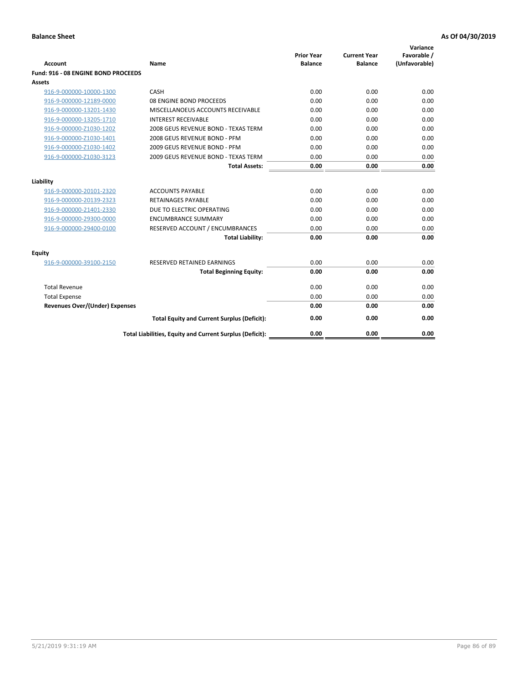| <b>Account</b>                        | Name                                                     | <b>Prior Year</b><br><b>Balance</b> | <b>Current Year</b><br><b>Balance</b> | Variance<br>Favorable /<br>(Unfavorable) |
|---------------------------------------|----------------------------------------------------------|-------------------------------------|---------------------------------------|------------------------------------------|
| Fund: 916 - 08 ENGINE BOND PROCEEDS   |                                                          |                                     |                                       |                                          |
| Assets                                |                                                          |                                     |                                       |                                          |
| 916-9-000000-10000-1300               | CASH                                                     | 0.00                                | 0.00                                  | 0.00                                     |
| 916-9-000000-12189-0000               | 08 ENGINE BOND PROCEEDS                                  | 0.00                                | 0.00                                  | 0.00                                     |
| 916-9-000000-13201-1430               | MISCELLANOEUS ACCOUNTS RECEIVABLE                        | 0.00                                | 0.00                                  | 0.00                                     |
| 916-9-000000-13205-1710               | <b>INTEREST RECEIVABLE</b>                               | 0.00                                | 0.00                                  | 0.00                                     |
| 916-9-000000-Z1030-1202               | 2008 GEUS REVENUE BOND - TEXAS TERM                      | 0.00                                | 0.00                                  | 0.00                                     |
| 916-9-000000-Z1030-1401               | 2008 GEUS REVENUE BOND - PFM                             | 0.00                                | 0.00                                  | 0.00                                     |
| 916-9-000000-Z1030-1402               | 2009 GEUS REVENUE BOND - PFM                             | 0.00                                | 0.00                                  | 0.00                                     |
| 916-9-000000-Z1030-3123               | 2009 GEUS REVENUE BOND - TEXAS TERM                      | 0.00                                | 0.00                                  | 0.00                                     |
|                                       | <b>Total Assets:</b>                                     | 0.00                                | 0.00                                  | 0.00                                     |
| Liability                             |                                                          |                                     |                                       |                                          |
| 916-9-000000-20101-2320               | <b>ACCOUNTS PAYABLE</b>                                  | 0.00                                | 0.00                                  | 0.00                                     |
| 916-9-000000-20139-2323               | <b>RETAINAGES PAYABLE</b>                                | 0.00                                | 0.00                                  | 0.00                                     |
| 916-9-000000-21401-2330               | DUE TO ELECTRIC OPERATING                                | 0.00                                | 0.00                                  | 0.00                                     |
| 916-9-000000-29300-0000               | <b>ENCUMBRANCE SUMMARY</b>                               | 0.00                                | 0.00                                  | 0.00                                     |
| 916-9-000000-29400-0100               | RESERVED ACCOUNT / ENCUMBRANCES                          | 0.00                                | 0.00                                  | 0.00                                     |
|                                       | <b>Total Liability:</b>                                  | 0.00                                | 0.00                                  | 0.00                                     |
|                                       |                                                          |                                     |                                       |                                          |
| Equity                                |                                                          |                                     |                                       |                                          |
| 916-9-000000-39100-2150               | <b>RESERVED RETAINED EARNINGS</b>                        | 0.00                                | 0.00                                  | 0.00                                     |
|                                       | <b>Total Beginning Equity:</b>                           | 0.00                                | 0.00                                  | 0.00                                     |
| <b>Total Revenue</b>                  |                                                          | 0.00                                | 0.00                                  | 0.00                                     |
| <b>Total Expense</b>                  |                                                          | 0.00                                | 0.00                                  | 0.00                                     |
| <b>Revenues Over/(Under) Expenses</b> |                                                          | 0.00                                | 0.00                                  | 0.00                                     |
|                                       | <b>Total Equity and Current Surplus (Deficit):</b>       | 0.00                                | 0.00                                  | 0.00                                     |
|                                       | Total Liabilities, Equity and Current Surplus (Deficit): | 0.00                                | 0.00                                  | 0.00                                     |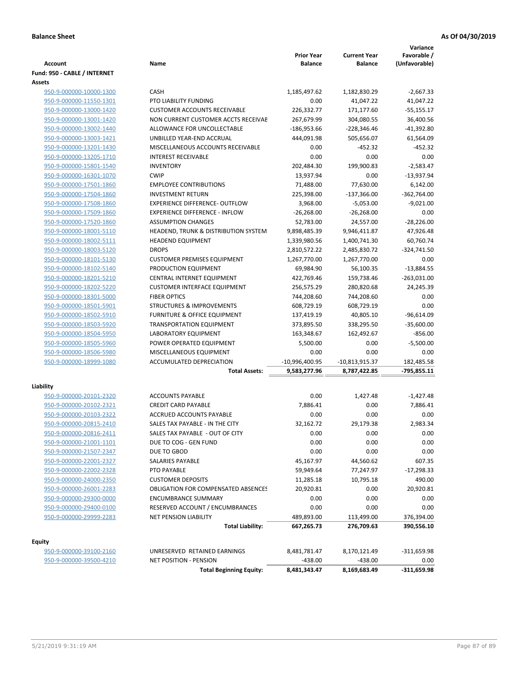**Variance**

|                              |                                            | <b>Prior Year</b> | <b>Current Year</b> | Favorable /   |
|------------------------------|--------------------------------------------|-------------------|---------------------|---------------|
| <b>Account</b>               | Name                                       | <b>Balance</b>    | <b>Balance</b>      | (Unfavorable) |
| Fund: 950 - CABLE / INTERNET |                                            |                   |                     |               |
| Assets                       |                                            |                   |                     |               |
| 950-9-000000-10000-1300      | <b>CASH</b>                                | 1,185,497.62      | 1,182,830.29        | $-2,667.33$   |
| 950-9-000000-11550-1301      | PTO LIABILITY FUNDING                      | 0.00              | 41,047.22           | 41,047.22     |
| 950-9-000000-13000-1420      | <b>CUSTOMER ACCOUNTS RECEIVABLE</b>        | 226,332.77        | 171,177.60          | $-55,155.17$  |
| 950-9-000000-13001-1420      | NON CURRENT CUSTOMER ACCTS RECEIVAE        | 267,679.99        | 304,080.55          | 36,400.56     |
| 950-9-000000-13002-1440      | ALLOWANCE FOR UNCOLLECTABLE                | -186,953.66       | $-228,346.46$       | $-41,392.80$  |
| 950-9-000000-13003-1421      | UNBILLED YEAR-END ACCRUAL                  | 444,091.98        | 505,656.07          | 61,564.09     |
| 950-9-000000-13201-1430      | MISCELLANEOUS ACCOUNTS RECEIVABLE          | 0.00              | $-452.32$           | $-452.32$     |
| 950-9-000000-13205-1710      | <b>INTEREST RECEIVABLE</b>                 | 0.00              | 0.00                | 0.00          |
| 950-9-000000-15801-1540      | <b>INVENTORY</b>                           | 202,484.30        | 199,900.83          | $-2,583.47$   |
| 950-9-000000-16301-1070      | <b>CWIP</b>                                | 13,937.94         | 0.00                | $-13,937.94$  |
| 950-9-000000-17501-1860      | <b>EMPLOYEE CONTRIBUTIONS</b>              | 71,488.00         | 77,630.00           | 6,142.00      |
| 950-9-000000-17504-1860      | <b>INVESTMENT RETURN</b>                   | 225,398.00        | $-137,366.00$       | $-362,764.00$ |
| 950-9-000000-17508-1860      | <b>EXPERIENCE DIFFERENCE- OUTFLOW</b>      | 3,968.00          | $-5,053.00$         | $-9,021.00$   |
| 950-9-000000-17509-1860      | <b>EXPERIENCE DIFFERENCE - INFLOW</b>      | $-26,268.00$      | $-26,268.00$        | 0.00          |
| 950-9-000000-17520-1860      | <b>ASSUMPTION CHANGES</b>                  | 52,783.00         | 24,557.00           | $-28,226.00$  |
| 950-9-000000-18001-5110      | HEADEND, TRUNK & DISTRIBUTION SYSTEM       | 9,898,485.39      | 9,946,411.87        | 47,926.48     |
| 950-9-000000-18002-5111      | <b>HEADEND EQUIPMENT</b>                   | 1,339,980.56      | 1,400,741.30        | 60,760.74     |
| 950-9-000000-18003-5120      | <b>DROPS</b>                               | 2,810,572.22      | 2,485,830.72        | -324,741.50   |
| 950-9-000000-18101-5130      | <b>CUSTOMER PREMISES EQUIPMENT</b>         | 1,267,770.00      | 1,267,770.00        | 0.00          |
| 950-9-000000-18102-5140      | PRODUCTION EQUIPMENT                       | 69,984.90         | 56,100.35           | $-13,884.55$  |
| 950-9-000000-18201-5210      | CENTRAL INTERNET EQUIPMENT                 | 422,769.46        | 159,738.46          | $-263,031.00$ |
| 950-9-000000-18202-5220      | <b>CUSTOMER INTERFACE EQUIPMENT</b>        | 256,575.29        | 280,820.68          | 24,245.39     |
| 950-9-000000-18301-5000      | <b>FIBER OPTICS</b>                        | 744,208.60        | 744,208.60          | 0.00          |
| 950-9-000000-18501-5901      | <b>STRUCTURES &amp; IMPROVEMENTS</b>       | 608,729.19        | 608,729.19          | 0.00          |
| 950-9-000000-18502-5910      | FURNITURE & OFFICE EQUIPMENT               | 137,419.19        | 40,805.10           | $-96,614.09$  |
| 950-9-000000-18503-5920      | <b>TRANSPORTATION EQUIPMENT</b>            | 373,895.50        | 338,295.50          | $-35,600.00$  |
| 950-9-000000-18504-5950      | LABORATORY EQUIPMENT                       | 163,348.67        | 162,492.67          | $-856.00$     |
| 950-9-000000-18505-5960      | POWER OPERATED EQUIPMENT                   | 5,500.00          | 0.00                | $-5,500.00$   |
| 950-9-000000-18506-5980      | MISCELLANEOUS EQUIPMENT                    | 0.00              | 0.00                | 0.00          |
| 950-9-000000-18999-1080      | ACCUMULATED DEPRECIATION                   | -10,996,400.95    | -10,813,915.37      | 182,485.58    |
|                              | <b>Total Assets:</b>                       | 9,583,277.96      | 8,787,422.85        | $-795,855.11$ |
| Liability                    |                                            |                   |                     |               |
| 950-9-000000-20101-2320      | <b>ACCOUNTS PAYABLE</b>                    | 0.00              | 1,427.48            | $-1,427.48$   |
| 950-9-000000-20102-2321      | <b>CREDIT CARD PAYABLE</b>                 | 7,886.41          | 0.00                | 7,886.41      |
| 950-9-000000-20103-2322      | ACCRUED ACCOUNTS PAYABLE                   | 0.00              | 0.00                | 0.00          |
| 950-9-000000-20815-2410      | SALES TAX PAYABLE - IN THE CITY            | 32,162.72         | 29,179.38           | 2,983.34      |
| 950-9-000000-20816-2411      | SALES TAX PAYABLE - OUT OF CITY            | 0.00              | 0.00                | 0.00          |
| 950-9-000000-21001-1101      | DUE TO COG - GEN FUND                      | 0.00              | 0.00                | 0.00          |
| 950-9-000000-21507-2347      | DUE TO GBOD                                | 0.00              | 0.00                | 0.00          |
| 950-9-000000-22001-2327      | SALARIES PAYABLE                           | 45,167.97         | 44,560.62           | 607.35        |
| 950-9-000000-22002-2328      | PTO PAYABLE                                | 59,949.64         | 77,247.97           | $-17,298.33$  |
| 950-9-000000-24000-2350      | <b>CUSTOMER DEPOSITS</b>                   | 11,285.18         | 10,795.18           | 490.00        |
| 950-9-000000-26001-2283      | <b>OBLIGATION FOR COMPENSATED ABSENCES</b> | 20,920.81         | 0.00                | 20,920.81     |
| 950-9-000000-29300-0000      | <b>ENCUMBRANCE SUMMARY</b>                 | 0.00              | 0.00                | 0.00          |
| 950-9-000000-29400-0100      | RESERVED ACCOUNT / ENCUMBRANCES            | 0.00              | 0.00                | 0.00          |
| 950-9-000000-29999-2283      | <b>NET PENSION LIABILITY</b>               | 489,893.00        | 113,499.00          | 376,394.00    |
|                              | <b>Total Liability:</b>                    | 667,265.73        | 276,709.63          | 390,556.10    |
|                              |                                            |                   |                     |               |
| <b>Equity</b>                |                                            |                   |                     |               |
| 950-9-000000-39100-2160      | UNRESERVED RETAINED EARNINGS               | 8,481,781.47      | 8,170,121.49        | -311,659.98   |
| 950-9-000000-39500-4210      | NET POSITION - PENSION                     | -438.00           | $-438.00$           | 0.00          |
|                              | <b>Total Beginning Equity:</b>             | 8,481,343.47      | 8,169,683.49        | $-311,659.98$ |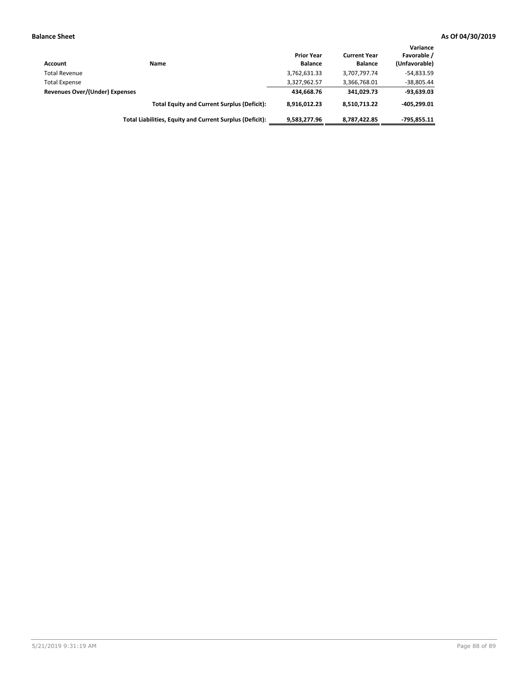| Account                        | Name                                                     | <b>Prior Year</b><br><b>Balance</b> | <b>Current Year</b><br><b>Balance</b> | Variance<br>Favorable /<br>(Unfavorable) |
|--------------------------------|----------------------------------------------------------|-------------------------------------|---------------------------------------|------------------------------------------|
| <b>Total Revenue</b>           |                                                          | 3,762,631.33                        | 3,707,797.74                          | $-54,833.59$                             |
| <b>Total Expense</b>           |                                                          | 3,327,962.57                        | 3,366,768.01                          | $-38,805.44$                             |
| Revenues Over/(Under) Expenses |                                                          | 434,668.76                          | 341.029.73                            | $-93,639.03$                             |
|                                | <b>Total Equity and Current Surplus (Deficit):</b>       | 8.916.012.23                        | 8.510.713.22                          | $-405.299.01$                            |
|                                | Total Liabilities, Equity and Current Surplus (Deficit): | 9,583,277.96                        | 8,787,422.85                          | $-795.855.11$                            |